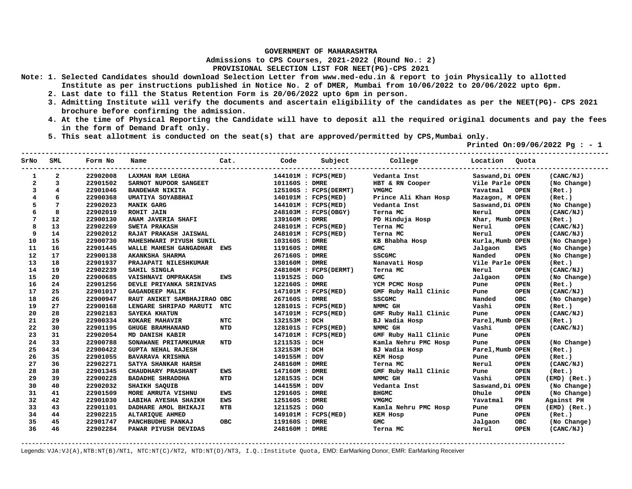**Admissions to CPS Courses, 2021-2022 (Round No.: 2)**

**PROVISIONAL SELECTION LIST FOR NEET(PG)-CPS 2021** 

- **Note: 1. Selected Candidates should download Selection Letter from www.med-edu.in & report to join Physically to allotted Institute as per instructions published in Notice No. 2 of DMER, Mumbai from 10/06/2022 to 20/06/2022 upto 6pm.** 
	- **2. Last date to fill the Status Retention Form is 20/06/2022 upto 6pm in person.**
	- **3. Admitting Institute will verify the documents and ascertain eligibility of the candidates as per the NEET(PG)- CPS 2021 brochure before confirming the admission.**
	- **4. At the time of Physical Reporting the Candidate will have to deposit all the required original documents and pay the fees in the form of Demand Draft only.**
	- **5. This seat allotment is conducted on the seat(s) that are approved/permitted by CPS,Mumbai only.**

 **Printed On:09/06/2022 Pg : - 1** 

| SrNo         | SML            | Form No  | Name                        |            | Cat.<br>Code   |                       | Subject College      | Location         | Quota       |                  |
|--------------|----------------|----------|-----------------------------|------------|----------------|-----------------------|----------------------|------------------|-------------|------------------|
|              | 2              | 22902008 | LAXMAN RAM LEGHA            |            |                | 144101M : FCPS(MED)   | Vedanta Inst         | Saswand, Di OPEN |             | (CANC/NJ)        |
| $\mathbf{2}$ | 3              | 22901502 | SARNOT NUPOOR SANGEET       |            | 101160S : DMRE |                       | HBT & RN Cooper      | Vile Parle OPEN  |             | (No Change)      |
| 3            | $\overline{4}$ | 22901046 | <b>BANDEWAR NIKITA</b>      |            |                | 125106S : FCPS(DERMT) | <b>VMGMC</b>         | Yavatmal         | <b>OPEN</b> | (Ret.)           |
|              | 6              | 22900368 | UMATIYA SOYABBHAI           |            |                | 140101M : FCPS(MED)   | Prince Ali Khan Hosp | Mazagon, M OPEN  |             | (Ret.)           |
| 5            | 7              | 22902023 | <b>MANIK GARG</b>           |            |                | 144101M : FCPS(MED)   | Vedanta Inst         | Saswand, Di OPEN |             | (No Change)      |
|              | 8              | 22902019 | <b>ROHIT JAIN</b>           |            |                | 248103M : FCPS(OBGY)  | Terna MC             | Nerul            | <b>OPEN</b> | (CANC/NJ)        |
|              | 12             | 22900130 | ANAM JAVERIA SHAFI          |            | 139160M : DMRE |                       | PD Hinduja Hosp      | Khar, Mumb OPEN  |             | (Ret.)           |
|              | 13             | 22902269 | SWETA PRAKASH               |            |                | 248101M : FCPS(MED)   | Terna MC             | Nerul            | <b>OPEN</b> | (CANC/NJ)        |
| 9            | 14             | 22902012 | RAJAT PRAKASH JAISWAL       |            |                | 248101M : FCPS(MED)   | Terna MC             | Nerul            | <b>OPEN</b> | (CANC/NJ)        |
| 10           | 15             | 22900730 | MAHESHWARI PIYUSH SUNIL     |            | 103160S : DMRE |                       | KB Bhabha Hosp       | Kurla, Mumb OPEN |             | (No Change)      |
| 11           | 16             | 22901445 | WALLE MAHESH GANGADHAR EWS  |            | 119160S : DMRE |                       | <b>GMC</b>           | Jalgaon          | EWS         | (No Change)      |
| 12           | 17             | 22900138 | AKANKSHA SHARMA             |            | 267160S : DMRE |                       | <b>SSCGMC</b>        | Nanded           | <b>OPEN</b> | (No Change)      |
| 13           | 18             | 22901937 | PRAJAPATI NILESHKUMAR       |            | 130160M : DMRE |                       | Nanavati Hosp        | Vile Parle OPEN  |             | (Ret.)           |
| 14           | 19             | 22902239 | SAHIL SINGLA                |            |                | 248106M : FCPS(DERMT) | Terna MC             | Nerul            | <b>OPEN</b> | (CANC/NJ)        |
| 15           | 20             | 22900685 | VAISHNAVI OMPRAKASH         | EWS        | 119152S : DGO  |                       | <b>GMC</b>           | Jalgaon          | <b>OPEN</b> | (No Change)      |
| 16           | 24             | 22901256 | DEVLE PRIYANKA SRINIVAS     |            | 122160S : DMRE |                       | YCM PCMC Hosp        | Pune             | <b>OPEN</b> | (Ret.)           |
| 17           | 25             | 22901017 | <b>GAGANDEEP MALIK</b>      |            |                | 147101M : FCPS(MED)   | GMF Ruby Hall Clinic | Pune             | <b>OPEN</b> | (CANC/NJ)        |
| 18           | 26             | 22900947 | RAUT ANIKET SAMBHAJIRAO OBC |            | 267160S : DMRE |                       | <b>SSCGMC</b>        | Nanded           | <b>OBC</b>  | (No Change)      |
| 19           | 27             | 22900168 | LENGARE SHRIPAD MARUTI NTC  |            |                | 128101S : FCPS(MED)   | NMMC GH              | Vashi            | <b>OPEN</b> | (Ret.)           |
| 20           | 28             | 22902183 | <b>SAYEKA KHATUN</b>        |            |                | 147101M : FCPS(MED)   | GMF Ruby Hall Clinic | Pune             | <b>OPEN</b> | (CANC/NJ)        |
| 21           | 29             | 22900334 | KOKARE MAHAVIR              | NTC        | 132153M : DCH  |                       | BJ Wadia Hosp        | Parel, Mumb OPEN |             | (Ret.)           |
| 22           | 30             | 22901195 | <b>GHUGE BRAMHANAND</b>     | <b>NTD</b> |                | 128101S : FCPS(MED)   | NMMC GH              | Vashi            | <b>OPEN</b> | (CANC/NJ)        |
| 23           | 31             | 22902054 | MD DANISH KABIR             |            |                | 147101M : FCPS(MED)   | GMF Ruby Hall Clinic | Pune             | <b>OPEN</b> |                  |
| 24           | 33             | 22900788 | SONAWANE PRITAMKUMAR        | <b>NTD</b> | 121153S : DCH  |                       | Kamla Nehru PMC Hosp | Pune             | <b>OPEN</b> | (No Change)      |
| 25           | 34             | 22900422 | <b>GUPTA NEHAL RAJESH</b>   |            | 132153M : DCH  |                       | BJ Wadia Hosp        | Parel, Mumb OPEN |             | (Ret.)           |
| 26           | 35             | 22901055 | <b>BAVARAVA KRISHNA</b>     |            | 149155M : DDV  |                       | KEM Hosp             | Pune             | <b>OPEN</b> | (Ret.)           |
| 27           | 36             | 22902271 | SATYA SHANKAR HARSH         |            | 248160M : DMRE |                       | Terna MC             | Nerul            | <b>OPEN</b> | (CANC/NJ)        |
| 28           | 38             | 22901345 | <b>CHAUDHARY PRASHANT</b>   | EWS        | 147160M : DMRE |                       | GMF Ruby Hall Clinic | Pune             | <b>OPEN</b> | (Ret.)           |
| 29           | 39             | 22900228 | <b>BADADHE SHRADDHA</b>     | <b>NTD</b> | 128153S : DCH  |                       | NMMC GH              | Vashi            | <b>OPEN</b> | $(EMD)$ $(Ret.)$ |
| 30           | 40             | 22902032 | <b>SHAIKH SAQUIB</b>        |            | 144155M : DDV  |                       | Vedanta Inst         | Saswand, Di OPEN |             | (No Change)      |
| 31           | 41             | 22901509 | MORE AMRUTA VISHNU          | <b>EWS</b> | 129160S : DMRE |                       | <b>BHGMC</b>         | Dhule            | <b>OPEN</b> | (No Change)      |
| 32           | 42             | 22901030 | LABIHA AYESHA SHAIKH        | EWS        | 125160S : DMRE |                       | <b>VMGMC</b>         | Yavatmal         | PH          | Against PH       |
| 33           | 43             | 22901101 | DADHARE AMOL BHIKAJI        | <b>NTB</b> | 121152S : DGO  |                       | Kamla Nehru PMC Hosp | Pune             | <b>OPEN</b> | $(EMD)$ $(Ret.)$ |
| 34           | 44             | 22902215 | ALTARIQUE AHMED             |            |                | 149101M : FCPS(MED)   | <b>KEM HOSP</b>      | Pune             | <b>OPEN</b> | (Ret.)           |
| 35           | 45             | 22901747 | PANCHBUDHE PANKAJ           | <b>OBC</b> | 119160S : DMRE |                       | <b>GMC</b>           | Jalgaon          | <b>OBC</b>  | (No Change)      |
| 36           | 46             | 22902284 | PAWAR PIYUSH DEVIDAS        |            | 248160M : DMRE |                       | Terna MC             | Nerul            | <b>OPEN</b> | (CANC/NJ)        |

**-------------------------------------------------------------------------------------------------------------------------------------------------------**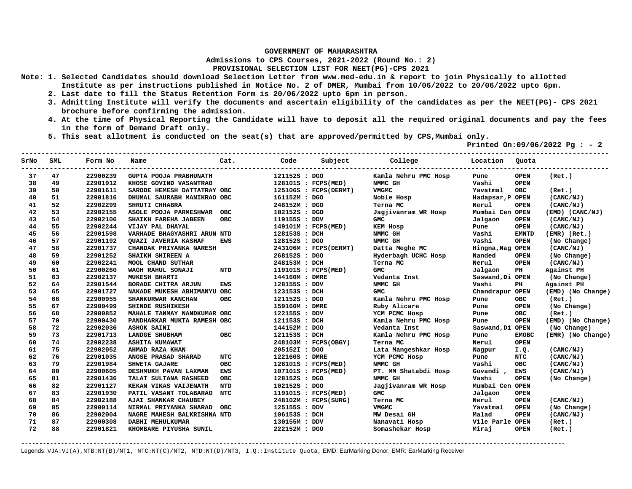**Admissions to CPS Courses, 2021-2022 (Round No.: 2)**

## **PROVISIONAL SELECTION LIST FOR NEET(PG)-CPS 2021**

- **Note: 1. Selected Candidates should download Selection Letter from www.med-edu.in & report to join Physically to allotted Institute as per instructions published in Notice No. 2 of DMER, Mumbai from 10/06/2022 to 20/06/2022 upto 6pm.** 
	- **2. Last date to fill the Status Retention Form is 20/06/2022 upto 6pm in person.**
	- **3. Admitting Institute will verify the documents and ascertain eligibility of the candidates as per the NEET(PG)- CPS 2021 brochure before confirming the admission.**
	- **4. At the time of Physical Reporting the Candidate will have to deposit all the required original documents and pay the fees in the form of Demand Draft only.**
	- **5. This seat allotment is conducted on the seat(s) that are approved/permitted by CPS,Mumbai only.**

 **Printed On:09/06/2022 Pg : - 2** 

| SrNo | SML | Form No  | Name                          | Cat.       | Code           | Subject               | College              | Location         | Quota         |                   |
|------|-----|----------|-------------------------------|------------|----------------|-----------------------|----------------------|------------------|---------------|-------------------|
| 37   | 47  | 22900239 | <b>GUPTA POOJA PRABHUNATH</b> |            | 121152S : DGO  |                       | Kamla Nehru PMC Hosp | Pune             | <b>OPEN</b>   | (Ret.)            |
| 38   | 49  | 22901912 | KHOSE GOVIND VASANTRAO        |            |                | 128101S : FCPS(MED)   | NMMC GH              | Vashi            | <b>OPEN</b>   |                   |
| 39   | 50  | 22901611 | SARODE HEMESH DATTATRAY OBC   |            |                | 125106S : FCPS(DERMT) | <b>VMGMC</b>         | Yavatmal         | <b>OBC</b>    | (Ret.)            |
| 40   | 51  | 22901816 | DHUMAL SAURABH MANIKRAO OBC   |            | 161152M : DGO  |                       | Noble Hosp           | Hadapsar, P OPEN |               | (CANC/NJ)         |
| 41   | 52  | 22902299 | SHRUTI CHHABRA                |            | 248152M : DGO  |                       | Terna MC             | Nerul            | <b>OPEN</b>   | (CANC/NJ)         |
| 42   | 53  | 22902155 | ASOLE POOJA PARMESHWAR        | <b>OBC</b> | 102152S : DGO  |                       | Jagjivanram WR Hosp  | Mumbai Cen OPEN  |               | (EMD) (CANC/NJ)   |
| 43   | 54  | 22902106 | SHAIKH FAREHA JABEEN          | OBC.       | 119155S : DDV  |                       | GMC                  | Jalgaon          | <b>OPEN</b>   | (CANC/NJ)         |
| 44   | 55  | 22902244 | VIJAY PAL DHAYAL              |            |                | 149101M : FCPS(MED)   | <b>KEM HOSP</b>      | Pune             | <b>OPEN</b>   | (CANC/NJ)         |
| 45   | 56  | 22901598 | VARHADE BHAGYASHRI ARUN NTD   |            | 128153S : DCH  |                       | NMMC GH              | Vashi            | <b>EMNTD</b>  | (EMR) (Ret.)      |
| 46   | 57  | 22901192 | <b>OUAZI JAVERIA KASHAF</b>   | EWS        | 128152S : DGO  |                       | NMMC GH              | Vashi            | <b>OPEN</b>   | (No Change)       |
| 47   | 58  | 22901737 | CHANDAK PRIYANKA NARESH       |            |                | 243106M : FCPS(DERMT) | Datta Meghe MC       | Hingna, Nag OPEN |               | (CANC/NJ)         |
| 48   | 59  | 22901252 | SHAIKH SHIREEN A              |            | 268152S : DGO  |                       | Hyderbagh UCHC Hosp  | Nanded           | <b>OPEN</b>   | (No Change)       |
| 49   | 60  | 22902241 | <b>MOOL CHAND SUTHAR</b>      |            | 248153M : DCH  |                       | Terna MC             | Nerul            | <b>OPEN</b>   | (CANC/NJ)         |
| 50   | 61  | 22900260 | WAGH RAHUL SONAJI             | <b>NTD</b> |                | 119101S : FCPS(MED)   | <b>GMC</b>           | Jalgaon          | $\mathbf{PH}$ | Against PH        |
| 51   | 63  | 22902137 | <b>MUKESH BHARTI</b>          |            | 144160M : DMRE |                       | Vedanta Inst         | Saswand, Di OPEN |               | (No Change)       |
| 52   | 64  | 22901544 | <b>BORADE CHITRA ARJUN</b>    | <b>EWS</b> | 128155S : DDV  |                       | NMMC GH              | Vashi            | PH            | Against PH        |
| 53   | 65  | 22901727 | NAKADE MUKESH ABHIMANYU OBC   |            | 123153S : DCH  |                       | <b>GMC</b>           | Chandrapur OPEN  |               | (EMD) (No Change) |
| 54   | 66  | 22900955 | SHANKURWAR KANCHAN            | <b>OBC</b> | 121152S : DGO  |                       | Kamla Nehru PMC Hosp | Pune             | <b>OBC</b>    | (Ret.)            |
| 55   | 67  | 22900499 | SHINDE RUSHIKESH              |            | 159160M : DMRE |                       | Ruby Alicare         | Pune             | <b>OPEN</b>   | (No Change)       |
| 56   | 68  | 22900852 | MAHALE TANMAY NANDKUMAR OBC   |            | 122155S : DDV  |                       | YCM PCMC Hosp        | Pune             | <b>OBC</b>    | (Ret.)            |
| 57   | 70  | 22900430 | PANDHARKAR MUKTA RAMESH OBC   |            | 121153S : DCH  |                       | Kamla Nehru PMC Hosp | Pune             | <b>OPEN</b>   | (EMD) (No Change) |
| 58   | 72  | 22902036 | <b>ASHOK SAINI</b>            |            | 144152M : DGO  |                       | Vedanta Inst         | Saswand, Di OPEN |               | (No Change)       |
| 59   | 73  | 22901713 | LANDGE SHUBHAM                | <b>OBC</b> | 121153S : DCH  |                       | Kamla Nehru PMC Hosp | Pune             | <b>EMOBC</b>  | (EMR) (No Change) |
| 60   | 74  | 22902238 | <b>ASHITA KUMAWAT</b>         |            |                | 248103M : FCPS(OBGY)  | Terna MC             | Nerul            | <b>OPEN</b>   |                   |
| 61   | 75  | 22902052 | AHMAD RAZA KHAN               |            | 205152I : DGO  |                       | Lata Mangeshkar Hosp | Nagpur           | I.Q.          | (CANC/NJ)         |
| 62   | 76  | 22901035 | ANOSE PRASAD SHARAD           | NTC        | 122160S : DMRE |                       | YCM PCMC Hosp        | Pune             | <b>NTC</b>    | (CANC/NJ)         |
| 63   | 79  | 22901984 | <b>SHWETA GAJARE</b>          | OBC        |                | 128101S : FCPS(MED)   | NMMC GH              | Vashi            | <b>OBC</b>    | (CANC/NJ)         |
| 64   | 80  | 22900605 | DESHMUKH PAVAN LAXMAN         | <b>EWS</b> |                | 107101S : FCPS(MED)   | PT. MM Shatabdi Hosp | Govandi,         | <b>EWS</b>    | (CANC/NJ)         |
| 65   | 81  | 22901436 | TALAT SULTANA RASHEED         | <b>OBC</b> | 128152S : DGO  |                       | NMMC GH              | Vashi            | <b>OPEN</b>   | (No Change)       |
| 66   | 82  | 22901127 | KEKAN VIKAS VAIJENATH         | NTD        | 102152S : DGO  |                       | Jagjivanram WR Hosp  | Mumbai Cen OPEN  |               |                   |
| 67   | 83  | 22901930 | PATIL VASANT TOLABARAO        | NTC        |                | 119101S : FCPS(MED)   | <b>GMC</b>           | Jalgaon          | <b>OPEN</b>   |                   |
| 68   | 84  | 22902188 | <b>AJAI SHANKAR CHAUBEY</b>   |            |                | 248102M : FCPS(SURG)  | Terna MC             | Nerul            | <b>OPEN</b>   | (CANC/NJ)         |
| 69   | 85  | 22900114 | NIRMAL PRIYANKA SHARAD        | <b>OBC</b> | 125155S : DDV  |                       | <b>VMGMC</b>         | Yavatmal         | <b>OPEN</b>   | (No Change)       |
| 70   | 86  | 22902004 | NAGRE MAHESH BALKRISHNA NTD   |            | 106153S : DCH  |                       | MW Desai GH          | Malad            | <b>OPEN</b>   | (CANC/NJ)         |
| 71   | 87  | 22900308 | <b>DABHI MEHULKUMAR</b>       |            | 130155M : DDV  |                       | Nanavati Hosp        | Vile Parle OPEN  |               | (Ret.)            |
| 72   | 88  | 22901821 | KHOMBARE PIYUSHA SUNIL        |            | 222152M : DGO  |                       | Somashekar Hosp      | Miraj            | <b>OPEN</b>   | (Ret.)            |

**-------------------------------------------------------------------------------------------------------------------------------------------------------**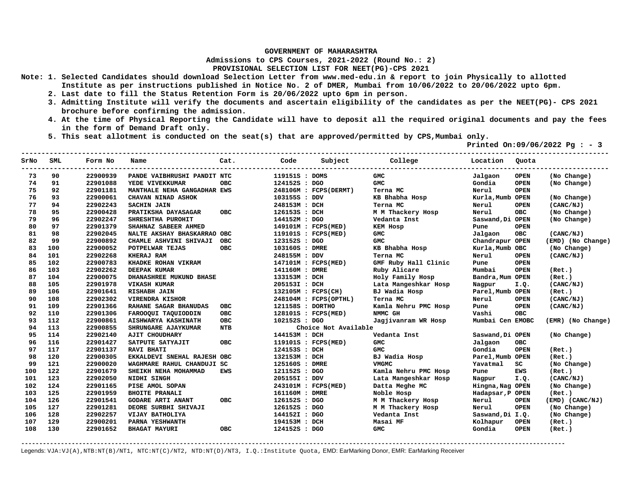**Admissions to CPS Courses, 2021-2022 (Round No.: 2)**

## **PROVISIONAL SELECTION LIST FOR NEET(PG)-CPS 2021**

- **Note: 1. Selected Candidates should download Selection Letter from www.med-edu.in & report to join Physically to allotted Institute as per instructions published in Notice No. 2 of DMER, Mumbai from 10/06/2022 to 20/06/2022 upto 6pm.** 
	- **2. Last date to fill the Status Retention Form is 20/06/2022 upto 6pm in person.**
	- **3. Admitting Institute will verify the documents and ascertain eligibility of the candidates as per the NEET(PG)- CPS 2021 brochure before confirming the admission.**
	- **4. At the time of Physical Reporting the Candidate will have to deposit all the required original documents and pay the fees in the form of Demand Draft only.**
	- **5. This seat allotment is conducted on the seat(s) that are approved/permitted by CPS,Mumbai only.**

 **Printed On:09/06/2022 Pg : - 3** 

| SrNo | SML | Form No  | Name                        | Cat.       | Code               | Subject               | College              | Location         | Quota       |                   |
|------|-----|----------|-----------------------------|------------|--------------------|-----------------------|----------------------|------------------|-------------|-------------------|
| 73   | 90  | 22900939 | PANDE VAIBHRUSHI PANDIT NTC |            | 119151S : DOMS     |                       | GMC                  | Jalgaon          | <b>OPEN</b> | (No Change)       |
| 74   | 91  | 22901088 | YEDE VIVEKKUMAR             | <b>OBC</b> | 124152S : DGO      |                       | <b>GMC</b>           | Gondia           | <b>OPEN</b> | (No Change)       |
| 75   | 92  | 22901181 | MANTHALE NEHA GANGADHAR EWS |            |                    | 248106M : FCPS(DERMT) | Terna MC             | Nerul            | <b>OPEN</b> |                   |
| 76   | 93  | 22900061 | CHAVAN NINAD ASHOK          |            | 103155S : DDV      |                       | KB Bhabha Hosp       | Kurla, Mumb OPEN |             | (No Change)       |
| 77   | 94  | 22902243 | <b>SACHIN JAIN</b>          |            | 248153M : DCH      |                       | Terna MC             | Nerul            | <b>OPEN</b> | (CANC/NJ)         |
| 78   | 95  | 22900428 | PRATIKSHA DAYASAGAR         | <b>OBC</b> | 126153S : DCH      |                       | M M Thackery Hosp    | Nerul            | <b>OBC</b>  | (No Change)       |
| 79   | 96  | 22902247 | SHRESHTHA PUROHIT           |            | 144152M : DGO      |                       | Vedanta Inst         | Saswand, Di OPEN |             | (No Change)       |
| 80   | 97  | 22901379 | SHAHNAZ SABEER AHMED        |            |                    | 149101M : FCPS(MED)   | <b>KEM Hosp</b>      | Pune             | <b>OPEN</b> |                   |
| 81   | 98  | 22902045 | NALTE AKSHAY BHASKARRAO OBC |            |                    | 119101S : FCPS(MED)   | <b>GMC</b>           | Jalgaon          | <b>OBC</b>  | (CANC/NJ)         |
| 82   | 99  | 22900892 | CHAMLE ASHVINI SHIVAJI      | <b>OBC</b> | 123152S : DGO      |                       | <b>GMC</b>           | Chandrapur OPEN  |             | (EMD) (No Change) |
| 83   | 100 | 22900052 | POTPELWAR TEJAS             | <b>OBC</b> | 103160S : DMRE     |                       | KB Bhabha Hosp       | Kurla, Mumb OBC  |             | (No Change)       |
| 84   | 101 | 22902268 | KHERAJ RAM                  |            | 248155M : DDV      |                       | Terna MC             | Nerul            | <b>OPEN</b> | (CANC/NJ)         |
| 85   | 102 | 22900783 | KHADKE ROHAN VIKRAM         |            |                    | 147101M : FCPS(MED)   | GMF Ruby Hall Clinic | Pune             | <b>OPEN</b> |                   |
| 86   | 103 | 22902262 | DEEPAK KUMAR                |            | 141160M : DMRE     |                       | Ruby Alicare         | Mumbai           | <b>OPEN</b> | (Ret.)            |
| 87   | 104 | 22900075 | DHANASHREE MUKUND BHASE     |            | 133153M : DCH      |                       | Holy Family Hosp     | Bandra, Mum OPEN |             | (Ret.)            |
| 88   | 105 | 22901978 | <b>VIKASH KUMAR</b>         |            | 205153I : DCH      |                       | Lata Mangeshkar Hosp | Nagpur           | I.Q.        | (CANC/NJ)         |
| 89   | 106 | 22901641 | RISHABH JAIN                |            | 132105M : FCPS(CH) |                       | BJ Wadia Hosp        | Parel, Mumb OPEN |             | (Ret.)            |
| 90   | 108 | 22902302 | <b>VIRENDRA KISHOR</b>      |            |                    | 248104M : FCPS(OPTHL) | Terna MC             | Nerul            | <b>OPEN</b> | (CANC/NJ)         |
| 91   | 109 | 22901366 | RAHANE SAGAR BHANUDAS       | <b>OBC</b> | 121158S : DORTHO   |                       | Kamla Nehru PMC Hosp | Pune             | <b>OPEN</b> | (CANC/NJ)         |
| 92   | 110 | 22901306 | FAROOQUI TAQUIODDIN         | OBC        |                    | 128101S : FCPS(MED)   | NMMC GH              | Vashi            | <b>OBC</b>  |                   |
| 93   | 112 | 22900861 | <b>AISHWARYA KASHINATH</b>  | <b>OBC</b> | 102152S : DGO      |                       | Jagjivanram WR Hosp  | Mumbai Cen EMOBC |             | (EMR) (No Change) |
| 94   | 113 | 22900855 | SHRUNGARE AJAYKUMAR         | <b>NTB</b> |                    | Choice Not Available  |                      |                  |             |                   |
| 95   | 114 | 22902140 | <b>AJIT CHOUDHARY</b>       |            | 144153M : DCH      |                       | Vedanta Inst         | Saswand, Di OPEN |             | (No Change)       |
| 96   | 116 | 22901427 | SATPUTE SATYAJIT            | <b>OBC</b> |                    | 119101S : FCPS(MED)   | <b>GMC</b>           | Jalgaon          | <b>OBC</b>  |                   |
| 97   | 117 | 22901137 | <b>RAVI BHATI</b>           |            | 124153S : DCH      |                       | <b>GMC</b>           | Gondia           | <b>OPEN</b> | (Ret.)            |
| 98   | 120 | 22900305 | EKKALDEVI SNEHAL RAJESH OBC |            | 132153M : DCH      |                       | BJ Wadia Hosp        | Parel, Mumb OPEN |             | (Ret.)            |
| 99   | 121 | 22900020 | WAGHMARE RAHUL CHANDUJI SC  |            | 125160S : DMRE     |                       | <b>VMGMC</b>         | Yavatmal         | SC          | (No Change)       |
| 100  | 122 | 22901679 | SHEIKH NEHA MOHAMMAD        | <b>EWS</b> | 121152S : DGO      |                       | Kamla Nehru PMC Hosp | Pune             | <b>EWS</b>  | (Ret.)            |
| 101  | 123 | 22902050 | NIDHI SINGH                 |            | 205155I : DDV      |                       | Lata Mangeshkar Hosp | Nagpur           | I.Q.        | (CANC/NJ)         |
| 102  | 124 | 22901165 | PISE AMOL SOPAN             |            |                    | 243101M : FCPS(MED)   | Datta Meghe MC       | Hingna, Nag OPEN |             | (No Change)       |
| 103  | 125 | 22901959 | <b>BHOITE PRANALI</b>       |            | 161160M : DMRE     |                       | Noble Hosp           | Hadapsar, P OPEN |             | (Ret.)            |
| 104  | 126 | 22901541 | <b>GODARE ARTI ANANT</b>    | <b>OBC</b> | 126152S : DGO      |                       | M M Thackery Hosp    | Nerul            | <b>OPEN</b> | (EMD) (CANC/NJ)   |
| 105  | 127 | 22901281 | DEORE SURBHI SHIVAJI        |            | 126152S : DGO      |                       | M M Thackery Hosp    | Nerul            | <b>OPEN</b> | (No Change)       |
| 106  | 128 | 22902257 | VIJAY BATHOLIYA             |            | 144152I : DGO      |                       | Vedanta Inst         | Saswand, Di I.Q. |             | (No Change)       |
| 107  | 129 | 22900201 | PARNA YESHWANTH             |            | 194153M :          | DCH                   | Masai MF             | Kolhapur         | <b>OPEN</b> | (Ret.)            |
| 108  | 130 | 22901652 | <b>BHAGAT MAYURI</b>        | <b>OBC</b> | 124152S : DGO      |                       | <b>GMC</b>           | Gondia           | <b>OPEN</b> | (Ret.)            |

**-------------------------------------------------------------------------------------------------------------------------------------------------------**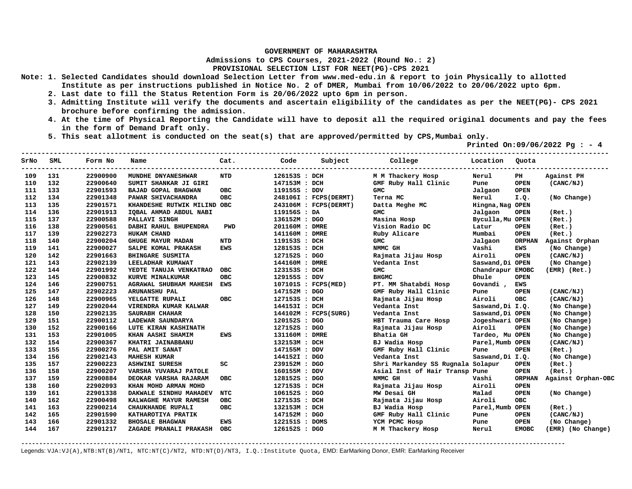**Admissions to CPS Courses, 2021-2022 (Round No.: 2)**

## **PROVISIONAL SELECTION LIST FOR NEET(PG)-CPS 2021**

- **Note: 1. Selected Candidates should download Selection Letter from www.med-edu.in & report to join Physically to allotted Institute as per instructions published in Notice No. 2 of DMER, Mumbai from 10/06/2022 to 20/06/2022 upto 6pm.** 
	- **2. Last date to fill the Status Retention Form is 20/06/2022 upto 6pm in person.**
	- **3. Admitting Institute will verify the documents and ascertain eligibility of the candidates as per the NEET(PG)- CPS 2021 brochure before confirming the admission.**
	- **4. At the time of Physical Reporting the Candidate will have to deposit all the required original documents and pay the fees in the form of Demand Draft only.**
	- **5. This seat allotment is conducted on the seat(s) that are approved/permitted by CPS,Mumbai only.**

 **Printed On:09/06/2022 Pg : - 4** 

| SrNo | SML | Form No  | Name                        | Cat.       | Code           | Subject               | College                           | Location         | Quota                  |                    |
|------|-----|----------|-----------------------------|------------|----------------|-----------------------|-----------------------------------|------------------|------------------------|--------------------|
| 109  | 131 | 22900900 | MUNDHE DNYANESHWAR          | <b>NTD</b> | 126153S : DCH  |                       | M M Thackery Hosp                 | Nerul            | $\mathbf{P}\mathbf{H}$ | Against PH         |
| 110  | 132 | 22900640 | SUMIT SHANKAR JI GIRI       |            | 147153M : DCH  |                       | GMF Ruby Hall Clinic              | Pune             | <b>OPEN</b>            | (CANC/NJ)          |
| 111  | 133 | 22901593 | BAJAD GOPAL BHAGWAN         | OBC        | 119155S : DDV  |                       | GMC                               | Jalgaon          | <b>OPEN</b>            |                    |
| 112  | 134 | 22901348 | PAWAR SHIVACHANDRA          | OBC        |                | 248106I : FCPS(DERMT) | Terna MC                          | Nerul            | I.Q.                   | (No Change)        |
| 113  | 135 | 22901571 | KHANDESHE RUTWIK MILIND OBC |            |                | 243106M : FCPS(DERMT) | Datta Meghe MC                    | Hingna, Nag OPEN |                        |                    |
| 114  | 136 | 22901913 | IQBAL AHMAD ABDUL NABI      |            | 119156S : DA   |                       | <b>GMC</b>                        | Jalgaon          | <b>OPEN</b>            | (Ret.)             |
| 115  | 137 | 22900588 | PALLAVI SINGH               |            | 136152M : DGO  |                       | Masina Hosp                       | Byculla, Mu OPEN |                        | (Ret.)             |
| 116  | 138 | 22900561 | DABHI RAHUL BHUPENDRA       | <b>PWD</b> | 201160M : DMRE |                       | Vision Radio DC                   | Latur            | <b>OPEN</b>            | (Ret.)             |
| 117  | 139 | 22902273 | HUKAM CHAND                 |            | 141160M : DMRE |                       | Ruby Alicare                      | Mumbai           | <b>OPEN</b>            | (Ret.)             |
| 118  | 140 | 22900204 | GHUGE MAYUR MADAN           | <b>NTD</b> | 119153S : DCH  |                       | <b>GMC</b>                        | Jalgaon          | <b>ORPHAN</b>          | Against Orphan     |
| 119  | 141 | 22900027 | SALPE KOMAL PRAKASH         | <b>EWS</b> | 128153S : DCH  |                       | NMMC GH                           | Vashi            | EWS                    | (No Change)        |
| 120  | 142 | 22901663 | BHINGARE SUSMITA            |            | 127152S : DGO  |                       | Rajmata Jijau Hosp                | Airoli           | <b>OPEN</b>            | (CANC/NJ)          |
| 121  | 143 | 22902139 | LEELADHAR KUMAWAT           |            | 144160M : DMRE |                       | Vedanta Inst                      | Saswand, Di OPEN |                        | (No Change)        |
| 122  | 144 | 22901992 | YEDTE TANUJA VENKATRAO      | <b>OBC</b> | 123153S : DCH  |                       | GMC                               | Chandrapur EMOBC |                        | $(EMR)$ $(Ret.)$   |
| 123  | 145 | 22900832 | KURVE MINALKUMAR            | <b>OBC</b> | 129155S : DDV  |                       | <b>BHGMC</b>                      | Dhule            | <b>OPEN</b>            |                    |
| 124  | 146 | 22900751 | AGRAWAL SHUBHAM MAHESH EWS  |            |                | 107101S : FCPS(MED)   | PT. MM Shatabdi Hosp              | Govandi,         | EWS                    |                    |
| 125  | 147 | 22902223 | ARUNANSHU PAL               |            | 147152M : DGO  |                       | GMF Ruby Hall Clinic              | Pune             | <b>OPEN</b>            | (CANC/NJ)          |
| 126  | 148 | 22900965 | YELGATTE RUPALI             | <b>OBC</b> | 127153S : DCH  |                       | Rajmata Jijau Hosp                | Airoli           | <b>OBC</b>             | (CANC/NJ)          |
| 127  | 149 | 22902044 | VIRENDRA KUMAR KALWAR       |            | 144153I : DCH  |                       | Vedanta Inst                      | Saswand, Di I.Q. |                        | (No Change)        |
| 128  | 150 | 22902135 | SAURABH CHAHAR              |            |                | 144102M : FCPS(SURG)  | Vedanta Inst                      | Saswand, Di OPEN |                        | (No Change)        |
| 129  | 151 | 22900112 | LADEWAR SAUNDARYA           |            | 120152S : DGO  |                       | HBT Trauma Care Hosp              | Jogeshwari OPEN  |                        | (No Change)        |
| 130  | 152 | 22900166 | LUTE KIRAN KASHINATH        |            | 127152S : DGO  |                       | Rajmata Jijau Hosp                | Airoli           | <b>OPEN</b>            | (No Change)        |
| 131  | 153 | 22901005 | KHAN AASHI SHAMIM           | <b>EWS</b> | 131160M : DMRE |                       | Bhatia GH                         | Tardeo, Mu OPEN  |                        | (No Change)        |
| 132  | 154 | 22900367 | KHATRI JAINABBANU           |            | 132153M : DCH  |                       | BJ Wadia Hosp                     | Parel, Mumb OPEN |                        | (CANC/NJ)          |
| 133  | 155 | 22900276 | PAL AMIT SANAT              |            | 147155M : DDV  |                       | GMF Ruby Hall Clinic              | Pune             | <b>OPEN</b>            | (Ret.)             |
| 134  | 156 | 22902143 | <b>MAHESH KUMAR</b>         |            | 144152I : DGO  |                       | Vedanta Inst                      | Saswand, Di I.Q. |                        | (No Change)        |
| 135  | 157 | 22900223 | <b>ASHWINI SURESH</b>       | SC         | 239152M : DGO  |                       | Shri Markandey SS Rugnala Solapur |                  | <b>OPEN</b>            | (Ret.)             |
| 136  | 158 | 22900207 | VARSHA YUVARAJ PATOLE       |            | 160155M : DDV  |                       | Asial Inst of Hair Transp Pune    |                  | <b>OPEN</b>            | (Ret.)             |
| 137  | 159 | 22900884 | DEOKAR VARSHA RAJARAM       | <b>OBC</b> | 128152S : DGO  |                       | NMMC GH                           | Vashi            | <b>ORPHAN</b>          | Against Orphan-OBC |
| 138  | 160 | 22902093 | KHAN MOHD ARMAN MOHD        |            | 127153S : DCH  |                       | Rajmata Jijau Hosp                | Airoli           | <b>OPEN</b>            |                    |
| 139  | 161 | 22901338 | DAKWALE SINDHU MAHADEV      | NTC        | 106152S : DGO  |                       | MW Desai GH                       | Malad            | <b>OPEN</b>            | (No Change)        |
| 140  | 162 | 22900498 | KALWAGHE MAYUR RAMESH       | OBC        | 127153S : DCH  |                       | Rajmata Jijau Hosp                | Airoli           | OBC                    |                    |
| 141  | 163 | 22900214 | CHAUKHANDE RUPALI           | <b>OBC</b> | 132153M : DCH  |                       | BJ Wadia Hosp                     | Parel, Mumb OPEN |                        | (Ret.)             |
| 142  | 165 | 22901590 | KATHAROTIYA PRATIK          |            | 147152M : DGO  |                       | GMF Ruby Hall Clinic              | Pune             | <b>OPEN</b>            | (CANC/NJ)          |
| 143  | 166 | 22901332 | <b>BHOSALE BHAGWAN</b>      | <b>EWS</b> | 122151S : DOMS |                       | YCM PCMC Hosp                     | Pune             | <b>OPEN</b>            | (No Change)        |
| 144  | 167 | 22901217 | ZAGADE PRANALI PRAKASH OBC  |            | 126152S : DGO  |                       | M M Thackery Hosp                 | Nerul            | <b>EMOBC</b>           | (EMR) (No Change)  |

**-------------------------------------------------------------------------------------------------------------------------------------------------------**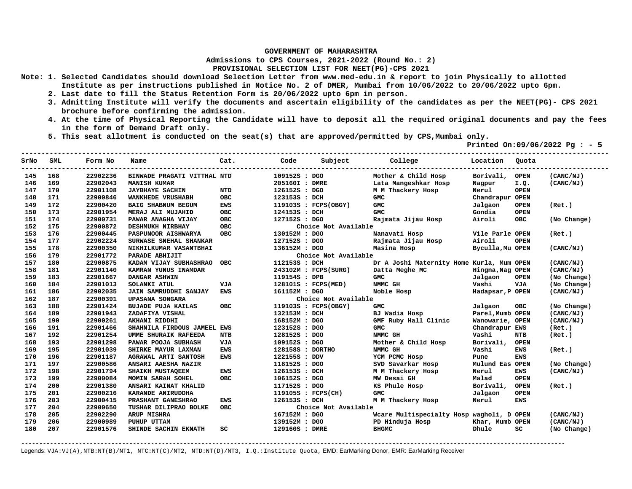**Admissions to CPS Courses, 2021-2022 (Round No.: 2)**

**PROVISIONAL SELECTION LIST FOR NEET(PG)-CPS 2021** 

- **Note: 1. Selected Candidates should download Selection Letter from www.med-edu.in & report to join Physically to allotted Institute as per instructions published in Notice No. 2 of DMER, Mumbai from 10/06/2022 to 20/06/2022 upto 6pm.** 
	- **2. Last date to fill the Status Retention Form is 20/06/2022 upto 6pm in person.**
	- **3. Admitting Institute will verify the documents and ascertain eligibility of the candidates as per the NEET(PG)- CPS 2021 brochure before confirming the admission.**
	- **4. At the time of Physical Reporting the Candidate will have to deposit all the required original documents and pay the fees in the form of Demand Draft only.**

**-------------------------------------------------------------------------------------------------------------------------------------------------** 

 **5. This seat allotment is conducted on the seat(s) that are approved/permitted by CPS,Mumbai only.** 

 **Printed On:09/06/2022 Pg : - 5** 

| SrNo | <b>SML</b> | Form No  | Name                        | Cat.       | Code             | Subject              | College                                   | Location         | Quota       |             |
|------|------------|----------|-----------------------------|------------|------------------|----------------------|-------------------------------------------|------------------|-------------|-------------|
| 145  | 168        | 22902236 | BINWADE PRAGATI VITTHAL NTD |            | 109152S : DGO    |                      | Mother & Child Hosp                       | Borivali,        | <b>OPEN</b> | (CANC/NJ)   |
| 146  | 169        | 22902043 | <b>MANISH KUMAR</b>         |            | 205160I : DMRE   |                      | Lata Mangeshkar Hosp                      | Nagpur           | I.Q.        | (CANC/NJ)   |
| 147  | 170        | 22901108 | <b>JAYBHAYE SACHIN</b>      | <b>NTD</b> | 126152S : DGO    |                      | M M Thackery Hosp                         | Nerul            | <b>OPEN</b> |             |
| 148  | 171        | 22900846 | WANKHEDE VRUSHABH           | OBC        | 123153S : DCH    |                      | <b>GMC</b>                                | Chandrapur OPEN  |             |             |
| 149  | 172        | 22900420 | BAIG SHABNUM BEGUM          | <b>EWS</b> |                  | 119103S : FCPS(OBGY) | <b>GMC</b>                                | Jalgaon          | <b>OPEN</b> | (Ret.)      |
| 150  | 173        | 22901954 | MERAJ ALI MUJAHID           | <b>OBC</b> | 124153S : DCH    |                      | <b>GMC</b>                                | Gondia           | <b>OPEN</b> |             |
| 151  | 174        | 22900731 | PAWAR ANAGHA VIJAY          | <b>OBC</b> | 127152S : DGO    |                      | Rajmata Jijau Hosp                        | Airoli           | <b>OBC</b>  | (No Change) |
| 152  | 175        | 22900872 | DESHMUKH NIRBHAY            | <b>OBC</b> |                  | Choice Not Available |                                           |                  |             |             |
| 153  | 176        | 22900445 | PASPUNOOR AISHWARYA         | <b>OBC</b> | 130152M : DGO    |                      | Nanavati Hosp                             | Vile Parle OPEN  |             | (Ret.)      |
| 154  | 177        | 22902224 | SURWASE SNEHAL SHANKAR      |            | 127152S : DGO    |                      | Rajmata Jijau Hosp                        | Airoli           | <b>OPEN</b> |             |
| 155  | 178        | 22900350 | NIKHILKUMAR VASANTBHAI      |            | 136152M : DGO    |                      | Masina Hosp                               | Byculla, Mu OPEN |             | (CANC/NJ)   |
| 156  | 179        | 22901772 | PARADE ABHIJIT              |            |                  | Choice Not Available |                                           |                  |             |             |
| 157  | 180        | 22900875 | KADAM VIJAY SUBHASHRAO      | <b>OBC</b> | 112153S : DCH    |                      | Dr A Joshi Maternity Home Kurla, Mum OPEN |                  |             | (CANC/NJ)   |
| 158  | 181        | 22901140 | KAMRAN YUNUS INAMDAR        |            |                  | 243102M : FCPS(SURG) | Datta Meghe MC                            | Hingna, Nag OPEN |             | (CANC/NJ)   |
| 159  | 183        | 22901667 | DANGAR ASHWIN               |            | 119154S : DPB    |                      | GMC                                       | Jalgaon          | <b>OPEN</b> | (No Change) |
| 160  | 184        | 22901013 | SOLANKI ATUL                | VJA        |                  | 128101S : FCPS(MED)  | NMMC GH                                   | Vashi            | <b>VJA</b>  | (No Change) |
| 161  | 186        | 22902035 | JAIN SAMRUDDHI SANJAY       | <b>EWS</b> | 161152M : DGO    |                      | Noble Hosp                                | Hadapsar, P OPEN |             | (CANC/NJ)   |
| 162  | 187        | 22900391 | <b>UPASANA SONGARA</b>      |            |                  | Choice Not Available |                                           |                  |             |             |
| 163  | 188        | 22901424 | <b>BUJADE PUJA KAILAS</b>   | <b>OBC</b> |                  | 119103S : FCPS(OBGY) | GMC                                       | Jalgaon          | OBC         | (No Change) |
| 164  | 189        | 22901943 | ZADAFIYA VISHAL             |            | 132153M : DCH    |                      | BJ Wadia Hosp                             | Parel, Mumb OPEN |             | (CANC/NJ)   |
| 165  | 190        | 22900261 | AKHANI RIDDHI               |            | 168152M : DGO    |                      | GMF Ruby Hall Clinic                      | Wanowarie, OPEN  |             | (CANC/NJ)   |
| 166  | 191        | 22901466 | SHAHNILA FIRDOUS JAMEEL EWS |            | 123152S : DGO    |                      | <b>GMC</b>                                | Chandrapur EWS   |             | (Ret.)      |
| 167  | 192        | 22901254 | <b>UMME SHURAIK RAFEEDA</b> | NTB        | 128152S : DGO    |                      | NMMC GH                                   | Vashi            | NTB         | (Ret.)      |
| 168  | 193        | 22901298 | PAWAR POOJA SUBHASH         | <b>VJA</b> | 109152S : DGO    |                      | Mother & Child Hosp                       | Borivali,        | <b>OPEN</b> |             |
| 169  | 195        | 22901039 | SHIRKE MAYUR LAXMAN         | <b>EWS</b> | 128158S : DORTHO |                      | NMMC GH                                   | Vashi            | <b>EWS</b>  | (Ret.)      |
| 170  | 196        | 22901187 | <b>AGRAWAL ARTI SANTOSH</b> | <b>EWS</b> | 122155S : DDV    |                      | YCM PCMC Hosp                             | Pune             | <b>EWS</b>  |             |
| 171  | 197        | 22900586 | ANSARI AAESHA NAZIR         |            | 118152S : DGO    |                      | SVD Savarkar Hosp                         | Mulund Eas OPEN  |             | (No Change) |
| 172  | 198        | 22901794 | SHAIKH MUSTAQEEM            | <b>EWS</b> | 126153S : DCH    |                      | M M Thackery Hosp                         | Nerul            | EWS         | (CANC/NJ)   |
| 173  | 199        | 22900084 | MOMIN SARAH SOHEL           | <b>OBC</b> | 106152S : DGO    |                      | MW Desai GH                               | Malad            | <b>OPEN</b> |             |
| 174  | 200        | 22901380 | ANSARI KAINAT KHALID        |            | 117152S : DGO    |                      | KS Phule Hosp                             | Borivali,        | <b>OPEN</b> | (Ret.)      |
| 175  | 201        | 22900216 | KARANDE ANIRUDDHA           |            |                  | 119105S : FCPS(CH)   | <b>GMC</b>                                | Jalgaon          | <b>OPEN</b> |             |
| 176  | 203        | 22900415 | PRASHANT GANESHRAO          | EWS        | 126153S : DCH    |                      | M M Thackery Hosp                         | Nerul            | <b>EWS</b>  |             |
| 177  | 204        | 22900650 | TUSHAR DILIPRAO BOLKE       | <b>OBC</b> |                  | Choice Not Available |                                           |                  |             |             |
| 178  | 205        | 22902290 | ARUP MISHRA                 |            | 167152M : DGO    |                      | Wcare Multispecialty Hosp wagholi, D OPEN |                  |             | (CANC/NJ)   |
| 179  | 206        | 22900989 | PUHUP UTTAM                 |            | 139152M : DGO    |                      | PD Hinduja Hosp                           | Khar, Mumb OPEN  |             | (CANC/NJ)   |
| 180  | 207        | 22901576 | SHINDE SACHIN EKNATH        | SC         | 129160S : DMRE   |                      | <b>BHGMC</b>                              | Dhule            | SC          | (No Change) |

**-------------------------------------------------------------------------------------------------------------------------------------------------------**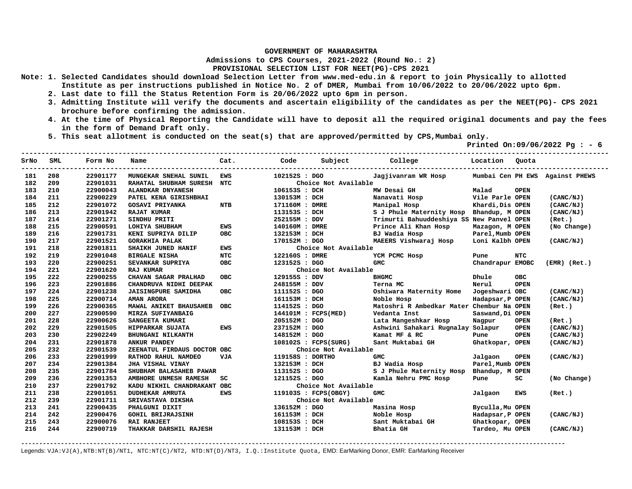**Admissions to CPS Courses, 2021-2022 (Round No.: 2)**

**PROVISIONAL SELECTION LIST FOR NEET(PG)-CPS 2021** 

- **Note: 1. Selected Candidates should download Selection Letter from www.med-edu.in & report to join Physically to allotted Institute as per instructions published in Notice No. 2 of DMER, Mumbai from 10/06/2022 to 20/06/2022 upto 6pm.** 
	- **2. Last date to fill the Status Retention Form is 20/06/2022 upto 6pm in person.**
	- **3. Admitting Institute will verify the documents and ascertain eligibility of the candidates as per the NEET(PG)- CPS 2021 brochure before confirming the admission.**
	- **4. At the time of Physical Reporting the Candidate will have to deposit all the required original documents and pay the fees in the form of Demand Draft only.**
	- **5. This seat allotment is conducted on the seat(s) that are approved/permitted by CPS,Mumbai only.**

 **Printed On:09/06/2022 Pg : - 6** 

| SrNo | SML | Form No  | Name                        | Cat.       | Code             | Subject              | College                                   | Location Ouota   |             |                                 |
|------|-----|----------|-----------------------------|------------|------------------|----------------------|-------------------------------------------|------------------|-------------|---------------------------------|
| 181  | 208 | 22901177 | MUNGEKAR SNEHAL SUNIL       | <b>EWS</b> | 102152S : DGO    |                      | Jagjivanram WR Hosp                       |                  |             | Mumbai Cen PH EWS Against PHEWS |
| 182  | 209 | 22901031 | RAHATAL SHUBHAM SURESH NTC  |            |                  | Choice Not Available |                                           |                  |             |                                 |
| 183  | 210 | 22900043 | ALANDKAR DNYANESH           |            | 106153S : DCH    |                      | MW Desai GH                               | Malad            | <b>OPEN</b> |                                 |
| 184  | 211 | 22900229 | PATEL KENA GIRISHBHAI       |            | 130153M : DCH    |                      | Nanavati Hosp                             | Vile Parle OPEN  |             | (CANC/NJ)                       |
| 185  | 212 | 22901072 | <b>GOSAVI PRIYANKA</b>      | <b>NTB</b> | 171160M : DMRE   |                      | Manipal Hosp                              | Khardi, Dis OPEN |             | (CANC/NJ)                       |
| 186  | 213 | 22901942 | <b>RAJAT KUMAR</b>          |            | 113153S : DCH    |                      | S J Phule Maternity Hosp Bhandup, M OPEN  |                  |             | (CANC/NJ)                       |
| 187  | 214 | 22901271 | SINDHU PRITI                |            | 252155M : DDV    |                      | Trimurti Bahuuddeshiya SS New Panvel OPEN |                  |             | (Ret.)                          |
| 188  | 215 | 22900591 | LOHIYA SHUBHAM              | <b>EWS</b> | 140160M : DMRE   |                      | Prince Ali Khan Hosp                      | Mazagon, M OPEN  |             | (No Change)                     |
| 189  | 216 | 22901731 | KENI SUPRIYA DILIP          | <b>OBC</b> | 132153M : DCH    |                      | BJ Wadia Hosp                             | Parel, Mumb OPEN |             |                                 |
| 190  | 217 | 22901521 | <b>GORAKHIA PALAK</b>       |            | 170152M : DGO    |                      | MAEERS Vishwaraj Hosp                     | Loni Kalbh OPEN  |             | (CANC/NJ)                       |
| 191  | 218 | 22901811 | SHAIKH JUNED HANIF          | <b>EWS</b> |                  | Choice Not Available |                                           |                  |             |                                 |
| 192  | 219 | 22901048 | <b>BIRGALE NISHA</b>        | <b>NTC</b> | 122160S : DMRE   |                      | YCM PCMC Hosp                             | Pune             | <b>NTC</b>  |                                 |
| 193  | 220 | 22900251 | SEVANKAR SUPRIYA            | <b>OBC</b> | 123152S : DGO    |                      | <b>GMC</b>                                | Chandrapur EMOBC |             | $(EMR)$ $(Ret.)$                |
| 194  | 221 | 22901620 | <b>RAJ KUMAR</b>            |            |                  | Choice Not Available |                                           |                  |             |                                 |
| 195  | 222 | 22900255 | CHAVAN SAGAR PRALHAD        | <b>OBC</b> | 129155S : DDV    |                      | <b>BHGMC</b>                              | Dhule            | <b>OBC</b>  |                                 |
| 196  | 223 | 22901886 | CHANDRUVA NIDHI DEEPAK      |            | 248155M : DDV    |                      | Terna MC                                  | Nerul            | <b>OPEN</b> |                                 |
| 197  | 224 | 22901238 | <b>JAISINGPURE SAMIDHA</b>  | OBC        | 111152S : DGO    |                      | Oshiwara Maternity Home                   | Jogeshwari OBC   |             | (CANC/NJ)                       |
| 198  | 225 | 22900714 | <b>AMAN ARORA</b>           |            | 161153M : DCH    |                      | Noble Hosp                                | Hadapsar, P OPEN |             | (CANC/NJ)                       |
| 199  | 226 | 22900365 | MAWAL ANIKET BHAUSAHEB      | <b>OBC</b> | 114152S : DGO    |                      | Matoshri R Ambedkar Mater Chembur Na OPEN |                  |             | (Ret.)                          |
| 200  | 227 | 22900590 | MIRZA SUFIYANBAIG           |            |                  | 144101M : FCPS(MED)  | Vedanta Inst                              | Saswand, Di OPEN |             |                                 |
| 201  | 228 | 22900626 | SANGEETA KUMARI             |            | 205152M : DGO    |                      | Lata Mangeshkar Hosp                      | Nagpur           | <b>OPEN</b> | (Ret.)                          |
| 202  | 229 | 22901505 | HIPPARKAR SUJATA            | <b>EWS</b> | 237152M : DGO    |                      | Ashwini Sahakari Rugnalay Solapur         |                  | <b>OPEN</b> | (CANC/NJ)                       |
| 203  | 230 | 22902249 | <b>BHUNGANI NILKANTH</b>    |            | 148152M : DGO    |                      | Kamat MF & RC                             | Pune             | <b>OPEN</b> | (CANC/NJ)                       |
| 204  | 231 | 22901878 | <b>ANKUR PANDEY</b>         |            |                  | 108102S : FCPS(SURG) | Sant Muktabai GH                          | Ghatkopar, OPEN  |             | (CANC/NJ)                       |
| 205  | 232 | 22901539 | ZEENATUL FIRDAUS DOCTOR OBC |            |                  | Choice Not Available |                                           |                  |             |                                 |
| 206  | 233 | 22901999 | RATHOD RAHUL NAMDEO         | <b>VJA</b> | 119158S : DORTHO |                      | <b>GMC</b>                                | Jalgaon          | <b>OPEN</b> | (CANC/NJ)                       |
| 207  | 234 | 22901384 | <b>JHA VISHAL VINAY</b>     |            | 132153M : DCH    |                      | BJ Wadia Hosp                             | Parel, Mumb OPEN |             |                                 |
| 208  | 235 | 22901784 | SHUBHAM BALASAHEB PAWAR     |            | 113152S : DGO    |                      | S J Phule Maternity Hosp Bhandup, M OPEN  |                  |             |                                 |
| 209  | 236 | 22901353 | AMBHORE UNMESH RAMESH       | SC         | 121152S : DGO    |                      | Kamla Nehru PMC Hosp                      | Pune             | SC          | (No Change)                     |
| 210  | 237 | 22901792 | KADU NIKHIL CHANDRAKANT OBC |            |                  | Choice Not Available |                                           |                  |             |                                 |
| 211  | 238 | 22901051 | <b>DUDHEKAR AMRUTA</b>      | <b>EWS</b> |                  | 119103S : FCPS(OBGY) | <b>GMC</b>                                | Jalgaon          | EWS         | (Ret.)                          |
| 212  | 239 | 22901711 | SRIVASTAVA DIKSHA           |            |                  | Choice Not Available |                                           |                  |             |                                 |
| 213  | 241 | 22900435 | PHALGUNI DIXIT              |            | 136152M : DGO    |                      | Masina Hosp                               | Byculla, Mu OPEN |             |                                 |
| 214  | 242 | 22900476 | <b>GOHIL BRIJRAJSINH</b>    |            | 161153M : DCH    |                      | Noble Hosp                                | Hadapsar, P OPEN |             | (CANC/NJ)                       |
| 215  | 243 | 22900076 | <b>RAI RANJEET</b>          |            | 108153S : DCH    |                      | Sant Muktabai GH                          | Ghatkopar, OPEN  |             |                                 |
| 216  | 244 | 22900719 | THAKKAR DARSHIL RAJESH      |            | 131153M : DCH    |                      | Bhatia GH                                 | Tardeo, Mu OPEN  |             | (CANC/NJ)                       |

**-------------------------------------------------------------------------------------------------------------------------------------------------------**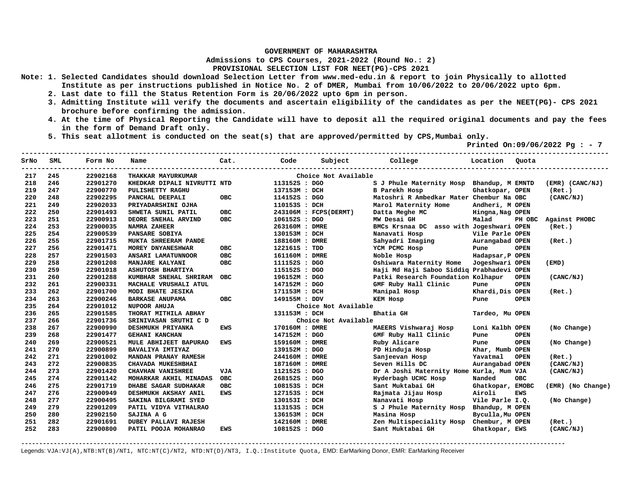**Admissions to CPS Courses, 2021-2022 (Round No.: 2)**

**PROVISIONAL SELECTION LIST FOR NEET(PG)-CPS 2021** 

- **Note: 1. Selected Candidates should download Selection Letter from www.med-edu.in & report to join Physically to allotted Institute as per instructions published in Notice No. 2 of DMER, Mumbai from 10/06/2022 to 20/06/2022 upto 6pm.** 
	- **2. Last date to fill the Status Retention Form is 20/06/2022 upto 6pm in person.**
	- **3. Admitting Institute will verify the documents and ascertain eligibility of the candidates as per the NEET(PG)- CPS 2021 brochure before confirming the admission.**
	- **4. At the time of Physical Reporting the Candidate will have to deposit all the required original documents and pay the fees in the form of Demand Draft only.**
	- **5. This seat allotment is conducted on the seat(s) that are approved/permitted by CPS,Mumbai only.**

 **Printed On:09/06/2022 Pg : - 7** 

| SrNo | SML | Form No  | Name                        | Cat.       | Code           | Subject               | College Location                          |                  | Quota       |                     |
|------|-----|----------|-----------------------------|------------|----------------|-----------------------|-------------------------------------------|------------------|-------------|---------------------|
| 217  | 245 | 22902168 | THAKKAR MAYURKUMAR          |            |                | Choice Not Available  |                                           |                  |             |                     |
| 218  | 246 | 22901270 | KHEDKAR DIPALI NIVRUTTI NTD |            | 113152S : DGO  |                       | S J Phule Maternity Hosp Bhandup, M EMNTD |                  |             | $(EMR)$ $(CANC/NJ)$ |
| 219  | 247 | 22900770 | PULISHETTY RAGHU            |            | 137153M : DCH  |                       | <b>B</b> Parekh Hosp                      | Ghatkopar, OPEN  |             | (Ret.)              |
| 220  | 248 | 22902295 | PANCHAL DEEPALI             | <b>OBC</b> | 114152S : DGO  |                       | Matoshri R Ambedkar Mater Chembur Na OBC  |                  |             | (CANC/NJ)           |
| 221  | 249 | 22902033 | PRIYADARSHINI OJHA          |            | 110153S : DCH  |                       | Marol Maternity Home                      | Andheri, M OPEN  |             |                     |
| 222  | 250 | 22901493 | SHWETA SUNIL PATIL          | <b>OBC</b> |                | 243106M : FCPS(DERMT) | Datta Meghe MC                            | Hingna, Nag OPEN |             |                     |
| 223  | 251 | 22900913 | DEORE SNEHAL ARVIND         | <b>OBC</b> | 106152S : DGO  |                       | MW Desai GH                               | Malad            | PH OBC      | Against PHOBC       |
| 224  | 253 | 22900035 | <b>NAMRA ZAHEER</b>         |            | 263160M : DMRE |                       | BMCs Krsnaa DC asso with Jogeshwari OPEN  |                  |             | (Ret.)              |
| 225  | 254 | 22900539 | PANSARE SOBIYA              |            | 130153M : DCH  |                       | Nanavati Hosp                             | Vile Parle OPEN  |             |                     |
| 226  | 255 | 22901715 | MUKTA SHREERAM PANDE        |            | 188160M : DMRE |                       | Sahyadri Imaging                          | Aurangabad OPEN  |             | (Ret.)              |
| 227  | 256 | 22901471 | MOREY DNYANESHWAR           | <b>OBC</b> | 122161S : TDD  |                       | YCM PCMC Hosp                             | Pune             | <b>OPEN</b> |                     |
| 228  | 257 | 22901503 | ANSARI LAMATUNNOOR          | <b>OBC</b> | 161160M : DMRE |                       | Noble Hosp                                | Hadapsar, P OPEN |             |                     |
| 229  | 258 | 22901208 | MANJARE KALYANI             | <b>OBC</b> | 111152S : DGO  |                       | Oshiwara Maternity Home                   | Jogeshwari OPEN  |             | (EMD)               |
| 230  | 259 | 22901018 | <b>ASHUTOSH BHARTIYA</b>    |            | 115152S : DGO  |                       | Haji Md Haji Saboo Siddig Prabhadevi OPEN |                  |             |                     |
| 231  | 260 | 22901288 | KUMBHAR SNEHAL SHRIRAM      | <b>OBC</b> | 196152M: DGO   |                       | Patki Research Foundation Kolhapur        |                  | <b>OPEN</b> | (CANC/NJ)           |
| 232  | 261 | 22900331 | MACHALE VRUSHALI ATUL       |            | 147152M : DGO  |                       | GMF Ruby Hall Clinic                      | Pune             | <b>OPEN</b> |                     |
| 233  | 262 | 22901700 | MODI BHATE JESIKA           |            | 171153M : DCH  |                       | Manipal Hosp                              | Khardi, Dis OPEN |             | (Ret.)              |
| 234  | 263 | 22900246 | <b>BARKASE ANUPAMA</b>      | <b>OBC</b> | 149155M : DDV  |                       | <b>KEM Hosp</b>                           | Pune             | <b>OPEN</b> |                     |
| 235  | 264 | 22901012 | <b>NUPOOR AHUJA</b>         |            |                | Choice Not Available  |                                           |                  |             |                     |
| 236  | 265 | 22901585 | THORAT MITHILA ABHAY        |            | 131153M : DCH  |                       | Bhatia GH                                 | Tardeo, Mu OPEN  |             |                     |
| 237  | 266 | 22901736 | SRINIVASAN SRUTHI C D       |            |                | Choice Not Available  |                                           |                  |             |                     |
| 238  | 267 | 22900990 | DESHMUKH PRIYANKA           | EWS        | 170160M : DMRE |                       | MAEERS Vishwaraj Hosp                     | Loni Kalbh OPEN  |             | (No Change)         |
| 239  | 268 | 22901477 | <b>GEHANI KANCHAN</b>       |            | 147152M : DGO  |                       | GMF Ruby Hall Clinic                      | Pune             | <b>OPEN</b> |                     |
| 240  | 269 | 22900521 | MULE ABHIJEET BAPURAO       | <b>EWS</b> | 159160M : DMRE |                       | Ruby Alicare                              | Pune             | <b>OPEN</b> | (No Change)         |
| 241  | 270 | 22900899 | BAVALIYA IMTIYAZ            |            | 139152M : DGO  |                       | PD Hinduja Hosp                           | Khar, Mumb OPEN  |             |                     |
| 242  | 271 | 22901002 | MANDAN PRANAY RAMESH        |            | 244160M : DMRE |                       | Sanjeevan Hosp                            | Yavatmal         | <b>OPEN</b> | (Ret.)              |
| 243  | 272 | 22900835 | CHAVADA MUKESHBHAI          |            | 187160M : DMRE |                       | Seven Hills DC                            | Aurangabad OPEN  |             | (CANC/NJ)           |
| 244  | 273 | 22901420 | <b>CHAVHAN VANISHREE</b>    | <b>VJA</b> | 112152S : DGO  |                       | Dr A Joshi Maternity Home Kurla, Mum VJA  |                  |             | (CANC/NJ)           |
| 245  | 274 | 22901142 | MOHARKAR AKHIL MINADAS      | <b>OBC</b> | 268152S : DGO  |                       | Hyderbagh UCHC Hosp                       | Nanded           | <b>OBC</b>  |                     |
| 246  | 275 | 22901719 | DHABE SAGAR SUDHAKAR        | <b>OBC</b> | 108153S : DCH  |                       | Sant Muktabai GH                          | Ghatkopar, EMOBC |             | (EMR) (No Change)   |
| 247  | 276 | 22900949 | DESHMUKH AKSHAY ANIL        | EWS        | 127153S : DCH  |                       | Rajmata Jijau Hosp                        | Airoli           | <b>EWS</b>  |                     |
| 248  | 277 | 22900495 | SAKINA BILGRAMI SYED        |            | 130153I : DCH  |                       | Nanavati Hosp                             | Vile Parle I.Q.  |             | (No Change)         |
| 249  | 279 | 22901209 | PATIL VIDYA VITHALRAO       |            | 113153S : DCH  |                       | S J Phule Maternity Hosp                  | Bhandup, M OPEN  |             |                     |
| 250  | 280 | 22902150 | SAJINA A G                  |            | 136153M : DCH  |                       | Masina Hosp                               | Byculla, Mu OPEN |             |                     |
| 251  | 282 | 22901691 | <b>DUBEY PALLAVI RAJESH</b> |            | 142160M : DMRE |                       | Zen Multispeciality Hosp Chembur, M OPEN  |                  |             | (Ret.)              |
| 252  | 283 | 22900800 | PATIL POOJA MOHANRAO        | EWS        | 108152S : DGO  |                       | Sant Muktabai GH                          | Ghatkopar, EWS   |             | (CANC/NJ)           |
|      |     |          |                             |            |                |                       |                                           |                  |             |                     |

**-------------------------------------------------------------------------------------------------------------------------------------------------------**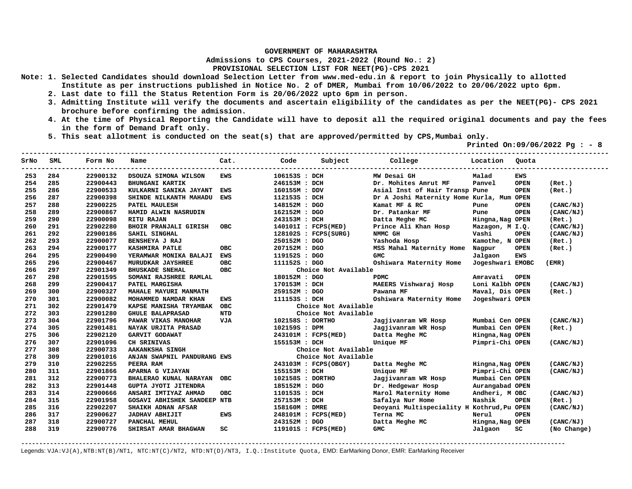**Admissions to CPS Courses, 2021-2022 (Round No.: 2)**

**PROVISIONAL SELECTION LIST FOR NEET(PG)-CPS 2021** 

- **Note: 1. Selected Candidates should download Selection Letter from www.med-edu.in & report to join Physically to allotted Institute as per instructions published in Notice No. 2 of DMER, Mumbai from 10/06/2022 to 20/06/2022 upto 6pm.** 
	- **2. Last date to fill the Status Retention Form is 20/06/2022 upto 6pm in person.**
	- **3. Admitting Institute will verify the documents and ascertain eligibility of the candidates as per the NEET(PG)- CPS 2021 brochure before confirming the admission.**
	- **4. At the time of Physical Reporting the Candidate will have to deposit all the required original documents and pay the fees in the form of Demand Draft only.**
	- **5. This seat allotment is conducted on the seat(s) that are approved/permitted by CPS,Mumbai only.**

 **Printed On:09/06/2022 Pg : - 8** 

| SrNo | SML | Form No  | Name                               | Cat.       | Code             | Subject              | College                                    | Location         | Quota       |             |
|------|-----|----------|------------------------------------|------------|------------------|----------------------|--------------------------------------------|------------------|-------------|-------------|
| 253  | 284 | 22900132 | DSOUZA SIMONA WILSON               | <b>EWS</b> | 106153S : DCH    |                      | MW Desai GH                                | Malad            | <b>EWS</b>  |             |
| 254  | 285 | 22900443 | <b>BHUNGANI KARTIK</b>             |            | 246153M : DCH    |                      | Dr. Mohites Amrut MF                       | Panvel           | <b>OPEN</b> | (Ret.)      |
| 255  | 286 | 22900533 | KULKARNI SANIKA JAYANT             | <b>EWS</b> | 160155M : DDV    |                      | Asial Inst of Hair Transp Pune             |                  | <b>OPEN</b> | (Ret.)      |
| 256  | 287 | 22900398 | SHINDE NILKANTH MAHADU             | <b>EWS</b> | 112153S : DCH    |                      | Dr A Joshi Maternity Home Kurla, Mum OPEN  |                  |             |             |
| 257  | 288 | 22900225 | PATEL MAULESH                      |            | 148152M : DGO    |                      | Kamat MF & RC                              | Pune             | <b>OPEN</b> | (CANC/NJ)   |
| 258  | 289 | 22900867 | HAMID ALWIN NASRUDIN               |            | 162152M : DGO    |                      | Dr. Patankar MF                            | Pune             | <b>OPEN</b> | (CANC/NJ)   |
| 259  | 290 | 22900098 | <b>RITU RAJAN</b>                  |            | 243153M : DCH    |                      | Datta Meghe MC                             | Hingna, Nag OPEN |             | (Ret.)      |
| 260  | 291 | 22902280 | <b>BHOIR PRANJALI GIRISH</b>       | <b>OBC</b> |                  | 140101I : FCPS(MED)  | Prince Ali Khan Hosp                       | Mazagon, M I.Q.  |             | (CANC/NJ)   |
| 261  | 292 | 22900186 | SAHIL SINGHAL                      |            |                  | 128102S : FCPS(SURG) | NMMC GH                                    | Vashi            | <b>OPEN</b> | (CANC/NJ)   |
| 262  | 293 | 22900077 | BENSHEYA J RAJ                     |            | 250152M : DGO    |                      | Yashoda Hosp                               | Kamothe, N OPEN  |             | (Ret.)      |
| 263  | 294 | 22900177 | <b>KASHMIRA PATLE</b>              | <b>OBC</b> | 207152M : DGO    |                      | MSS Mahal Maternity Home                   | Nagpur           | <b>OPEN</b> | (Ret.)      |
| 264  | 295 | 22900490 | YERAMWAR MONIKA BALAJI             | <b>EWS</b> | 119152S : DGO    |                      | <b>GMC</b>                                 | Jalgaon          | <b>EWS</b>  |             |
| 265  | 296 | 22900467 | MURUDKAR JAYSHREE                  | <b>OBC</b> | 111152S : DGO    |                      | Oshiwara Maternity Home                    | Jogeshwari EMOBC |             | (EMR)       |
| 266  | 297 | 22901349 | <b>BHUSKADE SNEHAL</b>             | <b>OBC</b> |                  | Choice Not Available |                                            |                  |             |             |
| 267  | 298 | 22901595 | SOMANI RAJSHREE RAMLAL             |            | 180152M : DGO    |                      | <b>PDMC</b>                                | Amravati         | <b>OPEN</b> |             |
| 268  | 299 | 22900417 | PATEL MARGISHA                     |            | 170153M : DCH    |                      | MAEERS Vishwaraj Hosp                      | Loni Kalbh OPEN  |             | (CANC/NJ)   |
| 269  | 300 | 22900327 | MAHALE MAYURI MANMATH              |            | 259152M : DGO    |                      | Pawana MF                                  | Maval, Dis OPEN  |             | (Ret.)      |
| 270  | 301 | 22900082 | MOHAMMED NAMDAR KHAN               | <b>EWS</b> | 111153S : DCH    |                      | Oshiwara Maternity Home                    | Jogeshwari OPEN  |             |             |
| 271  | 302 | 22901479 | KAPSE MANISHA TRYAMBAK OBC         |            |                  | Choice Not Available |                                            |                  |             |             |
| 272  | 303 | 22901280 | <b>GHULE BALAPRASAD</b>            | <b>NTD</b> |                  | Choice Not Available |                                            |                  |             |             |
| 273  | 304 | 22901796 | PAWAR VIKAS MANOHAR                | <b>VJA</b> | 102158S : DORTHO |                      | Jagjivanram WR Hosp                        | Mumbai Cen OPEN  |             | (CANC/NJ)   |
| 274  | 305 | 22901481 | NAYAK URJITA PRASAD                |            | 102159S : DPM    |                      | Jagjivanram WR Hosp                        | Mumbai Cen OPEN  |             | (Ret.)      |
| 275  | 306 | 22902120 | GARVIT GODAWAT                     |            |                  | 243101M : FCPS(MED)  | Datta Meghe MC                             | Hingna, Nag OPEN |             |             |
| 276  | 307 | 22901096 | CH SRINIVAS                        |            | 155153M : DCH    |                      | Unique MF                                  | Pimpri-Chi OPEN  |             | (CANC/NJ)   |
| 277  | 308 | 22900733 | <b>AAKANKSHA SINGH</b>             |            |                  | Choice Not Available |                                            |                  |             |             |
| 278  | 309 | 22901016 | ANJAN SWAPNIL PANDURANG EWS        |            |                  | Choice Not Available |                                            |                  |             |             |
| 279  | 310 | 22902255 | PEERA RAM                          |            |                  | 243103M : FCPS(OBGY) | Datta Meghe MC                             | Hingna, Nag OPEN |             | (CANC/NJ)   |
| 280  | 311 | 22901866 | APARNA G VIJAYAN                   |            | 155153M : DCH    |                      | Unique MF                                  | Pimpri-Chi OPEN  |             | (CANC/NJ)   |
| 281  | 312 | 22900773 | BHALERAO KUNAL NARAYAN             | OBC        | 102158S : DORTHO |                      | Jagjivanram WR Hosp                        | Mumbai Cen OPEN  |             |             |
| 282  | 313 | 22901448 | <b>GUPTA JYOTI JITENDRA</b>        |            | 185152M : DGO    |                      | Dr. Hedgewar Hosp                          | Aurangabad OPEN  |             |             |
| 283  | 314 | 22900666 | ANSARI IMTIYAZ AHMAD               | <b>OBC</b> | 110153S : DCH    |                      | Marol Maternity Home                       | Andheri, M OBC   |             | (CANC/NJ)   |
| 284  | 315 | 22901958 | <b>GOSAVI ABHISHEK SANDEEP NTB</b> |            | 257153M : DCH    |                      | Safalya Nur Home                           | Nashik           | <b>OPEN</b> | (Ret.)      |
| 285  | 316 | 22902207 | SHAIKH ADNAN AFSAR                 |            | 158160M : DMRE   |                      | Deoyani Multispeciality H Kothrud, Pu OPEN |                  |             | (CANC/NJ)   |
| 286  | 317 | 22900627 | <b>JADHAV ABHIJIT</b>              | <b>EWS</b> |                  | 248101M : FCPS(MED)  | Terna MC                                   | Nerul            | <b>OPEN</b> |             |
| 287  | 318 | 22900727 | PANCHAL MEHUL                      |            | 243152M : DGO    |                      | Datta Meghe MC                             | Hingna, Nag OPEN |             | (CANC/NJ)   |
| 288  | 319 | 22900776 | SHIRSAT AMAR BHAGWAN               | SC         |                  | 119101S : FCPS(MED)  | <b>GMC</b>                                 | Jalgaon          | SC          | (No Change) |

**-------------------------------------------------------------------------------------------------------------------------------------------------------**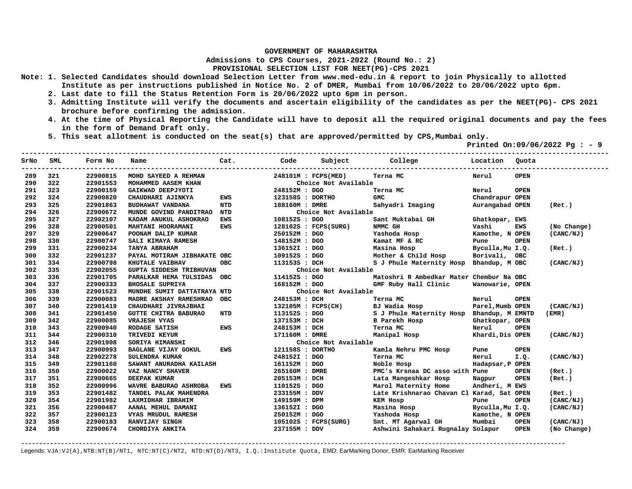**Admissions to CPS Courses, 2021-2022 (Round No.: 2)**

## **PROVISIONAL SELECTION LIST FOR NEET(PG)-CPS 2021**

- **Note: 1. Selected Candidates should download Selection Letter from www.med-edu.in & report to join Physically to allotted Institute as per instructions published in Notice No. 2 of DMER, Mumbai from 10/06/2022 to 20/06/2022 upto 6pm.** 
	- **2. Last date to fill the Status Retention Form is 20/06/2022 upto 6pm in person.**
	- **3. Admitting Institute will verify the documents and ascertain eligibility of the candidates as per the NEET(PG)- CPS 2021 brochure before confirming the admission.**
	- **4. At the time of Physical Reporting the Candidate will have to deposit all the required original documents and pay the fees in the form of Demand Draft only.**
	- **5. This seat allotment is conducted on the seat(s) that are approved/permitted by CPS,Mumbai only.**

 **Printed On:09/06/2022 Pg : - 9** 

| SrNo | SML | Form No  | Name                           | Cat.       | Code             |                        | Subject College                           | Location         | Quota       |             |
|------|-----|----------|--------------------------------|------------|------------------|------------------------|-------------------------------------------|------------------|-------------|-------------|
| 289  | 321 | 22900815 | MOHD SAYEED A REHMAN           |            |                  | 248101M : FCPS(MED)    | Terna MC                                  | Nerul            | <b>OPEN</b> |             |
| 290  | 322 | 22901553 | MOHAMMED AASEM KHAN            |            |                  | Choice Not Available   |                                           |                  |             |             |
| 291  | 323 | 22900159 | GAIKWAD DEEPJYOTI              |            | 248152M : DGO    |                        | Terna MC                                  | Nerul            | <b>OPEN</b> |             |
| 292  | 324 | 22900820 | CHAUDHARI AJINKYA              | <b>EWS</b> | 123158S : DORTHO |                        | <b>GMC</b>                                | Chandrapur OPEN  |             |             |
| 293  | 325 | 22901863 | BUDHAWAT VANDANA               | <b>NTD</b> | 188160M : DMRE   |                        | Sahyadri Imaging                          | Aurangabad OPEN  |             | (Ret.)      |
| 294  | 326 | 22900672 | MUNDE GOVIND PANDITRAO NTD     |            |                  | Choice Not Available   |                                           |                  |             |             |
| 295  | 327 | 22902107 | KADAM ANUKUL ASHOKRAO          | EWS        | 108152S : DGO    |                        | Sant Muktabai GH                          | Ghatkopar, EWS   |             |             |
| 296  | 328 | 22900501 | MAHTANI HOORAMANI              | <b>EWS</b> |                  | 128102S : FCPS(SURG)   | NMMC GH                                   | Vashi            | EWS         | (No Change) |
| 297  | 329 | 22900647 | POONAM DALIP KUMAR             |            | 250152M : DGO    |                        | Yashoda Hosp                              | Kamothe, N OPEN  |             | (CANC/NJ)   |
| 298  | 330 | 22900747 | SALI KIMAYA RAMESH             |            | 148152M : DGO    |                        | Kamat MF & RC                             | Pune             | <b>OPEN</b> |             |
| 299  | 331 | 22900234 | TANYA ABRAHAM                  |            | 136152I : DGO    |                        | Masina Hosp                               | Byculla, Mu I.Q. |             | (Ret.)      |
| 300  | 332 | 22901237 | PAYAL MOTIRAM JIBHAKATE OBC    |            |                  | 109152S : DGO          | Mother & Child Hosp                       | Borivali, OBC    |             |             |
| 301  | 334 | 22900798 | KHUTALE VAIBHAV                | <b>OBC</b> | 113153S : DCH    |                        | S J Phule Maternity Hosp Bhandup, M OBC   |                  |             | (CANC/NJ)   |
| 302  | 335 | 22902055 | <b>GUPTA SIDDESH TRIBHUVAN</b> |            |                  | Choice Not Available   |                                           |                  |             |             |
| 303  | 336 | 22901705 | PARALKAR HEMA TULSIDAS OBC     |            | 114152S : DGO    |                        | Matoshri R Ambedkar Mater Chembur Na OBC  |                  |             |             |
| 304  | 337 | 22900333 | <b>BHOSALE SUPRIYA</b>         |            | 168152M : DGO    |                        | GMF Ruby Hall Clinic                      | Wanowarie, OPEN  |             |             |
| 305  | 338 | 22901523 | MUNDHE SUMIT DATTATRAYA NTD    |            |                  | Choice Not Available   |                                           |                  |             |             |
| 306  | 339 | 22900083 | MADRE AKSHAY RAMESHRAO OBC     |            | 248153M : DCH    |                        | Terna MC                                  | Nerul            | <b>OPEN</b> |             |
| 307  | 340 | 22901419 | CHAUDHARI JIVRAJBHAI           |            |                  | 132105M : FCPS(CH)     | BJ Wadia Hosp                             | Parel, Mumb OPEN |             | (CANC/NJ)   |
| 308  | 341 | 22901450 | <b>GUTTE CHITRA BABURAO</b>    | NTD        | 113152S : DGO    |                        | S J Phule Maternity Hosp Bhandup, M EMNTD |                  |             | (EMR)       |
| 309  | 342 | 22900085 | <b>VRAJESH VYAS</b>            |            | 137153M : DCH    |                        | <b>B</b> Parekh Hosp                      | Ghatkopar, OPEN  |             |             |
| 310  | 343 | 22900940 | RODAGE SATISH                  | EWS        | 248153M : DCH    |                        | Terna MC                                  | Nerul            | <b>OPEN</b> |             |
| 311  | 344 | 22900310 | TRIVEDI KEYUR                  |            | 171160M : DMRE   |                        | Manipal Hosp                              | Khardi, Dis OPEN |             | (CANC/NJ)   |
| 312  | 346 | 22901908 | SORIYA HIMANSHI                |            |                  | Choice Not Available   |                                           |                  |             |             |
| 313  | 347 | 22900993 | <b>BAGLANE VIJAY GOKUL</b>     | <b>EWS</b> | 121158S : DORTHO |                        | Kamla Nehru PMC Hosp                      | Pune             | <b>OPEN</b> |             |
| 314  | 348 | 22902278 | <b>SULENDRA KUMAR</b>          |            | 248152I : DGO    |                        | Terna MC                                  | Nerul            | I.Q.        | (CANC/NJ)   |
| 315  | 349 | 22901160 | SAWANT ANURADHA KAILASH        |            | 161152M : DGO    |                        | Noble Hosp                                | Hadapsar, P OPEN |             |             |
| 316  | 350 | 22900022 | VAZ NANCY SHAVER               |            | 265160M : DMRE   |                        | PMC's Krsnaa DC asso with Pune            |                  | <b>OPEN</b> | (Ret.)      |
| 317  | 351 | 22900665 | <b>DEEPAK KUMAR</b>            |            | 205153M : DCH    |                        | Lata Mangeshkar Hosp                      | Nagpur           | <b>OPEN</b> | (Ret.)      |
| 318  | 352 | 22900996 | WAVRE BABURAO ASHROBA EWS      |            | 110152S : DGO    |                        | Marol Maternity Home                      | Andheri, M EWS   |             |             |
| 319  | 353 | 22901482 | TANDEL PALAK MAHENDRA          |            | 233155M : DDV    |                        | Late Krishnarao Chavan Cl Karad, Sat OPEN |                  |             | (Ret.)      |
| 320  | 354 | 22901982 | LAXMIDHAR IBRAHIM              |            | 149159M : DPM    |                        | KEM HOSP                                  | Pune             | <b>OPEN</b> | (CANC/NJ)   |
| 321  | 356 | 22900487 | AANAL MEHUL DAMANI             |            | 136152I : DGO    |                        | Masina Hosp                               | Byculla, Mu I.Q. |             | (CANC/NJ)   |
| 322  | 357 | 22900123 | VYAS MRUDUL RAMESH             |            | 250152M : DGO    |                        | Yashoda Hosp                              | Kamothe, N OPEN  |             |             |
| 323  | 358 | 22900183 | <b>RANVIJAY SINGH</b>          |            |                  | $105102S$ : FCPS(SURG) | Smt. MT Agarwal GH                        | Mumbai           | <b>OPEN</b> | (CANC/NJ)   |
| 324  | 359 | 22900674 | CHORDIYA ANKITA                |            | 237155M : DDV    |                        | Ashwini Sahakari Rugnalay Solapur         |                  | <b>OPEN</b> | (No Change) |

**-------------------------------------------------------------------------------------------------------------------------------------------------------**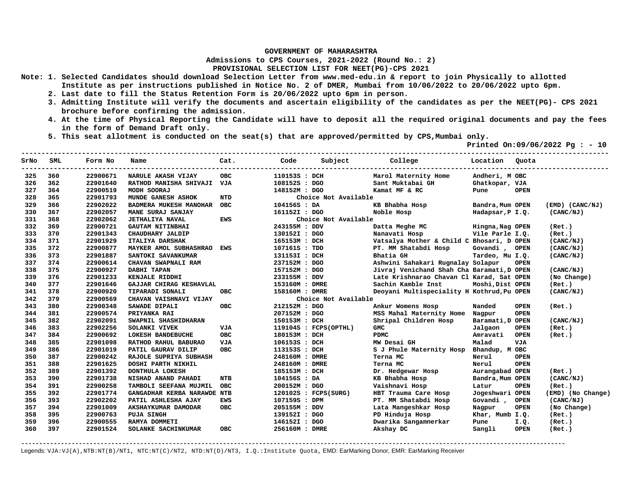**Admissions to CPS Courses, 2021-2022 (Round No.: 2)**

**PROVISIONAL SELECTION LIST FOR NEET(PG)-CPS 2021** 

- **Note: 1. Selected Candidates should download Selection Letter from www.med-edu.in & report to join Physically to allotted Institute as per instructions published in Notice No. 2 of DMER, Mumbai from 10/06/2022 to 20/06/2022 upto 6pm.** 
	- **2. Last date to fill the Status Retention Form is 20/06/2022 upto 6pm in person.**
	- **3. Admitting Institute will verify the documents and ascertain eligibility of the candidates as per the NEET(PG)- CPS 2021 brochure before confirming the admission.**
	- **4. At the time of Physical Reporting the Candidate will have to deposit all the required original documents and pay the fees in the form of Demand Draft only.**
	- **5. This seat allotment is conducted on the seat(s) that are approved/permitted by CPS,Mumbai only.**

 **Printed On:09/06/2022 Pg : - 10** 

| SrNo | SML | Form No  | Name                        | Cat.       | Code           | Subject                 | College                                    | Location         | Quota       |                     |
|------|-----|----------|-----------------------------|------------|----------------|-------------------------|--------------------------------------------|------------------|-------------|---------------------|
| 325  | 360 | 22900671 | NARULE AKASH VIJAY          | <b>OBC</b> | 110153S : DCH  |                         | Marol Maternity Home                       | Andheri, M OBC   |             |                     |
| 326  | 362 | 22901640 | RATHOD MANISHA SHIVAJI VJA  |            | 108152S : DGO  |                         | Sant Muktabai GH                           | Ghatkopar, VJA   |             |                     |
| 327  | 364 | 22900519 | MODH SOORAJ                 |            | 148152M : DGO  |                         | Kamat MF & RC                              | Pune             | <b>OPEN</b> |                     |
| 328  | 365 | 22901793 | MUNDE GANESH ASHOK          | <b>NTD</b> |                | Choice Not Available    |                                            |                  |             |                     |
| 329  | 366 | 22902022 | BADMERA MUKESH MANOHAR      | <b>OBC</b> | 104156S : DA   |                         | KB Bhabha Hosp                             | Bandra, Mum OPEN |             | $(EMD)$ $(CANC/NJ)$ |
| 330  | 367 | 22902057 | MANE SURAJ SANJAY           |            | 161152I : DGO  |                         | Noble Hosp                                 | Hadapsar, P I.Q. |             | (CANC/NJ)           |
| 331  | 368 | 22902062 | <b>JETHALIYA NAVAL</b>      | EWS        |                | Choice Not Available    |                                            |                  |             |                     |
| 332  | 369 | 22900721 | <b>GAUTAM NITINBHAI</b>     |            | 243155M : DDV  |                         | Datta Meghe MC                             | Hingna, Nag OPEN |             | (Ret.)              |
| 333  | 370 | 22901343 | CHAUDHARY JALDIP            |            | 130152I : DGO  |                         | Nanavati Hosp                              | Vile Parle I.Q.  |             | (Ret.)              |
| 334  | 371 | 22901929 | ITALIYA DARSHAK             |            | 165153M : DCH  |                         | Vatsalya Mother & Child C Bhosari, D OPEN  |                  |             | (CANC/NJ)           |
| 335  | 372 | 22900877 | MAYKER AMOL SUBHASHRAO EWS  |            | 107161S : TDD  |                         | PT. MM Shatabdi Hosp                       | Govandi, OPEN    |             | (CANC/NJ)           |
| 336  | 373 | 22901887 | SANTOKI SAVANKUMAR          |            | 131153I : DCH  |                         | Bhatia GH                                  | Tardeo, Mu I.Q.  |             | (CANC/NJ)           |
| 337  | 374 | 22900614 | CHAVAN SWAPNALI RAM         |            | 237152M : DGO  |                         | Ashwini Sahakari Rugnalay Solapur          |                  | <b>OPEN</b> |                     |
| 338  | 375 | 22900927 | DABHI TAPAN                 |            | 157152M : DGO  |                         | Jivraj Venichand Shah Cha Baramati, D OPEN |                  |             | (CANC/NJ)           |
| 339  | 376 | 22901233 | KENJALE RIDDHI              |            | 233155M : DDV  |                         | Late Krishnarao Chavan Cl Karad, Sat OPEN  |                  |             | (No Change)         |
| 340  | 377 | 22901646 | GAJJAR CHIRAG KESHAVLAL     |            | 153160M : DMRE |                         | Sachin Kamble Inst                         | Moshi, Dist OPEN |             | (Ret.)              |
| 341  | 378 | 22900920 | TIPARADI SONALI             | <b>OBC</b> | 158160M : DMRE |                         | Deoyani Multispeciality H Kothrud, Pu OPEN |                  |             | (CANC/NJ)           |
| 342  | 379 | 22900569 | CHAVAN VAISHNAVI VIJAY      |            |                | Choice Not Available    |                                            |                  |             |                     |
| 343  | 380 | 22900348 | SAWADE DIPALI               | <b>OBC</b> | 212152M : DGO  |                         | Ankur Womens Hosp                          | Nanded           | <b>OPEN</b> | (Ret.)              |
| 344  | 381 | 22900574 | PRIYANKA RAI                |            | 207152M : DGO  |                         | MSS Mahal Maternity Home                   | Nagpur           | <b>OPEN</b> |                     |
| 345  | 382 | 22902091 | SWAPNIL SHASHIDHARAN        |            | 150153M : DCH  |                         | Shripal Children Hosp                      | Baramati, D OPEN |             | (CANC/NJ)           |
| 346  | 383 | 22902256 | SOLANKI VIVEK               | VJA        |                | $119104S$ : FCPS(OPTHL) | <b>GMC</b>                                 | Jalgaon          | <b>OPEN</b> | (Ret.)              |
| 347  | 384 | 22900692 | LOKESH BANDEBUCHE           | <b>OBC</b> | 180153M : DCH  |                         | <b>PDMC</b>                                | Amravati         | <b>OPEN</b> | (Ret.)              |
| 348  | 385 | 22901098 | RATHOD RAHUL BABURAO        | VJA        | 106153S : DCH  |                         | MW Desai GH                                | Malad            | <b>VJA</b>  |                     |
| 349  | 386 | 22901019 | PATIL GAURAV DILIP          | <b>OBC</b> | 113153S : DCH  |                         | S J Phule Maternity Hosp                   | Bhandup, M OBC   |             |                     |
| 350  | 387 | 22900242 | RAJOLE SUPRIYA SUBHASH      |            | 248160M : DMRE |                         | Terna MC                                   | Nerul            | <b>OPEN</b> |                     |
| 351  | 388 | 22901625 | DOSHI PARTH NIKHIL          |            | 248160M : DMRE |                         | Terna MC                                   | Nerul            | <b>OPEN</b> |                     |
| 352  | 389 | 22901392 | DONTHULA LOKESH             |            | 185153M : DCH  |                         | Dr. Hedgewar Hosp                          | Aurangabad OPEN  |             | (Ret.)              |
| 353  | 390 | 22901738 | NISHAD ANAND PAHADI         | <b>NTB</b> | 104156S : DA   |                         | KB Bhabha Hosp                             | Bandra, Mum OPEN |             | (CANC/NJ)           |
| 354  | 391 | 22900258 | TAMBOLI SEEFANA MUJMIL      | <b>OBC</b> | 200152M : DGO  |                         | Vaishnavi Hosp                             | Latur            | <b>OPEN</b> | (Ret.)              |
| 355  | 392 | 22901774 | GANGADHAR KERBA NARAWDE NTB |            |                | 120102S : FCPS(SURG)    | HBT Trauma Care Hosp                       | Jogeshwari OPEN  |             | (EMD) (No Change)   |
| 356  | 393 | 22902202 | PATIL ASHLESHA AJAY         | EWS        | 107159S : DPM  |                         | PT. MM Shatabdi Hosp                       | Govandi,         | <b>OPEN</b> | (CANC/NJ)           |
| 357  | 394 | 22901009 | AKSHAYKUMAR DAMODAR         | <b>OBC</b> | 205155M : DDV  |                         | Lata Mangeshkar Hosp                       | Nagpur           | <b>OPEN</b> | (No Change)         |
| 358  | 395 | 22900763 | <b>PUJA SINGH</b>           |            | 139152I : DGO  |                         | PD Hinduja Hosp                            | Khar, Mumb I.Q.  |             | (Ret.)              |
| 359  | 396 | 22900555 | RAMYA DOMMETI               |            | 146152I : DGO  |                         | Dwarika Sangamnerkar                       | Pune             | I.Q.        | (Ret.)              |
| 360  | 397 | 22901524 | SOLANKE SACHINKUMAR         | <b>OBC</b> | 256160M : DMRE |                         | Akshay DC                                  | Sangli           | <b>OPEN</b> | (Ret.)              |

**-------------------------------------------------------------------------------------------------------------------------------------------------------**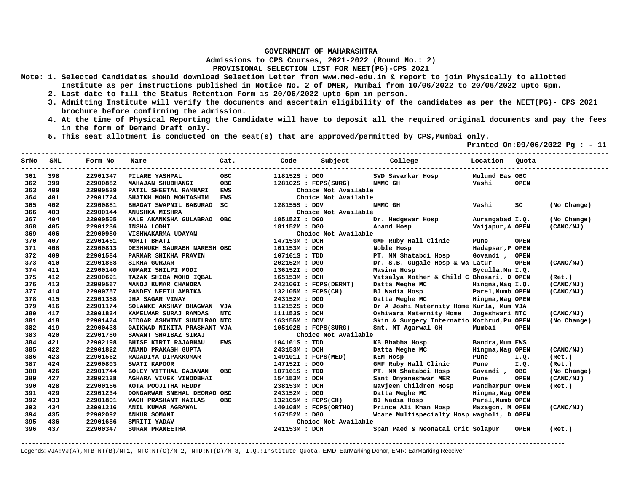**Admissions to CPS Courses, 2021-2022 (Round No.: 2)**

**PROVISIONAL SELECTION LIST FOR NEET(PG)-CPS 2021** 

- **Note: 1. Selected Candidates should download Selection Letter from www.med-edu.in & report to join Physically to allotted Institute as per instructions published in Notice No. 2 of DMER, Mumbai from 10/06/2022 to 20/06/2022 upto 6pm.** 
	- **2. Last date to fill the Status Retention Form is 20/06/2022 upto 6pm in person.**
	- **3. Admitting Institute will verify the documents and ascertain eligibility of the candidates as per the NEET(PG)- CPS 2021 brochure before confirming the admission.**
	- **4. At the time of Physical Reporting the Candidate will have to deposit all the required original documents and pay the fees in the form of Demand Draft only.**
	- **5. This seat allotment is conducted on the seat(s) that are approved/permitted by CPS,Mumbai only.**

 **Printed On:09/06/2022 Pg : - 11** 

| SrNo | SML | Form No  | Name                         | Cat.       | Code               | Subject               | College                                    | Location         | Ouota       |             |
|------|-----|----------|------------------------------|------------|--------------------|-----------------------|--------------------------------------------|------------------|-------------|-------------|
| 361  | 398 | 22901347 | PILARE YASHPAL               | OBC        | 118152S : DGO      |                       | SVD Savarkar Hosp                          | Mulund Eas OBC   |             |             |
| 362  | 399 | 22900882 | MAHAJAN SHUBHANGI            | <b>OBC</b> |                    | 128102S : FCPS(SURG)  | NMMC GH                                    | Vashi            | <b>OPEN</b> |             |
| 363  | 400 | 22900529 | PATIL SHEETAL RAMHARI        | <b>EWS</b> |                    | Choice Not Available  |                                            |                  |             |             |
| 364  | 401 | 22901724 | SHAIKH MOHD MOHTASHIM        | <b>EWS</b> |                    | Choice Not Available  |                                            |                  |             |             |
| 365  | 402 | 22900881 | BHAGAT SWAPNIL BABURAO       | SC         | 128155S : DDV      |                       | NMMC GH                                    | Vashi            | SC          | (No Change) |
| 366  | 403 | 22900144 | <b>ANUSHKA MISHRA</b>        |            |                    | Choice Not Available  |                                            |                  |             |             |
| 367  | 404 | 22900505 | KALE AKANKSHA GULABRAO       | <b>OBC</b> | 185152I : DGO      |                       | Dr. Hedgewar Hosp                          | Aurangabad I.Q.  |             | (No Change) |
| 368  | 405 | 22901236 | INSHA LODHI                  |            | 181152M : DGO      |                       | Anand Hosp                                 | Vaijapur,A OPEN  |             | (CANC/NJ)   |
| 369  | 406 | 22900980 | VISHWAKARMA UDAYAN           |            |                    | Choice Not Available  |                                            |                  |             |             |
| 370  | 407 | 22901451 | MOHIT BHATI                  |            | 147153M : DCH      |                       | GMF Ruby Hall Clinic                       | Pune             | <b>OPEN</b> |             |
| 371  | 408 | 22900813 | DESHMUKH SAURABH NARESH OBC  |            | 161153M : DCH      |                       | Noble Hosp                                 | Hadapsar, P OPEN |             |             |
| 372  | 409 | 22901584 | PARMAR SHIKHA PRAVIN         |            | 107161S : TDD      |                       | PT. MM Shatabdi Hosp                       | Govandi,         | <b>OPEN</b> |             |
| 373  | 410 | 22901868 | <b>SIKHA GURJAR</b>          |            | 202152M : DGO      |                       | Dr. S.B. Gugale Hosp & Wa Latur            |                  | <b>OPEN</b> | (CANC/NJ)   |
| 374  | 411 | 22900140 | KUMARI SHILPI MODI           |            | 136152I : DGO      |                       | Masina Hosp                                | Byculla, Mu I.Q. |             |             |
| 375  | 412 | 22900691 | TAZAK SHIBA MOHD IQBAL       |            | 165153M : DCH      |                       | Vatsalya Mother & Child C Bhosari, D OPEN  |                  |             | (Ret.)      |
| 376  | 413 | 22900567 | MANOJ KUMAR CHANDRA          |            |                    | 243106I : FCPS(DERMT) | Datta Meghe MC                             | Hingna, Nag I.Q. |             | (CANC/NJ)   |
| 377  | 414 | 22900757 | PANDEY NEETU AMBIKA          |            | 132105M : FCPS(CH) |                       | BJ Wadia Hosp                              | Parel, Mumb OPEN |             | (CANC/NJ)   |
| 378  | 415 | 22901358 | JHA SAGAR VINAY              |            | 243152M : DGO      |                       | Datta Meghe MC                             | Hingna, Nag OPEN |             |             |
| 379  | 416 | 22901174 | SOLANKE AKSHAY BHAGWAN VJA   |            | 112152S : DGO      |                       | Dr A Joshi Maternity Home Kurla, Mum VJA   |                  |             |             |
| 380  | 417 | 22901824 | KAMELWAR SURAJ RAMDAS        | <b>NTC</b> | 111153S : DCH      |                       | Oshiwara Maternity Home                    | Jogeshwari NTC   |             | (CANC/NJ)   |
| 381  | 418 | 22901474 | BIDGAR ASHWINI SUNILRAO NTC  |            | 163155M : DDV      |                       | Skin & Surgery Internatio Kothrud, Pu OPEN |                  |             | (No Change) |
| 382  | 419 | 22900438 | GAIKWAD NIKITA PRASHANT VJA  |            |                    | 105102S : FCPS(SURG)  | Smt. MT Agarwal GH                         | Mumbai           | <b>OPEN</b> |             |
| 383  | 420 | 22901780 | SAWANT SHAIBAZ SIRAJ         |            |                    | Choice Not Available  |                                            |                  |             |             |
| 384  | 421 | 22902198 | BHISE KIRTI RAJABHAU         | <b>EWS</b> | 104161S : TDD      |                       | KB Bhabha Hosp                             | Bandra, Mum EWS  |             |             |
| 385  | 422 | 22901822 | ANAND PRAKASH GUPTA          |            | 243153M : DCH      |                       | Datta Meghe MC                             | Hingna, Nag OPEN |             | (CANC/NJ)   |
| 386  | 423 | 22901562 | RADADIYA DIPAKKUMAR          |            |                    | 149101I : FCPS(MED)   | KEM Hosp                                   | Pune             | I.Q.        | (Ret.)      |
| 387  | 424 | 22900803 | SWATI KAPOOR                 |            | 147152I : DGO      |                       | GMF Ruby Hall Clinic                       | Pune             | I.Q.        | (Ret.)      |
| 388  | 426 | 22901744 | <b>GOLEY VITTHAL GAJANAN</b> | <b>OBC</b> | 107161S : TDD      |                       | PT. MM Shatabdi Hosp                       | Govandi, OBC     |             | (No Change) |
| 389  | 427 | 22902128 | AGHARA VIVEK VINODBHAI       |            | 154153M : DCH      |                       | Sant Dnyaneshwar MER                       | Pune             | <b>OPEN</b> | (CANC/NJ)   |
| 390  | 428 | 22900156 | KOTA POOJITHA REDDY          |            | 238153M : DCH      |                       | Navjeen Children Hosp                      | Pandharpur OPEN  |             | (Ret.)      |
| 391  | 429 | 22901234 | DONGARWAR SNEHAL DEORAO OBC  |            | 243152M : DGO      |                       | Datta Meghe MC                             | Hingna, Nag OPEN |             |             |
| 392  | 433 | 22901801 | WAGH PRASHANT KAILAS         | OBC.       | 132105M : FCPS(CH) |                       | BJ Wadia Hosp                              | Parel, Mumb OPEN |             |             |
| 393  | 434 | 22901216 | ANIL KUMAR AGRAWAL           |            |                    | 140108M : FCPS(ORTHO) | Prince Ali Khan Hosp                       | Mazagon, M OPEN  |             | (CANC/NJ)   |
| 394  | 435 | 22902092 | ANKUR SOMANI                 |            | 167152M : DGO      |                       | Wcare Multispecialty Hosp wagholi, D OPEN  |                  |             |             |
| 395  | 436 | 22901686 | SMRITI YADAV                 |            |                    | Choice Not Available  |                                            |                  |             |             |
| 396  | 437 | 22900347 | SURAM PRANEETHA              |            | 241153M : DCH      |                       | Span Paed & Neonatal Crit Solapur          |                  | <b>OPEN</b> | (Ret.)      |

**-------------------------------------------------------------------------------------------------------------------------------------------------------**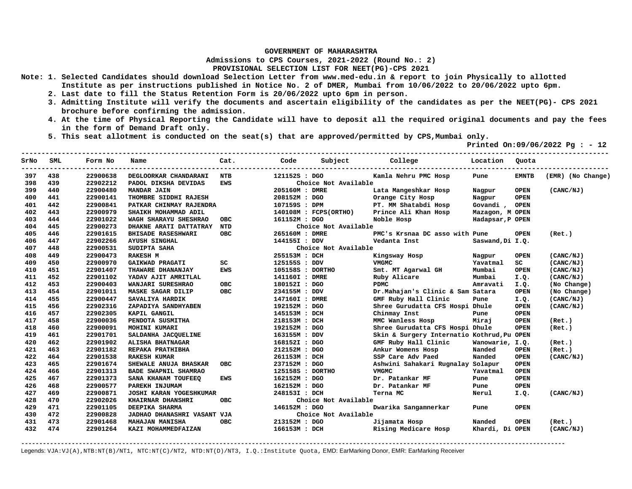**Admissions to CPS Courses, 2021-2022 (Round No.: 2)**

**PROVISIONAL SELECTION LIST FOR NEET(PG)-CPS 2021** 

- **Note: 1. Selected Candidates should download Selection Letter from www.med-edu.in & report to join Physically to allotted Institute as per instructions published in Notice No. 2 of DMER, Mumbai from 10/06/2022 to 20/06/2022 upto 6pm.** 
	- **2. Last date to fill the Status Retention Form is 20/06/2022 upto 6pm in person.**
	- **3. Admitting Institute will verify the documents and ascertain eligibility of the candidates as per the NEET(PG)- CPS 2021 brochure before confirming the admission.**
	- **4. At the time of Physical Reporting the Candidate will have to deposit all the required original documents and pay the fees in the form of Demand Draft only.**
	- **5. This seat allotment is conducted on the seat(s) that are approved/permitted by CPS,Mumbai only.**

 **Printed On:09/06/2022 Pg : - 12** 

| SrNo | SML | Form No  | Name                         | Cat.       | Code           | Subject College       |                                            | Location         | Quota        |                   |
|------|-----|----------|------------------------------|------------|----------------|-----------------------|--------------------------------------------|------------------|--------------|-------------------|
| 397  | 438 | 22900638 | DEGLOORKAR CHANDARANI        | NTB        | 121152S : DGO  |                       | Kamla Nehru PMC Hosp                       | Pune             | <b>EMNTB</b> | (EMR) (No Change) |
| 398  | 439 | 22902212 | PADOL DIKSHA DEVIDAS         | <b>EWS</b> |                | Choice Not Available  |                                            |                  |              |                   |
| 399  | 440 | 22900480 | <b>MANDAR JAIN</b>           |            | 205160M : DMRE |                       | Lata Mangeshkar Hosp                       | Nagpur           | <b>OPEN</b>  | (CANC/NJ)         |
| 400  | 441 | 22900141 | THOMBRE SIDDHI RAJESH        |            | 208152M : DGO  |                       | Orange City Hosp                           | Nagpur           | <b>OPEN</b>  |                   |
| 401  | 442 | 22900841 | PATKAR CHINMAY RAJENDRA      |            | 107159S : DPM  |                       | PT. MM Shatabdi Hosp                       | Govandi, OPEN    |              |                   |
| 402  | 443 | 22900979 | SHAIKH MOHAMMAD ADIL         |            |                | 140108M : FCPS(ORTHO) | Prince Ali Khan Hosp                       | Mazagon, M OPEN  |              |                   |
| 403  | 444 | 22901022 | WAGH SHARAYU SHESHRAO        | <b>OBC</b> | 161152M : DGO  |                       | Noble Hosp                                 | Hadapsar, P OPEN |              |                   |
| 404  | 445 | 22900273 | DHAKNE ARATI DATTATRAY       | NTD        |                | Choice Not Available  |                                            |                  |              |                   |
| 405  | 446 | 22901615 | <b>BHISADE RASESHWARI</b>    | <b>OBC</b> | 265160M : DMRE |                       | PMC's Krsnaa DC asso with Pune             |                  | <b>OPEN</b>  | (Ret.)            |
| 406  | 447 | 22902266 | <b>AYUSH SINGHAL</b>         |            | 144155I : DDV  |                       | Vedanta Inst                               | Saswand, Di I.Q. |              |                   |
| 407  | 448 | 22900531 | SUDIPTA SAHA                 |            |                | Choice Not Available  |                                            |                  |              |                   |
| 408  | 449 | 22900473 | <b>RAKESH M</b>              |            | 255153M : DCH  |                       | Kingsway Hosp                              | Nagpur           | <b>OPEN</b>  | (CANC/NJ)         |
| 409  | 450 | 22900970 | GAIKWAD PRAGATI              | SC         | 125155S : DDV  |                       | <b>VMGMC</b>                               | Yavatmal         | SC.          | (CANC/NJ)         |
| 410  | 451 | 22901407 | THAWARE DHANANJAY            | <b>EWS</b> |                | 105158S : DORTHO      | Smt. MT Agarwal GH                         | Mumbai           | <b>OPEN</b>  | (CANC/NJ)         |
| 411  | 452 | 22901102 | YADAV AJIT AMRITLAL          |            | 141160I : DMRE |                       | Ruby Alicare                               | Mumbai           | I.Q.         | (CANC/NJ)         |
| 412  | 453 | 22900403 | WANJARI SURESHRAO            | <b>OBC</b> | 180152I : DGO  |                       | <b>PDMC</b>                                | Amravati         | I.Q.         | (No Change)       |
| 413  | 454 | 22901011 | MASKE SAGAR DILIP            | <b>OBC</b> | 234155M : DDV  |                       | Dr. Mahajan's Clinic & Sam Satara          |                  | OPEN         | (No Change)       |
| 414  | 455 | 22900447 | SAVALIYA HARDIK              |            | 147160I : DMRE |                       | GMF Ruby Hall Clinic                       | Pune             | I.Q.         | (CANC/NJ)         |
| 415  | 456 | 22902316 | ZAPADIYA SANDHYABEN          |            | 192152M : DGO  |                       | Shree Gurudatta CFS Hospi Dhule            |                  | <b>OPEN</b>  | (CANC/NJ)         |
| 416  | 457 | 22902305 | KAPIL GANGIL                 |            | 145153M : DCH  |                       | Chinmay Inst                               | Pune             | <b>OPEN</b>  |                   |
| 417  | 458 | 22900036 | PENDOTA SUSMITHA             |            | 218153M : DCH  |                       | MMC Wanless Hosp                           | Miraj            | <b>OPEN</b>  | (Ret.)            |
| 418  | 460 | 22900091 | MOHINI KUMARI                |            | 192152M : DGO  |                       | Shree Gurudatta CFS Hospi Dhule            |                  | <b>OPEN</b>  | (Ret.)            |
| 419  | 461 | 22901701 | SALDANHA JACQUELINE          |            | 163155M : DDV  |                       | Skin & Surgery Internatio Kothrud, Pu OPEN |                  |              |                   |
| 420  | 462 | 22901902 | ALISHA BHATNAGAR             |            | 168152I : DGO  |                       | GMF Ruby Hall Clinic                       | Wanowarie, I.Q.  |              | (Ret.)            |
| 421  | 463 | 22901182 | REPAKA PRATHIBHA             |            | 212152M : DGO  |                       | Ankur Womens Hosp                          | Nanded           | <b>OPEN</b>  | (Ret.)            |
| 422  | 464 | 22901538 | <b>RAKESH KUMAR</b>          |            | 261153M : DCH  |                       | SSP Care Adv Paed                          | Nanded           | <b>OPEN</b>  | (CANC/NJ)         |
| 423  | 465 | 22901674 | <b>SHEWALE ANUJA BHASKAR</b> | <b>OBC</b> | 237152M : DGO  |                       | Ashwini Sahakari Rugnalay Solapur          |                  | <b>OPEN</b>  |                   |
| 424  | 466 | 22901313 | BADE SWAPNIL SHAMRAO         |            |                | 125158S : DORTHO      | <b>VMGMC</b>                               | Yavatmal         | <b>OPEN</b>  |                   |
| 425  | 467 | 22901373 | SANA KHANAM TOUFEEQ          | <b>EWS</b> | 162152M : DGO  |                       | Dr. Patankar MF                            | Pune             | <b>OPEN</b>  |                   |
| 426  | 468 | 22900577 | PAREKH INJUMAM               |            | 162152M : DGO  |                       | Dr. Patankar MF                            | Pune             | <b>OPEN</b>  |                   |
| 427  | 469 | 22900871 | JOSHI KARAN YOGESHKUMAR      |            | 248153I : DCH  |                       | Terna MC                                   | Nerul            | I.Q.         | (CANC/NJ)         |
| 428  | 470 | 22902026 | <b>KHAIRNAR DHANSHRI</b>     | <b>OBC</b> |                | Choice Not Available  |                                            |                  |              |                   |
| 429  | 471 | 22901105 | DEEPIKA SHARMA               |            | 146152M : DGO  |                       | Dwarika Sangamnerkar                       | Pune             | <b>OPEN</b>  |                   |
| 430  | 472 | 22900828 | JADHAO DHANASHRI VASANT VJA  |            |                | Choice Not Available  |                                            |                  |              |                   |
| 431  | 473 | 22901468 | <b>MAHAJAN MANISHA</b>       | <b>OBC</b> | 213152M : DGO  |                       | Jijamata Hosp                              | Nanded           | <b>OPEN</b>  | (Ret.)            |
| 432  | 474 | 22901264 | KAZI MOHAMMEDFAIZAN          |            | 166153M : DCH  |                       | Rising Medicare Hosp                       | Khardi, Di OPEN  |              | (CANC/NJ)         |

**-------------------------------------------------------------------------------------------------------------------------------------------------------**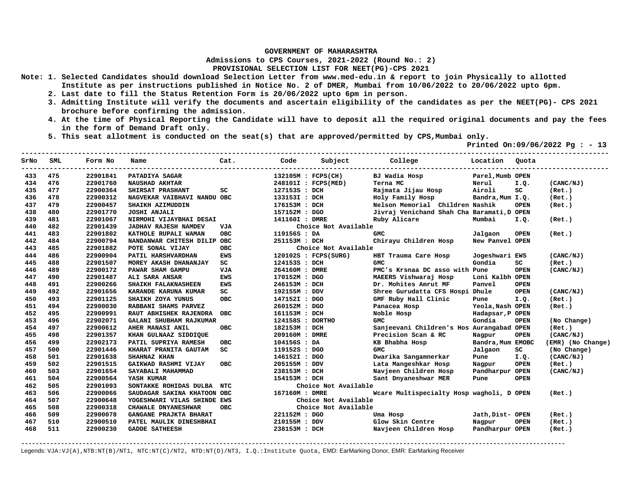**Admissions to CPS Courses, 2021-2022 (Round No.: 2)**

**PROVISIONAL SELECTION LIST FOR NEET(PG)-CPS 2021** 

- **Note: 1. Selected Candidates should download Selection Letter from www.med-edu.in & report to join Physically to allotted Institute as per instructions published in Notice No. 2 of DMER, Mumbai from 10/06/2022 to 20/06/2022 upto 6pm.** 
	- **2. Last date to fill the Status Retention Form is 20/06/2022 upto 6pm in person.**
	- **3. Admitting Institute will verify the documents and ascertain eligibility of the candidates as per the NEET(PG)- CPS 2021 brochure before confirming the admission.**
	- **4. At the time of Physical Reporting the Candidate will have to deposit all the required original documents and pay the fees in the form of Demand Draft only.**
	- **5. This seat allotment is conducted on the seat(s) that are approved/permitted by CPS,Mumbai only.**

 **Printed On:09/06/2022 Pg : - 13** 

| SrNo | SML | Form No  | Name                        | Cat.       | Code             | Subject              | College                                    | Location          | Quota       |                   |
|------|-----|----------|-----------------------------|------------|------------------|----------------------|--------------------------------------------|-------------------|-------------|-------------------|
| 433  | 475 | 22901841 | PATADIYA SAGAR              |            |                  | 132105M : FCPS(CH)   | BJ Wadia Hosp                              | Parel, Mumb OPEN  |             |                   |
| 434  | 476 | 22901760 | <b>NAUSHAD AKHTAR</b>       |            |                  | 248101I : FCPS(MED)  | Terna MC                                   | Nerul             | I.Q.        | (CANC/NJ)         |
| 435  | 477 | 22900364 | SHIRSAT PRASHANT            | SC         | 127153S : DCH    |                      | Rajmata Jijau Hosp                         | Airoli            | SC          | (Ret.)            |
| 436  | 478 | 22900312 | NAGVEKAR VAIBHAVI NANDU OBC |            | 133153I : DCH    |                      | Holy Family Hosp                           | Bandra, Mum I.Q.  |             | (Ret.)            |
| 437  | 479 | 22900457 | SHAIKH AZIMUDDIN            |            | 176153M : DCH    |                      | Nelson Memorial Children Nashik            |                   | <b>OPEN</b> | (Ret.)            |
| 438  | 480 | 22901770 | <b>JOSHI ANJALI</b>         |            | 157152M : DGO    |                      | Jivraj Venichand Shah Cha Baramati, D OPEN |                   |             |                   |
| 439  | 481 | 22901067 | NIRMOHI VIJAYBHAI DESAI     |            | 141160I : DMRE   |                      | Ruby Alicare                               | Mumbai            | I.Q.        | (Ret.)            |
| 440  | 482 | 22901439 | <b>JADHAV RAJESH NAMDEV</b> | VJA        |                  | Choice Not Available |                                            |                   |             |                   |
| 441  | 483 | 22901802 | KATHOLE RUPALI WAMAN        | <b>OBC</b> | 119156S : DA     |                      | <b>GMC</b>                                 | Jalgaon           | <b>OPEN</b> | (Ret.)            |
| 442  | 484 | 22900794 | NANDANWAR CHITESH DILIP OBC |            | 251153M : DCH    |                      | Chirayu Children Hosp                      | New Panvel OPEN   |             |                   |
| 443  | 485 | 22901882 | POTE SONAL VIJAY            | ОВС        |                  | Choice Not Available |                                            |                   |             |                   |
| 444  | 486 | 22900904 | PATIL HARSHVARDHAN          | <b>EWS</b> |                  | 120102S : FCPS(SURG) | HBT Trauma Care Hosp                       | Jogeshwari EWS    |             | (CANC/NJ)         |
| 445  | 488 | 22901507 | MOREY AKASH DHANANJAY       | SC         | 124153S : DCH    |                      | <b>GMC</b>                                 | Gondia            | SC.         | (Ret.)            |
| 446  | 489 | 22900172 | PAWAR SHAM GAMPU            | VJA        | 264160M : DMRE   |                      | PMC's Krsnaa DC asso with Pune             |                   | <b>OPEN</b> | (CANC/NJ)         |
| 447  | 490 | 22901487 | ALI SARA ANSAR              | <b>EWS</b> | 170152M : DGO    |                      | MAEERS Vishwaraj Hosp                      | Loni Kalbh OPEN   |             |                   |
| 448  | 491 | 22900266 | SHAIKH FALAKNASHEEN         | <b>EWS</b> | 246153M : DCH    |                      | Dr. Mohites Amrut MF                       | Panvel            | <b>OPEN</b> |                   |
| 449  | 492 | 22901656 | KARANDE KARUNA KUMAR        | SC         | 192155M : DDV    |                      | Shree Gurudatta CFS Hospi Dhule            |                   | <b>OPEN</b> | (CANC/NJ)         |
| 450  | 493 | 22901125 | SHAIKH ZOYA YUNUS           | <b>OBC</b> | 147152I : DGO    |                      | GMF Ruby Hall Clinic                       | Pune              | I.Q.        | (Ret.)            |
| 451  | 494 | 22900030 | RABBANI SHAMS PARVEZ        |            | 260152M : DGO    |                      | Panacea Hosp                               | Yeola, Nash OPEN  |             | (Ret.)            |
| 452  | 495 | 22900991 | RAUT ABHISHEK RAJENDRA      | <b>OBC</b> | 161153M : DCH    |                      | Noble Hosp                                 | Hadapsar, P OPEN  |             |                   |
| 453  | 496 | 22902071 | GALANI SHUBHAM RAJKUMAR     |            | 124158S : DORTHO |                      | <b>GMC</b>                                 | Gondia            | <b>OPEN</b> | (No Change)       |
| 454  | 497 | 22900612 | AHER MANASI ANIL            | <b>OBC</b> | 182153M : DCH    |                      | Sanjeevani Children's Hos Aurangabad OPEN  |                   |             | (Ret.)            |
| 455  | 498 | 22901357 | KHAN GULNAAZ SIDDIQUE       |            | 209160M : DMRE   |                      | Precision Scan & RC                        | Nagpur            | <b>OPEN</b> | (CANC/NJ)         |
| 456  | 499 | 22902173 | PATIL SUPRIYA RAMESH        | <b>OBC</b> | 104156S : DA     |                      | KB Bhabha Hosp                             | Bandra, Mum EMOBC |             | (EMR) (No Change) |
| 457  | 500 | 22901446 | KHARAT PRANITA GAUTAM       | SC.        | 119152S : DGO    |                      | <b>GMC</b>                                 | Jalgaon           | sc          | (No Change)       |
| 458  | 501 | 22901638 | SHAHNAZ KHAN                |            | 146152I : DGO    |                      | Dwarika Sangamnerkar                       | Pune              | I.Q.        | (CANC/NJ)         |
| 459  | 502 | 22901515 | GAIKWAD RASHMI VIJAY        | <b>OBC</b> | 205155M : DDV    |                      | Lata Mangeshkar Hosp                       | Nagpur            | <b>OPEN</b> | (Ret.)            |
| 460  | 503 | 22901654 | SAYABALI MAHAMMAD           |            | 238153M : DCH    |                      | Navjeen Children Hosp                      | Pandharpur OPEN   |             | (CANC/NJ)         |
| 461  | 504 | 22900564 | YASH KUMAR                  |            | 154153M : DCH    |                      | Sant Dnyaneshwar MER                       | Pune              | <b>OPEN</b> |                   |
| 462  | 505 | 22901093 | SONTAKKE ROHIDAS DULBA      | NTC        |                  | Choice Not Available |                                            |                   |             |                   |
| 463  | 506 | 22900066 | SAUDAGAR SAKINA KHATOON OBC |            | 167160M : DMRE   |                      | Wcare Multispecialty Hosp wagholi, D OPEN  |                   |             | (Ret.)            |
| 464  | 507 | 22900648 | YOGESHWARI VILAS SHINDE EWS |            |                  | Choice Not Available |                                            |                   |             |                   |
| 465  | 508 | 22900318 | CHAWALE DNYANESHWAR         | OBC.       |                  | Choice Not Available |                                            |                   |             |                   |
| 466  | 509 | 22900078 | GANGANE PRAJKTA BHARAT      |            | 221152M : DGO    |                      | Uma Hosp                                   | Jath, Dist- OPEN  |             | (Ret.)            |
| 467  | 510 | 22900510 | PATEL MAULIK DINESHBHAI     |            | 210155M : DDV    |                      | Glow Skin Centre                           | Nagpur            | <b>OPEN</b> | (Ret.)            |
| 468  | 511 | 22900230 | <b>GADDE SATHEESH</b>       |            | 238153M : DCH    |                      | Navjeen Children Hosp                      | Pandharpur OPEN   |             | (Ret.)            |

**-------------------------------------------------------------------------------------------------------------------------------------------------------**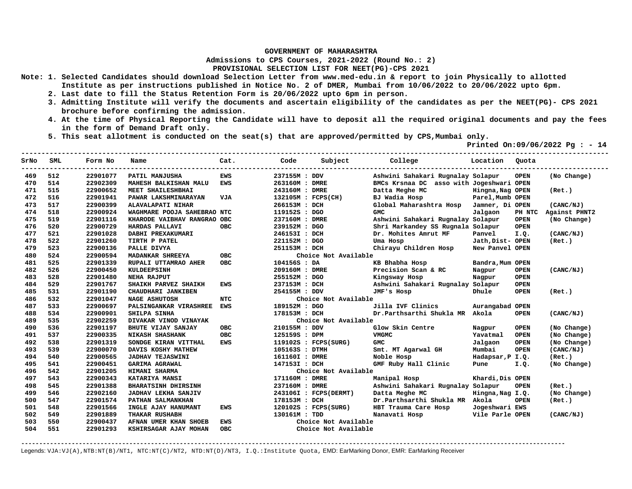**Admissions to CPS Courses, 2021-2022 (Round No.: 2)**

**PROVISIONAL SELECTION LIST FOR NEET(PG)-CPS 2021** 

- **Note: 1. Selected Candidates should download Selection Letter from www.med-edu.in & report to join Physically to allotted Institute as per instructions published in Notice No. 2 of DMER, Mumbai from 10/06/2022 to 20/06/2022 upto 6pm.** 
	- **2. Last date to fill the Status Retention Form is 20/06/2022 upto 6pm in person.**
	- **3. Admitting Institute will verify the documents and ascertain eligibility of the candidates as per the NEET(PG)- CPS 2021 brochure before confirming the admission.**
	- **4. At the time of Physical Reporting the Candidate will have to deposit all the required original documents and pay the fees in the form of Demand Draft only.**

**-------------------------------------------------------------------------------------------------------------------------------------------------** 

 **5. This seat allotment is conducted on the seat(s) that are approved/permitted by CPS,Mumbai only.** 

 **Printed On:09/06/2022 Pg : - 14** 

| SrNo | <b>SML</b> | Form No  | Name                        | Cat.       | Code           | Subject                | College                                  | Location         | Ouota       |               |
|------|------------|----------|-----------------------------|------------|----------------|------------------------|------------------------------------------|------------------|-------------|---------------|
| 469  | 512        | 22901077 | PATIL MANJUSHA              | <b>EWS</b> | 237155M : DDV  |                        | Ashwini Sahakari Rugnalay Solapur        |                  | <b>OPEN</b> | (No Change)   |
| 470  | 514        | 22902309 | MAHESH BALKISHAN MALU       | <b>EWS</b> | 263160M : DMRE |                        | BMCs Krsnaa DC asso with Jogeshwari OPEN |                  |             |               |
| 471  | 515        | 22900652 | MEET SHAILESHBHAI           |            | 243160M : DMRE |                        | Datta Meghe MC                           | Hingna, Nag OPEN |             | (Ret.)        |
| 472  | 516        | 22901941 | PAWAR LAKSHMINARAYAN        | <b>VJA</b> |                | 132105M : FCPS(CH)     | BJ Wadia Hosp                            | Parel, Mumb OPEN |             |               |
| 473  | 517        | 22900399 | ALAVALAPATI NIHAR           |            | 266153M : DCH  |                        | Global Maharashtra Hosp                  | Jamner, Di OPEN  |             | (CANC/NJ)     |
| 474  | 518        | 22900924 | WAGHMARE POOJA SAHEBRAO NTC |            | 119152S : DGO  |                        | <b>GMC</b>                               | Jalgaon          | PH NTC      | Against PHNT2 |
| 475  | 519        | 22901116 | KHARODE VAIBHAV RANGRAO OBC |            | 237160M : DMRE |                        | Ashwini Sahakari Rugnalay Solapur        |                  | <b>OPEN</b> | (No Change)   |
| 476  | 520        | 22900729 | HARDAS PALLAVI              | <b>OBC</b> | 239152M : DGO  |                        | Shri Markandey SS Rugnala Solapur        |                  | <b>OPEN</b> |               |
| 477  | 521        | 22901028 | DABHI PREXAKUMARI           |            | 246153I : DCH  |                        | Dr. Mohites Amrut MF                     | Panvel           | I.Q.        | (CANC/NJ)     |
| 478  | 522        | 22901260 | TIRTH P PATEL               |            | 221152M : DGO  |                        | Uma Hosp                                 | Jath, Dist- OPEN |             | (Ret.)        |
| 479  | 523        | 22900136 | PALLE DIVYA                 |            | 251153M : DCH  |                        | Chirayu Children Hosp                    | New Panvel OPEN  |             |               |
| 480  | 524        | 22900594 | MADANKAR SHREEYA            | <b>OBC</b> |                | Choice Not Available   |                                          |                  |             |               |
| 481  | 525        | 22901339 | RUPALI UTTAMRAO AHER        | <b>OBC</b> | 104156S : DA   |                        | KB Bhabha Hosp                           | Bandra, Mum OPEN |             |               |
| 482  | 526        | 22900450 | <b>KULDEEPSINH</b>          |            | 209160M : DMRE |                        | Precision Scan & RC                      | Nagpur           | <b>OPEN</b> | (CANC/NJ)     |
| 483  | 528        | 22901480 | <b>NEHA RAJPUT</b>          |            | 255152M : DGO  |                        | Kingsway Hosp                            | Nagpur           | <b>OPEN</b> |               |
| 484  | 529        | 22901767 | SHAIKH PARVEZ SHAIKH        | EWS        | 237153M : DCH  |                        | Ashwini Sahakari Rugnalay Solapur        |                  | <b>OPEN</b> |               |
| 485  | 531        | 22901190 | CHAUDHARI JANKIBEN          |            | 254155M : DDV  |                        | JMF's Hosp                               | Dhule            | <b>OPEN</b> | (Ret.)        |
| 486  | 532        | 22901047 | <b>NAGE ASHUTOSH</b>        | <b>NTC</b> |                | Choice Not Available   |                                          |                  |             |               |
| 487  | 533        | 22900697 | PALSINGANKAR VIRASHREE      | <b>EWS</b> | 189152M : DGO  |                        | Jilla IVF Clinics                        | Aurangabad OPEN  |             |               |
| 488  | 534        | 22900901 | SHILPA SINHA                |            | 178153M : DCH  |                        | Dr.Parthsarthi Shukla MR Akola           |                  | <b>OPEN</b> | (CANC/NJ)     |
| 489  | 535        | 22902259 | DIVAKAR VINOD VINAYAK       |            |                | Choice Not Available   |                                          |                  |             |               |
| 490  | 536        | 22901197 | BHUTE VIJAY SANJAY          | <b>OBC</b> | 210155M : DDV  |                        | Glow Skin Centre                         | Nagpur           | <b>OPEN</b> | (No Change)   |
| 491  | 537        | 22900335 | <b>NIKASH SHASHANK</b>      | <b>OBC</b> | 125159S : DPM  |                        | VMGMC                                    | Yavatmal         | <b>OPEN</b> | (No Change)   |
| 492  | 538        | 22901319 | SONDGE KIRAN VITTHAL        | <b>EWS</b> |                | $119102S$ : FCPS(SURG) | <b>GMC</b>                               | Jalgaon          | <b>OPEN</b> | (No Change)   |
| 493  | 539        | 22900070 | DAVIS KOSHY MATHEW          |            | 105163S : DTMH |                        | Smt. MT Agarwal GH                       | Mumbai           | OPEN        | (CANC/NJ)     |
| 494  | 540        | 22900565 | <b>JADHAV TEJASWINI</b>     |            | 161160I : DMRE |                        | Noble Hosp                               | Hadapsar, P I.Q. |             | (Ret.)        |
| 495  | 541        | 22900451 | <b>GARIMA AGRAWAL</b>       |            | 147153I : DCH  |                        | GMF Ruby Hall Clinic                     | Pune             | I.Q.        | (No Change)   |
| 496  | 542        | 22901205 | HIMANI SHARMA               |            |                | Choice Not Available   |                                          |                  |             |               |
| 497  | 543        | 22900343 | KATARIYA MANSI              |            | 171160M : DMRE |                        | Manipal Hosp                             | Khardi, Dis OPEN |             |               |
| 498  | 545        | 22901388 | <b>BHARATSINH DHIRSINH</b>  |            | 237160M : DMRE |                        | Ashwini Sahakari Rugnalay Solapur        |                  | <b>OPEN</b> | (Ret.)        |
| 499  | 546        | 22902160 | <b>JADHAV LEKHA SANJIV</b>  |            |                | 243106I : FCPS(DERMT)  | Datta Meghe MC                           | Hingna, Nag I.Q. |             | (No Change)   |
| 500  | 547        | 22901574 | PATHAN SALMANKHAN           |            | 178153M : DCH  |                        | Dr.Parthsarthi Shukla MR Akola           |                  | <b>OPEN</b> | (Ret.)        |
| 501  | 548        | 22901566 | INGLE AJAY HANUMANT         | <b>EWS</b> |                | 120102S : FCPS(SURG)   | HBT Trauma Care Hosp                     | Jogeshwari EWS   |             |               |
| 502  | 549        | 22901889 | THAKAR RUSHABH              |            | 130161M : TDD  |                        | Nanavati Hosp                            | Vile Parle OPEN  |             | (CANC/NJ)     |
| 503  | 550        | 22900437 | AFNAN UMER KHAN SHOEB       | <b>EWS</b> |                | Choice Not Available   |                                          |                  |             |               |
| 504  | 551        | 22901293 | KSHIRSAGAR AJAY MOHAN       | <b>OBC</b> |                | Choice Not Available   |                                          |                  |             |               |

**-------------------------------------------------------------------------------------------------------------------------------------------------------**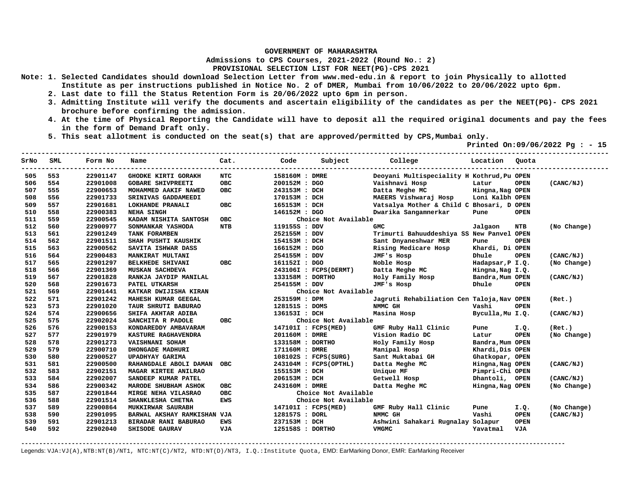**Admissions to CPS Courses, 2021-2022 (Round No.: 2)**

**PROVISIONAL SELECTION LIST FOR NEET(PG)-CPS 2021** 

- **Note: 1. Selected Candidates should download Selection Letter from www.med-edu.in & report to join Physically to allotted Institute as per instructions published in Notice No. 2 of DMER, Mumbai from 10/06/2022 to 20/06/2022 upto 6pm.** 
	- **2. Last date to fill the Status Retention Form is 20/06/2022 upto 6pm in person.**
	- **3. Admitting Institute will verify the documents and ascertain eligibility of the candidates as per the NEET(PG)- CPS 2021 brochure before confirming the admission.**
	- **4. At the time of Physical Reporting the Candidate will have to deposit all the required original documents and pay the fees in the form of Demand Draft only.**
	- **5. This seat allotment is conducted on the seat(s) that are approved/permitted by CPS,Mumbai only.**

 **Printed On:09/06/2022 Pg : - 15** 

| SrNo | <b>SML</b> | Form No  | Name<br>--------------------- | Cat.       | Code             | Subject                | College                                    | Location         | Quota       |             |
|------|------------|----------|-------------------------------|------------|------------------|------------------------|--------------------------------------------|------------------|-------------|-------------|
| 505  | 553        | 22901147 | <b>GHODKE KIRTI GORAKH</b>    | <b>NTC</b> | 158160M : DMRE   |                        | Deoyani Multispeciality H Kothrud, Pu OPEN |                  |             |             |
| 506  | 554        | 22901008 | <b>GOBARE SHIVPREETI</b>      | <b>OBC</b> | 200152M: DGO     |                        | Vaishnavi Hosp                             | Latur            | <b>OPEN</b> | (CANC/NJ)   |
| 507  | 555        | 22900653 | MOHAMMED AAKIF NAWED          | <b>OBC</b> | 243153M : DCH    |                        | Datta Meghe MC                             | Hingna, Nag OPEN |             |             |
| 508  | 556        | 22901733 | SRINIVAS GADDAMEEDI           |            | 170153M : DCH    |                        | MAEERS Vishwaraj Hosp                      | Loni Kalbh OPEN  |             |             |
| 509  | 557        | 22901681 | LOKHANDE PRANALI              | <b>OBC</b> | 165153M : DCH    |                        | Vatsalya Mother & Child C Bhosari, D OPEN  |                  |             |             |
| 510  | 558        | 22900383 | <b>NEHA SINGH</b>             |            | 146152M : DGO    |                        | Dwarika Sangamnerkar                       | Pune             | <b>OPEN</b> |             |
| 511  | 559        | 22900545 | KADAM NISHITA SANTOSH         | <b>OBC</b> |                  | Choice Not Available   |                                            |                  |             |             |
| 512  | 560        | 22900977 | SONMANKAR YASHODA             | <b>NTB</b> | 119155S : DDV    |                        | <b>GMC</b>                                 | Jalgaon          | NTB         | (No Change) |
| 513  | 561        | 22901249 | TANK FORAMBEN                 |            | 252155M : DDV    |                        | Trimurti Bahuuddeshiya SS New Panvel OPEN  |                  |             |             |
| 514  | 562        | 22901511 | SHAH PUSHTI KAUSHIK           |            | 154153M : DCH    |                        | Sant Dnyaneshwar MER                       | Pune             | <b>OPEN</b> |             |
| 515  | 563        | 22900562 | SAVITA ISHWAR DASS            |            | 166152M : DGO    |                        | Rising Medicare Hosp                       | Khardi, Di OPEN  |             |             |
| 516  | 564        | 22900483 | MANKIRAT MULTANI              |            | 254155M : DDV    |                        | JMF's Hosp                                 | Dhule            | <b>OPEN</b> | (CANC/NJ)   |
| 517  | 565        | 22901297 | <b>BELKHEDE SHIVANI</b>       | <b>OBC</b> | 161152I : DGO    |                        | Noble Hosp                                 | Hadapsar, P I.Q. |             | (No Change) |
| 518  | 566        | 22901369 | <b>MUSKAN SACHDEVA</b>        |            |                  | 243106I : FCPS(DERMT)  | Datta Meghe MC                             | Hingna, Nag I.Q. |             |             |
| 519  | 567        | 22901828 | RANKJA JAYDIP MANILAL         |            | 133158M : DORTHO |                        | Holy Family Hosp                           | Bandra, Mum OPEN |             | (CANC/NJ)   |
| 520  | 568        | 22901673 | PATEL UTKARSH                 |            | 254155M : DDV    |                        | JMF's Hosp                                 | Dhule            | <b>OPEN</b> |             |
| 521  | 569        | 22901441 | KATKAR DWIJISHA KIRAN         |            |                  | Choice Not Available   |                                            |                  |             |             |
| 522  | 571        | 22901242 | MAHESH KUMAR GEEGAL           |            | 253159M : DPM    |                        | Jagruti Rehabiliation Cen Taloja, Nav OPEN |                  |             | (Ret.)      |
| 523  | 573        | 22901020 | TAUR SHRUTI BABURAO           |            | 128151S : DOMS   |                        | NMMC GH                                    | Vashi            | <b>OPEN</b> |             |
| 524  | 574        | 22900656 | SHIFA AKHTAR ADIBA            |            | 136153I : DCH    |                        | Masina Hosp                                | Byculla, Mu I.Q. |             | (CANC/NJ)   |
| 525  | 575        | 22902024 | SANCHITA R PADOLE             | OBC.       |                  | Choice Not Available   |                                            |                  |             |             |
| 526  | 576        | 22900153 | KONDAREDDY AMBAVARAM          |            |                  | 147101I : FCPS(MED)    | GMF Ruby Hall Clinic                       | Pune             | I.Q.        | (Ret.)      |
| 527  | 577        | 22901979 | KASTURE RAGHAVENDRA           |            | 201160M : DMRE   |                        | Vision Radio DC                            | Latur            | <b>OPEN</b> | (No Change) |
| 528  | 578        | 22901273 | VAISHNANI SOHAM               |            | 133158M : DORTHO |                        | Holy Family Hosp                           | Bandra, Mum OPEN |             |             |
| 529  | 579        | 22900710 | DHONGADE MADHURI              |            | 171160M : DMRE   |                        | Manipal Hosp                               | Khardi, Dis OPEN |             |             |
| 530  | 580        | 22900527 | <b>UPADHYAY GARIMA</b>        |            |                  | $108102S$ : FCPS(SURG) | Sant Muktabai GH                           | Ghatkopar, OPEN  |             |             |
| 531  | 581        | 22900500 | RAHANGDALE ABOLI DAMAN        | <b>OBC</b> |                  | 243104M : FCPS(OPTHL)  | Datta Meghe MC                             | Hingna, Nag OPEN |             | (CANC/NJ)   |
| 532  | 583        | 22902151 | MAGAR KIRTEE ANILRAO          |            | 155153M : DCH    |                        | Unique MF                                  | Pimpri-Chi OPEN  |             |             |
| 533  | 584        | 22902007 | SANDEEP KUMAR PATEL           |            | 206153M : DCH    |                        | Getwell Hosp                               | Dhantoli, OPEN   |             | (CANC/NJ)   |
| 534  | 586        | 22900342 | MARODE SHUBHAM ASHOK          | OBC        | 243160M : DMRE   |                        | Datta Meghe MC                             | Hingna, Nag OPEN |             | (No Change) |
| 535  | 587        | 22901844 | MIRGE NEHA VILASRAO           | <b>OBC</b> |                  | Choice Not Available   |                                            |                  |             |             |
| 536  | 588        | 22901514 | SHANKLESHA CHETNA             | <b>EWS</b> |                  | Choice Not Available   |                                            |                  |             |             |
| 537  | 589        | 22900864 | <b>MUKKIRWAR SAURABH</b>      |            |                  | 147101I : FCPS(MED)    | GMF Ruby Hall Clinic                       | Pune             | I.Q.        | (No Change) |
| 538  | 590        | 22901095 | BARWAL AKSHAY RAMKISHAN VJA   |            | 128157S : DORL   |                        | NMMC GH                                    | Vashi            | <b>OPEN</b> | (CANC/NJ)   |
| 539  | 591        | 22901213 | BIRADAR RANI BABURAO          | EWS        | 237153M : DCH    |                        | Ashwini Sahakari Rugnalay Solapur          |                  | <b>OPEN</b> |             |
| 540  | 592        | 22902040 | <b>SHISODE GAURAV</b>         | <b>VJA</b> | 125158S : DORTHO |                        | <b>VMGMC</b>                               | Yavatmal         | <b>VJA</b>  |             |

**-------------------------------------------------------------------------------------------------------------------------------------------------------**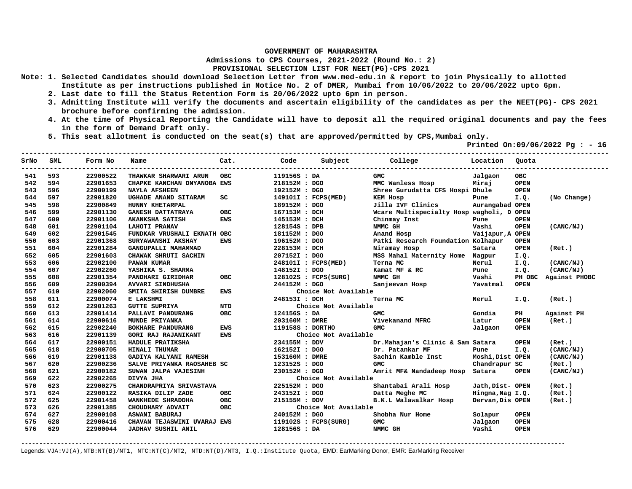**Admissions to CPS Courses, 2021-2022 (Round No.: 2)**

**PROVISIONAL SELECTION LIST FOR NEET(PG)-CPS 2021** 

- **Note: 1. Selected Candidates should download Selection Letter from www.med-edu.in & report to join Physically to allotted Institute as per instructions published in Notice No. 2 of DMER, Mumbai from 10/06/2022 to 20/06/2022 upto 6pm.** 
	- **2. Last date to fill the Status Retention Form is 20/06/2022 upto 6pm in person.**
	- **3. Admitting Institute will verify the documents and ascertain eligibility of the candidates as per the NEET(PG)- CPS 2021 brochure before confirming the admission.**
	- **4. At the time of Physical Reporting the Candidate will have to deposit all the required original documents and pay the fees in the form of Demand Draft only.**
	- **5. This seat allotment is conducted on the seat(s) that are approved/permitted by CPS,Mumbai only.**

 **Printed On:09/06/2022 Pg : - 16** 

| SrNo | SML | Form No  | Name                        | Cat.       | Code             | Subject                | College                                   | Location         | Ouota       |               |
|------|-----|----------|-----------------------------|------------|------------------|------------------------|-------------------------------------------|------------------|-------------|---------------|
| 541  | 593 | 22900522 | THAWKAR SHARWARI ARUN       | <b>OBC</b> | 119156S : DA     |                        | <b>GMC</b>                                | Jalgaon          | <b>OBC</b>  |               |
| 542  | 594 | 22901653 | CHAPKE KANCHAN DNYANOBA EWS |            | 218152M : DGO    |                        | MMC Wanless Hosp                          | Miraj            | <b>OPEN</b> |               |
| 543  | 596 | 22900199 | <b>NAYLA AFSHEEN</b>        |            | 192152M : DGO    |                        | Shree Gurudatta CFS Hospi Dhule           |                  | <b>OPEN</b> |               |
| 544  | 597 | 22901820 | UGHADE ANAND SITARAM        | SC         |                  | 149101I : FCPS(MED)    | <b>KEM HOSP</b>                           | Pune             | I.Q.        | (No Change)   |
| 545  | 598 | 22900849 | HUNNY KHETARPAL             |            | 189152M : DGO    |                        | Jilla IVF Clinics                         | Aurangabad OPEN  |             |               |
| 546  | 599 | 22901130 | <b>GANESH DATTATRAYA</b>    | <b>OBC</b> | 167153M : DCH    |                        | Wcare Multispecialty Hosp wagholi, D OPEN |                  |             |               |
| 547  | 600 | 22901106 | AKANKSHA SATISH             | <b>EWS</b> | 145153M : DCH    |                        | Chinmay Inst                              | Pune             | <b>OPEN</b> |               |
| 548  | 601 | 22901104 | <b>LAHOTI PRANAV</b>        |            | 128154S : DPB    |                        | NMMC GH                                   | Vashi            | <b>OPEN</b> | (CANC/NJ)     |
| 549  | 602 | 22901545 | FUNDKAR VRUSHALI EKNATH OBC |            | 181152M : DGO    |                        | Anand Hosp                                | Vaijapur, A OPEN |             |               |
| 550  | 603 | 22901368 | SURYAWANSHI AKSHAY          | <b>EWS</b> | 196152M : DGO    |                        | Patki Research Foundation Kolhapur        |                  | <b>OPEN</b> |               |
| 551  | 604 | 22901284 | GANGUPALLI MAHAMMAD         |            | 228153M : DCH    |                        | Niramay Hosp                              | Satara           | <b>OPEN</b> | (Ret.)        |
| 552  | 605 | 22901603 | CHAWAK SHRUTI SACHIN        |            | 207152I : DGO    |                        | MSS Mahal Maternity Home Nagpur           |                  | I.Q.        |               |
| 553  | 606 | 22902100 | PAWAN KUMAR                 |            |                  | 248101I : FCPS(MED)    | Terna MC                                  | Nerul            | I.Q.        | (CANC/NJ)     |
| 554  | 607 | 22902260 | YASHIKA S. SHARMA           |            | 148152I : DGO    |                        | Kamat MF & RC                             | Pune             | I.Q.        | (CANC/NJ)     |
| 555  | 608 | 22901354 | PANDHARI GIRIDHAR           | OBC.       |                  | 128102S : FCPS(SURG)   | NMMC GH                                   | Vashi            | PH OBC      | Against PHOBC |
| 556  | 609 | 22900394 | AVVARI SINDHUSHA            |            | 244152M : DGO    |                        | Sanjeevan Hosp                            | Yavatmal         | <b>OPEN</b> |               |
| 557  | 610 | 22902060 | SMITA SHIRISH DUMBRE        | EWS        |                  | Choice Not Available   |                                           |                  |             |               |
| 558  | 611 | 22900074 | E LAKSHMI                   |            | 248153I : DCH    |                        | Terna MC                                  | Nerul            | I.Q.        | (Ret.)        |
| 559  | 612 | 22901263 | <b>GUTTE SUPRIYA</b>        | <b>NTD</b> |                  | Choice Not Available   |                                           |                  |             |               |
| 560  | 613 | 22901414 | PALLAVI PANDURANG           | <b>OBC</b> | 124156S : DA     |                        | <b>GMC</b>                                | Gondia           | PH          | Against PH    |
| 561  | 614 | 22900616 | MUNDE PRIYANKA              |            | 203160M : DMRE   |                        | Vivekanand MFRC                           | Latur            | <b>OPEN</b> | (Ret.)        |
| 562  | 615 | 22902240 | BOKHARE PANDURANG           | <b>EWS</b> | 119158S : DORTHO |                        | <b>GMC</b>                                | Jalgaon          | <b>OPEN</b> |               |
| 563  | 616 | 22901139 | <b>GORI RAJ RAJANIKANT</b>  | <b>EWS</b> |                  | Choice Not Available   |                                           |                  |             |               |
| 564  | 617 | 22900151 | HADULE PRATIKSHA            |            | 234155M : DDV    |                        | Dr. Mahajan's Clinic & Sam Satara         |                  | <b>OPEN</b> | (Ret.)        |
| 565  | 618 | 22900705 | <b>HINALI THUMAR</b>        |            | 162152I : DGO    |                        | Dr. Patankar MF                           | Pune             | I.Q.        | (CANC/NJ)     |
| 566  | 619 | 22901138 | GADIYA KALYANI RAMESH       |            | 153160M : DMRE   |                        | Sachin Kamble Inst                        | Moshi, Dist OPEN |             | (CANC/NJ)     |
| 567  | 620 | 22900236 | SALVE PRIYANKA RAOSAHEB SC  |            | 123152S : DGO    |                        | <b>GMC</b>                                | Chandrapur SC    |             | (Ret.)        |
| 568  | 621 | 22900182 | SUWAN JALPA VAJESINH        |            | 230152M: DGO     |                        | Amrit MF& Nandadeep Hosp Satara           |                  | <b>OPEN</b> | (CANC/NJ)     |
| 569  | 622 | 22902265 | DIVYA JHA                   |            |                  | Choice Not Available   |                                           |                  |             |               |
| 570  | 623 | 22900275 | CHANDRAPRIYA SRIVASTAVA     |            | 225152M : DGO    |                        | Shantabai Arali Hosp                      | Jath, Dist- OPEN |             | (Ret.)        |
| 571  | 624 | 22900122 | RASIKA DILIP ZADE           | <b>OBC</b> | 243152I : DGO    |                        | Datta Meghe MC                            | Hingna, Nag I.Q. |             | (Ret.)        |
| 572  | 625 | 22901458 | WANKHEDE SHRADDHA           | <b>OBC</b> | 215155M : DDV    |                        | B.K.L Walawalkar Hosp                     | Dervan, Dis OPEN |             | (Ret.)        |
| 573  | 626 | 22901385 | CHOUDHARY ADVAIT            | <b>OBC</b> |                  | Choice Not Available   |                                           |                  |             |               |
| 574  | 627 | 22900108 | ASWANI BABURAJ              |            | 240152M : DGO    |                        | Shobha Nur Home                           | Solapur          | <b>OPEN</b> |               |
| 575  | 628 | 22900416 | CHAVAN TEJASWINI UVARAJ EWS |            |                  | $119102S$ : FCPS(SURG) | <b>GMC</b>                                | Jalgaon          | <b>OPEN</b> |               |
| 576  | 629 | 22900044 | JADHAV SUSHIL ANIL          |            | 128156S : DA     |                        | NMMC GH                                   | Vashi            | <b>OPEN</b> |               |

**-------------------------------------------------------------------------------------------------------------------------------------------------------**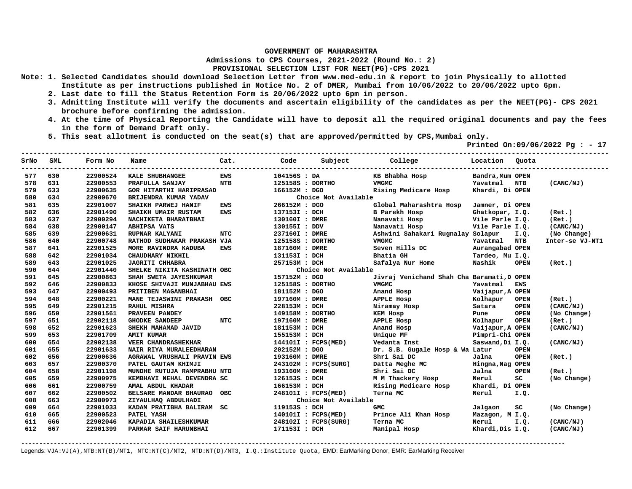**Admissions to CPS Courses, 2021-2022 (Round No.: 2)**

**PROVISIONAL SELECTION LIST FOR NEET(PG)-CPS 2021** 

- **Note: 1. Selected Candidates should download Selection Letter from www.med-edu.in & report to join Physically to allotted Institute as per instructions published in Notice No. 2 of DMER, Mumbai from 10/06/2022 to 20/06/2022 upto 6pm.** 
	- **2. Last date to fill the Status Retention Form is 20/06/2022 upto 6pm in person.**
	- **3. Admitting Institute will verify the documents and ascertain eligibility of the candidates as per the NEET(PG)- CPS 2021 brochure before confirming the admission.**
	- **4. At the time of Physical Reporting the Candidate will have to deposit all the required original documents and pay the fees in the form of Demand Draft only.**
	- **5. This seat allotment is conducted on the seat(s) that are approved/permitted by CPS,Mumbai only.**

 **Printed On:09/06/2022 Pg : - 17** 

| SrNo | SML | Form No  | Name                           | Cat.       | Code             |                      | Subject College                                                                                                 | Location Quota   |             |                 |
|------|-----|----------|--------------------------------|------------|------------------|----------------------|-----------------------------------------------------------------------------------------------------------------|------------------|-------------|-----------------|
| 577  | 630 | 22900524 | KALE SHUBHANGEE                | <b>EWS</b> | 104156S : DA     |                      | KB Bhabha Hosp                                                                                                  | Bandra, Mum OPEN |             |                 |
| 578  | 631 | 22900553 | PRAFULLA SANJAY                | NTB        | 125158S : DORTHO |                      | VMGMC                                                                                                           | Yavatmal         | NTB         | (CANC/NJ)       |
| 579  | 633 | 22900635 | <b>GOR HITARTHI HARIPRASAD</b> |            | 166152M : DGO    |                      | Rising Medicare Hosp                                                                                            | Khardi, Di OPEN  |             |                 |
| 580  | 634 | 22900670 | BRIJENDRA KUMAR YADAV          |            |                  | Choice Not Available |                                                                                                                 |                  |             |                 |
| 581  | 635 | 22901007 | SHAIKH PARWEJ HANIF            | <b>EWS</b> | 266152M : DGO    |                      | Global Maharashtra Hosp                                                                                         | Jamner, Di OPEN  |             |                 |
| 582  | 636 | 22901490 | SHAIKH UMAIR RUSTAM            | <b>EWS</b> | 137153I : DCH    |                      | B Parekh Hosp                                                                                                   | Ghatkopar, I.Q.  |             | (Ret.)          |
| 583  | 637 | 22900294 | NACHIKETA BHARATBHAI           |            | 130160I : DMRE   |                      | Nanavati Hosp                                                                                                   | Vile Parle I.Q.  |             | (Ret.)          |
| 584  | 638 | 22900147 | <b>ABHIPSA VATS</b>            |            | 130155I : DDV    |                      | Nanavati Hosp                                                                                                   | Vile Parle I.Q.  |             | (CANC/NJ)       |
| 585  | 639 | 22900631 | RUPNAR KALYANI                 | <b>NTC</b> | 237160I : DMRE   |                      | Ashwini Sahakari Rugnalay Solapur                                                                               |                  | I.Q.        | (No Change)     |
| 586  | 640 | 22900748 | RATHOD SUDHAKAR PRAKASH VJA    |            | 125158S : DORTHO |                      | <b>VMGMC</b>                                                                                                    | Yavatmal         | <b>NTB</b>  | Inter-se VJ-NT1 |
| 587  | 641 | 22901525 | MORE RAVINDRA KADUBA           | EWS        | 187160M : DMRE   |                      | Seven Hills DC                                                                                                  | Aurangabad OPEN  |             |                 |
| 588  | 642 | 22901034 | CHAUDHARY NIKHIL               |            | 131153I : DCH    |                      | Bhatia GH                                                                                                       | Tardeo, Mu I.Q.  |             |                 |
| 589  | 643 | 22901025 | <b>JAGRITI CHHABRA</b>         |            | 257153M : DCH    |                      | Safalya Nur Home                                                                                                | Nashik           | <b>OPEN</b> | (Ret.)          |
| 590  | 644 | 22901440 | SHELKE NIKITA KASHINATH OBC    |            |                  | Choice Not Available |                                                                                                                 |                  |             |                 |
| 591  | 645 | 22900863 | SHAH SWETA JAYESHKUMAR         |            | 157152M : DGO    |                      | Jivraj Venichand Shah Cha Baramati, D OPEN                                                                      |                  |             |                 |
| 592  | 646 | 22900833 | KHOSE SHIVAJI MUNJABHAU EWS    |            | 125158S : DORTHO |                      | <b>VMGMC</b>                                                                                                    | Yavatmal         | <b>EWS</b>  |                 |
| 593  | 647 | 22900493 | PRITIBEN MAGANBHAI             |            | 181152M : DGO    |                      | Anand Hosp                                                                                                      | Vaijapur, A OPEN |             |                 |
| 594  | 648 | 22900221 | MANE TEJASWINI PRAKASH OBC     |            | 197160M : DMRE   |                      | APPLE Hosp                                                                                                      | Kolhapur         | <b>OPEN</b> | (Ret.)          |
| 595  | 649 | 22901215 | <b>RAHUL MISHRA</b>            |            | 228153M : DCH    |                      | Niramay Hosp                                                                                                    | Satara           | <b>OPEN</b> | (CANC/NJ)       |
| 596  | 650 | 22901561 | PRAVEEN PANDEY                 |            | 149158M : DORTHO |                      | KEM Hosp                                                                                                        | Pune             | <b>OPEN</b> | (No Change)     |
| 597  | 651 | 22902118 | <b>GHODKE SANDEEP</b>          | <b>NTC</b> | 197160M : DMRE   |                      | APPLE HOSP                                                                                                      | Kolhapur         | <b>OPEN</b> | (Ret.)          |
| 598  | 652 | 22901623 | SHEKH MAHAMAD JAVID            |            | 181153M : DCH    |                      | Anand Hosp and the Second Second Second Second Second Second Second Second Second Second Second Second Second S | Vaijapur, A OPEN |             | (CANC/NJ)       |
| 599  | 653 | 22901709 | <b>AMIT KUMAR</b>              |            | 155153M : DCH    |                      | Unique MF                                                                                                       | Pimpri-Chi OPEN  |             |                 |
| 600  | 654 | 22902138 | VEER CHANDRASHEKHAR            |            |                  | 144101I : FCPS(MED)  | Vedanta Inst                                                                                                    | Saswand, Di I.Q. |             | (CANC/NJ)       |
| 601  | 655 | 22901633 | NAIR RIYA MURALEEDHARAN        |            | 202152M : DGO    |                      | Dr. S.B. Gugale Hosp & Wa Latur                                                                                 |                  | <b>OPEN</b> |                 |
| 602  | 656 | 22900636 | AGRAWAL VRUSHALI PRAVIN EWS    |            | 193160M : DMRE   |                      | Shri Sai DC                                                                                                     | Jalna            | <b>OPEN</b> | (Ret.)          |
| 603  | 657 | 22900370 | PATEL GAUTAM KHIMJI            |            |                  | 243102M : FCPS(SURG) | Datta Meghe MC                                                                                                  | Hingna, Nag OPEN |             |                 |
| 604  | 658 | 22901198 | MUNDHE RUTUJA RAMPRABHU NTD    |            | 193160M : DMRE   |                      | Shri Sai DC                                                                                                     | Jalna            | <b>OPEN</b> | (Ret.)          |
| 605  | 659 | 22900975 | KEMBHAVI NEHAL DEVENDRA SC     |            | 126153S : DCH    |                      | M M Thackery Hosp                                                                                               | Nerul            | SC          | (No Change)     |
| 606  | 661 | 22900759 | AMAL ABDUL KHADAR              |            | 166153M : DCH    |                      | Rising Medicare Hosp                                                                                            | Khardi, Di OPEN  |             |                 |
| 607  | 662 | 22900502 | BELSARE MANDAR BHAURAO OBC     |            |                  | 248101I : FCPS(MED)  | Terna MC                                                                                                        | Nerul            | I.Q.        |                 |
| 608  | 663 | 22900973 | ZIYAULHAQ ABDULHADI            |            |                  | Choice Not Available |                                                                                                                 |                  |             |                 |
| 609  | 664 | 22901033 | KADAM PRATIBHA BALIRAM SC      |            | 119153S : DCH    |                      | <b>GMC</b>                                                                                                      | Jalgaon          | SC          | (No Change)     |
| 610  | 665 | 22900523 | PATEL YASH                     |            |                  | 140101I: FCPS(MED)   | Prince Ali Khan Hosp                                                                                            | Mazagon, M I.Q.  |             |                 |
| 611  | 666 | 22902046 | KAPADIA SHAILESHKUMAR          |            |                  | 248102I : FCPS(SURG) | Terna MC                                                                                                        | Nerul            | I.Q.        | (CANC/NJ)       |
| 612  | 667 | 22901399 | PARMAR SAIF HARUNBHAI          |            | 171153I : DCH    |                      | Manipal Hosp                                                                                                    | Khardi, Dis I.Q. |             | (CANC/NJ)       |

**-------------------------------------------------------------------------------------------------------------------------------------------------------**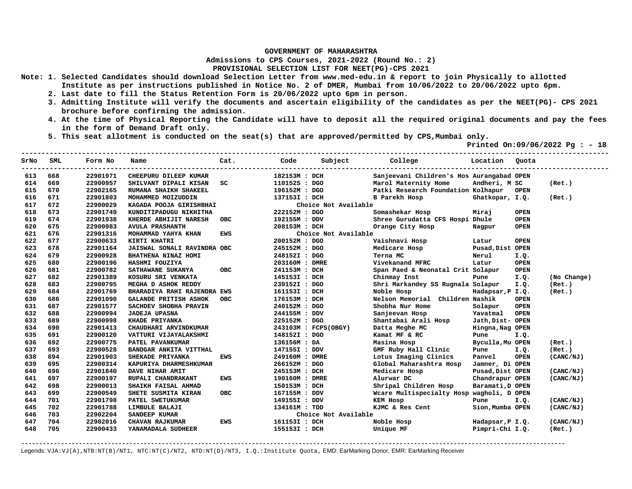**Admissions to CPS Courses, 2021-2022 (Round No.: 2)**

**PROVISIONAL SELECTION LIST FOR NEET(PG)-CPS 2021** 

- **Note: 1. Selected Candidates should download Selection Letter from www.med-edu.in & report to join Physically to allotted Institute as per instructions published in Notice No. 2 of DMER, Mumbai from 10/06/2022 to 20/06/2022 upto 6pm.** 
	- **2. Last date to fill the Status Retention Form is 20/06/2022 upto 6pm in person.**
	- **3. Admitting Institute will verify the documents and ascertain eligibility of the candidates as per the NEET(PG)- CPS 2021 brochure before confirming the admission.**
	- **4. At the time of Physical Reporting the Candidate will have to deposit all the required original documents and pay the fees in the form of Demand Draft only.**
	- **5. This seat allotment is conducted on the seat(s) that are approved/permitted by CPS,Mumbai only.**

 **Printed On:09/06/2022 Pg : - 18** 

| SrNo | SML | Form No  | Name                         | Cat.       | Code           | Subject              | College                                   | Location         | Quota       |             |
|------|-----|----------|------------------------------|------------|----------------|----------------------|-------------------------------------------|------------------|-------------|-------------|
| 613  | 668 | 22901971 | CHEEPURU DILEEP KUMAR        |            | 182153M : DCH  |                      | Sanjeevani Children's Hos Aurangabad OPEN |                  |             |             |
| 614  | 669 | 22900957 | SHILVANT DIPALI KISAN        | SC         | 110152S : DGO  |                      | Marol Maternity Home                      | Andheri, M SC    |             | (Ret.)      |
| 615  | 670 | 22902165 | RUMANA SHAIKH SHAKEEL        |            | 196152M : DGO  |                      | Patki Research Foundation Kolhapur        |                  | <b>OPEN</b> |             |
| 616  | 671 | 22901803 | MOHAMMED MOIZUDDIN           |            | 137153I : DCH  |                      | B Parekh Hosp                             | Ghatkopar, I.Q.  |             | (Ret.)      |
| 617  | 672 | 22900029 | KAGADA POOJA GIRISHBHAI      |            |                | Choice Not Available |                                           |                  |             |             |
| 618  | 673 | 22901749 | KUNDITIPADUGU NIKHITHA       |            | 222152M : DGO  |                      | Somashekar Hosp                           | Miraj            | <b>OPEN</b> |             |
| 619  | 674 | 22901938 | KHERDE ABHIJIT NARESH        | <b>OBC</b> | 192155M : DDV  |                      | Shree Gurudatta CFS Hospi Dhule           |                  | <b>OPEN</b> |             |
| 620  | 675 | 22900983 | <b>AVULA PRASHANTH</b>       |            | 208153M : DCH  |                      | Orange City Hosp                          | Nagpur           | <b>OPEN</b> |             |
| 621  | 676 | 22901316 | MOHAMMAD YAHYA KHAN          | EWS        |                | Choice Not Available |                                           |                  |             |             |
| 622  | 677 | 22900633 | KIRTI KHATRI                 |            | 200152M: DGO   |                      | Vaishnavi Hosp                            | Latur            | <b>OPEN</b> |             |
| 623  | 678 | 22901164 | JAISWAL SONALI RAVINDRA OBC  |            | 245152M : DGO  |                      | Medicare Hosp                             | Pusad, Dist OPEN |             |             |
| 624  | 679 | 22900928 | BHATHENA NINAZ HOMI          |            | 248152I : DGO  |                      | Terna MC                                  | Nerul            | I.Q.        |             |
| 625  | 680 | 22900196 | HASHMI FOUZIYA               |            | 203160M : DMRE |                      | Vivekanand MFRC                           | Latur            | <b>OPEN</b> |             |
| 626  | 681 | 22900782 | SATHAWANE SUKANYA            | <b>OBC</b> | 241153M : DCH  |                      | Span Paed & Neonatal Crit Solapur         |                  | <b>OPEN</b> |             |
| 627  | 682 | 22901389 | KOSURU SRI VENKATA           |            | 145153I : DCH  |                      | Chinmay Inst                              | Pune             | I.Q.        | (No Change) |
| 628  | 683 | 22900795 | MEGHA D ASHOK REDDY          |            | 239152I : DGO  |                      | Shri Markandey SS Rugnala Solapur         |                  | I.Q.        | (Ret.)      |
| 629  | 684 | 22901769 | BHARADIYA RAHI RAJENDRA EWS  |            | 161153I : DCH  |                      | Noble Hosp                                | Hadapsar, P I.Q. |             | (Ret.)      |
| 630  | 686 | 22901090 | <b>GALANDE PRITISH ASHOK</b> | <b>OBC</b> | 176153M : DCH  |                      | Nelson Memorial Children Nashik           |                  | <b>OPEN</b> |             |
| 631  | 687 | 22901577 | SACHDEV SHOBHA PRAVIN        |            | 240152M : DGO  |                      | Shobha Nur Home                           | Solapur          | <b>OPEN</b> |             |
| 632  | 688 | 22900994 | <b>JADEJA UPASNA</b>         |            | 244155M : DDV  |                      | Sanjeevan Hosp                            | Yavatmal         | <b>OPEN</b> |             |
| 633  | 689 | 22900998 | KHADE PRIYANKA               |            | 225152M : DGO  |                      | Shantabai Arali Hosp                      | Jath, Dist- OPEN |             |             |
| 634  | 690 | 22901413 | CHAUDHARI ARVINDKUMAR        |            |                | 243103M : FCPS(OBGY) | Datta Meghe MC                            | Hingna, Nag OPEN |             |             |
| 635  | 691 | 22900120 | VATTURI VIJAYALAKSHMI        |            | 148152I : DGO  |                      | Kamat MF & RC                             | Pune             | I.Q.        |             |
| 636  | 692 | 22900775 | PATEL PAVANKUMAR             |            | 136156M : DA   |                      | Masina Hosp                               | Byculla, Mu OPEN |             | (Ret.)      |
| 637  | 693 | 22900528 | BANDGAR ANKITA VITTHAL       |            | 147155I : DDV  |                      | GMF Ruby Hall Clinic                      | Pune             | I.Q.        | (Ret.)      |
| 638  | 694 | 22901903 | SHEKADE PRIYANKA             | <b>EWS</b> | 249160M : DMRE |                      | Lotus Imaging Clinics                     | Panvel           | <b>OPEN</b> | (CANC/NJ)   |
| 639  | 695 | 22900314 | KAPURIYA DHARMESHKUMAR       |            | 266152M : DGO  |                      | Global Maharashtra Hosp                   | Jamner, Di OPEN  |             |             |
| 640  | 696 | 22901840 | DAVE NIHAR AMIT              |            | 245153M : DCH  |                      | Medicare Hosp                             | Pusad, Dist OPEN |             | (CANC/NJ)   |
| 641  | 697 | 22900197 | RUPALI CHANDRAKANT           | <b>EWS</b> | 190160M : DMRE |                      | Alurwar DC                                | Chandrapur OPEN  |             | (CANC/NJ)   |
| 642  | 698 | 22900013 | SHAIKH FAISAL AHMAD          |            | 150153M : DCH  |                      | Shripal Children Hosp                     | Baramati, D OPEN |             |             |
| 643  | 699 | 22900549 | SHETE SUSMITA KIRAN          | <b>OBC</b> | 167155M : DDV  |                      | Wcare Multispecialty Hosp wagholi, D OPEN |                  |             |             |
| 644  | 701 | 22901798 | PATEL SWETUKUMAR             |            | 149155I : DDV  |                      | KEM Hosp                                  | Pune             | I.Q.        | (CANC/NJ)   |
| 645  | 702 | 22901788 | LIMBULE BALAJI               |            | 134161M : TDD  |                      | KJMC & Res Cent                           | Sion, Mumba OPEN |             | (CANC/NJ)   |
| 646  | 703 | 22902204 | SANDEEP KUMAR                |            |                | Choice Not Available |                                           |                  |             |             |
| 647  | 704 | 22902016 | CHAVAN RAJKUMAR              | <b>EWS</b> | 161153I : DCH  |                      | Noble Hosp                                | Hadapsar, P I.Q. |             | (CANC/NJ)   |
| 648  | 705 | 22900433 | YANAMADALA SUDHEER           |            | 155153I : DCH  |                      | Unique MF                                 | Pimpri-Chi I.Q.  |             | (Ret.)      |

**-------------------------------------------------------------------------------------------------------------------------------------------------------**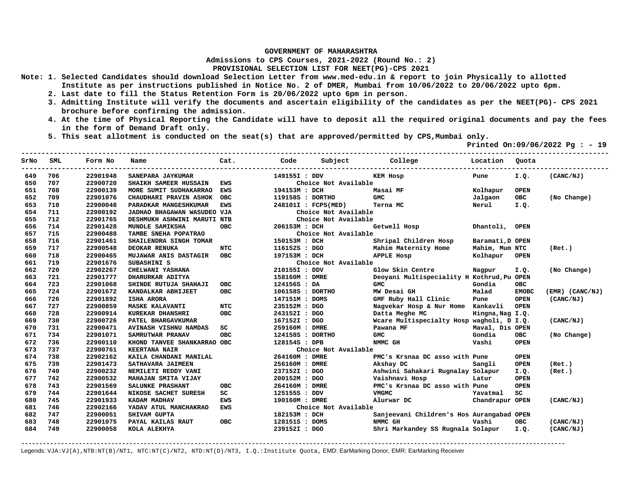**Admissions to CPS Courses, 2021-2022 (Round No.: 2)**

## **PROVISIONAL SELECTION LIST FOR NEET(PG)-CPS 2021**

- **Note: 1. Selected Candidates should download Selection Letter from www.med-edu.in & report to join Physically to allotted Institute as per instructions published in Notice No. 2 of DMER, Mumbai from 10/06/2022 to 20/06/2022 upto 6pm.** 
	- **2. Last date to fill the Status Retention Form is 20/06/2022 upto 6pm in person.**
	- **3. Admitting Institute will verify the documents and ascertain eligibility of the candidates as per the NEET(PG)- CPS 2021 brochure before confirming the admission.**
	- **4. At the time of Physical Reporting the Candidate will have to deposit all the required original documents and pay the fees in the form of Demand Draft only.**
	- **5. This seat allotment is conducted on the seat(s) that are approved/permitted by CPS,Mumbai only.**

 **Printed On:09/06/2022 Pg : - 19** 

| SrNo | SML | Form No  | Name                        | Cat.       | Code             | Subject College      |                                            | Location         | Ouota        |                 |
|------|-----|----------|-----------------------------|------------|------------------|----------------------|--------------------------------------------|------------------|--------------|-----------------|
| 649  | 706 | 22901948 | SANEPARA JAYKUMAR           |            | 149155I : DDV    |                      | KEM Hosp                                   | Pune             | I.Q.         | (CANC/NJ)       |
| 650  | 707 | 22900720 | SHAIKH SAMEER HUSSAIN       | <b>EWS</b> |                  | Choice Not Available |                                            |                  |              |                 |
| 651  | 708 | 22900139 | MORE SUMIT SUDHAKARRAO      | <b>EWS</b> | 194153M : DCH    |                      | Masai MF                                   | Kolhapur         | <b>OPEN</b>  |                 |
| 652  | 709 | 22901076 | CHAUDHARI PRAVIN ASHOK      | <b>OBC</b> | 119158S : DORTHO |                      | <b>GMC</b>                                 | Jalgaon          | <b>OBC</b>   | (No Change)     |
| 653  | 710 | 22900048 | PARADKAR MANGESHKUMAR       | <b>EWS</b> |                  | 248101I : FCPS(MED)  | Terna MC                                   | Nerul            | I.Q.         |                 |
| 654  | 711 | 22900192 | JADHAO BHAGAWAN WASUDEO VJA |            |                  | Choice Not Available |                                            |                  |              |                 |
| 655  | 712 | 22901765 | DESHMUKH ASHWINI MARUTI NTB |            |                  | Choice Not Available |                                            |                  |              |                 |
| 656  | 714 | 22901428 | MUNDLE SAMIKSHA             | <b>OBC</b> | 206153M : DCH    |                      | Getwell Hosp                               | Dhantoli, OPEN   |              |                 |
| 657  | 715 | 22900488 | TAMBE SNEHA POPATRAO        |            |                  | Choice Not Available |                                            |                  |              |                 |
| 658  | 716 | 22901461 | SHAILENDRA SINGH TOMAR      |            | 150153M : DCH    |                      | Shripal Children Hosp                      | Baramati, D OPEN |              |                 |
| 659  | 717 | 22900548 | <b>DEOKAR RENUKA</b>        | <b>NTC</b> | 116152S : DGO    |                      | Mahim Maternity Home                       | Mahim, Mum NTC   |              | (Ret.)          |
| 660  | 718 | 22900465 | MUJAWAR ANIS DASTAGIR OBC   |            | 197153M : DCH    |                      | APPLE Hosp                                 | Kolhapur         | <b>OPEN</b>  |                 |
| 661  | 719 | 22901676 | SUBASHINI S                 |            |                  | Choice Not Available |                                            |                  |              |                 |
| 662  | 720 | 22902267 | CHELWANI YASHANA            |            | 210155I : DDV    |                      | Glow Skin Centre                           | Nagpur           | I.Q.         | (No Change)     |
| 663  | 721 | 22901777 | DHARURKAR ADITYA            |            | 158160M : DMRE   |                      | Deoyani Multispeciality H Kothrud, Pu OPEN |                  |              |                 |
| 664  | 723 | 22901068 | SHINDE RUTUJA SHAHAJI       | <b>OBC</b> | 124156S : DA     |                      | <b>GMC</b>                                 | Gondia           | OBC.         |                 |
| 665  | 724 | 22901672 | KANDALKAR ABHIJEET          | <b>OBC</b> | 106158S : DORTHO |                      | MW Desai GH                                | Malad            | <b>EMOBC</b> | (EMR) (CANC/NJ) |
| 666  | 726 | 22901892 | <b>ISHA ARORA</b>           |            | 147151M : DOMS   |                      | GMF Ruby Hall Clinic                       | Pune             | <b>OPEN</b>  | (CANC/NJ)       |
| 667  | 727 | 22900859 | <b>MASKE KALAVANTI</b>      | <b>NTC</b> | 235152M : DGO    |                      | Nagvekar Hosp & Nur Home Kankavli          |                  | <b>OPEN</b>  |                 |
| 668  | 728 | 22900914 | KUREKAR DHANSHRI            | <b>OBC</b> | 243152I : DGO    |                      | Datta Meghe MC                             | Hingna, Nag I.Q. |              |                 |
| 669  | 730 | 22900726 | PATEL BHARGAVKUMAR          |            | 167152I : DGO    |                      | Wcare Multispecialty Hosp wagholi, D I.Q.  |                  |              | (CANC/NJ)       |
| 670  | 731 | 22900471 | AVINASH VISHNU NAMDAS       | SC         | 259160M : DMRE   |                      | Pawana MF                                  | Maval, Dis OPEN  |              |                 |
| 671  | 734 | 22901071 | SAMRUTWAR PRANAV            | <b>OBC</b> | 124158S : DORTHO |                      | <b>GMC</b>                                 | Gondia           | <b>OBC</b>   | (No Change)     |
| 672  | 736 | 22900110 | KHOND TANVEE SHANKARRAO OBC |            | 128154S : DPB    |                      | NMMC GH                                    | Vashi            | <b>OPEN</b>  |                 |
| 673  | 737 | 22900761 | <b>KEERTANA NAIR</b>        |            |                  | Choice Not Available |                                            |                  |              |                 |
| 674  | 738 | 22902162 | KAILA CHANDANI MANILAL      |            | 264160M : DMRE   |                      | PMC's Krsnaa DC asso with Pune             |                  | <b>OPEN</b>  |                 |
| 675  | 739 | 22901473 | SATHAVARA JAIMEEN           |            | 256160M : DMRE   |                      | Akshay DC                                  | Sangli           | <b>OPEN</b>  | (Ret.)          |
| 676  | 740 | 22900232 | NEMILETI REDDY VANI         |            | 237152I : DGO    |                      | Ashwini Sahakari Rugnalay Solapur          |                  | I.Q.         | (Ret.)          |
| 677  | 742 | 22900532 | MAHAJAN SMITA VIJAY         |            | 200152M: DGO     |                      | Vaishnavi Hosp                             | Latur            | <b>OPEN</b>  |                 |
| 678  | 743 | 22901569 | SALUNKE PRASHANT            | OBC        | 264160M : DMRE   |                      | PMC's Krsnaa DC asso with Pune             |                  | <b>OPEN</b>  |                 |
| 679  | 744 | 22901644 | NIKOSE SACHET SURESH        | SC         | 125155S : DDV    |                      | <b>VMGMC</b>                               | Yavatmal         | SC           |                 |
| 680  | 745 | 22901933 | KADAM MADHAV                | <b>EWS</b> | 190160M : DMRE   |                      | Alurwar DC                                 | Chandrapur OPEN  |              | (CANC/NJ)       |
| 681  | 746 | 22902166 | YADAV ATUL MANCHAKRAO       | <b>EWS</b> |                  | Choice Not Available |                                            |                  |              |                 |
| 682  | 747 | 22900051 | SHIVAM GUPTA                |            | 182153M : DCH    |                      | Sanjeevani Children's Hos Aurangabad OPEN  |                  |              |                 |
| 683  | 748 | 22901075 | PAYAL KAILAS RAUT           | OBC        | 128151S : DOMS   |                      | NMMC GH                                    | Vashi            | <b>OBC</b>   | (CANC/NJ)       |
| 684  | 749 | 22900058 | KOLA ALEKHYA                |            | 239152I : DGO    |                      | Shri Markandey SS Rugnala Solapur          |                  | I.Q.         | (CANC/NJ)       |

**-------------------------------------------------------------------------------------------------------------------------------------------------------**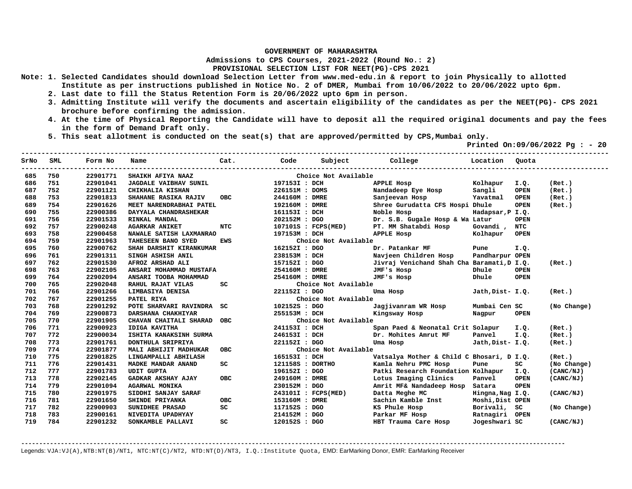**Admissions to CPS Courses, 2021-2022 (Round No.: 2)**

**PROVISIONAL SELECTION LIST FOR NEET(PG)-CPS 2021** 

- **Note: 1. Selected Candidates should download Selection Letter from www.med-edu.in & report to join Physically to allotted Institute as per instructions published in Notice No. 2 of DMER, Mumbai from 10/06/2022 to 20/06/2022 upto 6pm.** 
	- **2. Last date to fill the Status Retention Form is 20/06/2022 upto 6pm in person.**
	- **3. Admitting Institute will verify the documents and ascertain eligibility of the candidates as per the NEET(PG)- CPS 2021 brochure before confirming the admission.**
	- **4. At the time of Physical Reporting the Candidate will have to deposit all the required original documents and pay the fees in the form of Demand Draft only.**
	- **5. This seat allotment is conducted on the seat(s) that are approved/permitted by CPS,Mumbai only.**

 **Printed On:09/06/2022 Pg : - 20** 

| SrNo | <b>SML</b> | Form No  | Name                         | Cat.       | Code             | Subject              | College                                    | Location         | Quota       |             |
|------|------------|----------|------------------------------|------------|------------------|----------------------|--------------------------------------------|------------------|-------------|-------------|
| 685  | 750        | 22901771 | SHAIKH AFIYA NAAZ            |            |                  | Choice Not Available |                                            |                  |             |             |
| 686  | 751        | 22901041 | <b>JAGDALE VAIBHAV SUNIL</b> |            | 197153I : DCH    |                      | APPLE Hosp                                 | Kolhapur         | I.Q.        | (Ret.)      |
| 687  | 752        | 22901121 | CHIKHALIA KISHAN             |            | 226151M : DOMS   |                      | Nandadeep Eye Hosp                         | Sangli           | <b>OPEN</b> | (Ret.)      |
| 688  | 753        | 22901813 | SHAHANE RASIKA RAJIV         | <b>OBC</b> | 244160M : DMRE   |                      | Sanjeevan Hosp                             | Yavatmal         | <b>OPEN</b> | (Ret.)      |
| 689  | 754        | 22901626 | MEET NARENDRABHAI PATEL      |            | 192160M : DMRE   |                      | Shree Gurudatta CFS Hospi Dhule            |                  | <b>OPEN</b> | (Ret.)      |
| 690  | 755        | 22900386 | DAYYALA CHANDRASHEKAR        |            | 161153I : DCH    |                      | Noble Hosp                                 | Hadapsar, P I.Q. |             |             |
| 691  | 756        | 22901533 | RINKAL MANDAL                |            | 202152M : DGO    |                      | Dr. S.B. Gugale Hosp & Wa Latur            |                  | OPEN        |             |
| 692  | 757        | 22900248 | <b>AGARKAR ANIKET</b>        | <b>NTC</b> |                  | 107101S : FCPS(MED)  | PT. MM Shatabdi Hosp                       | Govandi,         | <b>NTC</b>  |             |
| 693  | 758        | 22900458 | NAWALE SATISH LAXMANRAO      |            | 197153M : DCH    |                      | APPLE Hosp                                 | Kolhapur         | <b>OPEN</b> |             |
| 694  | 759        | 22901963 | TAHESEEN BANO SYED           | <b>EWS</b> |                  | Choice Not Available |                                            |                  |             |             |
| 695  | 760        | 22900762 | SHAH DARSHIT KIRANKUMAR      |            | 162152I : DGO    |                      | Dr. Patankar MF                            | Pune             | I.Q.        |             |
| 696  | 761        | 22901311 | SINGH ASHISH ANIL            |            | 238153M : DCH    |                      | Navjeen Children Hosp                      | Pandharpur OPEN  |             |             |
| 697  | 762        | 22901530 | AFROZ ARSHAD ALI             |            | 157152I : DGO    |                      | Jivraj Venichand Shah Cha Baramati, D I.Q. |                  |             | (Ret.)      |
| 698  | 763        | 22902105 | ANSARI MOHAMMAD MUSTAFA      |            | 254160M : DMRE   |                      | JMF's Hosp                                 | Dhule            | <b>OPEN</b> |             |
| 699  | 764        | 22902094 | ANSARI TOOBA MOHAMMAD        |            | 254160M : DMRE   |                      | JMF's Hosp                                 | Dhule            | OPEN        |             |
| 700  | 765        | 22902048 | RAHUL RAJAT VILAS            | SC         |                  | Choice Not Available |                                            |                  |             |             |
| 701  | 766        | 22901266 | LIMBASIYA DENISA             |            | 221152I : DGO    |                      | Uma Hosp                                   | Jath, Dist- I.Q. |             | (Ret.)      |
| 702  | 767        | 22901255 | PATEL RIYA                   |            |                  | Choice Not Available |                                            |                  |             |             |
| 703  | 768        | 22901292 | POTE SHARVARI RAVINDRA SC    |            | 102152S : DGO    |                      | Jagjivanram WR Hosp                        | Mumbai Cen SC    |             | (No Change) |
| 704  | 769        | 22900873 | DARSHANA CHAKHIYAR           |            | 255153M : DCH    |                      | Kingsway Hosp                              | Nagpur           | <b>OPEN</b> |             |
| 705  | 770        | 22901905 | CHAVAN CHAITALI SHARAD       | <b>OBC</b> |                  | Choice Not Available |                                            |                  |             |             |
| 706  | 771        | 22900923 | <b>IDIGA KAVITHA</b>         |            | 241153I : DCH    |                      | Span Paed & Neonatal Crit Solapur          |                  | I.O.        | (Ret.)      |
| 707  | 772        | 22900034 | ISHITA KANAKSINH SURMA       |            | 246153I : DCH    |                      | Dr. Mohites Amrut MF                       | Panvel           | I.Q.        | (Ret.)      |
| 708  | 773        | 22901761 | DONTHULA SRIPRIYA            |            | 221152I : DGO    |                      | Uma Hosp                                   | Jath, Dist- I.Q. |             | (Ret.)      |
| 709  | 774        | 22901877 | MALI ABHIJIT MADHUKAR        | <b>OBC</b> |                  | Choice Not Available |                                            |                  |             |             |
| 710  | 775        | 22901825 | LINGAMPALLI ABHILASH         |            | 165153I : DCH    |                      | Vatsalya Mother & Child C Bhosari, D I.Q.  |                  |             | (Ret.)      |
| 711  | 776        | 22901431 | MADKE MANDAR ANAND           | SC         | 121158S : DORTHO |                      | Kamla Nehru PMC Hosp                       | Pune             | SC          | (No Change) |
| 712  | 777        | 22901783 | <b>UDIT GUPTA</b>            |            | 196152I : DGO    |                      | Patki Research Foundation Kolhapur         |                  | I.Q.        | (CANC/NJ)   |
| 713  | 778        | 22902145 | GADKAR AKSHAY AJAY           | <b>OBC</b> | 249160M : DMRE   |                      | Lotus Imaging Clinics                      | Panvel           | <b>OPEN</b> | (CANC/NJ)   |
| 714  | 779        | 22901094 | <b>AGARWAL MONIKA</b>        |            | 230152M : DGO    |                      | Amrit MF& Nandadeep Hosp Satara            |                  | <b>OPEN</b> |             |
| 715  | 780        | 22901975 | SIDDHI SANJAY SARAF          |            |                  | 243101I : FCPS(MED)  | Datta Meghe MC                             | Hingna, Nag I.Q. |             | (CANC/NJ)   |
| 716  | 781        | 22901650 | SHINDE PRIYANKA              | <b>OBC</b> | 153160M : DMRE   |                      | Sachin Kamble Inst                         | Moshi, Dist OPEN |             |             |
| 717  | 782        | 22900903 | <b>SUNIDHEE PRASAD</b>       | SC         | 117152S : DGO    |                      | KS Phule Hosp                              | Borivali,        | SC.         | (No Change) |
| 718  | 783        | 22900161 | NIVEDITA UPADHYAY            |            | 214152M : DGO    |                      | Parkar MF Hosp                             | Ratnagiri OPEN   |             |             |
| 719  | 784        | 22901232 | SONKAMBLE PALLAVI            | SC         | 120152S : DGO    |                      | HBT Trauma Care Hosp                       | Jogeshwari SC    |             | (CANC/NJ)   |

**-------------------------------------------------------------------------------------------------------------------------------------------------------**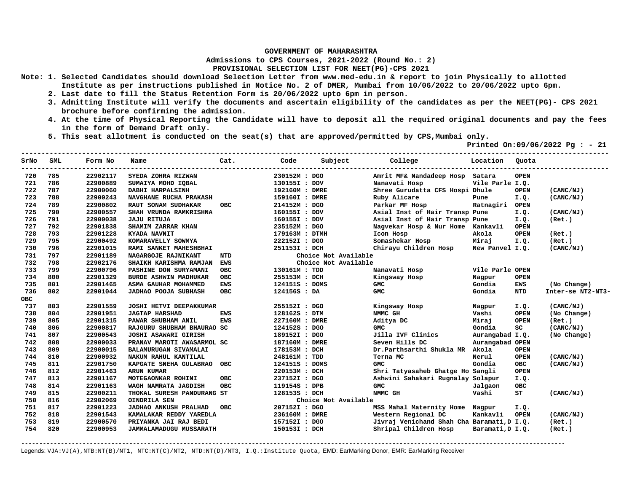**Admissions to CPS Courses, 2021-2022 (Round No.: 2)**

**PROVISIONAL SELECTION LIST FOR NEET(PG)-CPS 2021** 

- **Note: 1. Selected Candidates should download Selection Letter from www.med-edu.in & report to join Physically to allotted Institute as per instructions published in Notice No. 2 of DMER, Mumbai from 10/06/2022 to 20/06/2022 upto 6pm.** 
	- **2. Last date to fill the Status Retention Form is 20/06/2022 upto 6pm in person.**
	- **3. Admitting Institute will verify the documents and ascertain eligibility of the candidates as per the NEET(PG)- CPS 2021 brochure before confirming the admission.**
	- **4. At the time of Physical Reporting the Candidate will have to deposit all the required original documents and pay the fees in the form of Demand Draft only.**
	- **5. This seat allotment is conducted on the seat(s) that are approved/permitted by CPS,Mumbai only.**

 **Printed On:09/06/2022 Pg : - 21** 

| SrNo       | SML | Form No  | Name                           | Cat.       | Code           | Subject              | College                                    | Location         | Quota       |                   |
|------------|-----|----------|--------------------------------|------------|----------------|----------------------|--------------------------------------------|------------------|-------------|-------------------|
| 720        | 785 | 22902117 | SYEDA ZOHRA RIZWAN             |            | 230152M : DGO  |                      | Amrit MF& Nandadeep Hosp Satara            |                  | <b>OPEN</b> |                   |
| 721        | 786 | 22900889 | SUMAIYA MOHD IQBAL             |            | 130155I : DDV  |                      | Nanavati Hosp                              | Vile Parle I.Q.  |             |                   |
| 722        | 787 | 22900060 | DABHI HARPALSINH               |            | 192160M : DMRE |                      | Shree Gurudatta CFS Hospi Dhule            |                  | <b>OPEN</b> | (CANC/NJ)         |
| 723        | 788 | 22900243 | NAVGHANE RUCHA PRAKASH         |            | 159160I : DMRE |                      | Ruby Alicare                               | Pune             | I.Q.        | (CANC/NJ)         |
| 724        | 789 | 22900802 | RAUT SONAM SUDHAKAR            | <b>OBC</b> | 214152M : DGO  |                      | Parkar MF Hosp                             | Ratnagiri        | <b>OPEN</b> |                   |
| 725        | 790 | 22900557 | SHAH VRUNDA RAMKRISHNA         |            | 160155I : DDV  |                      | Asial Inst of Hair Transp Pune             |                  | I.Q.        | (CANC/NJ)         |
| 726        | 791 | 22900038 | <b>JAJU RITUJA</b>             |            | 160155I : DDV  |                      | Asial Inst of Hair Transp Pune             |                  | I.Q.        | (Ret.)            |
| 727        | 792 | 22901838 | SHAMIM ZARRAR KHAN             |            | 235152M : DGO  |                      | Nagvekar Hosp & Nur Home Kankavli          |                  | <b>OPEN</b> |                   |
| 728        | 793 | 22901228 | KYADA NAVNIT                   |            | 179163M : DTMH |                      | Icon Hosp                                  | Akola            | <b>OPEN</b> | (Ret.)            |
| 729        | 795 | 22900492 | KOMARAVELLY SOWMYA             |            | 222152I : DGO  |                      | Somashekar Hosp                            | Miraj            | I.Q.        | (Ret.)            |
| 730        | 796 | 22901015 | RAMI SANKET MAHESHBHAI         |            | 251153I : DCH  |                      | Chirayu Children Hosp                      | New Panvel I.Q.  |             | (CANC/NJ)         |
| 731        | 797 | 22901189 | NAGARGOJE RAJNIKANT            | NTD        |                | Choice Not Available |                                            |                  |             |                   |
| 732        | 798 | 22902176 | SHAIKH KARISHMA RAMJAN         | <b>EWS</b> |                | Choice Not Available |                                            |                  |             |                   |
| 733        | 799 | 22900796 | PASHINE DON SURYAMANI          | <b>OBC</b> | 130161M : TDD  |                      | Nanavati Hosp                              | Vile Parle OPEN  |             |                   |
| 734        | 800 | 22901329 | <b>BURDE ASHWIN MADHUKAR</b>   | <b>OBC</b> | 255153M : DCH  |                      | Kingsway Hosp                              | Nagpur           | <b>OPEN</b> |                   |
| 735        | 801 | 22901465 | ASMA GAUHAR MOHAMMED           | <b>EWS</b> | 124151S : DOMS |                      | <b>GMC</b>                                 | Gondia           | <b>EWS</b>  | (No Change)       |
| 736        | 802 | 22901044 | <b>JADHAO POOJA SUBHASH</b>    | <b>OBC</b> | 124156S : DA   |                      | <b>GMC</b>                                 | Gondia           | <b>NTD</b>  | Inter-se NT2-NT3- |
| <b>OBC</b> |     |          |                                |            |                |                      |                                            |                  |             |                   |
| 737        | 803 | 22901559 | <b>JOSHI HETVI DEEPAKKUMAR</b> |            | 255152I : DGO  |                      | Kingsway Hosp                              | Nagpur           | I.Q.        | (CANC/NJ)         |
| 738        | 804 | 22901951 | <b>JAGTAP HARSHAD</b>          | <b>EWS</b> | 128162S : DTM  |                      | NMMC GH                                    | Vashi            | OPEN        | (No Change)       |
| 739        | 805 | 22901315 | PAWAR SHUBHAM ANIL             | <b>EWS</b> | 227160M : DMRE |                      | Aditya DC                                  | Miraj            | <b>OPEN</b> | (Ret.)            |
| 740        | 806 | 22900817 | RAJGURU SHUBHAM BHAURAO SC     |            | 124152S : DGO  |                      | <b>GMC</b>                                 | Gondia           | SC          | (CANC/NJ)         |
| 741        | 807 | 22900543 | JOSHI ASAWARI GIRISH           |            | 189152I : DGO  |                      | Jilla IVF Clinics                          | Aurangabad I.Q.  |             | (No Change)       |
| 742        | 808 | 22900033 | PRANAV MAROTI AWASARMOL SC     |            | 187160M : DMRE |                      | Seven Hills DC                             | Aurangabad OPEN  |             |                   |
| 743        | 809 | 22900015 | BALAMURUGAN SIVAMALAI          |            | 178153M : DCH  |                      | Dr.Parthsarthi Shukla MR Akola             |                  | <b>OPEN</b> |                   |
| 744        | 810 | 22900932 | NAKUM RAHUL KANTILAL           |            | 248161M : TDD  |                      | Terna MC                                   | Nerul            | <b>OPEN</b> | (CANC/NJ)         |
| 745        | 811 | 22901750 | KAPGATE SNEHA GULABRAO         | OBC        | 124151S : DOMS |                      | <b>GMC</b>                                 | Gondia           | <b>OBC</b>  | (CANC/NJ)         |
| 746        | 812 | 22901463 | <b>ARUN KUMAR</b>              |            | 220153M : DCH  |                      | Shri Tatyasaheb Ghatge Ho Sangli           |                  | <b>OPEN</b> |                   |
| 747        | 813 | 22901167 | MOTEGAONKAR ROHINI             | <b>OBC</b> | 237152I : DGO  |                      | Ashwini Sahakari Rugnalay Solapur          |                  | I.Q.        |                   |
| 748        | 814 | 22901163 | WAGH NAMRATA JAGDISH           | <b>OBC</b> | 119154S : DPB  |                      | <b>GMC</b>                                 | Jalgaon          | <b>OBC</b>  |                   |
| 749        | 815 | 22900211 | THOKAL SURESH PANDURANG ST     |            | 128153S : DCH  |                      | NMMC GH                                    | Vashi            | ST          | (CANC/NJ)         |
| 750        | 816 | 22902069 | OINDRILA SEN                   |            |                | Choice Not Available |                                            |                  |             |                   |
| 751        | 817 | 22901223 | JADHAO ANKUSH PRALHAD          | OBC        | 207152I : DGO  |                      | MSS Mahal Maternity Home Nagpur            |                  | I.Q.        |                   |
| 752        | 818 | 22901543 | KAMALAKAR REDDY YAREDLA        |            | 236160M : DMRE |                      | Western Regional DC                        | Kankavli         | <b>OPEN</b> | (CANC/NJ)         |
| 753        | 819 | 22900570 | PRIYANKA JAI RAJ BEDI          |            | 157152I : DGO  |                      | Jivraj Venichand Shah Cha Baramati, D I.Q. |                  |             | (Ret.)            |
| 754        | 820 | 22900953 | JAMMALAMADUGU MUSSARATH        |            | 150153I : DCH  |                      | Shripal Children Hosp                      | Baramati, D I.Q. |             | (Ret.)            |

**-------------------------------------------------------------------------------------------------------------------------------------------------------**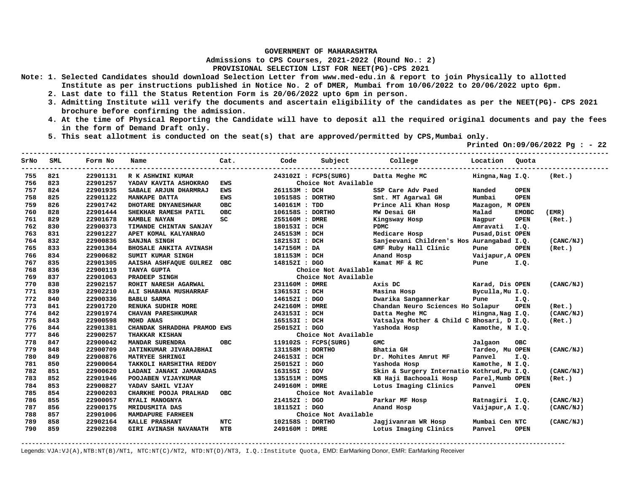**Admissions to CPS Courses, 2021-2022 (Round No.: 2)**

**PROVISIONAL SELECTION LIST FOR NEET(PG)-CPS 2021** 

- **Note: 1. Selected Candidates should download Selection Letter from www.med-edu.in & report to join Physically to allotted Institute as per instructions published in Notice No. 2 of DMER, Mumbai from 10/06/2022 to 20/06/2022 upto 6pm.** 
	- **2. Last date to fill the Status Retention Form is 20/06/2022 upto 6pm in person.**
	- **3. Admitting Institute will verify the documents and ascertain eligibility of the candidates as per the NEET(PG)- CPS 2021 brochure before confirming the admission.**
	- **4. At the time of Physical Reporting the Candidate will have to deposit all the required original documents and pay the fees in the form of Demand Draft only.**
	- **5. This seat allotment is conducted on the seat(s) that are approved/permitted by CPS,Mumbai only.**

 **Printed On:09/06/2022 Pg : - 22** 

| SrNo | SML | Form No  | Name                          | Cat.       | Code             | Subject              | College                                    | Location Ouota   |              |           |
|------|-----|----------|-------------------------------|------------|------------------|----------------------|--------------------------------------------|------------------|--------------|-----------|
| 755  | 821 | 22901131 | R K ASHWINI KUMAR             |            |                  | 243102I : FCPS(SURG) | Datta Meghe MC                             | Hingna, Nag I.Q. |              | (Ret.)    |
| 756  | 823 | 22901257 | YADAV KAVITA ASHOKRAO         | <b>EWS</b> |                  | Choice Not Available |                                            |                  |              |           |
| 757  | 824 | 22901935 | SABALE ARJUN DHARMRAJ         | <b>EWS</b> | 261153M : DCH    |                      | SSP Care Adv Paed                          | Nanded           | <b>OPEN</b>  |           |
| 758  | 825 | 22901122 | <b>MANKAPE DATTA</b>          | <b>EWS</b> | 105158S : DORTHO |                      | Smt. MT Agarwal GH                         | Mumbai           | <b>OPEN</b>  |           |
| 759  | 826 | 22901742 | DHOTARE DNYANESHWAR           | <b>OBC</b> | 140161M : TDD    |                      | Prince Ali Khan Hosp                       | Mazagon, M OPEN  |              |           |
| 760  | 828 | 22901444 | SHEKHAR RAMESH PATIL          | OBC        | 106158S : DORTHO |                      | MW Desai GH                                | Malad            | <b>EMOBC</b> | (EMR)     |
| 761  | 829 | 22901678 | <b>KAMBLE NAYAN</b>           | SC         | 255160M : DMRE   |                      | Kingsway Hosp                              | Nagpur           | <b>OPEN</b>  | (Ret.)    |
| 762  | 830 | 22900373 | TIMANDE CHINTAN SANJAY        |            | 180153I : DCH    |                      | <b>PDMC</b>                                | Amravati         | I.Q.         |           |
| 763  | 831 | 22901227 | APET KOMAL KALYANRAO          |            | 245153M : DCH    |                      | Medicare Hosp                              | Pusad, Dist OPEN |              |           |
| 764  | 832 | 22900836 | SANJNA SINGH                  |            | 182153I : DCH    |                      | Sanjeevani Children's Hos Aurangabad I.Q.  |                  |              | (CANC/NJ) |
| 765  | 833 | 22901364 | <b>BHOSALE ANKITA AVINASH</b> |            | 147156M : DA     |                      | GMF Ruby Hall Clinic                       | Pune             | <b>OPEN</b>  | (Ret.)    |
| 766  | 834 | 22900682 | SUMIT KUMAR SINGH             |            | 181153M : DCH    |                      | Anand Hosp                                 | Vaijapur, A OPEN |              |           |
| 767  | 835 | 22901305 | AAISHA ASHFAQUE GULREZ OBC    |            | 148152I : DGO    |                      | Kamat MF & RC                              | Pune             | I.Q.         |           |
| 768  | 836 | 22900119 | TANYA GUPTA                   |            |                  | Choice Not Available |                                            |                  |              |           |
| 769  | 837 | 22901063 | PRADEEP SINGH                 |            |                  | Choice Not Available |                                            |                  |              |           |
| 770  | 838 | 22902157 | ROHIT NARESH AGARWAL          |            | 231160M : DMRE   |                      | Axis DC                                    | Karad, Dis OPEN  |              | (CANC/NJ) |
| 771  | 839 | 22902210 | ALI SHABANA MUSHARRAF         |            | 136153I : DCH    |                      | Masina Hosp                                | Byculla, Mu I.Q. |              |           |
| 772  | 840 | 22900336 | <b>BABLU SARMA</b>            |            | 146152I : DGO    |                      | Dwarika Sangamnerkar                       | Pune             | I.Q.         |           |
| 773  | 841 | 22901720 | RENUKA SUDHIR MORE            |            | 242160M : DMRE   |                      | Chandan Neuro Sciences Ho Solapur          |                  | <b>OPEN</b>  | (Ret.)    |
| 774  | 842 | 22901974 | <b>CHAVAN PARESHKUMAR</b>     |            | 243153I : DCH    |                      | Datta Meghe MC                             | Hingna, Nag I.Q. |              | (CANC/NJ) |
| 775  | 843 | 22900598 | MOHD ANAS                     |            | 165153I : DCH    |                      | Vatsalya Mother & Child C Bhosari, D I.Q.  |                  |              | (Ret.)    |
| 776  | 844 | 22901381 | CHANDAK SHRADDHA PRAMOD EWS   |            | 250152I : DGO    |                      | Yashoda Hosp                               | Kamothe, N I.Q.  |              |           |
| 777  | 846 | 22900257 | <b>THAKKAR KISHAN</b>         |            |                  | Choice Not Available |                                            |                  |              |           |
| 778  | 847 | 22900042 | MANDAR SURENDRA               | <b>OBC</b> |                  | 119102S : FCPS(SURG) | <b>GMC</b>                                 | Jalgaon          | <b>OBC</b>   |           |
| 779  | 848 | 22900709 | JATINKUMAR JIVARAJBHAI        |            | 131158M : DORTHO |                      | Bhatia GH                                  | Tardeo, Mu OPEN  |              | (CANC/NJ) |
| 780  | 849 | 22900876 | MATRYEE SHRINGI               |            | 246153I : DCH    |                      | Dr. Mohites Amrut MF                       | Panvel           | I.Q.         |           |
| 781  | 850 | 22900064 | TAKKOLI HARSHITHA REDDY       |            | 250152I : DGO    |                      | Yashoda Hosp                               | Kamothe, N I.Q.  |              |           |
| 782  | 851 | 22900620 | LADANI JANAKI JAMANADAS       |            | 163155I : DDV    |                      | Skin & Surgery Internatio Kothrud, Pu I.Q. |                  |              | (CANC/NJ) |
| 783  | 852 | 22901946 | POOJABEN VIJAYKUMAR           |            | 135151M : DOMS   |                      | KB Haji Bachooali Hosp                     | Parel, Mumb OPEN |              | (Ret.)    |
| 784  | 853 | 22900827 | YADAV SAHIL VIJAY             |            | 249160M : DMRE   |                      | Lotus Imaging Clinics                      | Panvel           | <b>OPEN</b>  |           |
| 785  | 854 | 22900203 | CHARKHE POOJA PRALHAD         | OBC        |                  | Choice Not Available |                                            |                  |              |           |
| 786  | 855 | 22900057 | RYALI MANOGNYA                |            | 214152I : DGO    |                      | Parkar MF Hosp                             | Ratnagiri I.Q.   |              | (CANC/NJ) |
| 787  | 856 | 22900175 | MRIDUSMITA DAS                |            | 181152I : DGO    |                      | Anand Hosp                                 | Vaijapur, A I.Q. |              | (CANC/NJ) |
| 788  | 857 | 22901006 | MAMDAPURE FARHEEN             |            |                  | Choice Not Available |                                            |                  |              |           |
| 789  | 858 | 22902164 | KALLE PRASHANT                | <b>NTC</b> | 102158S : DORTHO |                      | Jagjivanram WR Hosp                        | Mumbai Cen NTC   |              | (CANC/NJ) |
| 790  | 859 | 22902208 | <b>GIRI AVINASH NAVANATH</b>  | <b>NTB</b> | 249160M : DMRE   |                      | Lotus Imaging Clinics                      | Panvel           | <b>OPEN</b>  |           |

**-------------------------------------------------------------------------------------------------------------------------------------------------------**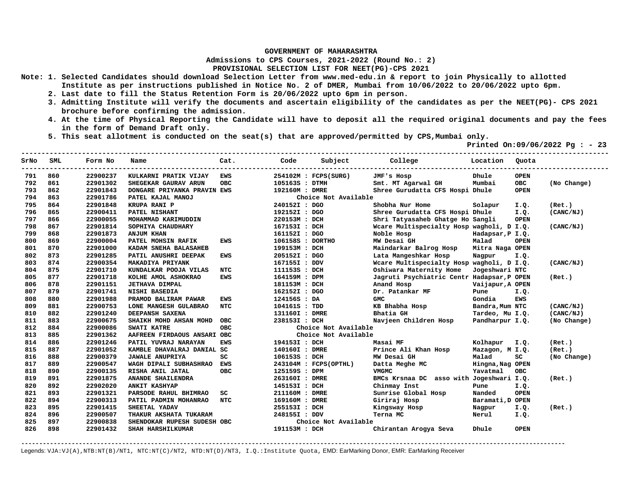**Admissions to CPS Courses, 2021-2022 (Round No.: 2)**

**PROVISIONAL SELECTION LIST FOR NEET(PG)-CPS 2021** 

- **Note: 1. Selected Candidates should download Selection Letter from www.med-edu.in & report to join Physically to allotted Institute as per instructions published in Notice No. 2 of DMER, Mumbai from 10/06/2022 to 20/06/2022 upto 6pm.** 
	- **2. Last date to fill the Status Retention Form is 20/06/2022 upto 6pm in person.**
	- **3. Admitting Institute will verify the documents and ascertain eligibility of the candidates as per the NEET(PG)- CPS 2021 brochure before confirming the admission.**
	- **4. At the time of Physical Reporting the Candidate will have to deposit all the required original documents and pay the fees in the form of Demand Draft only.**
	- **5. This seat allotment is conducted on the seat(s) that are approved/permitted by CPS,Mumbai only.**

 **Printed On:09/06/2022 Pg : - 23** 

| SrNo | SML | Form No  | Name                        | Cat.       | Code             | Subject               | College                                    | Location         | Ouota       |             |
|------|-----|----------|-----------------------------|------------|------------------|-----------------------|--------------------------------------------|------------------|-------------|-------------|
| 791  | 860 | 22900237 | KULKARNI PRATIK VIJAY       | <b>EWS</b> |                  | 254102M : FCPS(SURG)  | JMF's Hosp                                 | Dhule            | <b>OPEN</b> |             |
| 792  | 861 | 22901302 | SHEGEKAR GAURAV ARUN        | <b>OBC</b> | 105163S : DTMH   |                       | Smt. MT Agarwal GH                         | Mumbai           | OBC         | (No Change) |
| 793  | 862 | 22901843 | DONGARE PRIYANKA PRAVIN EWS |            | 192160M : DMRE   |                       | Shree Gurudatta CFS Hospi Dhule            |                  | <b>OPEN</b> |             |
| 794  | 863 | 22901786 | PATEL KAJAL MANOJ           |            |                  | Choice Not Available  |                                            |                  |             |             |
| 795  | 864 | 22901848 | KRUPA RANI P                |            | 240152I : DGO    |                       | Shobha Nur Home                            | Solapur          | I.Q.        | (Ret.)      |
| 796  | 865 | 22900411 | PATEL NISHANT               |            | 192152I : DGO    |                       | Shree Gurudatta CFS Hospi Dhule            |                  | I.Q.        | (CANC/NJ)   |
| 797  | 866 | 22900055 | MOHAMMAD KARIMUDDIN         |            | 220153M : DCH    |                       | Shri Tatyasaheb Ghatge Ho Sangli           |                  | <b>OPEN</b> |             |
| 798  | 867 | 22901814 | SOPHIYA CHAUDHARY           |            | 167153I : DCH    |                       | Weare Multispecialty Hosp wagholi, D I.Q.  |                  |             | (CANC/NJ)   |
| 799  | 868 | 22901873 | <b>ANJUM KHAN</b>           |            | 161152I : DGO    |                       | Noble Hosp                                 | Hadapsar, P I.Q. |             |             |
| 800  | 869 | 22900004 | PATEL MOHSIN RAFIK          | EWS        | 106158S : DORTHO |                       | MW Desai GH                                | Malad            | <b>OPEN</b> |             |
| 801  | 870 | 22901000 | KADAM SNEHA BALASAHEB       |            | 199153M : DCH    |                       | Maindarkar Balrog Hosp                     | Mitra Naga OPEN  |             |             |
| 802  | 873 | 22901285 | PATIL ANUSHRI DEEPAK        | EWS        | 205152I : DGO    |                       | Lata Mangeshkar Hosp                       | Nagpur           | I.Q.        |             |
| 803  | 874 | 22900354 | MAKADIYA PRIYANK            |            | 167155I : DDV    |                       | Wcare Multispecialty Hosp wagholi, D I.Q.  |                  |             | (CANC/NJ)   |
| 804  | 875 | 22901710 | KUNDALKAR POOJA VILAS       | NTC        | 111153S : DCH    |                       | Oshiwara Maternity Home                    | Jogeshwari NTC   |             |             |
| 805  | 877 | 22901718 | KOLHE AMOL ASHOKRAO         | <b>EWS</b> | 164159M : DPM    |                       | Jagruti Psychiatric Centr Hadapsar, P OPEN |                  |             | (Ret.)      |
| 806  | 878 | 22901151 | <b>JETHAVA DIMPAL</b>       |            | 181153M : DCH    |                       | Anand Hosp                                 | Vaijapur, A OPEN |             |             |
| 807  | 879 | 22901741 | NISHI BASEDIA               |            | 162152I : DGO    |                       | Dr. Patankar MF                            | Pune             | I.Q.        |             |
| 808  | 880 | 22901988 | PRAMOD BALIRAM PAWAR        | EWS        | 124156S : DA     |                       | <b>GMC</b>                                 | Gondia           | <b>EWS</b>  |             |
| 809  | 881 | 22900753 | LONE MANGESH GULABRAO       | <b>NTC</b> | 104161S : TDD    |                       | KB Bhabha Hosp                             | Bandra, Mum NTC  |             | (CANC/NJ)   |
| 810  | 882 | 22901240 | DEEPANSH SAXENA             |            | 131160I : DMRE   |                       | Bhatia GH                                  | Tardeo, Mu I.Q.  |             | (CANC/NJ)   |
| 811  | 883 | 22900675 | SHAIKH MOHD AHSAN MOHD      | <b>OBC</b> | 238153I : DCH    |                       | Navjeen Children Hosp                      | Pandharpur I.Q.  |             | (No Change) |
| 812  | 884 | 22900086 | <b>SWATI KATRE</b>          | <b>OBC</b> |                  | Choice Not Available  |                                            |                  |             |             |
| 813  | 885 | 22901362 | AAFREEN FIRDAOUS ANSARI OBC |            |                  | Choice Not Available  |                                            |                  |             |             |
| 814  | 886 | 22901246 | PATIL YUVRAJ NARAYAN        | <b>EWS</b> | 194153I : DCH    |                       | Masai MF                                   | Kolhapur I.Q.    |             | (Ret.)      |
| 815  | 887 | 22901052 | KAMBLE DHAVALRAJ DANIAL SC  |            | 140160I : DMRE   |                       | Prince Ali Khan Hosp                       | Mazagon, M I.Q.  |             | (Ret.)      |
| 816  | 888 | 22900379 | <b>JAWALE ANUPRIYA</b>      | SC         | 106153S : DCH    |                       | MW Desai GH                                | Malad            | SC          | (No Change) |
| 817  | 889 | 22900547 | WAGH DIPALI SUBHASHRAO EWS  |            |                  | 243104M : FCPS(OPTHL) | Datta Meghe MC                             | Hingna, Nag OPEN |             |             |
| 818  | 890 | 22900135 | RISHA ANIL JATAL            | <b>OBC</b> | 125159S : DPM    |                       | VMGMC                                      | Yavatmal         | <b>OBC</b>  |             |
| 819  | 891 | 22901875 | ANANDE SHAILENDRA           |            | 263160I : DMRE   |                       | BMCs Krsnaa DC asso with Jogeshwari I.Q.   |                  |             | (Ret.)      |
| 820  | 892 | 22902020 | ANKIT KASHYAP               |            | 145153I : DCH    |                       | Chinmay Inst                               | Pune             | I.Q.        |             |
| 821  | 893 | 22901321 | PARSODE RAHUL BHIMRAO       | SC         | 211160M : DMRE   |                       | Sunrise Global Hosp                        | Nanded           | <b>OPEN</b> |             |
| 822  | 894 | 22900313 | PATIL PADMIN MOHANRAO       | <b>NTC</b> | 169160M : DMRE   |                       | Giriraj Hosp                               | Baramati, D OPEN |             |             |
| 823  | 895 | 22901415 | SHEETAL YADAV               |            | 255153I : DCH    |                       | Kingsway Hosp                              | Nagpur           | I.Q.        | (Ret.)      |
| 824  | 896 | 22900507 | THAKUR AKSHATA TUKARAM      |            | 248155I : DDV    |                       | Terna MC                                   | Nerul            | I.Q.        |             |
| 825  | 897 | 22900838 | SHENDOKAR RUPESH SUDESH OBC |            |                  | Choice Not Available  |                                            |                  |             |             |
| 826  | 898 | 22901432 | SHAH HARSHILKUMAR           |            | 191153M : DCH    |                       | Chirantan Arogya Seva                      | Dhule            | <b>OPEN</b> |             |

**-------------------------------------------------------------------------------------------------------------------------------------------------------**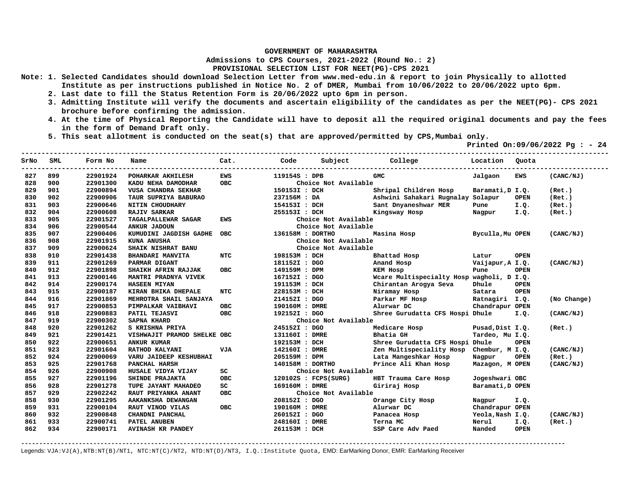**Admissions to CPS Courses, 2021-2022 (Round No.: 2)**

**PROVISIONAL SELECTION LIST FOR NEET(PG)-CPS 2021** 

- **Note: 1. Selected Candidates should download Selection Letter from www.med-edu.in & report to join Physically to allotted Institute as per instructions published in Notice No. 2 of DMER, Mumbai from 10/06/2022 to 20/06/2022 upto 6pm.** 
	- **2. Last date to fill the Status Retention Form is 20/06/2022 upto 6pm in person.**
	- **3. Admitting Institute will verify the documents and ascertain eligibility of the candidates as per the NEET(PG)- CPS 2021 brochure before confirming the admission.**
	- **4. At the time of Physical Reporting the Candidate will have to deposit all the required original documents and pay the fees in the form of Demand Draft only.**
	- **5. This seat allotment is conducted on the seat(s) that are approved/permitted by CPS,Mumbai only.**

 **Printed On:09/06/2022 Pg : - 24** 

| SrNo | SML | Form No  | Name                        | Cat.       | Code             | Subject              | College                                   | Location         | Ouota       |             |
|------|-----|----------|-----------------------------|------------|------------------|----------------------|-------------------------------------------|------------------|-------------|-------------|
| 827  | 899 | 22901924 | POHARKAR AKHILESH           | <b>EWS</b> | 119154S : DPB    |                      | <b>GMC</b>                                | Jalgaon          | <b>EWS</b>  | (CANC/NJ)   |
| 828  | 900 | 22901300 | KADU NEHA DAMODHAR          | <b>OBC</b> |                  | Choice Not Available |                                           |                  |             |             |
| 829  | 901 | 22900894 | VUSA CHANDRA SEKHAR         |            | 150153I : DCH    |                      | Shripal Children Hosp                     | Baramati, D I.Q. |             | (Ret.)      |
| 830  | 902 | 22900906 | TAUR SUPRIYA BABURAO        |            | 237156M : DA     |                      | Ashwini Sahakari Rugnalay Solapur         |                  | <b>OPEN</b> | (Ret.)      |
| 831  | 903 | 22900646 | NITIN CHOUDHARY             |            | 154153I : DCH    |                      | Sant Dnyaneshwar MER                      | Pune             | I.Q.        | (Ret.)      |
| 832  | 904 | 22900608 | <b>RAJIV SARKAR</b>         |            | 255153I : DCH    |                      | Kingsway Hosp                             | Nagpur           | I.Q.        | (Ret.)      |
| 833  | 905 | 22901527 | TAGALPALLEWAR SAGAR         | EWS        |                  | Choice Not Available |                                           |                  |             |             |
| 834  | 906 | 22900544 | ANKUR JADOUN                |            |                  | Choice Not Available |                                           |                  |             |             |
| 835  | 907 | 22900406 | KUMUDINI JAGDISH GADHE      | <b>OBC</b> | 136158M : DORTHO |                      | Masina Hosp                               | Byculla, Mu OPEN |             | (CANC/NJ)   |
| 836  | 908 | 22901915 | KUNA ANUSHA                 |            |                  | Choice Not Available |                                           |                  |             |             |
| 837  | 909 | 22900624 | SHAIK NISHRAT BANU          |            |                  | Choice Not Available |                                           |                  |             |             |
| 838  | 910 | 22901438 | <b>BHANDARI MANVITA</b>     | <b>NTC</b> | 198153M : DCH    |                      | Bhattad Hosp                              | Latur            | <b>OPEN</b> |             |
| 839  | 911 | 22901269 | PARMAR DIGANT               |            | 181152I : DGO    |                      | Anand Hosp                                | Vaijapur, A I.Q. |             | (CANC/NJ)   |
| 840  | 912 | 22901898 | SHAIKH AFRIN RAJJAK         | <b>OBC</b> | 149159M : DPM    |                      | <b>KEM Hosp</b>                           | Pune             | <b>OPEN</b> |             |
| 841  | 913 | 22900146 | MANTRI PRADNYA VIVEK        |            | 167152I : DGO    |                      | Wcare Multispecialty Hosp wagholi, D I.Q. |                  |             |             |
| 842  | 914 | 22900174 | <b>HASEEN MIYAN</b>         |            | 191153M : DCH    |                      | Chirantan Arogya Seva                     | Dhule            | <b>OPEN</b> |             |
| 843  | 915 | 22900187 | KIRAN BHIKA DHEPALE         | <b>NTC</b> | 228153M : DCH    |                      | Niramay Hosp                              | Satara           | <b>OPEN</b> |             |
| 844  | 916 | 22901869 | MEHROTRA SHAIL SANJAYA      |            | 214152I : DGO    |                      | Parkar MF Hosp                            | Ratnagiri I.Q.   |             | (No Change) |
| 845  | 917 | 22900853 | PIMPALKAR VAIBHAVI          | <b>OBC</b> | 190160M : DMRE   |                      | Alurwar DC                                | Chandrapur OPEN  |             |             |
| 846  | 918 | 22900883 | PATIL TEJASVI               | <b>OBC</b> | 192152I : DGO    |                      | Shree Gurudatta CFS Hospi Dhule           |                  | I.Q.        | (CANC/NJ)   |
| 847  | 919 | 22900302 | <b>SAPNA KHARD</b>          |            |                  | Choice Not Available |                                           |                  |             |             |
| 848  | 920 | 22901262 | S KRISHNA PRIYA             |            | 245152I : DGO    |                      | Medicare Hosp                             | Pusad, Dist I.Q. |             | (Ret.)      |
| 849  | 921 | 22901421 | VISHWAJIT PRAMOD SHELKE OBC |            | 131160I : DMRE   |                      | Bhatia GH                                 | Tardeo, Mu I.Q.  |             |             |
| 850  | 922 | 22900651 | <b>ANKUR KUMAR</b>          |            | 192153M : DCH    |                      | Shree Gurudatta CFS Hospi Dhule           |                  | <b>OPEN</b> |             |
| 851  | 923 | 22901604 | RATHOD KALYANI              | <b>VJA</b> | 142160I : DMRE   |                      | Zen Multispeciality Hosp                  | Chembur, M I.Q.  |             | (CANC/NJ)   |
| 852  | 924 | 22900069 | VARU JAIDEEP KESHUBHAI      |            | 205159M : DPM    |                      | Lata Mangeshkar Hosp                      | Nagpur           | <b>OPEN</b> | (Ret.)      |
| 853  | 925 | 22901768 | PANCHAL HARSH               |            | 140158M : DORTHO |                      | Prince Ali Khan Hosp                      | Mazagon, M OPEN  |             | (CANC/NJ)   |
| 854  | 926 | 22900908 | HUSALE VIDYA VIJAY          | sc         |                  | Choice Not Available |                                           |                  |             |             |
| 855  | 927 | 22901196 | SHINDE PRAJAKTA             | <b>OBC</b> |                  | 120102S : FCPS(SURG) | HBT Trauma Care Hosp                      | Jogeshwari OBC   |             |             |
| 856  | 928 | 22901278 | TUPE JAYANT MAHADEO         | SC         | 169160M : DMRE   |                      | Giriraj Hosp                              | Baramati, D OPEN |             |             |
| 857  | 929 | 22902242 | RAUT PRIYANKA ANANT         | OBC        |                  | Choice Not Available |                                           |                  |             |             |
| 858  | 930 | 22901295 | AAKANKSHA DEWANGAN          |            | 208152I : DGO    |                      | Orange City Hosp                          | Nagpur           | I.Q.        |             |
| 859  | 931 | 22900104 | RAUT VINOD VILAS            | OBC.       | 190160M : DMRE   |                      | Alurwar DC                                | Chandrapur OPEN  |             |             |
| 860  | 932 | 22900848 | CHANDNI PANCHAL             |            | 260152I : DGO    |                      | Panacea Hosp                              | Yeola, Nash I.Q. |             | (CANC/NJ)   |
| 861  | 933 | 22900741 | PATEL ANUBEN                |            | 248160I : DMRE   |                      | Terna MC                                  | Nerul            | I.Q.        | (Ret.)      |
| 862  | 934 | 22900171 | <b>AVINASH KR PANDEY</b>    |            | 261153M : DCH    |                      | SSP Care Adv Paed                         | Nanded           | <b>OPEN</b> |             |

**-------------------------------------------------------------------------------------------------------------------------------------------------------**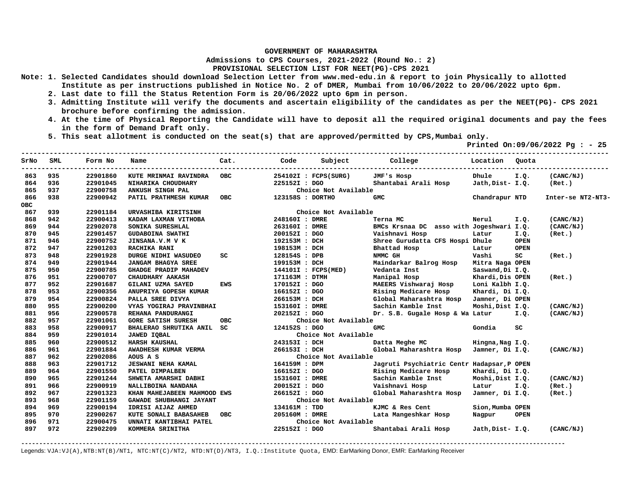**Admissions to CPS Courses, 2021-2022 (Round No.: 2)**

## **PROVISIONAL SELECTION LIST FOR NEET(PG)-CPS 2021**

- **Note: 1. Selected Candidates should download Selection Letter from www.med-edu.in & report to join Physically to allotted Institute as per instructions published in Notice No. 2 of DMER, Mumbai from 10/06/2022 to 20/06/2022 upto 6pm.** 
	- **2. Last date to fill the Status Retention Form is 20/06/2022 upto 6pm in person.**
	- **3. Admitting Institute will verify the documents and ascertain eligibility of the candidates as per the NEET(PG)- CPS 2021 brochure before confirming the admission.**
	- **4. At the time of Physical Reporting the Candidate will have to deposit all the required original documents and pay the fees in the form of Demand Draft only.**
	- **5. This seat allotment is conducted on the seat(s) that are approved/permitted by CPS,Mumbai only.**

 **Printed On:09/06/2022 Pg : - 25** 

| SrNo       | SML | Form No  | Name                         | Cat.       | Code             | Subject              | College                                    | Location         | Ouota       |                   |
|------------|-----|----------|------------------------------|------------|------------------|----------------------|--------------------------------------------|------------------|-------------|-------------------|
| 863        | 935 | 22901860 | KUTE MRINMAI RAVINDRA        | <b>OBC</b> |                  | 254102I : FCPS(SURG) | JMF's Hosp                                 | Dhule            | I.Q.        | (CANC/NJ)         |
| 864        | 936 | 22901045 | NIHARIKA CHOUDHARY           |            | 225152I : DGO    |                      | Shantabai Arali Hosp                       | Jath, Dist- I.Q. |             | (Ret.)            |
| 865        | 937 | 22900758 | ANKUSH SINGH PAL             |            |                  | Choice Not Available |                                            |                  |             |                   |
| 866        | 938 | 22900942 | PATIL PRATHMESH KUMAR        | <b>OBC</b> | 123158S : DORTHO |                      | <b>GMC</b>                                 | Chandrapur NTD   |             | Inter-se NT2-NT3- |
| <b>OBC</b> |     |          |                              |            |                  |                      |                                            |                  |             |                   |
| 867        | 939 | 22901184 | URVASHIBA KIRITSINH          |            |                  | Choice Not Available |                                            |                  |             |                   |
| 868        | 942 | 22900413 | KADAM LAXMAN VITHOBA         |            | 248160I : DMRE   |                      | Terna MC                                   | Nerul            | I.Q.        | (CANC/NJ)         |
| 869        | 944 | 22902078 | SONIKA SURESHLAL             |            | 263160I : DMRE   |                      | BMCs Krsnaa DC asso with Jogeshwari I.Q.   |                  |             | (CANC/NJ)         |
| 870        | 945 | 22901457 | <b>GUDABOINA SWATHI</b>      |            | 200152I: DGO     |                      | Vaishnavi Hosp                             | Latur            | I.Q.        | (Ret.)            |
| 871        | 946 | 22900752 | JINSANA.V.M V K              |            | 192153M : DCH    |                      | Shree Gurudatta CFS Hospi Dhule            |                  | <b>OPEN</b> |                   |
| 872        | 947 | 22901203 | <b>RACHIKA RANI</b>          |            | 198153M : DCH    |                      | Bhattad Hosp                               | Latur            | <b>OPEN</b> |                   |
| 873        | 948 | 22901928 | DURGE NIDHI WASUDEO          | SC.        | 128154S : DPB    |                      | NMMC GH                                    | Vashi            | SC          | (Ret.)            |
| 874        | 949 | 22901944 | <b>JANGAM BHAGYA SREE</b>    |            | 199153M : DCH    |                      | Maindarkar Balrog Hosp                     | Mitra Naga OPEN  |             |                   |
| 875        | 950 | 22900785 | <b>GHADGE PRADIP MAHADEV</b> |            |                  | 144101I : FCPS(MED)  | Vedanta Inst                               | Saswand, Di I.Q. |             |                   |
| 876        | 951 | 22900707 | CHAUDHARY AAKASH             |            | 171163M : DTMH   |                      | Manipal Hosp                               | Khardi, Dis OPEN |             | (Ret.)            |
| 877        | 952 | 22901687 | <b>GILANI UZMA SAYED</b>     | <b>EWS</b> | 170152I : DGO    |                      | MAEERS Vishwaraj Hosp                      | Loni Kalbh I.Q.  |             |                   |
| 878        | 953 | 22900356 | ANUPRIYA GOPESH KUMAR        |            | 166152I : DGO    |                      | Rising Medicare Hosp                       | Khardi, Di I.Q.  |             |                   |
| 879        | 954 | 22900824 | PALLA SREE DIVYA             |            | 266153M : DCH    |                      | Global Maharashtra Hosp                    | Jamner, Di OPEN  |             |                   |
| 880        | 955 | 22900200 | VYAS YOGIRAJ PRAVINBHAI      |            | 153160I : DMRE   |                      | Sachin Kamble Inst                         | Moshi, Dist I.Q. |             | (CANC/NJ)         |
| 881        | 956 | 22900578 | REHANA PANDURANGI            |            | 202152I : DGO    |                      | Dr. S.B. Gugale Hosp & Wa Latur            |                  | I.Q.        | (CANC/NJ)         |
| 882        | 957 | 22901061 | <b>GORE SATISH SURESH</b>    | <b>OBC</b> |                  | Choice Not Available |                                            |                  |             |                   |
| 883        | 958 | 22900917 | BHALERAO SHRUTIKA ANIL SC    |            | 124152S : DGO    |                      | <b>GMC</b>                                 | Gondia           | SC          |                   |
| 884        | 959 | 22901014 | JAWED IQBAL                  |            |                  | Choice Not Available |                                            |                  |             |                   |
| 885        | 960 | 22900512 | <b>HARSH KAUSHAL</b>         |            | 243153I : DCH    |                      | Datta Meghe MC                             | Hingna, Nag I.Q. |             |                   |
| 886        | 961 | 22901884 | AWADHESH KUMAR VERMA         |            | 266153I : DCH    |                      | Global Maharashtra Hosp Jamner, Di I.Q.    |                  |             | (CANC/NJ)         |
| 887        | 962 | 22902086 | AOUS A S                     |            |                  | Choice Not Available |                                            |                  |             |                   |
| 888        | 963 | 22901712 | <b>JESWANI NEHA KAMAL</b>    |            | 164159M : DPM    |                      | Jagruti Psychiatric Centr Hadapsar, P OPEN |                  |             |                   |
| 889        | 964 | 22901550 | PATEL DIMPALBEN              |            | 166152I : DGO    |                      | Rising Medicare Hosp                       | Khardi, Di I.Q.  |             |                   |
| 890        | 965 | 22901244 | SHWETA AMARSHI DABHI         |            | 153160I : DMRE   |                      | Sachin Kamble Inst                         | Moshi, Dist I.Q. |             | (CANC/NJ)         |
| 891        | 966 | 22900919 | NALLIBOINA NANDANA           |            | 200152I : DGO    |                      | Vaishnavi Hosp                             | Latur            | I.Q.        | (Ret.)            |
| 892        | 967 | 22901323 | KHAN MAHEJABEEN MAHMOOD EWS  |            | 266152I : DGO    |                      | Global Maharashtra Hosp                    | Jamner, Di I.Q.  |             | (Ret.)            |
| 893        | 968 | 22901159 | GAWADE SHUBHANGI JAYANT      |            |                  | Choice Not Available |                                            |                  |             |                   |
| 894        | 969 | 22900194 | IDRISI AIJAZ AHMED           |            | 134161M : TDD    |                      | KJMC & Res Cent                            | Sion, Mumba OPEN |             |                   |
| 895        | 970 | 22900267 | KUTE SONALI BABASAHEB        | <b>OBC</b> | 205160M : DMRE   |                      | Lata Mangeshkar Hosp                       | Nagpur           | <b>OPEN</b> |                   |
| 896        | 971 | 22900475 | UNNATI KANTIBHAI PATEL       |            |                  | Choice Not Available |                                            |                  |             |                   |
| 897        | 972 | 22902209 | KOMMERA SRINITHA             |            | 225152I : DGO    |                      | Shantabai Arali Hosp                       | Jath, Dist- I.Q. |             | (CANC/NJ)         |

**-------------------------------------------------------------------------------------------------------------------------------------------------------**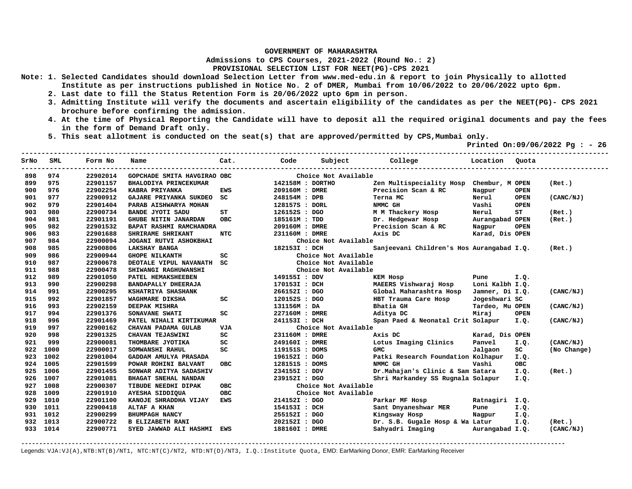**Admissions to CPS Courses, 2021-2022 (Round No.: 2)**

**PROVISIONAL SELECTION LIST FOR NEET(PG)-CPS 2021** 

- **Note: 1. Selected Candidates should download Selection Letter from www.med-edu.in & report to join Physically to allotted Institute as per instructions published in Notice No. 2 of DMER, Mumbai from 10/06/2022 to 20/06/2022 upto 6pm.** 
	- **2. Last date to fill the Status Retention Form is 20/06/2022 upto 6pm in person.**
	- **3. Admitting Institute will verify the documents and ascertain eligibility of the candidates as per the NEET(PG)- CPS 2021 brochure before confirming the admission.**
	- **4. At the time of Physical Reporting the Candidate will have to deposit all the required original documents and pay the fees in the form of Demand Draft only.**
	- **5. This seat allotment is conducted on the seat(s) that are approved/permitted by CPS,Mumbai only.**

 **Printed On:09/06/2022 Pg : - 26** 

| SrNo | SML      | Form No  | Name                        | Cat.       | Code             | Subject              | College                                   | Location        | Ouota       |             |
|------|----------|----------|-----------------------------|------------|------------------|----------------------|-------------------------------------------|-----------------|-------------|-------------|
| 898  | 974      | 22902014 | GOPCHADE SMITA HAVGIRAO OBC |            |                  | Choice Not Available |                                           |                 |             |             |
| 899  | 975      | 22901157 | BHALODIYA PRINCEKUMAR       |            | 142158M : DORTHO |                      | Zen Multispeciality Hosp Chembur, M OPEN  |                 |             | (Ret.)      |
| 900  | 976      | 22902254 | KABRA PRIYANKA              | EWS        | 209160M : DMRE   |                      | Precision Scan & RC                       | Nagpur          | <b>OPEN</b> |             |
| 901  | 977      | 22900912 | GAJARE PRIYANKA SUKDEO      | sc         | 248154M : DPB    |                      | Terna MC                                  | Nerul           | <b>OPEN</b> | (CANC/NJ)   |
| 902  | 979      | 22901404 | PARAB AISHWARYA MOHAN       |            | 128157S : DORL   |                      | NMMC GH                                   | Vashi           | <b>OPEN</b> |             |
| 903  | 980      | 22900734 | <b>BANDE JYOTI SADU</b>     | ST         | 126152S : DGO    |                      | M M Thackery Hosp                         | Nerul           | ST          | (Ret.)      |
| 904  | 981      | 22901191 | <b>GHUBE NITIN JANARDAN</b> | <b>OBC</b> | 185161M : TDD    |                      | Dr. Hedgewar Hosp                         | Aurangabad OPEN |             | (Ret.)      |
| 905  | 982      | 22901532 | BAPAT RASHMI RAMCHANDRA     |            | 209160M : DMRE   |                      | Precision Scan & RC                       | Nagpur          | <b>OPEN</b> |             |
| 906  | 983      | 22901688 | SHRIRAME SHRIKANT           | NTC        | 231160M : DMRE   |                      | Axis DC                                   | Karad, Dis OPEN |             |             |
| 907  | 984      | 22900094 | JOGANI RUTVI ASHOKBHAI      |            |                  | Choice Not Available |                                           |                 |             |             |
| 908  | 985      | 22900806 | <b>LAKSHAY BANGA</b>        |            | 182153I : DCH    |                      | Sanjeevani Children's Hos Aurangabad I.Q. |                 |             | (Ret.)      |
| 909  | 986      | 22900944 | <b>GHOPE NILKANTH</b>       | SC         |                  | Choice Not Available |                                           |                 |             |             |
| 910  | 987      | 22900678 | DEOTALE VIPUL NAVANATH SC   |            |                  | Choice Not Available |                                           |                 |             |             |
| 911  | 988      | 22900478 | SHIWANGI RAGHUWANSHI        |            |                  | Choice Not Available |                                           |                 |             |             |
| 912  | 989      | 22901050 | PATEL HEMAKSHEEBEN          |            | 149155I : DDV    |                      | <b>KEM Hosp</b>                           | Pune            | I.Q.        |             |
| 913  | 990      | 22900298 | BANDAPALLY DHEERAJA         |            | 170153I : DCH    |                      | MAEERS Vishwaraj Hosp                     | Loni Kalbh I.Q. |             |             |
| 914  | 991      | 22900295 | KSHATRIYA SHASHANK          |            | 266152I : DGO    |                      | Global Maharashtra Hosp                   | Jamner, Di I.Q. |             | (CANC/NJ)   |
| 915  | 992      | 22901857 | WAGHMARE DIKSHA             | sc         | 120152S : DGO    |                      | HBT Trauma Care Hosp                      | Jogeshwari SC   |             |             |
| 916  | 993      | 22902159 | <b>DEEPAK MISHRA</b>        |            | 131156M : DA     |                      | Bhatia GH                                 | Tardeo, Mu OPEN |             | (CANC/NJ)   |
| 917  | 994      | 22901376 | SONAVANE SWATI              | SC         | 227160M : DMRE   |                      | Aditya DC                                 | Miraj           | <b>OPEN</b> |             |
| 918  | 996      | 22901469 | PATEL NIHALI KIRTIKUMAR     |            | 241153I : DCH    |                      | Span Paed & Neonatal Crit Solapur         |                 | I.Q.        | (CANC/NJ)   |
| 919  | 997      | 22900162 | CHAVAN PADAMA GULAB         | <b>VJA</b> |                  | Choice Not Available |                                           |                 |             |             |
| 920  | 998      | 22901325 | CHAVAN TEJASWINI            | SC         | 231160M : DMRE   |                      | Axis DC                                   | Karad, Dis OPEN |             |             |
| 921  | 999      | 22900081 | THOMBARE JYOTIKA            | SC         | 249160I : DMRE   |                      | Lotus Imaging Clinics                     | Panvel          | I.Q.        | (CANC/NJ)   |
| 922  | 1000     | 22900017 | SOMWANSHI RAHUL             | SC         | 119151S : DOMS   |                      | <b>GMC</b>                                | Jalgaon         | SC          | (No Change) |
| 923  | 1002     | 22901004 | GADDAM AMULYA PRASADA       |            | 196152I : DGO    |                      | Patki Research Foundation Kolhapur        |                 | I.Q.        |             |
| 924  | 1005     | 22901599 | POWAR ROHINI BALVANT        | OBC.       | 128151S : DOMS   |                      | NMMC GH                                   | Vashi           | <b>OBC</b>  |             |
| 925  | 1006     | 22901455 | SONWAR ADITYA SADASHIV      |            | 234155I : DDV    |                      | Dr.Mahajan's Clinic & Sam Satara          |                 | I.Q.        | (Ret.)      |
| 926  | 1007     | 22901081 | BHAGAT SNEHAL NANDAN        |            | 239152I : DGO    |                      | Shri Markandey SS Rugnala Solapur         |                 | I.O.        |             |
| 927  | 1008     | 22900307 | TIBUDE NEEDHI DIPAK         | <b>OBC</b> |                  | Choice Not Available |                                           |                 |             |             |
| 928  | 1009     | 22901910 | AYESHA SIDDIQUA             | <b>OBC</b> |                  | Choice Not Available |                                           |                 |             |             |
| 929  | 1010     | 22901100 | KANOJE SHRADDHA VIJAY       | <b>EWS</b> | 214152I : DGO    |                      | Parkar MF Hosp                            | Ratnagiri I.Q.  |             |             |
| 930  | 1011     | 22900418 | ALTAF A KHAN                |            | 154153I : DCH    |                      | Sant Dnyaneshwar MER                      | Pune            | I.Q.        |             |
| 931  | 1012     | 22900299 | BHUMPAGH NANCY              |            | 255152I : DGO    |                      | Kingsway Hosp                             | Nagpur          | I.Q.        |             |
| 932  | 1013     | 22900722 | <b>B ELIZABETH RANI</b>     |            | 202152I : DGO    |                      | Dr. S.B. Gugale Hosp & Wa Latur           |                 | I.Q.        | (Ret.)      |
|      | 933 1014 | 22900771 | SYED JAWWAD ALI HASHMI EWS  |            | 188160I : DMRE   |                      | Sahyadri Imaging                          | Aurangabad I.Q. |             | (CANC/NJ)   |
|      |          |          |                             |            |                  |                      |                                           |                 |             |             |

**-------------------------------------------------------------------------------------------------------------------------------------------------------**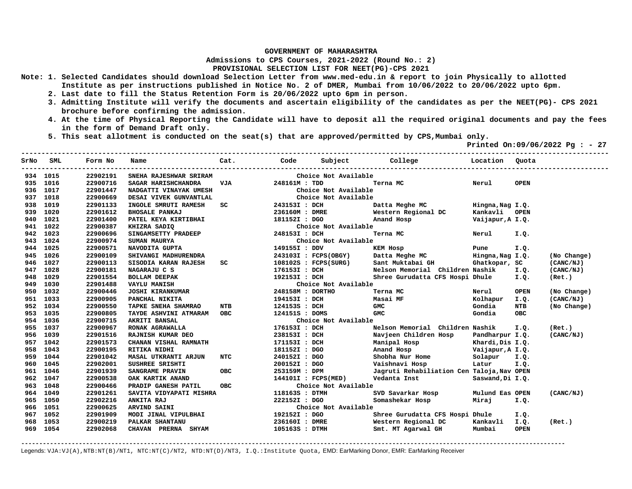**Admissions to CPS Courses, 2021-2022 (Round No.: 2)**

## **PROVISIONAL SELECTION LIST FOR NEET(PG)-CPS 2021**

- **Note: 1. Selected Candidates should download Selection Letter from www.med-edu.in & report to join Physically to allotted Institute as per instructions published in Notice No. 2 of DMER, Mumbai from 10/06/2022 to 20/06/2022 upto 6pm.** 
	- **2. Last date to fill the Status Retention Form is 20/06/2022 upto 6pm in person.**
	- **3. Admitting Institute will verify the documents and ascertain eligibility of the candidates as per the NEET(PG)- CPS 2021 brochure before confirming the admission.**
	- **4. At the time of Physical Reporting the Candidate will have to deposit all the required original documents and pay the fees in the form of Demand Draft only.**
	- **5. This seat allotment is conducted on the seat(s) that are approved/permitted by CPS,Mumbai only.**

 **Printed On:09/06/2022 Pg : - 27** 

| SrNo | SML      | Form No  | Name                                                                 | Cat.                                                                                                                                                                                                                                     | Code             |                      | Subject College                                 | Location Ouota   |             |             |
|------|----------|----------|----------------------------------------------------------------------|------------------------------------------------------------------------------------------------------------------------------------------------------------------------------------------------------------------------------------------|------------------|----------------------|-------------------------------------------------|------------------|-------------|-------------|
|      | 934 1015 | 22902191 | SNEHA RAJESHWAR SRIRAM                                               |                                                                                                                                                                                                                                          |                  | Choice Not Available |                                                 |                  |             |             |
| 935  | 1016     | 22900716 | SAGAR HARISHCHANDRA                                                  | <b>VJA</b>                                                                                                                                                                                                                               | 248161M : TDD    |                      | Terna MC                                        | Nerul            | <b>OPEN</b> |             |
| 936  | 1017     | 22901447 | NADGATTI VINAYAK UMESH                                               |                                                                                                                                                                                                                                          |                  | Choice Not Available |                                                 |                  |             |             |
| 937  | 1018     | 22900669 | DESAI VIVEK GUNVANTLAL                                               |                                                                                                                                                                                                                                          |                  | Choice Not Available |                                                 |                  |             |             |
| 938  | 1019     | 22901133 | INGOLE SMRUTI RAMESH                                                 | SC <sub>2</sub> and the set of the set of the set of the set of the set of the set of the set of the set of the set of the set of the set of the set of the set of the set of the set of the set of the set of the set of the set of the | 243153I : DCH    |                      | Datta Meghe MC                                  | Hingna, Nag I.Q. |             |             |
| 939  | 1020     | 22901612 | <b>BHOSALE PANKAJ</b>                                                |                                                                                                                                                                                                                                          |                  |                      | 236160M: DMRE Western Regional DC Kankavli OPEN |                  |             |             |
| 940  | 1021     | 22901400 | <b>PATEL KEYA KIRTIBHAI<br/>KHIZRA SADIQ<br/>SINGAMSETTY PRADEEP</b> |                                                                                                                                                                                                                                          | 181152I : DGO    |                      | Anand Hosp                                      | Vaijapur, A I.Q. |             |             |
| 941  | 1022     | 22900387 |                                                                      |                                                                                                                                                                                                                                          |                  | Choice Not Available |                                                 |                  |             |             |
| 942  | 1023     | 22900696 |                                                                      |                                                                                                                                                                                                                                          | 248153I : DCH    |                      | Terna MC                                        | Nerul            | I.Q.        |             |
| 943  | 1024     | 22900974 | SUMAN MAURYA                                                         |                                                                                                                                                                                                                                          |                  | Choice Not Available |                                                 |                  |             |             |
| 944  | 1025     | 22900571 | NAVODITA GUPTA                                                       |                                                                                                                                                                                                                                          | 149155I : DDV    |                      | <b>Example 18 Pune</b><br>KEM Hosp              |                  | I.Q.        |             |
| 945  | 1026     | 22900109 | SHIVANGI MADHURENDRA                                                 |                                                                                                                                                                                                                                          |                  | 243103I : FCPS(OBGY) | Datta Meghe MC Mingna, Nag I.Q.                 |                  |             | (No Change) |
| 946  | 1027     | 22900113 | SISODIA KARAN RAJESH                                                 | SC                                                                                                                                                                                                                                       |                  |                      | 108102S : FCPS(SURG) Sant Muktabai GH           | Ghatkopar, SC    |             | (CANC/NJ)   |
| 947  | 1028     | 22900181 | NAGARAJU C S                                                         |                                                                                                                                                                                                                                          | 176153I : DCH    |                      | Nelson Memorial Children Nashik                 |                  | I.Q.        | (CANC/NJ)   |
| 948  | 1029     | 22901554 | <b>BOLLAM DEEPAK</b>                                                 |                                                                                                                                                                                                                                          | 192153I : DCH    |                      | Shree Gurudatta CFS Hospi Dhule                 |                  | I.Q.        | (Ret.)      |
| 949  | 1030     | 22901488 | <b>VAYLU MANISH</b>                                                  |                                                                                                                                                                                                                                          |                  | Choice Not Available |                                                 |                  |             |             |
| 950  | 1032     | 22900446 | <b>JOSHI KIRANKUMAR</b>                                              |                                                                                                                                                                                                                                          | 248158M : DORTHO |                      | Terna MC                                        | Nerul            | <b>OPEN</b> | (No Change) |
| 951  | 1033     | 22900905 | PANCHAL NIKITA                                                       |                                                                                                                                                                                                                                          | 194153I : DCH    |                      | Masai MF                                        | Kolhapur         | I.Q.        | (CANC/NJ)   |
| 952  | 1034     | 22900550 | TAPKE SNEHA SHAMRAO                                                  | <b>NTB</b>                                                                                                                                                                                                                               | 124153S : DCH    |                      | <b>GMC</b>                                      | Gondia           | NTB         | (No Change) |
| 953  | 1035     | 22900805 | TAYDE ASHVINI ATMARAM OBC                                            |                                                                                                                                                                                                                                          | 124151S : DOMS   |                      | <b>GMC</b>                                      | Gondia           | <b>OBC</b>  |             |
| 954  | 1036     | 22900715 | AKRITI BANSAL                                                        |                                                                                                                                                                                                                                          |                  | Choice Not Available |                                                 |                  |             |             |
| 955  | 1037     | 22900967 | RONAK AGRAWALLA                                                      |                                                                                                                                                                                                                                          | 176153I : DCH    |                      | Nelson Memorial Children Nashik                 |                  | I.Q.        | (Ret.)      |
| 956  | 1039     | 22901516 | RAJNISH KUMAR DEO                                                    |                                                                                                                                                                                                                                          | 238153I : DCH    |                      | Navjeen Children Hosp                           | Pandharpur I.Q.  |             | (CANC/NJ)   |
| 957  | 1042     | 22901573 | CHANAN VISHAL RAMNATH                                                |                                                                                                                                                                                                                                          | 171153I : DCH    |                      | Manipal Hosp                                    | Khardi,Dis I.Q.  |             |             |
| 958  | 1043     | 22900195 | RITIKA NIDHI                                                         |                                                                                                                                                                                                                                          | 181152I : DGO    |                      | Anand Hosp Vaijapur, A I.Q.                     |                  |             |             |
| 959  | 1044     | 22901042 | <b>MASAL UTKRANTI ARJUN</b>                                          | <b>NTC</b>                                                                                                                                                                                                                               | 240152I : DGO    |                      | Shobha Nur Home Solapur I.Q.                    |                  |             |             |
| 960  | 1045     | 22902001 | SUSHREE SRISHTI                                                      |                                                                                                                                                                                                                                          | 200152I : DGO    |                      | Vaishnavi Hosp                                  | Latur            | I.Q.        |             |
| 961  | 1046     | 22901939 | SANGRAME PRAVIN                                                      | OBC                                                                                                                                                                                                                                      | 253159M : DPM    |                      | Jagruti Rehabiliation Cen Taloja, Nav OPEN      |                  |             |             |
| 962  | 1047     | 22900538 | OAK KARTIK ANAND                                                     |                                                                                                                                                                                                                                          |                  | 144101I : FCPS(MED)  | Vedanta Inst                                    | Saswand, Di I.Q. |             |             |
| 963  | 1048     | 22900466 | PRADIP GANESH PATIL                                                  | <b>OBC</b>                                                                                                                                                                                                                               |                  | Choice Not Available |                                                 |                  |             |             |
| 964  | 1049     | 22901261 | SAVITA VIDYAPATI MISHRA                                              |                                                                                                                                                                                                                                          | 118163S : DTMH   |                      | SVD Savarkar Hosp                               | Mulund Eas OPEN  |             | (CANC/NJ)   |
| 965  | 1050     | 22902216 |                                                                      |                                                                                                                                                                                                                                          | 222152I : DGO    |                      | Somashekar Hosp                                 | Miraj            | I.Q.        |             |
| 966  | 1051     | 22900625 | ANKITA RAJ<br>ANKITA RAJ<br>ARVIND SAINI<br>MODI JINAL VIPULBHAI     |                                                                                                                                                                                                                                          |                  | Choice Not Available |                                                 |                  |             |             |
| 967  | 1052     | 22901909 |                                                                      |                                                                                                                                                                                                                                          | 192152I : DGO    |                      | Shree Gurudatta CFS Hospi Dhule                 |                  | I.Q.        |             |
| 968  | 1053     | 22900219 | PALKAR SHANTANU                                                      |                                                                                                                                                                                                                                          | 236160I : DMRE   |                      | Western Regional DC                             | Kankavli         | I.Q.        | (Ret.)      |
|      | 969 1054 | 22902068 | CHAVAN PRERNA SHYAM                                                  |                                                                                                                                                                                                                                          | 105163S : DTMH   |                      | Smt. MT Agarwal GH                              | Mumbai           | <b>OPEN</b> |             |

**-------------------------------------------------------------------------------------------------------------------------------------------------------**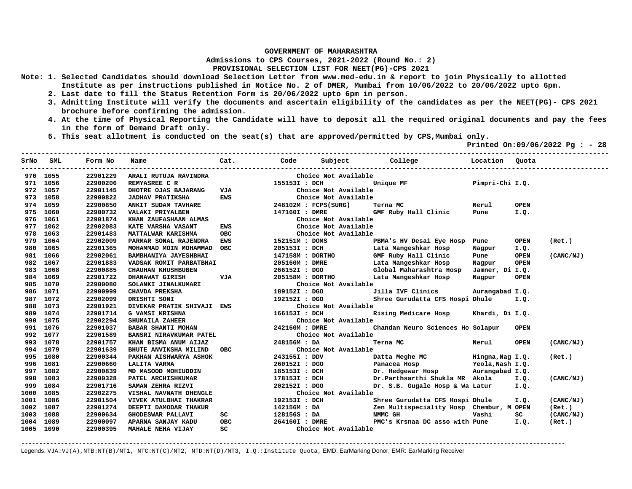**Admissions to CPS Courses, 2021-2022 (Round No.: 2)**

**PROVISIONAL SELECTION LIST FOR NEET(PG)-CPS 2021** 

- **Note: 1. Selected Candidates should download Selection Letter from www.med-edu.in & report to join Physically to allotted Institute as per instructions published in Notice No. 2 of DMER, Mumbai from 10/06/2022 to 20/06/2022 upto 6pm.** 
	- **2. Last date to fill the Status Retention Form is 20/06/2022 upto 6pm in person.**
	- **3. Admitting Institute will verify the documents and ascertain eligibility of the candidates as per the NEET(PG)- CPS 2021 brochure before confirming the admission.**
	- **4. At the time of Physical Reporting the Candidate will have to deposit all the required original documents and pay the fees in the form of Demand Draft only.**

**-------------------------------------------------------------------------------------------------------------------------------------------------** 

 **5. This seat allotment is conducted on the seat(s) that are approved/permitted by CPS,Mumbai only.** 

 **Printed On:09/06/2022 Pg : - 28** 

|           | SrNo SML | Form No  | Name                                                                                                                                                                                                                                     |                          |                |                      |                                                      |        |             |           |
|-----------|----------|----------|------------------------------------------------------------------------------------------------------------------------------------------------------------------------------------------------------------------------------------------|--------------------------|----------------|----------------------|------------------------------------------------------|--------|-------------|-----------|
|           | 970 1055 | 22901229 | ARALI RUTUJA RAVINDRA                                                                                                                                                                                                                    |                          |                | Choice Not Available |                                                      |        |             |           |
| 971       | 1056     | 22900206 | REMYASREE C R<br>DHOTRE OJAS BAJARANG VJA VJA                                                                                                                                                                                            |                          | 155153I : DCH  |                      | Unique MF<br>Pimpri-Chi I.Q.                         |        |             |           |
| 972       | 1057     | 22901145 |                                                                                                                                                                                                                                          |                          |                | Choice Not Available |                                                      |        |             |           |
| 973       | 1058     | 22900822 | <b>JADHAV PRATIKSHA</b>                                                                                                                                                                                                                  | EWS                      |                | Choice Not Available |                                                      |        |             |           |
| 974       | 1059     | 22900850 | ANKIT SUDAM TAVHARE                                                                                                                                                                                                                      |                          |                | 248102M : FCPS(SURG) | <b>Example 2018</b> Nerul<br>Terna MC                |        | <b>OPEN</b> |           |
|           | 975 1060 | 22900732 | VALAKI PRIYALBEN                                                                                                                                                                                                                         |                          | 147160I : DMRE |                      | GMF Ruby Hall Clinic Pune                            |        | I.Q.        |           |
| 976       | 1061     | 22901874 | KHAN ZAUFASHAAN ALMAS                                                                                                                                                                                                                    |                          |                | Choice Not Available |                                                      |        |             |           |
|           | 977 1062 | 22902083 | KATE VARSHA VASANT                                                                                                                                                                                                                       | <b>EWS</b>               |                | Choice Not Available |                                                      |        |             |           |
| 978       | 1063     | 22901483 | MATTALWAR KARISHMA                                                                                                                                                                                                                       | OBC                      |                | Choice Not Available |                                                      |        |             |           |
| 979       | 1064     | 22902009 | PARMAR SONAL RAJENDRA EWS                                                                                                                                                                                                                |                          | 152151M : DOMS |                      | PBMA's HV Desai Eye Hosp Pune                        |        | <b>OPEN</b> | (Ret.)    |
| 980       | 1065     | 22901365 | MOHAMMAD MOIN MOHAMMAD OBC                                                                                                                                                                                                               |                          | 205153I : DCH  |                      | Lata Mangeshkar Hosp                                 | Nagpur | I.Q.        |           |
| 981       | 1066     | 22902061 | BAMBHANIYA JAYESHBHAI                                                                                                                                                                                                                    |                          |                |                      | GMF Ruby Hall Clinic                                 | Pune   | <b>OPEN</b> | (CANC/NJ) |
| 982       | 1067     | 22901883 | VADSAK ROMIT PARBATBHAI                                                                                                                                                                                                                  |                          |                |                      |                                                      |        |             |           |
| 983       | 1068     | 22900885 | <b>CHAUHAN KHUSHBUBEN</b>                                                                                                                                                                                                                |                          |                |                      |                                                      |        |             |           |
| 984       | 1069     | 22901722 | DHANAWAT GIRISH                                                                                                                                                                                                                          | VJA                      |                |                      | 205158M : DORTHO Lata Mangeshkar Hosp                | Nagpur | <b>OPEN</b> |           |
| 985       | 1070     | 22900080 | SOLANKI JINALKUMARI                                                                                                                                                                                                                      | 1891<br>  1891<br>  1921 |                | Choice Not Available |                                                      |        |             |           |
|           | 986 1071 | 22900999 | CHAVDA PREKSHA                                                                                                                                                                                                                           |                          | 189152I : DGO  |                      | Jilla IVF Clinics Aurangabad I.Q.                    |        |             |           |
| 987       | 1072     | 22902099 | DRISHTI SONI                                                                                                                                                                                                                             |                          |                | 192152I : DGO        | Shree Gurudatta CFS Hospi Dhule                      |        | I.Q.        |           |
| 988       | 1073     | 22901921 | DIVEKAR PRATIK SHIVAJI EWS                                                                                                                                                                                                               |                          |                | Choice Not Available |                                                      |        |             |           |
|           | 989 1074 | 22901714 | CONSTANT PARILA SHIVANI EWS<br>G VAMIL SHIVANI EWS<br>G VAMIL SHIVANI IN SHIVANI DESERTED SHIVANIA ZAHEER<br>BABAR SHANTI MOHAN 242160M : DMRE C<br>BANSRI NIRAVKUMAR PATEL CHOICE NOT AVAILAble<br>EMNSRI NIRAVKUMAR PATEL CHOICE NOT A |                          |                |                      | Rising Medicare Hosp Khardi, Di I.Q.                 |        |             |           |
|           | 990 1075 | 22902294 |                                                                                                                                                                                                                                          |                          |                |                      |                                                      |        |             |           |
| 991       | 1076     | 22901037 |                                                                                                                                                                                                                                          |                          |                |                      | Chandan Neuro Sciences Ho Solapur                    |        | <b>OPEN</b> |           |
|           | 992 1077 | 22901589 |                                                                                                                                                                                                                                          |                          |                |                      |                                                      |        |             |           |
|           | 993 1078 | 22901757 |                                                                                                                                                                                                                                          |                          |                |                      | Terna MC                                             | Nerul  | <b>OPEN</b> | (CANC/NJ) |
|           | 994 1079 | 22901639 |                                                                                                                                                                                                                                          |                          |                |                      |                                                      |        |             |           |
|           | 995 1080 | 22900344 | PAKHAN AISHWARYA ASHOK<br>LALITA VARMA<br>MD MASOOD MOHIUDDIN                                                                                                                                                                            |                          |                |                      |                                                      |        |             | (Ret.)    |
| 996       | 1081     | 22900660 |                                                                                                                                                                                                                                          |                          |                |                      |                                                      |        |             |           |
| 997       | 1082     | 22900839 |                                                                                                                                                                                                                                          |                          |                |                      |                                                      |        |             |           |
| 998       | 1083     | 22900328 | PATEL ARCHISHKUMAR                                                                                                                                                                                                                       |                          | 178153I : DCH  |                      | Dr.Parthsarthi Shukla MR Akola I.Q.                  |        |             | (CANC/NJ) |
| 999       | 1084     | 22901716 | SAMAN ZEHRA RIZVI                                                                                                                                                                                                                        |                          | 202152I : DGO  |                      | Dr. S.B. Gugale Hosp & Wa Latur I.Q.                 |        |             |           |
| 1000      | 1085     | 22902275 | VISHAL NAVNATH DHENGLE                                                                                                                                                                                                                   |                          |                | Choice Not Available |                                                      |        |             |           |
| 1001      | 1086     | 22901504 | VIVEK ATULBHAI THAKRAR                                                                                                                                                                                                                   |                          |                | 192153I : DCH        | Shree Gurudatta CFS Hospi Dhule                      |        | I.Q.        | (CANC/NJ) |
| 1002      | 1087     | 22901274 | DEEPTI DAMODAR THAKUR                                                                                                                                                                                                                    |                          |                |                      | 142156M: DA Zen Multispeciality Hosp Chembur, M OPEN |        |             | (Ret.)    |
| 1003      | 1088     | 22900634 | GHODESWAR PALLAVI                                                                                                                                                                                                                        | SC                       |                | 128156S : DA         | NMMC GH                                              | Vashi  | SC          | (CANC/NJ) |
| 1004      | 1089     | 22900097 | APARNA SANJAY KADU                                                                                                                                                                                                                       | OBC                      | 264160I : DMRE |                      | PMC's Krsnaa DC asso with Pune 1.0.                  |        |             | (Ret.)    |
| 1005 1090 |          | 22900395 | <b>MAHALE NEHA VIJAY</b>                                                                                                                                                                                                                 | SC                       |                | Choice Not Available |                                                      |        |             |           |

**-------------------------------------------------------------------------------------------------------------------------------------------------------**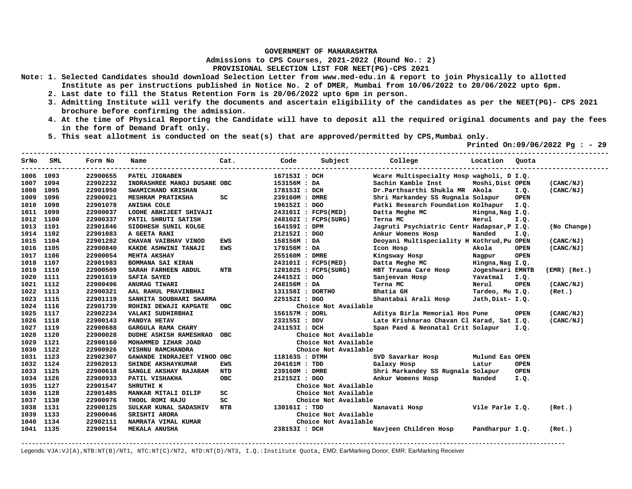**Admissions to CPS Courses, 2021-2022 (Round No.: 2)**

**PROVISIONAL SELECTION LIST FOR NEET(PG)-CPS 2021** 

- **Note: 1. Selected Candidates should download Selection Letter from www.med-edu.in & report to join Physically to allotted Institute as per instructions published in Notice No. 2 of DMER, Mumbai from 10/06/2022 to 20/06/2022 upto 6pm.** 
	- **2. Last date to fill the Status Retention Form is 20/06/2022 upto 6pm in person.**
	- **3. Admitting Institute will verify the documents and ascertain eligibility of the candidates as per the NEET(PG)- CPS 2021 brochure before confirming the admission.**
	- **4. At the time of Physical Reporting the Candidate will have to deposit all the required original documents and pay the fees in the form of Demand Draft only.**
	- **5. This seat allotment is conducted on the seat(s) that are approved/permitted by CPS,Mumbai only.**

 **Printed On:09/06/2022 Pg : - 29** 

|           | SrNo SML | Form No  | Name                        | Cat.       | Code             | Subject              | College                                    | Location Quota   |             |                  |
|-----------|----------|----------|-----------------------------|------------|------------------|----------------------|--------------------------------------------|------------------|-------------|------------------|
| 1006 1093 |          | 22900655 | PATEL JIGNABEN              |            | 167153I : DCH    |                      | Weare Multispecialty Hosp wagholi, D I.Q.  |                  |             |                  |
| 1007      | 1094     | 22902232 | INDRASHREE MANOJ DUSANE OBC |            | 153156M : DA     |                      | Sachin Kamble Inst                         | Moshi, Dist OPEN |             | (CANC/NJ)        |
| 1008      | 1095     | 22901950 | SWAMICHAND KRISHAN          |            | 178153I : DCH    |                      | Dr.Parthsarthi Shukla MR Akola             |                  | I.Q.        | (CANC/NJ)        |
| 1009      | 1096     | 22900021 | <b>MESHRAM PRATIKSHA</b>    | SC         | 239160M : DMRE   |                      | Shri Markandey SS Rugnala Solapur          |                  | <b>OPEN</b> |                  |
| 1010      | 1098     | 22901078 | <b>ANISHA COLE</b>          |            | 196152I : DGO    |                      | Patki Research Foundation Kolhapur         |                  | I.Q.        |                  |
| 1011      | 1099     | 22900037 | LODHE ABHIJEET SHIVAJI      |            |                  | 243101I : FCPS(MED)  | Datta Meghe MC                             | Hingna, Nag I.Q. |             |                  |
| 1012      | 1100     | 22900337 | PATIL SHRUTI SATISH         |            |                  | 248102I : FCPS(SURG) | Terna MC                                   | Nerul            | I.Q.        |                  |
| 1013      | 1101     | 22901846 | SIDDHESH SUNIL KOLGE        |            | 164159I : DPM    |                      | Jagruti Psychiatric Centr Hadapsar, P I.Q. |                  |             | (No Change)      |
| 1014      | 1102     | 22901083 | A GEETA RANI                |            | 212152I : DGO    |                      | Ankur Womens Hosp                          | Nanded           | I.Q.        |                  |
| 1015      | 1104     | 22901282 | CHAVAN VAIBHAV VINOD        | <b>EWS</b> | 158156M : DA     |                      | Deoyani Multispeciality H Kothrud, Pu OPEN |                  |             | (CANC/NJ)        |
| 1016      | 1105     | 22900840 | KAKDE ASHWINI TANAJI        | <b>EWS</b> | 179156M: DA      |                      | Icon Hosp                                  | Akola            | <b>OPEN</b> | (CANC/NJ)        |
| 1017      | 1106     | 22900054 | MEHTA AKSHAY                |            | 255160M : DMRE   |                      | Kingsway Hosp                              | Nagpur           | <b>OPEN</b> |                  |
| 1018      | 1107     | 22901983 | BOMMANA SAI KIRAN           |            |                  | 243101I : FCPS(MED)  | Datta Meghe MC                             | Hingna, Nag I.Q. |             |                  |
| 1019      | 1110     | 22900509 | SARAH FARHEEN ABDUL         | <b>NTB</b> |                  | 120102S : FCPS(SURG) | HBT Trauma Care Hosp                       | Jogeshwari EMNTB |             | $(EMR)$ $(Ret.)$ |
| 1020      | 1111     | 22901619 | <b>SAFIA SAYED</b>          |            | 244152I : DGO    |                      | Sanjeevan Hosp                             | Yavatmal         | I.Q.        |                  |
| 1021      | 1112     | 22900496 | ANURAG TIWARI               |            | 248156M : DA     |                      | Terna MC                                   | Nerul            | <b>OPEN</b> | (CANC/NJ)        |
| 1022      | 1113     | 22900321 | AAL RAHUL PRAVINBHAI        |            | 131158I : DORTHO |                      | Bhatia GH                                  | Tardeo, Mu I.Q.  |             | (Ret.)           |
| 1023      | 1115     | 22901119 | SANHITA SOUBHARI SHARMA     |            | 225152I : DGO    |                      | Shantabai Arali Hosp                       | Jath, Dist- I.Q. |             |                  |
| 1024      | 1116     | 22901739 | ROHINI DEWAJI KAPGATE       | OBC        |                  | Choice Not Available |                                            |                  |             |                  |
| 1025      | 1117     | 22902234 | VALAKI SUDHIRBHAI           |            | 156157M : DORL   |                      | Aditya Birla Memorial Hos Pune             |                  | <b>OPEN</b> | (CANC/NJ)        |
| 1026      | 1118     | 22900143 | PANDYA HETAV                |            | 233155I : DDV    |                      | Late Krishnarao Chavan Cl Karad, Sat I.Q.  |                  |             | (CANC/NJ)        |
| 1027      | 1119     | 22900688 | GARGULA RAMA CHARY          |            | 241153I : DCH    |                      | Span Paed & Neonatal Crit Solapur          |                  | I.Q.        |                  |
| 1028      | 1120     | 22900028 | DUDHE ASHISH RAMESHRAO OBC  |            |                  | Choice Not Available |                                            |                  |             |                  |
| 1029      | 1121     | 22900160 | MOHAMMED IZHAR JOAD         |            |                  | Choice Not Available |                                            |                  |             |                  |
| 1030      | 1122     | 22900926 | VISHNU RAMCHANDRA           |            |                  | Choice Not Available |                                            |                  |             |                  |
| 1031      | 1123     | 22902307 | GAWANDE INDRAJEET VINOD OBC |            | 118163S : DTMH   |                      | SVD Savarkar Hosp                          | Mulund Eas OPEN  |             |                  |
| 1032      | 1124     | 22902013 | SHINDE AKSHAYKUMAR          | EWS        | 204161M : TDD    |                      | Galaxy Hosp                                | Latur            | <b>OPEN</b> |                  |
| 1033      | 1125     | 22900618 | SANGLE AKSHAY RAJARAM       | NTD        | 239160M : DMRE   |                      | Shri Markandey SS Rugnala Solapur          |                  | <b>OPEN</b> |                  |
| 1034      | 1126     | 22900933 | PATIL VISHAKHA              | <b>OBC</b> | 212152I : DGO    |                      | Ankur Womens Hosp                          | Nanded           | I.Q.        |                  |
| 1035      | 1127     | 22901547 | SHRUTHI K                   |            |                  | Choice Not Available |                                            |                  |             |                  |
| 1036      | 1128     | 22901485 | MANKAR MITALI DILIP         | SC         |                  | Choice Not Available |                                            |                  |             |                  |
| 1037      | 1130     | 22900976 | THOOL ROMI RAJU             | SC         |                  | Choice Not Available |                                            |                  |             |                  |
| 1038      | 1131     | 22900125 | SULKAR KUNAL SADASHIV NTB   |            | 130161I : TDD    |                      | Nanavati Hosp                              | Vile Parle I.Q.  |             | (Ret.)           |
| 1039      | 1133     | 22900046 | <b>SRISHTI ARORA</b>        |            |                  | Choice Not Available |                                            |                  |             |                  |
| 1040      | 1134     | 22902111 | NAMRATA VIMAL KUMAR         |            |                  | Choice Not Available |                                            |                  |             |                  |
| 1041 1135 |          | 22900154 | MEKALA ANUSHA               |            | 238153I : DCH    |                      | Navjeen Children Hosp                      | Pandharpur I.Q.  |             | (Ret.)           |

**-------------------------------------------------------------------------------------------------------------------------------------------------------**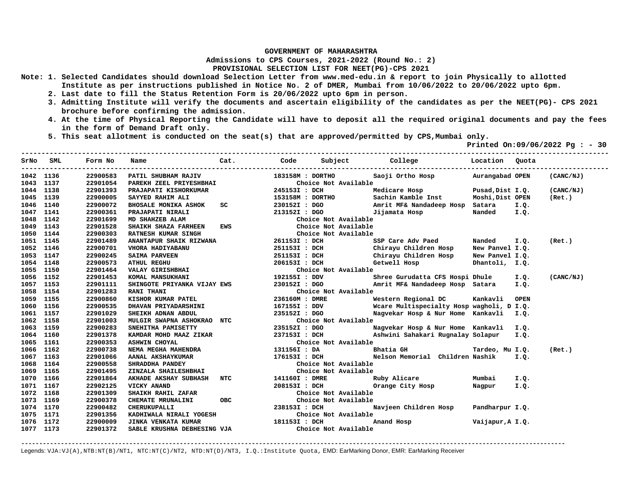**Admissions to CPS Courses, 2021-2022 (Round No.: 2)**

**PROVISIONAL SELECTION LIST FOR NEET(PG)-CPS 2021** 

- **Note: 1. Selected Candidates should download Selection Letter from www.med-edu.in & report to join Physically to allotted Institute as per instructions published in Notice No. 2 of DMER, Mumbai from 10/06/2022 to 20/06/2022 upto 6pm.** 
	- **2. Last date to fill the Status Retention Form is 20/06/2022 upto 6pm in person.**
	- **3. Admitting Institute will verify the documents and ascertain eligibility of the candidates as per the NEET(PG)- CPS 2021 brochure before confirming the admission.**
	- **4. At the time of Physical Reporting the Candidate will have to deposit all the required original documents and pay the fees in the form of Demand Draft only.**

**-------------------------------------------------------------------------------------------------------------------------------------------------** 

 **5. This seat allotment is conducted on the seat(s) that are approved/permitted by CPS,Mumbai only.** 

 **Printed On:09/06/2022 Pg : - 30** 

| SrNo      | SML  | Form No  | Name                        | Cat.       | Code             | Subject College      | Location Quota                            |                  |             |           |
|-----------|------|----------|-----------------------------|------------|------------------|----------------------|-------------------------------------------|------------------|-------------|-----------|
| 1042 1136 |      | 22900583 | PATIL SHUBHAM RAJIV         |            | 183158M : DORTHO |                      | Saoji Ortho Hosp Murangabad OPEN          |                  |             | (CANC/NJ) |
| 1043 1137 |      | 22901054 | PAREKH ZEEL PRIYESHBHAI     |            |                  | Choice Not Available |                                           |                  |             |           |
| 1044 1138 |      | 22901393 | PRAJAPATI KISHORKUMAR       |            | 245153I : DCH    |                      | Medicare Hosp                             | Pusad, Dist I.Q. |             | (CANC/NJ) |
| 1045 1139 |      | 22900005 | SAYYED RAHIM ALI            |            | 153158M : DORTHO |                      | Sachin Kamble Inst                        | Moshi, Dist OPEN |             | (Ret.)    |
| 1046      | 1140 | 22900072 | <b>BHOSALE MONIKA ASHOK</b> | SC         | 230152I : DGO    |                      | Amrit MF& Nandadeep Hosp Satara           |                  | I.Q.        |           |
| 1047      | 1141 | 22900361 | PRAJAPATI NIRALI            |            | 213152I : DGO    |                      | Jijamata Hosp                             | Nanded I.Q.      |             |           |
| 1048      | 1142 | 22901699 | MD SHAHZEB ALAM             |            |                  | Choice Not Available |                                           |                  |             |           |
| 1049      | 1143 | 22901528 | SHAIKH SHAZA FARHEEN        | <b>EWS</b> |                  | Choice Not Available |                                           |                  |             |           |
| 1050      | 1144 | 22900303 | RATNESH KUMAR SINGH         |            |                  | Choice Not Available |                                           |                  |             |           |
| 1051      | 1145 | 22901489 | ANANTAPUR SHAIK RIZWANA     |            | 261153I : DCH    |                      | SSP Care Adv Paed                         | Nanded           | I.Q.        | (Ret.)    |
| 1052 1146 |      | 22900701 | VHORA HADIYABANU            |            | 251153I : DCH    |                      | Chirayu Children Hosp                     | New Panvel I.Q.  |             |           |
| 1053 1147 |      | 22900245 | <b>SAIMA PARVEEN</b>        |            | 251153I : DCH    |                      | Chirayu Children Hosp                     | New Panvel I.Q.  |             |           |
| 1054      | 1148 | 22900573 | <b>ATHUL REGHU</b>          |            | 206153I : DCH    |                      | Getwell Hosp                              | Dhantoli, I.Q.   |             |           |
| 1055      | 1150 | 22901464 | VALAY GIRISHBHAI            |            |                  | Choice Not Available |                                           |                  |             |           |
| 1056      | 1152 | 22901453 | KOMAL MANSUKHANI            |            | 192155I : DDV    |                      | Shree Gurudatta CFS Hospi Dhule           |                  | I.Q.        | (CANC/NJ) |
| 1057 1153 |      | 22901111 | SHINGOTE PRIYANKA VIJAY EWS |            | 230152I : DGO    |                      | Amrit MF& Nandadeep Hosp Satara           |                  | I.Q.        |           |
| 1058 1154 |      | 22901283 | <b>RANI THANI</b>           |            |                  | Choice Not Available |                                           |                  |             |           |
| 1059 1155 |      | 22900860 | KISHOR KUMAR PATEL          |            | 236160M : DMRE   |                      | Western Regional DC                       | Kankavli         | <b>OPEN</b> |           |
| 1060 1156 |      | 22900535 | DHAVAN PRIYADARSHINI        |            | 167155I : DDV    |                      | Wcare Multispecialty Hosp wagholi, D I.Q. |                  |             |           |
| 1061 1157 |      | 22901029 | SHEIKH ADNAN ABDUL          |            | 235152I : DGO    |                      | Nagvekar Hosp & Nur Home Kankavli I.Q.    |                  |             |           |
| 1062 1158 |      | 22901003 | MULGIR SWAPNA ASHOKRAO NTC  |            |                  | Choice Not Available |                                           |                  |             |           |
| 1063 1159 |      | 22900283 | SNEHITHA PAMISETTY          |            | 235152I : DGO    |                      | Nagvekar Hosp & Nur Home Kankavli         |                  | I.Q.        |           |
| 1064 1160 |      | 22901378 | KAMDAR MOHD MAAZ ZIKAR      |            | 237153I : DCH    |                      | Ashwini Sahakari Rugnalay Solapur         |                  | I.Q.        |           |
| 1065      | 1161 | 22900353 | <b>ASHWIN CHOYAL</b>        |            |                  | Choice Not Available |                                           |                  |             |           |
| 1066      | 1162 | 22900738 | NEMA MEGHA MAHENDRA         |            | 131156I : DA     |                      | Bhatia GH                                 | Tardeo, Mu I.Q.  |             | (Ret.)    |
| 1067      | 1163 | 22901066 | AANAL AKSHAYKUMAR           |            | 176153I : DCH    |                      | Nelson Memorial Children Nashik           |                  | I.Q.        |           |
| 1068      | 1164 | 22900558 | SHRADDHA PANDEY             |            |                  | Choice Not Available |                                           |                  |             |           |
| 1069      | 1165 | 22901495 | ZINZALA SHAILESHBHAI        |            |                  | Choice Not Available |                                           |                  |             |           |
| 1070      | 1166 | 22901864 | AKHADE AKSHAY SUBHASH NTC   |            | 141160I : DMRE   |                      | Ruby Alicare                              | Mumbai           | I.Q.        |           |
| 1071 1167 |      | 22902125 | VICKY ANAND                 |            | 208153I : DCH    |                      | Orange City Hosp                          | Nagpur           | I.Q.        |           |
| 1072 1168 |      | 22901309 | SHAIKH RAHIL ZAFAR          |            |                  | Choice Not Available |                                           |                  |             |           |
| 1073 1169 |      | 22900378 | CHEMATE MRUNALINI           | OBC        |                  | Choice Not Available |                                           |                  |             |           |
| 1074 1170 |      | 22900482 | CHERUKUPALLI                |            | 238153I : DCH    |                      | Navjeen Children Hosp                     | Pandharpur I.Q.  |             |           |
| 1075 1171 |      | 22901356 | KADHIWALA NIRALI YOGESH     |            |                  | Choice Not Available |                                           |                  |             |           |
| 1076 1172 |      | 22900009 | <b>JINKA VENKATA KUMAR</b>  |            | 181153I : DCH    |                      | Anand Hosp                                | Vaijapur, A I.Q. |             |           |
| 1077 1173 |      | 22901372 | SABLE KRUSHNA DEBHESING VJA |            |                  | Choice Not Available |                                           |                  |             |           |

**-------------------------------------------------------------------------------------------------------------------------------------------------------**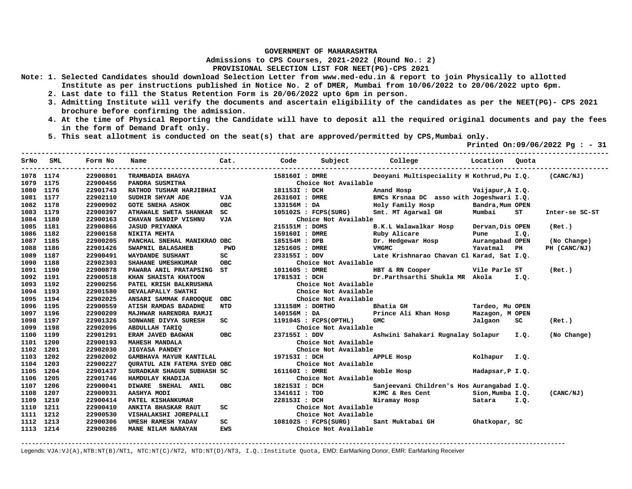**Admissions to CPS Courses, 2021-2022 (Round No.: 2)**

**PROVISIONAL SELECTION LIST FOR NEET(PG)-CPS 2021** 

- **Note: 1. Selected Candidates should download Selection Letter from www.med-edu.in & report to join Physically to allotted Institute as per instructions published in Notice No. 2 of DMER, Mumbai from 10/06/2022 to 20/06/2022 upto 6pm.** 
	- **2. Last date to fill the Status Retention Form is 20/06/2022 upto 6pm in person.**
	- **3. Admitting Institute will verify the documents and ascertain eligibility of the candidates as per the NEET(PG)- CPS 2021 brochure before confirming the admission.**
	- **4. At the time of Physical Reporting the Candidate will have to deposit all the required original documents and pay the fees in the form of Demand Draft only.**
	- **5. This seat allotment is conducted on the seat(s) that are approved/permitted by CPS,Mumbai only.**

 **Printed On:09/06/2022 Pg : - 31** 

| SrNo      | SML  | Form No  | Name                                                               | Cat.                                                                                                                                                                                                                                     | Code           |                         | Subject College Constantion Quota                    |                  |      |                |
|-----------|------|----------|--------------------------------------------------------------------|------------------------------------------------------------------------------------------------------------------------------------------------------------------------------------------------------------------------------------------|----------------|-------------------------|------------------------------------------------------|------------------|------|----------------|
| 1078 1174 |      | 22900801 | TRAMBADIA BHAGYA                                                   |                                                                                                                                                                                                                                          | 158160I : DMRE |                         | Deoyani Multispeciality H Kothrud, Pu I.Q. (CANC/NJ) |                  |      |                |
| 1079 1175 |      | 22900456 | PANDRA SUSMITHA                                                    |                                                                                                                                                                                                                                          |                | Choice Not Available    |                                                      |                  |      |                |
| 1080 1176 |      | 22901743 | FANDKA SUSMITHA<br>RATHOD TUSHAR HARJIBHAI                         |                                                                                                                                                                                                                                          | 181153I : DCH  |                         | Anand Hosp                                           | Vaijapur, A I.Q. |      |                |
| 1081      | 1177 | 22902110 | SUDHIR SHYAM ADE                                                   | VJA                                                                                                                                                                                                                                      | 263160I : DMRE |                         | BMCs Krsnaa DC asso with Jogeshwari I.Q.             |                  |      |                |
| 1082      | 1178 | 22900902 | <b>GOTE SNEHA ASHOK</b>                                            | <b>OBC</b>                                                                                                                                                                                                                               | 133156M : DA   |                         | Holy Family Hosp                                     | Bandra, Mum OPEN |      |                |
| 1083      | 1179 | 22900397 | ATHAWALE SWETA SHANKAR SC                                          |                                                                                                                                                                                                                                          |                | 105102S : FCPS(SURG)    | Smt. MT Agarwal GH Mumbai                            |                  | ST   | Inter-se SC-ST |
| 1084      | 1180 | 22900163 | CHAVAN SANDIP VISHNU                                               | VJA                                                                                                                                                                                                                                      |                | Choice Not Available    |                                                      |                  |      |                |
| 1085      | 1181 | 22900866 | <b>JASUD PRIYANKA</b>                                              |                                                                                                                                                                                                                                          | 215151M : DOMS |                         | B.K.L Walawalkar Hosp                                | Dervan, Dis OPEN |      | (Ret.)         |
| 1086      | 1182 | 22900158 | NIKITA MEHTA                                                       |                                                                                                                                                                                                                                          | 159160I : DMRE |                         | Ruby Alicare                                         | Pune             | I.Q. |                |
| 1087      | 1185 | 22900205 | PANCHAL SNEHAL MANIKRAO OBC                                        |                                                                                                                                                                                                                                          | 185154M : DPB  |                         | Dr. Hedgewar Hosp                                    | Aurangabad OPEN  |      | (No Change)    |
| 1088      | 1186 | 22901426 | SWAPNIL BALASAHEB                                                  | PWD                                                                                                                                                                                                                                      | 125160S : DMRE |                         | VMGMC                                                | Yavatmal PH      |      | PH (CANC/NJ)   |
| 1089      | 1187 | 22900491 | WAYDANDE SUSHANT                                                   | SC                                                                                                                                                                                                                                       | 233155I : DDV  |                         | Late Krishnarao Chavan Cl Karad, Sat I.Q.            |                  |      |                |
| 1090      | 1188 | 22902303 | SHAHANE UMESHKUMAR                                                 | <b>OBC</b>                                                                                                                                                                                                                               |                | Choice Not Available    |                                                      |                  |      |                |
| 1091      | 1190 | 22900878 | PAWARA ANIL PRATAPSING ST                                          |                                                                                                                                                                                                                                          | 101160S : DMRE |                         | HBT & RN Cooper Vile Parle ST                        |                  |      | (Ret.)         |
| 1092      | 1191 | 22900518 | KHAN SHAISTA KHATOON                                               |                                                                                                                                                                                                                                          | 178153I : DCH  |                         | Dr.Parthsarthi Shukla MR Akola I.Q.                  |                  |      |                |
| 1093      | 1192 | 22900256 | PATEL KRISH BALKRUSHNA                                             |                                                                                                                                                                                                                                          |                | Choice Not Available    |                                                      |                  |      |                |
| 1094 1193 |      | 22901580 | DEVALAPALLY SWATHI                                                 |                                                                                                                                                                                                                                          |                | Choice Not Available    |                                                      |                  |      |                |
| 1095      | 1194 | 22902025 | ANSARI SAMMAK FAROOQUE OBC                                         |                                                                                                                                                                                                                                          |                | Choice Not Available    |                                                      |                  |      |                |
| 1096      | 1195 | 22900559 | ATISH RAMDAS BADADHE                                               | <b>NTD</b>                                                                                                                                                                                                                               |                | 131158M : DORTHO        | Bhatia GH                                            | Tardeo, Mu OPEN  |      |                |
| 1097      | 1196 | 22900209 | MAJHWAR HARENDRA RAMJI                                             |                                                                                                                                                                                                                                          | 140156M: DA    |                         | Prince Ali Khan Hosp Mazagon, M OPEN                 |                  |      |                |
| 1098      | 1197 | 22901326 | SONWANE DIVYA SURESH                                               | SC                                                                                                                                                                                                                                       |                | $119104S$ : FCPS(OPTHL) | <b>GMC</b>                                           | Jalgaon          | SC.  | (Ret.)         |
| 1099      | 1198 | 22902096 |                                                                    |                                                                                                                                                                                                                                          |                | Choice Not Available    |                                                      |                  |      |                |
| 1100      | 1199 | 22901291 | <b>GODUBLIAH TARIQ<br/>ERAM JAVED BAGWAN OBC</b><br>MAHESH WANDALL | OBC                                                                                                                                                                                                                                      | 237155I : DDV  |                         | Ashwini Sahakari Rugnalay Solapur I.Q.               |                  |      | (No Change)    |
| 1101      | 1200 | 22900193 | <b>MAHESH MANDALA</b>                                              |                                                                                                                                                                                                                                          |                | Choice Not Available    |                                                      |                  |      |                |
| 1102      | 1201 | 22902030 | <b>JIGYASA PANDEY</b>                                              |                                                                                                                                                                                                                                          |                | Choice Not Available    |                                                      |                  |      |                |
| 1103      | 1202 | 22902002 | GAMBHAVA MAYUR KANTILAL                                            |                                                                                                                                                                                                                                          | 197153I : DCH  |                         | APPLE Hosp Molhapur I.Q.                             |                  |      |                |
| 1104      | 1203 | 22900227 | QURATUL AIN FATEMA SYED OBC                                        |                                                                                                                                                                                                                                          |                | Choice Not Available    |                                                      |                  |      |                |
| 1105      | 1204 | 22901437 | SURADKAR SHAGUN SUBHASH SC                                         |                                                                                                                                                                                                                                          | 161160I : DMRE |                         | Noble Hosp Noble                                     | Hadapsar, P I.Q. |      |                |
| 1106      | 1205 | 22901746 | HAMDULAY KHADIJA                                                   |                                                                                                                                                                                                                                          |                | Choice Not Available    |                                                      |                  |      |                |
| 1107      | 1206 | 22900041 | DIWARE SNEHAL ANIL                                                 | <b>OBC</b>                                                                                                                                                                                                                               | 182153I : DCH  |                         | Sanjeevani Children's Hos Aurangabad I.Q.            |                  |      |                |
| 1108      | 1207 | 22900931 | AASHYA MODI                                                        |                                                                                                                                                                                                                                          | 134161I : TDD  |                         | KJMC & Res Cent                                      | Sion, Mumba I.Q. |      | (CANC/NJ)      |
| 1109      | 1210 | 22900414 | PATEL KISHANKUMAR                                                  |                                                                                                                                                                                                                                          | 228153I : DCH  |                         | Niramay Hosp                                         | Satara I.Q.      |      |                |
| 1110      | 1211 | 22900410 | ANKITA BHASKAR RAUT                                                | SC                                                                                                                                                                                                                                       |                | Choice Not Available    |                                                      |                  |      |                |
| 1111      | 1212 | 22900530 | VISHALAKSHI JOREPALLI                                              |                                                                                                                                                                                                                                          |                | Choice Not Available    |                                                      |                  |      |                |
| 1112      | 1213 | 22900306 | UMESH RAMESH YADAV                                                 | SC <sub>2</sub> and the set of the set of the set of the set of the set of the set of the set of the set of the set of the set of the set of the set of the set of the set of the set of the set of the set of the set of the set of the |                | $108102S$ : FCPS(SURG)  | Sant Muktabai GH                                     | Ghatkopar, SC    |      |                |
| 1113 1214 |      | 22900286 | MANE NILAM NARAYAN                                                 | EWS                                                                                                                                                                                                                                      |                | Choice Not Available    |                                                      |                  |      |                |

**-------------------------------------------------------------------------------------------------------------------------------------------------------**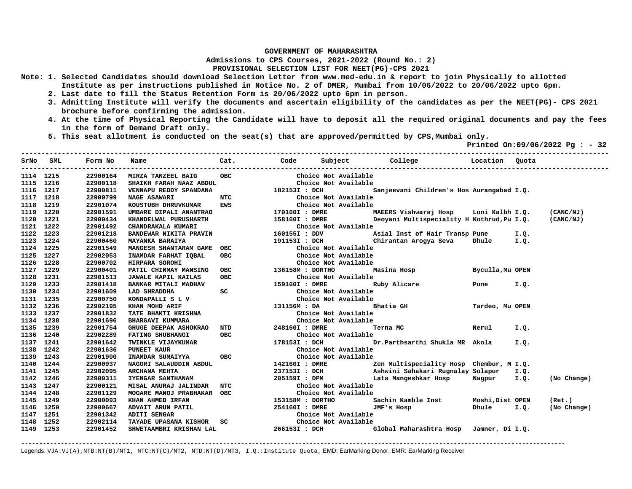**Admissions to CPS Courses, 2021-2022 (Round No.: 2)**

## **PROVISIONAL SELECTION LIST FOR NEET(PG)-CPS 2021**

- **Note: 1. Selected Candidates should download Selection Letter from www.med-edu.in & report to join Physically to allotted Institute as per instructions published in Notice No. 2 of DMER, Mumbai from 10/06/2022 to 20/06/2022 upto 6pm.** 
	- **2. Last date to fill the Status Retention Form is 20/06/2022 upto 6pm in person.**
	- **3. Admitting Institute will verify the documents and ascertain eligibility of the candidates as per the NEET(PG)- CPS 2021 brochure before confirming the admission.**
	- **4. At the time of Physical Reporting the Candidate will have to deposit all the required original documents and pay the fees in the form of Demand Draft only.**

**-------------------------------------------------------------------------------------------------------------------------------------------------** 

 **5. This seat allotment is conducted on the seat(s) that are approved/permitted by CPS,Mumbai only.** 

 **Printed On:09/06/2022 Pg : - 32** 

|           | SrNo SML | Form No  | Name                                                                                                                                                                                                                                                 | Cat. Code     |                  |                                              |                                                      |                  |      |             |
|-----------|----------|----------|------------------------------------------------------------------------------------------------------------------------------------------------------------------------------------------------------------------------------------------------------|---------------|------------------|----------------------------------------------|------------------------------------------------------|------------------|------|-------------|
| 1114 1215 |          | 22900164 | MIRZA TANZEEL BAIG                                                                                                                                                                                                                                   | <b>OBC</b>    |                  | Choice Not Available                         |                                                      |                  |      |             |
| 1115 1216 |          | 22900118 | SHAIKH FARAH NAAZ ABDUL                                                                                                                                                                                                                              |               |                  | Choice Not Available                         |                                                      |                  |      |             |
| 1116 1217 |          | 22900811 | VENNAPU REDDY SPANDANA                                                                                                                                                                                                                               | 182153I : DCH |                  |                                              | Sanjeevani Children's Hos Aurangabad I.Q.            |                  |      |             |
| 1117 1218 |          | 22900799 | <b>NAGE ASAWARI</b>                                                                                                                                                                                                                                  |               |                  |                                              |                                                      |                  |      |             |
| 1118      | 1219     | 22901074 | KOUSTUBH DHRUVKUMAR                                                                                                                                                                                                                                  |               |                  |                                              |                                                      |                  |      |             |
| 1119      | 1220     | 22901591 | UMBARE DIPALI ANANTRAO $170160I$ : DMRE                                                                                                                                                                                                              |               |                  |                                              | MAEERS Vishwaraj Hosp Loni Kalbh I.Q.                |                  |      | (CANC/NJ)   |
| 1120      | 1221     | 22900434 | XHANDELWAL PURUSHARTH 158160I : DMRE LENADRAKALA KUMARI CHANDRAKALA KUMARI CHANDEWAR NIKITA PRAVIN 160155I : DDV A<br>BANDEWAR NIKITA PRAVIN 160155I : DDV A<br>MAYANKA BARAIYA 191153I : DCH CHANGESH SHANTARAM GAME OBC Choice Not                 |               |                  |                                              | Deoyani Multispeciality H Kothrud, Pu I.Q. (CANC/NJ) |                  |      |             |
| 1121 1222 |          | 22901492 |                                                                                                                                                                                                                                                      |               |                  | Choice Not Available                         |                                                      |                  |      |             |
| 1122      | 1223     | 22901218 |                                                                                                                                                                                                                                                      |               |                  |                                              | Asial Inst of Hair Transp Pune 1.0.                  |                  |      |             |
| 1123      | 1224     | 22900460 |                                                                                                                                                                                                                                                      |               |                  |                                              | Chirantan Arogya Seva Dhule I.Q.                     |                  |      |             |
| 1124 1225 |          | 22901549 |                                                                                                                                                                                                                                                      |               |                  |                                              |                                                      |                  |      |             |
| 1125 1227 |          | 22902053 | INAMDAR FARHAT IQBAL                                                                                                                                                                                                                                 | <b>OBC</b>    |                  | Choice Not Available                         |                                                      |                  |      |             |
| 1126 1228 |          | 22900702 | HIRPARA SOROHI                                                                                                                                                                                                                                       |               |                  | Choice Not Available                         |                                                      |                  |      |             |
| 1127 1229 |          | 22900401 | PATIL CHINMAY MANSING OBC                                                                                                                                                                                                                            |               | 136158M : DORTHO |                                              | Masina Hosp and the Masing St                        | Byculla, Mu OPEN |      |             |
| 1128 1231 |          | 22901513 | <b>JAWALE KAPIL KAILAS</b>                                                                                                                                                                                                                           |               |                  |                                              |                                                      |                  |      |             |
| 1129 1233 |          | 22901418 | BANKAR MITALI MADHAV                                                                                                                                                                                                                                 |               |                  |                                              |                                                      | Pune I.Q.        |      |             |
| 1130 1234 |          | 22901609 | LAD SHRADDHA                                                                                                                                                                                                                                         | SC            |                  | Choice Not Available                         |                                                      |                  |      |             |
| 1131 1235 |          | 22900750 |                                                                                                                                                                                                                                                      |               |                  |                                              |                                                      |                  |      |             |
| 1132 1236 |          | 22902195 | ENDEPALLIS LV<br>ENDEPALLIS LV<br>THE BHAKTI KRISHNA<br>TATE BHAKTI KRISHNA<br>BHARGAVI KUMMARA<br>BHARGAVI KUMMARA<br>Choice Not Available<br>Choice Not Available<br>Choice Not Available<br>Choice Not Available<br>Choice Not Available<br>Choic |               |                  |                                              | Tardeo, Mu OPEN                                      |                  |      |             |
| 1133 1237 |          | 22901832 |                                                                                                                                                                                                                                                      |               |                  |                                              |                                                      |                  |      |             |
| 1134 1238 |          | 22901696 |                                                                                                                                                                                                                                                      |               |                  |                                              |                                                      |                  |      |             |
| 1135 1239 |          | 22901754 |                                                                                                                                                                                                                                                      |               |                  |                                              | Terna MC Nerul I.Q.                                  |                  |      |             |
| 1136 1240 |          | 22902289 |                                                                                                                                                                                                                                                      |               |                  |                                              |                                                      |                  |      |             |
| 1137 1241 |          | 22901642 |                                                                                                                                                                                                                                                      |               |                  |                                              | Dr.Parthsarthi Shukla MR Akola                       |                  | I.Q. |             |
| 1138 1242 |          | 22901636 |                                                                                                                                                                                                                                                      |               |                  |                                              |                                                      |                  |      |             |
| 1139 1243 |          | 22901900 |                                                                                                                                                                                                                                                      |               |                  |                                              |                                                      |                  |      |             |
| 1140 1244 |          | 22900937 | NAGORI SALAUDDIN ABDUL                                                                                                                                                                                                                               |               | 142160I : DMRE   |                                              | Zen Multispeciality Hosp Chembur, M I.Q.             |                  |      |             |
| 1141      | 1245     | 22902095 | ARCHANA MEHTA                                                                                                                                                                                                                                        |               | 237153I : DCH    |                                              | Ashwini Sahakari Rugnalay Solapur                    |                  | I.Q. |             |
| 1142      | 1246     | 22900311 | IYENGAR SANTHANAM                                                                                                                                                                                                                                    |               | 205159I : DPM    |                                              | Lata Mangeshkar Hosp Nagpur I.Q.                     |                  |      | (No Change) |
| 1143      | 1247     | 22900121 | MISAL ANURAJ JALINDAR NTC                                                                                                                                                                                                                            |               |                  | Choice Not Available<br>Choice Not Available |                                                      |                  |      |             |
| 1144 1248 |          | 22901129 | MOGARE MANOJ PRABHAKAR OBC                                                                                                                                                                                                                           |               |                  | Choice Not Available                         |                                                      |                  |      |             |
| 1145 1249 |          | 22900093 | KHAN AHMED IRFAN                                                                                                                                                                                                                                     |               | 153158M : DORTHO |                                              | Sachin Kamble Inst Moshi, Dist OPEN                  |                  |      | (Ret.)      |
| 1146 1250 |          | 22900667 |                                                                                                                                                                                                                                                      |               |                  |                                              | JMF's Hosp                                           | Dhule I.Q.       |      | (No Change) |
| 1147      | 1251     | 22901342 |                                                                                                                                                                                                                                                      |               |                  |                                              |                                                      |                  |      |             |
| 1148      | 1252     | 22902114 |                                                                                                                                                                                                                                                      |               |                  |                                              |                                                      |                  |      |             |
| 1149 1253 |          | 22901452 | SHWETAAMBRI KRISHAN LAL                                                                                                                                                                                                                              |               | 266153I : DCH    |                                              | Global Maharashtra Hosp Jamner, Di I.Q.              |                  |      |             |

**-------------------------------------------------------------------------------------------------------------------------------------------------------**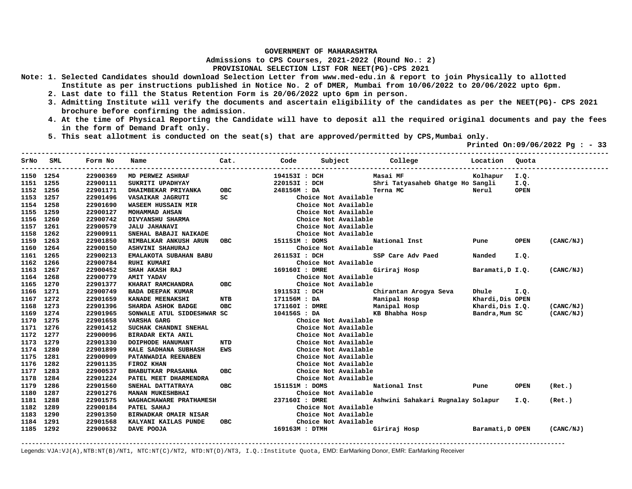**Admissions to CPS Courses, 2021-2022 (Round No.: 2)**

## **PROVISIONAL SELECTION LIST FOR NEET(PG)-CPS 2021**

- **Note: 1. Selected Candidates should download Selection Letter from www.med-edu.in & report to join Physically to allotted Institute as per instructions published in Notice No. 2 of DMER, Mumbai from 10/06/2022 to 20/06/2022 upto 6pm.** 
	- **2. Last date to fill the Status Retention Form is 20/06/2022 upto 6pm in person.**
	- **3. Admitting Institute will verify the documents and ascertain eligibility of the candidates as per the NEET(PG)- CPS 2021 brochure before confirming the admission.**
	- **4. At the time of Physical Reporting the Candidate will have to deposit all the required original documents and pay the fees in the form of Demand Draft only.**
	- **5. This seat allotment is conducted on the seat(s) that are approved/permitted by CPS,Mumbai only.**

 **Printed On:09/06/2022 Pg : - 33** 

| SrNo<br>---------- | SML  | Form No<br>---------- | Name                         | Cat. Code  |                |                      | Subject College                   | Location         | Quota       |           |
|--------------------|------|-----------------------|------------------------------|------------|----------------|----------------------|-----------------------------------|------------------|-------------|-----------|
| 1150 1254          |      | 22900369              | MD PERWEZ ASHRAF             |            | 194153I : DCH  |                      | Masai MF                          | Kolhapur I.Q.    |             |           |
| 1151               | 1255 | 22900111              | SUKRITI UPADHYAY             |            | 220153I: DCH   |                      | Shri Tatyasaheb Ghatge Ho Sangli  |                  | I.Q.        |           |
| 1152               | 1256 | 22901171              | DHAIMBEKAR PRIYANKA          | <b>OBC</b> | 248156M: DA    |                      | Terna MC                          | Nerul            | <b>OPEN</b> |           |
| 1153               | 1257 | 22901496              | VASAIKAR JAGRUTI             | SC         |                | Choice Not Available |                                   |                  |             |           |
| 1154               | 1258 | 22901690              | <b>WASEEM HUSSAIN MIR</b>    |            |                | Choice Not Available |                                   |                  |             |           |
| 1155               | 1259 | 22900127              | MOHAMMAD AHSAN               |            |                | Choice Not Available |                                   |                  |             |           |
| 1156               | 1260 | 22900742              | DIVYANSHU SHARMA             |            |                | Choice Not Available |                                   |                  |             |           |
| 1157               | 1261 | 22900579              | <b>JALU JAHANAVI</b>         |            |                | Choice Not Available |                                   |                  |             |           |
| 1158               | 1262 | 22900911              | SNEHAL BABAJI NAIKADE        |            |                | Choice Not Available |                                   |                  |             |           |
| 1159               | 1263 | 22901850              | NIMBALKAR ANKUSH ARUN        | <b>OBC</b> | 151151M : DOMS |                      | National Inst                     | Pune             | <b>OPEN</b> | (CANC/NJ) |
| 1160               | 1264 | 22900150              | ASHVINI SHAHURAJ             |            |                | Choice Not Available |                                   |                  |             |           |
| 1161               | 1265 | 22900213              | EMALAKOTA SUBAHAN BABU       |            | 261153I : DCH  |                      | SSP Care Adv Paed                 | Nanded           | I.Q.        |           |
| 1162               | 1266 | 22900784              | <b>RUHI KUMARI</b>           |            |                | Choice Not Available |                                   |                  |             |           |
| 1163               | 1267 | 22900452              | SHAH AKASH RAJ               |            | 169160I : DMRE |                      | Giriraj Hosp                      | Baramati, D I.Q. |             | (CANC/NJ) |
| 1164               | 1268 | 22900779              | <b>AMIT YADAV</b>            |            |                | Choice Not Available |                                   |                  |             |           |
| 1165               | 1270 | 22901377              | KHARAT RAMCHANDRA            | <b>OBC</b> |                | Choice Not Available |                                   |                  |             |           |
| 1166               | 1271 | 22900749              | <b>BADA DEEPAK KUMAR</b>     |            | 191153I : DCH  |                      | Chirantan Arogya Seva             | Dhule            | I.Q.        |           |
| 1167               | 1272 | 22901659              | KANADE MEENAKSHI             | <b>NTB</b> | 171156M : DA   |                      | Manipal Hosp                      | Khardi, Dis OPEN |             |           |
| 1168               | 1273 | 22901396              | SHARDA ASHOK BADGE           | <b>OBC</b> | 171160I : DMRE |                      | Manipal Hosp                      | Khardi, Dis I.Q. |             | (CANC/NJ) |
| 1169               | 1274 | 22901965              | SONWALE ATUL SIDDESHWAR SC   |            | 104156S : DA   |                      | KB Bhabha Hosp                    | Bandra, Mum SC   |             | (CANC/NJ) |
| 1170               | 1275 | 22901658              | VARSHA GARG                  |            |                | Choice Not Available |                                   |                  |             |           |
| 1171               | 1276 | 22901412              | SUCHAK CHANDNI SNEHAL        |            |                | Choice Not Available |                                   |                  |             |           |
| 1172               | 1277 | 22900096              | BIRADAR EKTA ANIL            |            |                | Choice Not Available |                                   |                  |             |           |
| 1173               | 1279 | 22901330              | DOIPHODE HANUMANT            | <b>NTD</b> |                | Choice Not Available |                                   |                  |             |           |
| 1174               | 1280 | 22901899              | KALE SADHANA SUBHASH         | <b>EWS</b> |                | Choice Not Available |                                   |                  |             |           |
| 1175               | 1281 | 22900909              | PATANWADIA REENABEN          |            |                | Choice Not Available |                                   |                  |             |           |
| 1176               | 1282 | 22901135              | FIROZ KHAN                   |            |                | Choice Not Available |                                   |                  |             |           |
| 1177               | 1283 | 22900537              | <b>BHABUTKAR PRASANNA</b>    | <b>OBC</b> |                | Choice Not Available |                                   |                  |             |           |
| 1178               | 1284 | 22901224              | PATEL MEET DHARMENDRA        |            |                | Choice Not Available |                                   |                  |             |           |
| 1179               | 1286 | 22901560              | SNEHAL DATTATRAYA            | <b>OBC</b> | 151151M : DOMS |                      | National Inst                     | Pune             | <b>OPEN</b> | (Ret.)    |
| 1180               | 1287 | 22901276              | MANAN MUKESHBHAI             |            |                | Choice Not Available |                                   |                  |             |           |
| 1181               | 1288 | 22901575              | WAGHACHAWARE PRATHAMESH      |            | 237160I : DMRE |                      | Ashwini Sahakari Rugnalay Solapur |                  | I.Q.        | (Ret.)    |
| 1182               | 1289 | 22900184              | PATEL SAHAJ                  |            |                | Choice Not Available |                                   |                  |             |           |
| 1183               | 1290 | 22901350              | <b>BIRWADKAR OMAIR NISAR</b> |            |                | Choice Not Available |                                   |                  |             |           |
| 1184               | 1291 | 22901568              | KALYANI KAILAS PUNDE         | <b>OBC</b> |                | Choice Not Available |                                   |                  |             |           |
| 1185 1292          |      | 22900632              | DAVE POOJA                   |            | 169163M : DTMH |                      | Giriraj Hosp                      | Baramati, D OPEN |             | (CANC/NJ) |

Legends: VJA:VJ(A),NTB:NT(B)/NT1, NTC:NT(C)/NT2, NTD:NT(D)/NT3, I.Q.:Institute Quota, EMD: EarMarking Donor, EMR: EarMarking Receiver

**-------------------------------------------------------------------------------------------------------------------------------------------------------**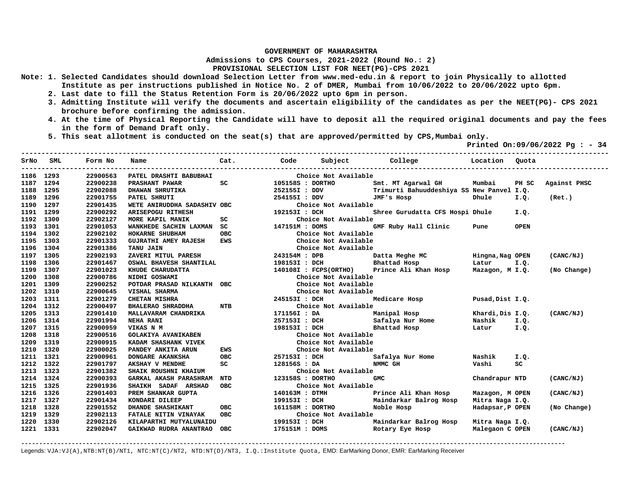**Admissions to CPS Courses, 2021-2022 (Round No.: 2)**

**PROVISIONAL SELECTION LIST FOR NEET(PG)-CPS 2021** 

- **Note: 1. Selected Candidates should download Selection Letter from www.med-edu.in & report to join Physically to allotted Institute as per instructions published in Notice No. 2 of DMER, Mumbai from 10/06/2022 to 20/06/2022 upto 6pm.** 
	- **2. Last date to fill the Status Retention Form is 20/06/2022 upto 6pm in person.**
	- **3. Admitting Institute will verify the documents and ascertain eligibility of the candidates as per the NEET(PG)- CPS 2021 brochure before confirming the admission.**
	- **4. At the time of Physical Reporting the Candidate will have to deposit all the required original documents and pay the fees in the form of Demand Draft only.**

**-------------------------------------------------------------------------------------------------------------------------------------------------** 

 **5. This seat allotment is conducted on the seat(s) that are approved/permitted by CPS,Mumbai only.** 

 **Printed On:09/06/2022 Pg : - 34** 

|           | SrNo SML | Form No  | Name                            | Cat.       | Code             | Subject College       |                                           | Location         | Quota       |              |
|-----------|----------|----------|---------------------------------|------------|------------------|-----------------------|-------------------------------------------|------------------|-------------|--------------|
| 1186 1293 |          | 22900563 | PATEL DRASHTI BABUBHAI          |            |                  | Choice Not Available  |                                           |                  |             |              |
| 1187 1294 |          | 22900238 | <b>PRASHANT PAWAR</b>           | SC         | 105158S : DORTHO |                       | Smt. MT Agarwal GH                        | Mumbai           | PH SC       | Against PHSC |
| 1188 1295 |          | 22902088 | <b>DHAWAN SHRUTIKA</b>          |            | 252155I : DDV    |                       | Trimurti Bahuuddeshiya SS New Panvel I.Q. |                  |             |              |
| 1189 1296 |          | 22901755 | PATEL SHRUTI                    |            | 254155I : DDV    |                       | JMF's Hosp                                | Dhule            | I.Q.        | (Ret.)       |
| 1190      | 1297     | 22901435 | WETE ANIRUDDHA SADASHIV OBC     |            |                  | Choice Not Available  |                                           |                  |             |              |
| 1191      | 1299     | 22900292 | ARISEPOGU RITHESH               |            | 192153I : DCH    |                       | Shree Gurudatta CFS Hospi Dhule           |                  | I.Q.        |              |
| 1192      | 1300     | 22902127 | MORE KAPIL MANIK                | SC         |                  | Choice Not Available  |                                           |                  |             |              |
| 1193      | 1301     | 22901053 | WANKHEDE SACHIN LAXMAN SC       |            | 147151M : DOMS   |                       | GMF Ruby Hall Clinic                      | Pune             | <b>OPEN</b> |              |
| 1194 1302 |          | 22902102 | HOKARNE SHUBHAM                 | OBC        |                  | Choice Not Available  |                                           |                  |             |              |
| 1195      | 1303     | 22901333 | <b>GUJRATHI AMEY RAJESH</b>     | EWS        |                  | Choice Not Available  |                                           |                  |             |              |
| 1196 1304 |          | 22901386 | <b>TANU JAIN</b>                |            |                  | Choice Not Available  |                                           |                  |             |              |
| 1197 1305 |          | 22902193 | ZAVERI MITUL PARESH             |            | 243154M : DPB    |                       | Datta Meghe MC                            | Hingna,Nag OPEN  |             | (CANC/NJ)    |
| 1198 1306 |          | 22901467 | OSWAL BHAVESH SHANTILAL         |            | 198153I : DCH    |                       | Bhattad Hosp                              | Latur            | I.Q.        |              |
| 1199 1307 |          | 22901023 | KHUDE CHARUDATTA                |            |                  | 140108I : FCPS(ORTHO) | Prince Ali Khan Hosp                      | Mazagon, M I.Q.  |             | (No Change)  |
| 1200      | 1308     | 22900786 | NIDHI GOSWAMI                   |            |                  | Choice Not Available  |                                           |                  |             |              |
| 1201      | 1309     | 22900252 | POTDAR PRASAD NILKANTH OBC      |            |                  | Choice Not Available  |                                           |                  |             |              |
| 1202      | 1310     | 22900645 | VISHAL SHARMA                   |            |                  | Choice Not Available  |                                           |                  |             |              |
| 1203      | 1311     | 22901279 | CHETAN MISHRA                   |            | 245153I : DCH    |                       | Medicare Hosp                             | Pusad, Dist I.Q. |             |              |
| 1204 1312 |          | 22900497 | BHALERAO SHRADDHA NTB           |            |                  | Choice Not Available  |                                           |                  |             |              |
| 1205      | 1313     | 22901410 | MALLAVARAM CHANDRIKA            |            | 171156I : DA     |                       | Manipal Hosp                              | Khardi,Dis I.Q.  |             | (CANC/NJ)    |
| 1206      | 1314     | 22901994 | <b>NEHA RANI</b>                |            | 257153I : DCH    |                       | Safalya Nur Home                          | Nashik I.Q.      |             |              |
| 1207      | 1315     | 22900959 | VIKAS N M                       |            | 198153I : DCH    |                       | Bhattad Hosp                              | Latur I.Q.       |             |              |
| 1208      | 1318     | 22900516 | <b>GOLAKIYA AVANIKABEN</b>      |            |                  | Choice Not Available  |                                           |                  |             |              |
| 1209      | 1319     | 22900915 | KADAM SHASHANK VIVEK            |            |                  | Choice Not Available  |                                           |                  |             |              |
| 1210      | 1320     | 22900025 | PANDEY ANKITA ARUN              | EWS        |                  | Choice Not Available  |                                           |                  |             |              |
| 1211      | 1321     | 22900961 | DONGARE AKANKSHA                | <b>OBC</b> | 257153I : DCH    |                       | Safalya Nur Home                          | Nashik           | I.Q.        |              |
| 1212 1322 |          | 22901797 | AKSHAY V MENDHE                 | SC         |                  | 128156S : DA          | NMMC GH                                   | Vashi            | SC          |              |
| 1213 1323 |          | 22901382 | SHAIK ROUSHNI KHAIUM            |            |                  | Choice Not Available  |                                           |                  |             |              |
| 1214 1324 |          | 22900393 | <b>GARKAL AKASH PARASHRAM</b>   | NTD        | 123158S : DORTHO |                       | GMC                                       | Chandrapur NTD   |             | (CANC/NJ)    |
| 1215 1325 |          | 22901936 | SHAIKH SADAF ARSHAD             | <b>OBC</b> |                  | Choice Not Available  |                                           |                  |             |              |
| 1216      | 1326     | 22901403 | PREM SHANKAR GUPTA              |            | 140163M : DTMH   |                       | Prince Ali Khan Hosp                      | Mazagon, M OPEN  |             | (CANC/NJ)    |
| 1217 1327 |          | 22901434 | KONDARI DILEEP                  |            | 199153I : DCH    |                       | Maindarkar Balrog Hosp                    | Mitra Naga I.Q.  |             |              |
| 1218      | 1328     | 22901552 | <b>OBC</b><br>DHANDE SHASHIKANT |            |                  | 161158M : DORTHO      | Noble Hosp                                | Hadapsar, P OPEN |             | (No Change)  |
| 1219      | 1329     | 22902113 | <b>FATALE NITIN VINAYAK</b>     | <b>OBC</b> |                  | Choice Not Available  |                                           |                  |             |              |
| 1220      | 1330     | 22902126 | KILAPARTHI MUTYALUNAIDU         |            | 199153I : DCH    |                       | Maindarkar Balrog Hosp                    | Mitra Naga I.Q.  |             |              |
| 1221 1331 |          | 22902047 | GAIKWAD RUDRA ANANTRAO OBC      |            | 175151M : DOMS   |                       | Rotary Eve Hosp                           | Malegaon C OPEN  |             | (CANC/NJ)    |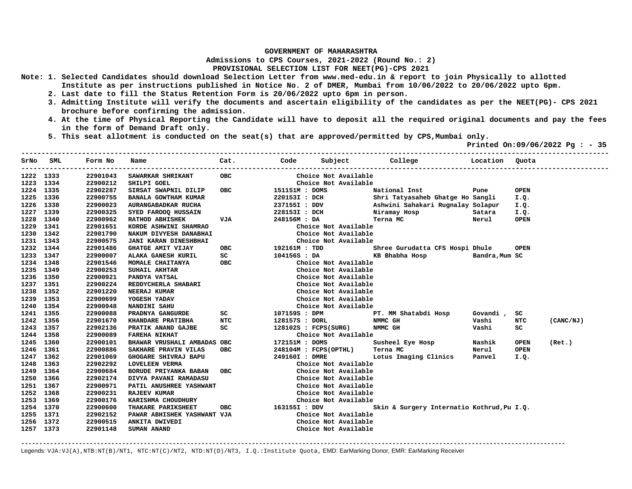**Admissions to CPS Courses, 2021-2022 (Round No.: 2)**

**PROVISIONAL SELECTION LIST FOR NEET(PG)-CPS 2021** 

- **Note: 1. Selected Candidates should download Selection Letter from www.med-edu.in & report to join Physically to allotted Institute as per instructions published in Notice No. 2 of DMER, Mumbai from 10/06/2022 to 20/06/2022 upto 6pm.** 
	- **2. Last date to fill the Status Retention Form is 20/06/2022 upto 6pm in person.**
	- **3. Admitting Institute will verify the documents and ascertain eligibility of the candidates as per the NEET(PG)- CPS 2021 brochure before confirming the admission.**
	- **4. At the time of Physical Reporting the Candidate will have to deposit all the required original documents and pay the fees in the form of Demand Draft only.**
	- **5. This seat allotment is conducted on the seat(s) that are approved/permitted by CPS,Mumbai only.**

 **Printed On:09/06/2022 Pg : - 35** 

|           | SrNo SML | Form No<br>--------- | Name                         | Cat.       | <u>response de la code de la propia de la propia de la propia de la propia de la propia de la propia de la propi</u> | Subject College        |                                            | Location       | Ouota       |           |
|-----------|----------|----------------------|------------------------------|------------|----------------------------------------------------------------------------------------------------------------------|------------------------|--------------------------------------------|----------------|-------------|-----------|
| 1222 1333 |          | 22901043             | SAWARKAR SHRIKANT            | <b>OBC</b> |                                                                                                                      | Choice Not Available   |                                            |                |             |           |
| 1223 1334 |          | 22900212             | SHILPI GOEL                  |            |                                                                                                                      | Choice Not Available   |                                            |                |             |           |
| 1224 1335 |          | 22902287             | SIRSAT SWAPNIL DILIP         | <b>OBC</b> | 151151M : DOMS                                                                                                       |                        | National Inst                              | Pune           | <b>OPEN</b> |           |
| 1225 1336 |          | 22900755             | BANALA GOWTHAM KUMAR         |            | 220153I : DCH                                                                                                        |                        | Shri Tatyasaheb Ghatge Ho Sangli           |                | I.Q.        |           |
| 1226      | 1338     | 22900023             | AURANGABADKAR RUCHA          |            | 237155I : DDV                                                                                                        |                        | Ashwini Sahakari Rugnalay Solapur          |                | I.Q.        |           |
| 1227      | 1339     | 22900325             | SYED FAROOQ HUSSAIN          |            | 228153I : DCH                                                                                                        |                        | Niramay Hosp                               | Satara         | I.Q.        |           |
| 1228      | 1340     | 22900962             | <b>RATHOD ABHISHEK</b>       | <b>VJA</b> | 248156M : DA                                                                                                         |                        | Terna MC                                   | Nerul          | <b>OPEN</b> |           |
| 1229      | 1341     | 22901651             | KORDE ASHWINI SHAMRAO        |            |                                                                                                                      | Choice Not Available   |                                            |                |             |           |
| 1230 1342 |          | 22901790             | NAKUM DIVYESH DANABHAI       |            |                                                                                                                      | Choice Not Available   |                                            |                |             |           |
| 1231      | 1343     | 22900575             | <b>JANI KARAN DINESHBHAI</b> |            |                                                                                                                      | Choice Not Available   |                                            |                |             |           |
| 1232      | 1344     | 22901486             | <b>GHATGE AMIT VIJAY</b>     | <b>OBC</b> | 192161M : TDD                                                                                                        |                        | Shree Gurudatta CFS Hospi Dhule            |                | <b>OPEN</b> |           |
| 1233      | 1347     | 22900007             | ALAKA GANESH KURIL           | SC         | 104156S : DA                                                                                                         |                        | KB Bhabha Hosp                             | Bandra, Mum SC |             |           |
| 1234 1348 |          | 22901546             | MOMALE CHAITANYA             | <b>OBC</b> |                                                                                                                      | Choice Not Available   |                                            |                |             |           |
| 1235      | 1349     | 22900253             | SUHAIL AKHTAR                |            |                                                                                                                      | Choice Not Available   |                                            |                |             |           |
| 1236      | 1350     | 22900921             | PANDYA VATSAL                |            |                                                                                                                      | Choice Not Available   |                                            |                |             |           |
| 1237 1351 |          | 22900224             | REDDYCHERLA SHABARI          |            |                                                                                                                      | Choice Not Available   |                                            |                |             |           |
| 1238      | 1352     | 22901220             | NEERAJ KUMAR                 |            |                                                                                                                      | Choice Not Available   |                                            |                |             |           |
| 1239 1353 |          | 22900699             | YOGESH YADAV                 |            |                                                                                                                      | Choice Not Available   |                                            |                |             |           |
| 1240 1354 |          | 22900948             | NANDINI SAHU                 |            |                                                                                                                      | Choice Not Available   |                                            |                |             |           |
| 1241 1355 |          | 22900088             | PRADNYA GANGURDE             | SC         | 107159S : DPM                                                                                                        |                        | PT. MM Shatabdi Hosp                       | Govandi,       | SC          |           |
| 1242 1356 |          | 22901670             | KHANDARE PRATIBHA            | <b>NTC</b> | 128157S : DORL                                                                                                       |                        | NMMC GH                                    | Vashi          | NTC         | (CANC/NJ) |
| 1243 1357 |          | 22902136             | PRATIK ANAND GAJBE           | SC         |                                                                                                                      | $128102s$ : FCPS(SURG) | NMMC GH                                    | Vashi          | SC.         |           |
| 1244 1358 |          | 22900089             | <b>FAREHA NIKHAT</b>         |            |                                                                                                                      | Choice Not Available   |                                            |                |             |           |
| 1245 1360 |          | 22900101             | BHAWAR VRUSHALI AMBADAS OBC  |            | 172151M : DOMS                                                                                                       |                        | Susheel Eye Hosp                           | Nashik         | <b>OPEN</b> | (Ret.)    |
| 1246      | 1361     | 22900886             | SAKHARE PRAVIN VILAS         | <b>OBC</b> |                                                                                                                      | 248104M : FCPS(OPTHL)  | Terna MC                                   | Nerul          | <b>OPEN</b> |           |
| 1247 1362 |          | 22901069             | GHOGARE SHIVRAJ BAPU         |            | 249160I : DMRE                                                                                                       |                        | Lotus Imaging Clinics                      | Panvel         | I.Q.        |           |
| 1248      | 1363     | 22902292             | <b>LOVELEEN VERMA</b>        |            |                                                                                                                      | Choice Not Available   |                                            |                |             |           |
| 1249      | 1364     | 22900684             | BORUDE PRIYANKA BABAN        | <b>OBC</b> |                                                                                                                      | Choice Not Available   |                                            |                |             |           |
| 1250      | 1366     | 22902174             | DIVYA PAVANI RAMADASU        |            |                                                                                                                      | Choice Not Available   |                                            |                |             |           |
| 1251 1367 |          | 22900971             | PATIL ANUSHREE YASHWANT      |            |                                                                                                                      | Choice Not Available   |                                            |                |             |           |
| 1252      | 1368     | 22900231             | <b>RAJEEV KUMAR</b>          |            |                                                                                                                      | Choice Not Available   |                                            |                |             |           |
| 1253      | 1369     | 22900176             | KARISHMA CHOUDHURY           |            |                                                                                                                      | Choice Not Available   |                                            |                |             |           |
| 1254 1370 |          | 22900600             | THAKARE PARIKSHEET           | OBC        | 163155I : DDV                                                                                                        |                        | Skin & Surgery Internatio Kothrud, Pu I.Q. |                |             |           |
| 1255      | 1371     | 22902152             | PAWAR ABHISHEK YASHWANT VJA  |            |                                                                                                                      | Choice Not Available   |                                            |                |             |           |
| 1256      | 1372     | 22900515             | ANKITA DWIVEDI               |            |                                                                                                                      | Choice Not Available   |                                            |                |             |           |
| 1257 1373 |          | 22901148             | <b>SUMAN ANAND</b>           |            |                                                                                                                      | Choice Not Available   |                                            |                |             |           |

**-------------------------------------------------------------------------------------------------------------------------------------------------------**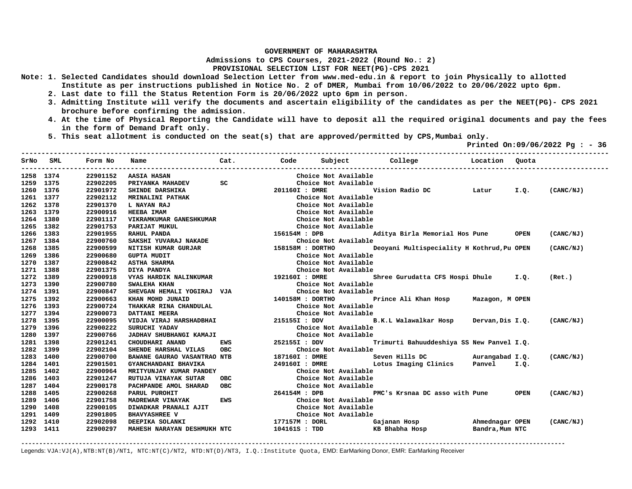**Admissions to CPS Courses, 2021-2022 (Round No.: 2)**

## **PROVISIONAL SELECTION LIST FOR NEET(PG)-CPS 2021**

- **Note: 1. Selected Candidates should download Selection Letter from www.med-edu.in & report to join Physically to allotted Institute as per instructions published in Notice No. 2 of DMER, Mumbai from 10/06/2022 to 20/06/2022 upto 6pm.** 
	- **2. Last date to fill the Status Retention Form is 20/06/2022 upto 6pm in person.**
	- **3. Admitting Institute will verify the documents and ascertain eligibility of the candidates as per the NEET(PG)- CPS 2021 brochure before confirming the admission.**
	- **4. At the time of Physical Reporting the Candidate will have to deposit all the required original documents and pay the fees in the form of Demand Draft only.**

**-------------------------------------------------------------------------------------------------------------------------------------------------** 

 **5. This seat allotment is conducted on the seat(s) that are approved/permitted by CPS,Mumbai only.** 

 **Printed On:09/06/2022 Pg : - 36** 

|           | SrNo SML | Form No  | Name                        | Cat.       | Code             | Subject              | College<br><b>Example 1</b> Location       |                 | Ouota       |           |
|-----------|----------|----------|-----------------------------|------------|------------------|----------------------|--------------------------------------------|-----------------|-------------|-----------|
| 1258 1374 |          | 22901152 | AASIA HASAN                 |            |                  | Choice Not Available |                                            |                 |             |           |
| 1259 1375 |          | 22902205 | PRIYANKA MAHADEV            | SC         |                  | Choice Not Available |                                            |                 |             |           |
| 1260 1376 |          | 22901972 | SHINDE DARSHIKA             |            | 201160I : DMRE   |                      | Vision Radio DC Latur I.Q.                 |                 |             | (CANC/NJ) |
| 1261 1377 |          | 22902112 | <b>MRINALINI PATHAK</b>     |            |                  | Choice Not Available |                                            |                 |             |           |
| 1262      | 1378     | 22901370 | <b>L NAYAN RAJ</b>          |            |                  | Choice Not Available |                                            |                 |             |           |
| 1263 1379 |          | 22900916 | HEEBA IMAM                  |            |                  | Choice Not Available |                                            |                 |             |           |
| 1264      | 1380     | 22901117 | VIKRAMKUMAR GANESHKUMAR     |            |                  | Choice Not Available |                                            |                 |             |           |
| 1265      | 1382     | 22901753 | PARIJAT MUKUL               |            |                  | Choice Not Available |                                            |                 |             |           |
| 1266      | 1383     | 22901955 | RAHUL PANDA                 |            | 156154M : DPB    |                      | Aditya Birla Memorial Hos Pune             |                 | <b>OPEN</b> | (CANC/NJ) |
| 1267      | 1384     | 22900760 | SAKSHI YUVARAJ NAKADE       |            |                  | Choice Not Available |                                            |                 |             |           |
| 1268      | 1385     | 22900599 | NITISH KUMAR GURJAR         |            | 158158M : DORTHO |                      | Deoyani Multispeciality H Kothrud, Pu OPEN |                 |             | (CANC/NJ) |
| 1269      | 1386     | 22900680 | <b>GUPTA MUDIT</b>          |            |                  | Choice Not Available |                                            |                 |             |           |
| 1270      | 1387     | 22900842 | <b>ASTHA SHARMA</b>         |            |                  | Choice Not Available |                                            |                 |             |           |
| 1271      | 1388     | 22901375 | DIYA PANDYA                 |            |                  | Choice Not Available |                                            |                 |             |           |
| 1272      | 1389     | 22900918 | VYAS HARDIK NALINKUMAR      |            | 192160I : DMRE   |                      | Shree Gurudatta CFS Hospi Dhule I.Q.       |                 |             | (Ret.)    |
| 1273      | 1390     | 22900780 | SWALEHA KHAN                |            |                  | Choice Not Available |                                            |                 |             |           |
| 1274 1391 |          | 22900847 | SHEVGAN HEMALI YOGIRAJ VJA  |            |                  | Choice Not Available |                                            |                 |             |           |
| 1275 1392 |          | 22900663 | KHAN MOHD JUNAID            |            | 140158M : DORTHO |                      | Prince Ali Khan Hosp Mazagon, M OPEN       |                 |             |           |
| 1276 1393 |          | 22900724 | THAKKAR RINA CHANDULAL      |            |                  | Choice Not Available |                                            |                 |             |           |
| 1277 1394 |          | 22900073 | DATTANI MEERA               |            |                  | Choice Not Available |                                            |                 |             |           |
| 1278      | 1395     | 22900095 | VIDJA VIRAJ HARSHADBHAI     |            |                  | 215155I : DDV        | B.K.L Walawalkar Hosp                      | Dervan,Dis I.Q. |             | (CANC/NJ) |
| 1279      | 1396     | 22900222 | SURUCHI YADAV               |            |                  | Choice Not Available |                                            |                 |             |           |
| 1280      | 1397     | 22900766 | JADHAV SHUBHANGI KAMAJI     |            |                  | Choice Not Available |                                            |                 |             |           |
| 1281      | 1398     | 22901241 | CHOUDHARI ANAND             | EWS        | 252155I : DDV    |                      | Trimurti Bahuuddeshiya SS New Panvel I.Q.  |                 |             |           |
| 1282      | 1399     | 22902104 | SHENDE HARSHAL VILAS        | OBC        |                  | Choice Not Available |                                            |                 |             |           |
| 1283      | 1400     | 22900700 | BAWANE GAURAO VASANTRAO NTB |            | 187160I : DMRE   |                      | Seven Hills DC Murangabad I.Q.             |                 |             | (CANC/NJ) |
| 1284      | 1401     | 22901501 | GYANCHANDANI BHAVIKA        |            | 249160I : DMRE   |                      | Lotus Imaging Clinics                      | Panvel I.O.     |             |           |
| 1285      | 1402     | 22900964 | MRITYUNJAY KUMAR PANDEY     |            |                  | Choice Not Available |                                            |                 |             |           |
| 1286      | 1403     | 22901247 | RUTUJA VINAYAK SUTAR        | <b>OBC</b> |                  | Choice Not Available |                                            |                 |             |           |
| 1287      | 1404     | 22900178 | PACHPANDE AMOL SHARAD       | OBC        |                  | Choice Not Available |                                            |                 |             |           |
| 1288      | 1405     | 22900268 | PARUL PUROHIT               |            | 264154M : DPB    |                      | PMC's Krsnaa DC asso with Pune             |                 | <b>OPEN</b> | (CANC/NJ) |
| 1289      | 1406     | 22901758 | MADREWAR VINAYAK            | EWS        |                  | Choice Not Available |                                            |                 |             |           |
| 1290      | 1408     | 22900105 | DIWADKAR PRANALI AJIT       |            |                  | Choice Not Available |                                            |                 |             |           |
| 1291      | 1409     | 22901805 | <b>BHAVYASHREE V</b>        |            |                  | Choice Not Available |                                            |                 |             |           |
| 1292      | 1410     | 22902098 | DEEPIKA SOLANKI             |            | 177157M : DORL   |                      | Gajanan Hosp                               | Ahmednagar OPEN |             | (CANC/NJ) |
| 1293 1411 |          | 22900297 | MAHESH NARAYAN DESHMUKH NTC |            | 104161S : TDD    |                      | KB Bhabha Hosp                             | Bandra, Mum NTC |             |           |

**-------------------------------------------------------------------------------------------------------------------------------------------------------**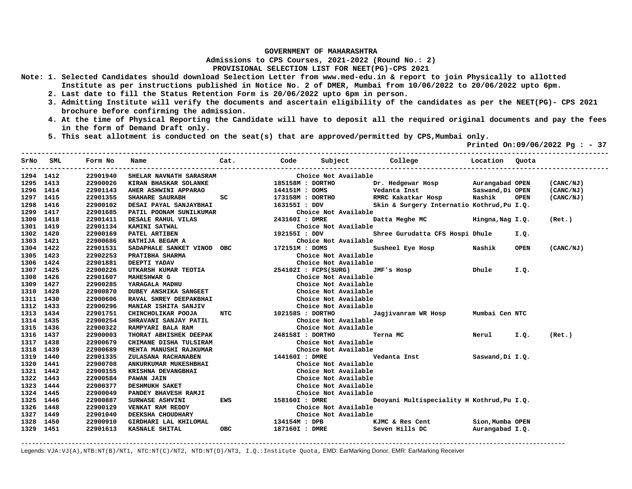**Admissions to CPS Courses, 2021-2022 (Round No.: 2)**

**PROVISIONAL SELECTION LIST FOR NEET(PG)-CPS 2021** 

- **Note: 1. Selected Candidates should download Selection Letter from www.med-edu.in & report to join Physically to allotted Institute as per instructions published in Notice No. 2 of DMER, Mumbai from 10/06/2022 to 20/06/2022 upto 6pm.** 
	- **2. Last date to fill the Status Retention Form is 20/06/2022 upto 6pm in person.**
	- **3. Admitting Institute will verify the documents and ascertain eligibility of the candidates as per the NEET(PG)- CPS 2021 brochure before confirming the admission.**
	- **4. At the time of Physical Reporting the Candidate will have to deposit all the required original documents and pay the fees in the form of Demand Draft only.**
	- **5. This seat allotment is conducted on the seat(s) that are approved/permitted by CPS,Mumbai only.**

 **Printed On:09/06/2022 Pg : - 37 -------------------------------------------------------------------------------------------------------------------------------------------------** 

|           | SrNo SML | Form No  | Name                                                 |                                                                                                               |                  |                      |                                            |                 |             |           |
|-----------|----------|----------|------------------------------------------------------|---------------------------------------------------------------------------------------------------------------|------------------|----------------------|--------------------------------------------|-----------------|-------------|-----------|
| 1294 1412 |          | 22901940 | SHELAR NAVNATH SARASRAM                              |                                                                                                               |                  | Choice Not Available |                                            |                 |             |           |
| 1295 1413 |          | 22900026 | KIRAN BHASKAR SOLANKE                                |                                                                                                               | 185158M : DORTHO |                      | Dr. Hedgewar Hosp Murangabad OPEN          |                 |             | (CANC/NJ) |
| 1296 1414 |          | 22901143 | AHER ASHWINI APPARAO                                 |                                                                                                               | 144151M : DOMS   |                      | Saswand, Di OPEN<br>Vedanta Inst           |                 |             | (CANC/NJ) |
| 1297 1415 |          | 22901355 | SHAHARE SAURABH                                      | SC and the set of the set of the set of the set of the set of the set of the set of the set of the set of the |                  |                      | 173158M : DORTHO RMRC Kakatkar Hosp        | Nashik          | <b>OPEN</b> | (CANC/NJ) |
| 1298      | 1416     | 22900102 | DESAI PAYAL SANJAYBHAI                               |                                                                                                               | 163155I : DDV    |                      | Skin & Surgery Internatio Kothrud, Pu I.Q. |                 |             |           |
| 1299 1417 |          | 22901685 | PATIL POONAM SUNILKUMAR                              |                                                                                                               |                  | Choice Not Available |                                            |                 |             |           |
| 1300 1418 |          | 22901411 | DESALE RAHUL VILAS                                   |                                                                                                               | 243160I : DMRE   |                      | Datta Meghe MC Hingna, Nag I.Q.            |                 |             | (Ret.)    |
| 1301 1419 |          | 22901134 | <b>KAMINI SATWAL</b>                                 |                                                                                                               |                  | Choice Not Available |                                            |                 |             |           |
| 1302      | 1420     | 22900169 | PATEL ARTIBEN                                        | 192155I : DDV                                                                                                 |                  |                      | Shree Gurudatta CFS Hospi Dhule            |                 | I.Q.        |           |
| 1303      | 1421     | 22900686 | KATHIJA BEGAM A                                      |                                                                                                               |                  | Choice Not Available |                                            |                 |             |           |
| 1304      | 1422     | 22901531 | SADAPHALE SANKET VINOD OBC 172151M : DOMS            |                                                                                                               |                  |                      | Susheel Eye Hosp Nashik                    |                 | <b>OPEN</b> | (CANC/NJ) |
| 1305      | 1423     | 22902253 | PRATIBHA SHARMA                                      |                                                                                                               |                  | Choice Not Available |                                            |                 |             |           |
| 1306      | 1424     | 22901881 | DEEPTI YADAV                                         |                                                                                                               |                  | Choice Not Available |                                            |                 |             |           |
| 1307 1425 |          | 22900226 | UTKARSH KUMAR TEOTIA 254102I : FCPS(SURG)            |                                                                                                               |                  |                      | JMF's Hosp Dhule                           |                 | I.Q.        |           |
| 1308 1426 |          | 22901607 | MAHESHWAR G                                          |                                                                                                               |                  | Choice Not Available |                                            |                 |             |           |
| 1309 1427 |          | 22900285 | YARAGALA MADHU                                       |                                                                                                               |                  | Choice Not Available |                                            |                 |             |           |
| 1310 1428 |          | 22900870 | DUBEY ANSHIKA SANGEET                                |                                                                                                               |                  | Choice Not Available |                                            |                 |             |           |
| 1311 1430 |          | 22900606 | RAVAL SHREY DEEPAKBHAI                               |                                                                                                               |                  | Choice Not Available |                                            |                 |             |           |
| 1312      | 1433     | 22900296 | MANIAR ISHITA SANJIV                                 |                                                                                                               |                  | Choice Not Available |                                            |                 |             |           |
| 1313 1434 |          | 22901751 | CHINCHOLIKAR POOJA                                   | NTC 102158S : DORTHO                                                                                          |                  |                      | Jagjivanram WR Hosp                        | Mumbai Cen NTC  |             |           |
| 1314 1435 |          | 22900254 | SHRAVANI SANJAY PATIL                                |                                                                                                               |                  | Choice Not Available |                                            |                 |             |           |
| 1315 1436 |          | 22900322 | RAMPYARI BALA RAM                                    |                                                                                                               |                  | Choice Not Available |                                            |                 |             |           |
| 1316 1437 |          | 22900003 | THORAT ABHISHEK DEEPAK 248158I : DORTHO              |                                                                                                               |                  |                      | Terna MC                                   | Nerul I.Q.      |             | (Ret.)    |
| 1317 1438 |          | 22900679 | CHIMANE DISHA TULSIRAM                               |                                                                                                               |                  | Choice Not Available |                                            |                 |             |           |
| 1318 1439 |          | 22900689 | MEHTA MANUSHI RAJKUMAR                               |                                                                                                               |                  | Choice Not Available |                                            |                 |             |           |
| 1319      | 1440     | 22901335 | ZULASANA RACHANABEN                                  | 144160I : DMRE                                                                                                |                  |                      | Vedanta Inst Saswand, Di I.Q.              |                 |             |           |
| 1320      | 1441     | 22900708 | ANKURKUMAR MUKESHBHAI                                |                                                                                                               |                  | Choice Not Available |                                            |                 |             |           |
| 1321      | 1442     | 22900155 | KRISHNA DEVANGBHAI                                   |                                                                                                               |                  | Choice Not Available |                                            |                 |             |           |
| 1322 1443 |          | 22900584 | PAWAN JAIN<br>DESHMUKH SAKET<br>PANDEY BHAVESH RAMJI |                                                                                                               |                  | Choice Not Available |                                            |                 |             |           |
| 1323 1444 |          | 22900377 |                                                      |                                                                                                               |                  | Choice Not Available |                                            |                 |             |           |
| 1324 1445 |          | 22900049 |                                                      |                                                                                                               |                  | Choice Not Available |                                            |                 |             |           |
| 1325 1446 |          | 22900887 | SURWASE ASHVINI                                      | EWS 158160I : DMRE                                                                                            |                  |                      | Deoyani Multispeciality H Kothrud, Pu I.Q. |                 |             |           |
| 1326 1448 |          | 22900129 | <b>VENKAT RAM REDDY</b>                              |                                                                                                               |                  | Choice Not Available |                                            |                 |             |           |
| 1327 1449 |          | 22901040 | DEEKSHA CHOUDHARY                                    |                                                                                                               |                  | Choice Not Available |                                            |                 |             |           |
| 1328      | 1450     | 22900910 | GIRDHARI LAL KHILOMAL                                |                                                                                                               | 134154M : DPB    |                      | KJMC & Res Cent                            | Sion,Mumba OPEN |             |           |
| 1329 1451 |          | 22901613 | KASNALE SHITAL                                       | OBC                                                                                                           | 187160I : DMRE   |                      | Seven Hills DC Burangabad I.Q.             |                 |             |           |

**-------------------------------------------------------------------------------------------------------------------------------------------------------**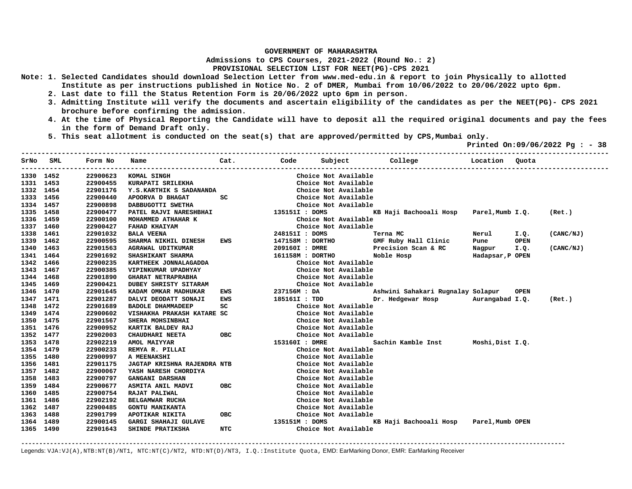**Admissions to CPS Courses, 2021-2022 (Round No.: 2)**

## **PROVISIONAL SELECTION LIST FOR NEET(PG)-CPS 2021**

- **Note: 1. Selected Candidates should download Selection Letter from www.med-edu.in & report to join Physically to allotted Institute as per instructions published in Notice No. 2 of DMER, Mumbai from 10/06/2022 to 20/06/2022 upto 6pm.** 
	- **2. Last date to fill the Status Retention Form is 20/06/2022 upto 6pm in person.**
	- **3. Admitting Institute will verify the documents and ascertain eligibility of the candidates as per the NEET(PG)- CPS 2021 brochure before confirming the admission.**
	- **4. At the time of Physical Reporting the Candidate will have to deposit all the required original documents and pay the fees in the form of Demand Draft only.**
	- **5. This seat allotment is conducted on the seat(s) that are approved/permitted by CPS,Mumbai only.**

 **Printed On:09/06/2022 Pg : - 38** 

|           | SrNo SML | Form No  | Name                        | Cat.       | Code             | Subject              | College                                 | Location         | Ouota       |           |
|-----------|----------|----------|-----------------------------|------------|------------------|----------------------|-----------------------------------------|------------------|-------------|-----------|
| 1330 1452 |          | 22900623 | KOMAL SINGH                 |            |                  | Choice Not Available |                                         |                  |             |           |
| 1331 1453 |          | 22900455 | KURAPATI SRILEKHA           |            |                  | Choice Not Available |                                         |                  |             |           |
| 1332 1454 |          | 22901176 | Y.S.KARTHIK S SADANANDA     |            |                  | Choice Not Available |                                         |                  |             |           |
| 1333 1456 |          | 22900440 | APOORVA D BHAGAT            | SC.        |                  | Choice Not Available |                                         |                  |             |           |
| 1334      | 1457     | 22900898 | DABBUGOTTI SWETHA           |            |                  | Choice Not Available |                                         |                  |             |           |
| 1335      | 1458     | 22900477 | PATEL RAJVI NARESHBHAI      |            | 135151I : DOMS   |                      | KB Haji Bachooali Hosp Parel, Mumb I.Q. |                  |             | (Ret.)    |
| 1336      | 1459     | 22900100 | MOHAMMED ATHAHAR K          |            |                  | Choice Not Available |                                         |                  |             |           |
| 1337 1460 |          | 22900427 | FAHAD KHAIYAM               |            |                  | Choice Not Available |                                         |                  |             |           |
| 1338      | 1461     | 22901032 | <b>BALA VEENA</b>           |            | 248151I : DOMS   |                      | Terna MC                                | Nerul            | I.Q.        | (CANC/NJ) |
| 1339 1462 |          | 22900595 | SHARMA NIKHIL DINESH        | EWS        | 147158M : DORTHO |                      | GMF Ruby Hall Clinic                    | Pune             | <b>OPEN</b> |           |
| 1340 1463 |          | 22901563 | AGRAWAL UDITKUMAR           |            | 209160I : DMRE   |                      | Precision Scan & RC                     | Nagpur           | I.Q.        | (CANC/NJ) |
| 1341      | 1464     | 22901692 | SHASHIKANT SHARMA           |            | 161158M : DORTHO |                      | Noble Hosp                              | Hadapsar, P OPEN |             |           |
| 1342      | 1466     | 22900235 | KARTHEEK JONNALAGADDA       |            |                  | Choice Not Available |                                         |                  |             |           |
| 1343      | 1467     | 22900385 | VIPINKUMAR UPADHYAY         |            |                  | Choice Not Available |                                         |                  |             |           |
| 1344 1468 |          | 22901890 | <b>GHARAT NETRAPRABHA</b>   |            |                  | Choice Not Available |                                         |                  |             |           |
| 1345 1469 |          | 22900421 | DUBEY SHRISTY SITARAM       |            |                  | Choice Not Available |                                         |                  |             |           |
| 1346 1470 |          | 22901645 | KADAM OMKAR MADHUKAR        | EWS        | 237156M : DA     |                      | Ashwini Sahakari Rugnalay Solapur       |                  | OPEN        |           |
| 1347 1471 |          | 22901287 | DALVI DEODATT SONAJI        | <b>EWS</b> | 185161I : TDD    |                      | Dr. Hedgewar Hosp Murangabad I.Q.       |                  |             | (Ret.)    |
| 1348 1472 |          | 22901689 | <b>BADOLE DHAMMADEEP</b>    | SC.        |                  | Choice Not Available |                                         |                  |             |           |
| 1349 1474 |          | 22900602 | VISHAKHA PRAKASH KATARE SC  |            |                  | Choice Not Available |                                         |                  |             |           |
| 1350 1475 |          | 22901567 | SHERA MOHSINBHAI            |            |                  | Choice Not Available |                                         |                  |             |           |
| 1351 1476 |          | 22900952 | KARTIK BALDEV RAJ           |            |                  | Choice Not Available |                                         |                  |             |           |
| 1352 1477 |          | 22902003 | <b>CHAUDHARI NEETA</b>      | OBC        |                  | Choice Not Available |                                         |                  |             |           |
| 1353 1478 |          | 22902219 | AMOL MAIYYAR                |            | 153160I : DMRE   |                      | Sachin Kamble Inst                      | Moshi,Dist I.O.  |             |           |
| 1354 1479 |          | 22900233 | REMYA R. PILLAI             |            |                  | Choice Not Available |                                         |                  |             |           |
| 1355      | 1480     | 22900997 | A MEENAKSHI                 |            |                  | Choice Not Available |                                         |                  |             |           |
| 1356 1481 |          | 22901175 | JAGTAP KRISHNA RAJENDRA NTB |            |                  | Choice Not Available |                                         |                  |             |           |
| 1357      | 1482     | 22900067 | YASH NARESH CHORDIYA        |            |                  | Choice Not Available |                                         |                  |             |           |
| 1358      | 1483     | 22900797 | <b>GANGANI DARSHAN</b>      |            |                  | Choice Not Available |                                         |                  |             |           |
| 1359      | 1484     | 22900677 | ASMITA ANIL MADVI           | <b>OBC</b> |                  | Choice Not Available |                                         |                  |             |           |
| 1360      | 1485     | 22900754 | RAJAT PALIWAL               |            |                  | Choice Not Available |                                         |                  |             |           |
| 1361      | 1486     | 22902192 | BELGAMWAR RUCHA             |            |                  | Choice Not Available |                                         |                  |             |           |
| 1362      | 1487     | 22900485 | <b>GONTU MANIKANTA</b>      |            |                  | Choice Not Available |                                         |                  |             |           |
| 1363      | 1488     | 22901799 | APOTIKAR NIKITA             | <b>OBC</b> |                  | Choice Not Available |                                         |                  |             |           |
| 1364      | 1489     | 22900145 | <b>GARGI SHAHAJI GULAVE</b> |            | 135151M : DOMS   |                      | KB Haji Bachooali Hosp                  | Parel, Mumb OPEN |             |           |
| 1365 1490 |          | 22901643 | SHINDE PRATIKSHA            | <b>NTC</b> |                  | Choice Not Available |                                         |                  |             |           |

**-------------------------------------------------------------------------------------------------------------------------------------------------------**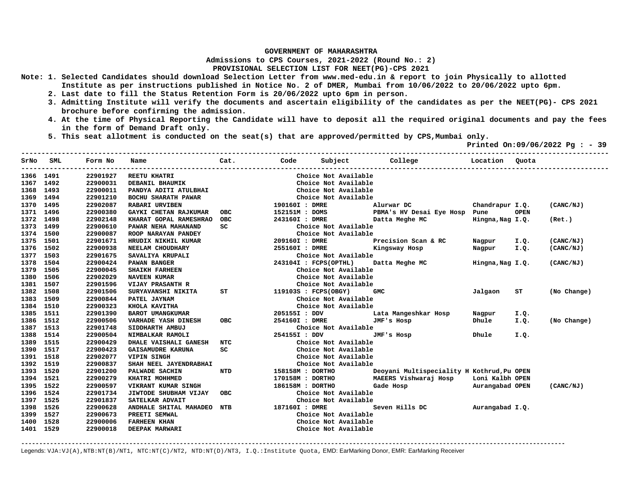**Admissions to CPS Courses, 2021-2022 (Round No.: 2)**

## **PROVISIONAL SELECTION LIST FOR NEET(PG)-CPS 2021**

- **Note: 1. Selected Candidates should download Selection Letter from www.med-edu.in & report to join Physically to allotted Institute as per instructions published in Notice No. 2 of DMER, Mumbai from 10/06/2022 to 20/06/2022 upto 6pm.** 
	- **2. Last date to fill the Status Retention Form is 20/06/2022 upto 6pm in person.**
	- **3. Admitting Institute will verify the documents and ascertain eligibility of the candidates as per the NEET(PG)- CPS 2021 brochure before confirming the admission.**
	- **4. At the time of Physical Reporting the Candidate will have to deposit all the required original documents and pay the fees in the form of Demand Draft only.**
	- **5. This seat allotment is conducted on the seat(s) that are approved/permitted by CPS,Mumbai only.**

 **Printed On:09/06/2022 Pg : - 39** 

| SrNo      | SML  | Form No  | Name                         | Cat.       | Code                  | Subject              | <b>College</b>                             | Location         | Ouota       |             |
|-----------|------|----------|------------------------------|------------|-----------------------|----------------------|--------------------------------------------|------------------|-------------|-------------|
| 1366 1491 |      | 22901927 | <b>REETU KHATRI</b>          |            |                       | Choice Not Available |                                            |                  |             |             |
| 1367      | 1492 | 22900031 | DEBANIL BHAUMIK              |            |                       | Choice Not Available |                                            |                  |             |             |
| 1368      | 1493 | 22900011 | PANDYA ADITI ATULBHAI        |            |                       | Choice Not Available |                                            |                  |             |             |
| 1369      | 1494 | 22901210 | BOCHU SHARATH PAWAR          |            |                       | Choice Not Available |                                            |                  |             |             |
| 1370      | 1495 | 22902087 | <b>RABARI URVIBEN</b>        |            | 190160I : DMRE        |                      | Alurwar DC                                 | Chandrapur I.Q.  |             | (CANC/NJ)   |
| 1371      | 1496 | 22900380 | <b>GAYKI CHETAN RAJKUMAR</b> | OBC        | 152151M : DOMS        |                      | PBMA's HV Desai Eye Hosp Pune              |                  | <b>OPEN</b> |             |
| 1372      | 1498 | 22902148 | KHARAT GOPAL RAMESHRAO       | OBC        | 243160I : DMRE        |                      | Datta Meghe MC                             | Hingna, Nag I.Q. |             | (Ret.)      |
| 1373      | 1499 | 22900610 | PAWAR NEHA MAHANAND          | SC         |                       | Choice Not Available |                                            |                  |             |             |
| 1374      | 1500 | 22900087 | ROOP NARAYAN PANDEY          |            |                       | Choice Not Available |                                            |                  |             |             |
| 1375      | 1501 | 22901671 | HRUDIX NIKHIL KUMAR          |            | 209160I : DMRE        |                      | Precision Scan & RC                        | Nagpur           | I.Q.        | (CANC/NJ)   |
| 1376      | 1502 | 22900938 | NEELAM CHOUDHARY             |            | 255160I : DMRE        |                      | Kingsway Hosp                              | Nagpur           | I.Q.        | (CANC/NJ)   |
| 1377      | 1503 | 22901675 | SAVALIYA KRUPALI             |            |                       | Choice Not Available |                                            |                  |             |             |
| 1378      | 1504 | 22900424 | PAWAN BANGER                 |            | 243104I : FCPS(OPTHL) |                      | Datta Meghe MC                             | Hingna, Nag I.Q. |             | (CANC/NJ)   |
| 1379      | 1505 | 22900045 | <b>SHAIKH FARHEEN</b>        |            |                       | Choice Not Available |                                            |                  |             |             |
| 1380      | 1506 | 22902029 | <b>NAVEEN KUMAR</b>          |            |                       | Choice Not Available |                                            |                  |             |             |
| 1381      | 1507 | 22901596 | <b>VIJAY PRASANTH R</b>      |            |                       | Choice Not Available |                                            |                  |             |             |
| 1382      | 1508 | 22901506 | SURYAVANSHI NIKITA           | ST         | 119103S : FCPS(OBGY)  |                      | <b>GMC</b>                                 | Jalgaon          | ST          | (No Change) |
| 1383      | 1509 | 22900844 | PATEL JAYNAM                 |            |                       | Choice Not Available |                                            |                  |             |             |
| 1384 1510 |      | 22900323 | KHOLA KAVITHA                |            |                       | Choice Not Available |                                            |                  |             |             |
| 1385      | 1511 | 22901390 | <b>BAROT UMANGKUMAR</b>      |            | 205155I : DDV         |                      | Lata Mangeshkar Hosp                       | Nagpur           | I.Q.        |             |
| 1386      | 1512 | 22900506 | VARHADE YASH DINESH          | <b>OBC</b> | 254160I : DMRE        |                      | JMF's Hosp                                 | Dhule            | I.Q.        | (No Change) |
| 1387      | 1513 | 22901748 | SIDDHARTH AMBUJ              |            |                       | Choice Not Available |                                            |                  |             |             |
| 1388      | 1514 | 22900504 | NIMBALKAR RAMOLI             |            | 254155I : DDV         |                      | JMF's Hosp                                 | Dhule            | I.Q.        |             |
| 1389      | 1515 | 22900429 | DHALE VAISHALI GANESH        | NTC        |                       | Choice Not Available |                                            |                  |             |             |
| 1390      | 1517 | 22900423 | <b>GAISAMUDRE KARUNA</b>     | SC.        |                       | Choice Not Available |                                            |                  |             |             |
| 1391      | 1518 | 22902077 | VIPIN SINGH                  |            |                       | Choice Not Available |                                            |                  |             |             |
| 1392      | 1519 | 22900837 | SHAH NEEL JAYENDRABHAI       |            |                       | Choice Not Available |                                            |                  |             |             |
| 1393      | 1520 | 22901200 | PALWADE SACHIN               | <b>NTD</b> | 158158M : DORTHO      |                      | Deoyani Multispeciality H Kothrud, Pu OPEN |                  |             |             |
| 1394      | 1521 | 22900279 | KHATRI MOHHMED               |            | 170158M : DORTHO      |                      | MAEERS Vishwaraj Hosp                      | Loni Kalbh OPEN  |             |             |
| 1395      | 1522 | 22900597 | VIKRANT KUMAR SINGH          |            | 186158M : DORTHO      |                      | Gade Hosp                                  | Aurangabad OPEN  |             | (CANC/NJ)   |
| 1396      | 1524 | 22901734 | JIWTODE SHUBHAM VIJAY        | <b>OBC</b> |                       | Choice Not Available |                                            |                  |             |             |
| 1397      | 1525 | 22901837 | SATELKAR ADVAIT              |            |                       | Choice Not Available |                                            |                  |             |             |
| 1398      | 1526 | 22900628 | ANDHALE SHITAL MAHADEO NTB   |            | 187160I : DMRE        |                      | Seven Hills DC                             | Aurangabad I.O.  |             |             |
| 1399      | 1527 | 22900673 | PREETI SEMWAL                |            |                       | Choice Not Available |                                            |                  |             |             |
| 1400      | 1528 | 22900006 | <b>FARHEEN KHAN</b>          |            |                       | Choice Not Available |                                            |                  |             |             |
| 1401 1529 |      | 22900018 | DEEPAK MARWARI               |            |                       | Choice Not Available |                                            |                  |             |             |
|           |      |          |                              |            |                       |                      |                                            |                  |             |             |

**-------------------------------------------------------------------------------------------------------------------------------------------------------**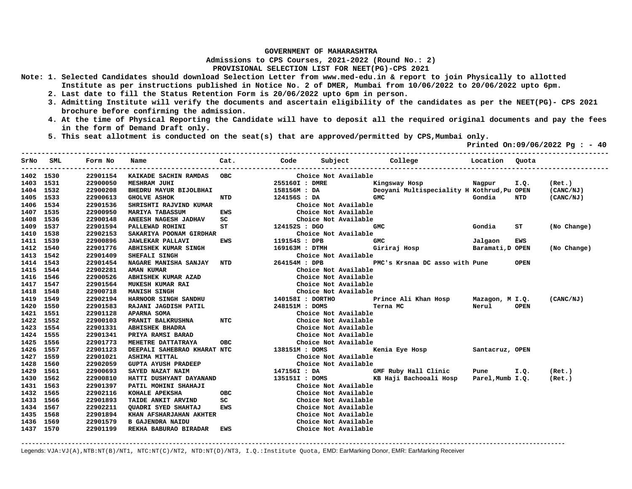**Admissions to CPS Courses, 2021-2022 (Round No.: 2)**

**PROVISIONAL SELECTION LIST FOR NEET(PG)-CPS 2021** 

- **Note: 1. Selected Candidates should download Selection Letter from www.med-edu.in & report to join Physically to allotted Institute as per instructions published in Notice No. 2 of DMER, Mumbai from 10/06/2022 to 20/06/2022 upto 6pm.** 
	- **2. Last date to fill the Status Retention Form is 20/06/2022 upto 6pm in person.**
	- **3. Admitting Institute will verify the documents and ascertain eligibility of the candidates as per the NEET(PG)- CPS 2021 brochure before confirming the admission.**
	- **4. At the time of Physical Reporting the Candidate will have to deposit all the required original documents and pay the fees in the form of Demand Draft only.**
	- **5. This seat allotment is conducted on the seat(s) that are approved/permitted by CPS,Mumbai only.**

 **Printed On:09/06/2022 Pg : - 40** 

| SrNo      | SML<br>-------------- | Form No<br>----------- | Name                        | Cat.       | Code             | Subject              | College Location                           |                  | Quota       |             |
|-----------|-----------------------|------------------------|-----------------------------|------------|------------------|----------------------|--------------------------------------------|------------------|-------------|-------------|
| 1402 1530 |                       | 22901154               | KAIKADE SACHIN RAMDAS       | <b>OBC</b> |                  | Choice Not Available |                                            |                  |             |             |
| 1403      | 1531                  | 22900050               | <b>MESHRAM JUHI</b>         |            | 255160I : DMRE   |                      | Kingsway Hosp                              | Nagpur           | I.Q.        | (Ret.)      |
| 1404      | 1532                  | 22900208               | BHEDRU MAYUR BIJOLBHAI      |            | 158156M : DA     |                      | Deoyani Multispeciality H Kothrud, Pu OPEN |                  |             | (CANC/NJ)   |
| 1405      | 1533                  | 22900613               | <b>GHOLVE ASHOK</b>         | NTD        | 124156S : DA     |                      | <b>GMC</b>                                 | Gondia           | NTD         | (CANC/NJ)   |
| 1406      | 1534                  | 22901536               | SHRISHTI RAJVIND KUMAR      |            |                  | Choice Not Available |                                            |                  |             |             |
| 1407      | 1535                  | 22900950               | <b>MARIYA TABASSUM</b>      | <b>EWS</b> |                  | Choice Not Available |                                            |                  |             |             |
| 1408      | 1536                  | 22900148               | ANEESH NAGESH JADHAV        | SC         |                  | Choice Not Available |                                            |                  |             |             |
| 1409      | 1537                  | 22901594               | PALLEWAD ROHINI             | ST         | 124152S : DGO    |                      | <b>GMC</b>                                 | Gondia           | ST          | (No Change) |
| 1410      | 1538                  | 22902153               | SAKARIYA POONAM GIRDHAR     |            |                  | Choice Not Available |                                            |                  |             |             |
| 1411      | 1539                  | 22900896               | <b>JAWLEKAR PALLAVI</b>     | EWS        | 119154S : DPB    |                      | <b>GMC</b>                                 | Jalgaon          | <b>EWS</b>  |             |
| 1412      | 1540                  | 22901776               | ABHISHEK KUMAR SINGH        |            | 169163M : DTMH   |                      | Giriraj Hosp                               | Baramati, D OPEN |             | (No Change) |
| 1413      | 1542                  | 22901409               | SHEFALI SINGH               |            |                  | Choice Not Available |                                            |                  |             |             |
| 1414      | 1543                  | 22901454               | NAGARE MANISHA SANJAY NTD   |            | 264154M : DPB    |                      | PMC's Krsnaa DC asso with Pune             |                  | <b>OPEN</b> |             |
| 1415      | 1544                  | 22902281               | <b>AMAN KUMAR</b>           |            |                  | Choice Not Available |                                            |                  |             |             |
| 1416      | 1546                  | 22900526               | ABHISHEK KUMAR AZAD         |            |                  | Choice Not Available |                                            |                  |             |             |
| 1417      | 1547                  | 22901564               | MUKESH KUMAR RAI            |            |                  | Choice Not Available |                                            |                  |             |             |
| 1418      | 1548                  | 22900718               | MANISH SINGH                |            |                  | Choice Not Available |                                            |                  |             |             |
| 1419      | 1549                  | 22902194               | HARNOOR SINGH SANDHU        |            | 140158I : DORTHO |                      | Prince Ali Khan Hosp                       | Mazagon, M I.Q.  |             | (CANC/NJ)   |
| 1420      | 1550                  | 22901583               | RAJANI JAGDISH PATIL        |            | 248151M : DOMS   |                      | Terna MC                                   | Nerul            | <b>OPEN</b> |             |
| 1421      | 1551                  | 22901128               | <b>APARNA SOMA</b>          |            |                  | Choice Not Available |                                            |                  |             |             |
| 1422      | 1552                  | 22900103               | PRANIT BALKRUSHNA           | NTC        |                  | Choice Not Available |                                            |                  |             |             |
| 1423      | 1554                  | 22901331               | <b>ABHISHEK BHADRA</b>      |            |                  | Choice Not Available |                                            |                  |             |             |
| 1424      | 1555                  | 22901341               | PRIYA RAMSI BARAD           |            |                  | Choice Not Available |                                            |                  |             |             |
| 1425      | 1556                  | 22901773               | MEHETRE DATTATRAYA          | <b>OBC</b> |                  | Choice Not Available |                                            |                  |             |             |
| 1426      | 1557                  | 22901123               | DEEPALI SAHEBRAO KHARAT NTC |            | 138151M : DOMS   |                      | Kenia Eye Hosp                             | Santacruz, OPEN  |             |             |
| 1427      | 1559                  | 22901021               | <b>ASHIMA MITTAL</b>        |            |                  | Choice Not Available |                                            |                  |             |             |
| 1428      | 1560                  | 22902059               | <b>GUPTA AYUSH PRADEEP</b>  |            |                  | Choice Not Available |                                            |                  |             |             |
| 1429      | 1561                  | 22900693               | SAYED NAZAT NAIM            |            | 147156I : DA     |                      | GMF Ruby Hall Clinic                       | Pune             | I.Q.        | (Ret.)      |
| 1430      | 1562                  | 22900810               | HATTI DUSHYANT DAYANAND     |            | 135151I : DOMS   |                      | KB Haji Bachooali Hosp                     | Parel, Mumb I.Q. |             | (Ret.)      |
| 1431      | 1563                  | 22901397               | PATIL MOHINI SHAHAJI        |            |                  | Choice Not Available |                                            |                  |             |             |
| 1432      | 1565                  | 22902116               | KOHALE APEKSHA              | <b>OBC</b> |                  | Choice Not Available |                                            |                  |             |             |
| 1433      | 1566                  | 22901893               | TAIDE ANKIT ARVIND          | SC         |                  | Choice Not Available |                                            |                  |             |             |
| 1434      | 1567                  | 22902211               | OUADRI SYED SHAHTAJ         | <b>EWS</b> |                  | Choice Not Available |                                            |                  |             |             |
| 1435      | 1568                  | 22901894               | KHAN AFSHARJAHAN AKHTER     |            |                  | Choice Not Available |                                            |                  |             |             |
| 1436      | 1569                  | 22901579               | <b>B GAJENDRA NAIDU</b>     |            |                  | Choice Not Available |                                            |                  |             |             |
| 1437 1570 |                       | 22901199               | REKHA BABURAO BIRADAR       | EWS        |                  | Choice Not Available |                                            |                  |             |             |
|           |                       |                        |                             |            |                  |                      |                                            |                  |             |             |

**-------------------------------------------------------------------------------------------------------------------------------------------------------**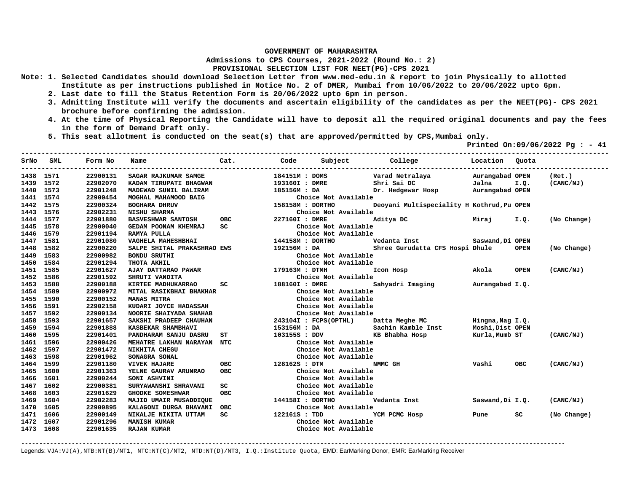**Admissions to CPS Courses, 2021-2022 (Round No.: 2)**

## **PROVISIONAL SELECTION LIST FOR NEET(PG)-CPS 2021**

- **Note: 1. Selected Candidates should download Selection Letter from www.med-edu.in & report to join Physically to allotted Institute as per instructions published in Notice No. 2 of DMER, Mumbai from 10/06/2022 to 20/06/2022 upto 6pm.** 
	- **2. Last date to fill the Status Retention Form is 20/06/2022 upto 6pm in person.**
	- **3. Admitting Institute will verify the documents and ascertain eligibility of the candidates as per the NEET(PG)- CPS 2021 brochure before confirming the admission.**
	- **4. At the time of Physical Reporting the Candidate will have to deposit all the required original documents and pay the fees in the form of Demand Draft only.**
	- **5. This seat allotment is conducted on the seat(s) that are approved/permitted by CPS,Mumbai only.**

 **Printed On:09/06/2022 Pg : - 41** 

|           | SrNo SML | Form No  | Name                        | Cat.       | Code             | Subject               | College                                    | Location Ouota   |             |             |
|-----------|----------|----------|-----------------------------|------------|------------------|-----------------------|--------------------------------------------|------------------|-------------|-------------|
| 1438 1571 |          | 22900131 | SAGAR RAJKUMAR SAMGE        |            | 184151M : DOMS   |                       | Varad Netralaya                            | Aurangabad OPEN  |             | (Ret.)      |
| 1439 1572 |          | 22902070 | KADAM TIRUPATI BHAGWAN      |            | 193160I : DMRE   |                       | Shri Sai DC                                | Jalna            | I.Q.        | (CANC/NJ)   |
| 1440      | 1573     | 22901248 | MADEWAD SUNIL BALIRAM       |            | 185156M : DA     |                       | Dr. Hedgewar Hosp                          | Aurangabad OPEN  |             |             |
| 1441      | 1574     | 22900454 | MOGHAL MAHAMOOD BAIG        |            |                  | Choice Not Available  |                                            |                  |             |             |
| 1442      | 1575     | 22900324 | <b>BOGHARA DHRUV</b>        |            | 158158M : DORTHO |                       | Deoyani Multispeciality H Kothrud, Pu OPEN |                  |             |             |
| 1443      | 1576     | 22902231 | <b>NISHU SHARMA</b>         |            |                  | Choice Not Available  |                                            |                  |             |             |
| 1444      | 1577     | 22901880 | <b>BASVESHWAR SANTOSH</b>   | <b>OBC</b> | 227160I : DMRE   |                       | Aditya DC                                  | Miraj            | I.Q.        | (No Change) |
| 1445      | 1578     | 22900040 | GEDAM POONAM KHEMRAJ        | SC         |                  | Choice Not Available  |                                            |                  |             |             |
| 1446      | 1579     | 22901194 | RAMYA PULLA                 |            |                  | Choice Not Available  |                                            |                  |             |             |
| 1447      | 1581     | 22901080 | VAGHELA MAHESHBHAI          |            | 144158M : DORTHO |                       | Vedanta Inst                               | Saswand, Di OPEN |             |             |
| 1448      | 1582     | 22900220 | SALPE SHITAL PRAKASHRAO EWS |            | 192156M: DA      |                       | Shree Gurudatta CFS Hospi Dhule            |                  | <b>OPEN</b> | (No Change) |
| 1449      | 1583     | 22900982 | <b>BONDU SRUTHI</b>         |            |                  | Choice Not Available  |                                            |                  |             |             |
| 1450      | 1584     | 22901294 | THOTA AKHIL                 |            |                  | Choice Not Available  |                                            |                  |             |             |
| 1451      | 1585     | 22901627 | AJAY DATTARAO PAWAR         |            | 179163M : DTMH   |                       | Icon Hosp                                  | Akola            | <b>OPEN</b> | (CANC/NJ)   |
| 1452      | 1586     | 22901592 | SHRUTI VANDITA              |            |                  | Choice Not Available  |                                            |                  |             |             |
| 1453      | 1588     | 22900188 | KIRTEE MADHUKARRAO          | SC         | 188160I : DMRE   |                       | Sahyadri Imaging                           | Aurangabad I.Q.  |             |             |
| 1454      | 1589     | 22900972 | MITAL RASIKBHAI BHAKHAR     |            |                  | Choice Not Available  |                                            |                  |             |             |
| 1455      | 1590     | 22900152 | <b>MANAS MITRA</b>          |            |                  | Choice Not Available  |                                            |                  |             |             |
| 1456      | 1591     | 22902158 | KUDARI JOYCE HADASSAH       |            |                  | Choice Not Available  |                                            |                  |             |             |
| 1457      | 1592     | 22900134 | NOORIE SHAIYADA SHAHAB      |            |                  | Choice Not Available  |                                            |                  |             |             |
| 1458      | 1593     | 22901657 | SAKSHI PRADEEP CHAUHAN      |            |                  | 243104I : FCPS(OPTHL) | Datta Meghe MC                             | Hingna, Nag I.Q. |             |             |
| 1459      | 1594     | 22901888 | KASBEKAR SHAMBHAVI          |            | 153156M : DA     |                       | Sachin Kamble Inst                         | Moshi, Dist OPEN |             |             |
| 1460      | 1595     | 22901401 | PANDHARAM SANJU DASRU       | SТ         | 103155S : DDV    |                       | KB Bhabha Hosp                             | Kurla,Mumb ST    |             | (CANC/NJ)   |
| 1461      | 1596     | 22900426 | MEHATRE LAKHAN NARAYAN NTC  |            |                  | Choice Not Available  |                                            |                  |             |             |
| 1462      | 1597     | 22901472 | NIKHITA CHEGU               |            |                  | Choice Not Available  |                                            |                  |             |             |
| 1463      | 1598     | 22901962 | SONAGRA SONAL               |            |                  | Choice Not Available  |                                            |                  |             |             |
| 1464      | 1599     | 22901180 | <b>VIVEK HAJARE</b>         | OBC        | 128162S : DTM    |                       | NMMC GH                                    | Vashi            | <b>OBC</b>  | (CANC/NJ)   |
| 1465      | 1600     | 22901363 | YELNE GAURAV ARUNRAO        | <b>OBC</b> |                  | Choice Not Available  |                                            |                  |             |             |
| 1466      | 1601     | 22900244 | SONI ASHVINI                |            |                  | Choice Not Available  |                                            |                  |             |             |
| 1467      | 1602     | 22900381 | SURYAWANSHI SHRAVANI        | SC.        |                  | Choice Not Available  |                                            |                  |             |             |
| 1468      | 1603     | 22901629 | <b>GHODKE SOMESHWAR</b>     | <b>OBC</b> |                  | Choice Not Available  |                                            |                  |             |             |
| 1469      | 1604     | 22902283 | MAJID UMAIR MUSADDIQUE      |            | 144158I : DORTHO |                       | Vedanta Inst                               | Saswand, Di I.Q. |             | (CANC/NJ)   |
| 1470      | 1605     | 22900895 | KALAGONI DURGA BHAVANI OBC  |            |                  | Choice Not Available  |                                            |                  |             |             |
| 1471      | 1606     | 22900149 | NIKALJE NIKITA UTTAM        | SC         | 122161S : TDD    |                       | YCM PCMC Hosp                              | Pune             | SC          | (No Change) |
| 1472      | 1607     | 22901296 | <b>MANISH KUMAR</b>         |            |                  | Choice Not Available  |                                            |                  |             |             |
| 1473 1608 |          | 22901635 | <b>RAJAN KUMAR</b>          |            |                  | Choice Not Available  |                                            |                  |             |             |
|           |          |          |                             |            |                  |                       |                                            |                  |             |             |

**-------------------------------------------------------------------------------------------------------------------------------------------------------**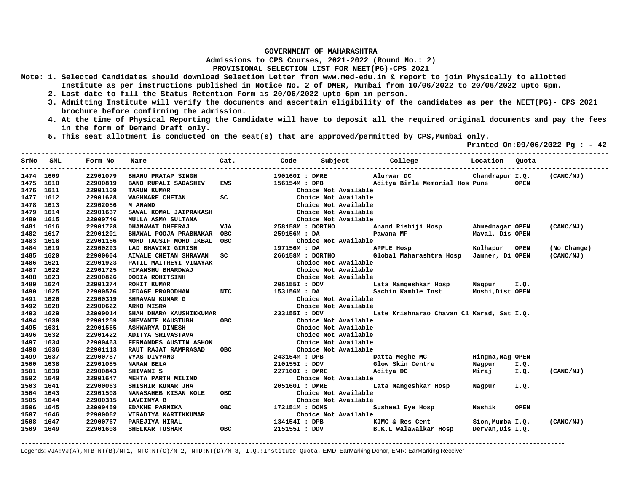**Admissions to CPS Courses, 2021-2022 (Round No.: 2)**

## **PROVISIONAL SELECTION LIST FOR NEET(PG)-CPS 2021**

- **Note: 1. Selected Candidates should download Selection Letter from www.med-edu.in & report to join Physically to allotted Institute as per instructions published in Notice No. 2 of DMER, Mumbai from 10/06/2022 to 20/06/2022 upto 6pm.** 
	- **2. Last date to fill the Status Retention Form is 20/06/2022 upto 6pm in person.**
	- **3. Admitting Institute will verify the documents and ascertain eligibility of the candidates as per the NEET(PG)- CPS 2021 brochure before confirming the admission.**
	- **4. At the time of Physical Reporting the Candidate will have to deposit all the required original documents and pay the fees in the form of Demand Draft only.**

**-------------------------------------------------------------------------------------------------------------------------------------------------** 

 **5. This seat allotment is conducted on the seat(s) that are approved/permitted by CPS,Mumbai only.** 

 **Printed On:09/06/2022 Pg : - 42** 

|           | SrNo SML | Form No  | Name                           | Cat.       | Code             | Subject              | College                                   | Location Quota   |             |             |
|-----------|----------|----------|--------------------------------|------------|------------------|----------------------|-------------------------------------------|------------------|-------------|-------------|
| 1474 1609 |          | 22901079 | <b>BHANU PRATAP SINGH</b>      |            | 190160I : DMRE   |                      | Alurwar DC                                | Chandrapur I.Q.  |             | (CANC/NJ)   |
| 1475      | 1610     | 22900819 | <b>BAND RUPALI SADASHIV</b>    | EWS        | 156154M : DPB    |                      | Aditya Birla Memorial Hos Pune            |                  | <b>OPEN</b> |             |
| 1476      | 1611     | 22901109 | <b>TARUN KUMAR</b>             |            |                  | Choice Not Available |                                           |                  |             |             |
| 1477      | 1612     | 22901628 | WAGHMARE CHETAN                | SC         |                  | Choice Not Available |                                           |                  |             |             |
| 1478      | 1613     | 22902056 | M ANAND                        |            |                  | Choice Not Available |                                           |                  |             |             |
| 1479      | 1614     | 22901637 | SAWAL KOMAL JAIPRAKASH         |            |                  | Choice Not Available |                                           |                  |             |             |
| 1480      | 1615     | 22900746 | MULLA ASMA SULTANA             |            |                  | Choice Not Available |                                           |                  |             |             |
| 1481      | 1616     | 22901728 | DHANAWAT DHEERAJ               | VJA        | 258158M : DORTHO |                      | Anand Rishiji Hosp                        | Ahmednagar OPEN  |             | (CANC/NJ)   |
| 1482      | 1617     | 22901201 | BHAWAL POOJA PRABHAKAR OBC     |            | 259156M: DA      |                      | Pawana MF                                 | Maval, Dis OPEN  |             |             |
| 1483      | 1618     | 22901156 | MOHD TAUSIF MOHD IKBAL OBC     |            |                  | Choice Not Available |                                           |                  |             |             |
| 1484 1619 |          | 22900293 | LAD BHAVINI GIRISH             |            | 197156M: DA      |                      | APPLE Hosp                                | Kolhapur OPEN    |             | (No Change) |
| 1485      | 1620     | 22900604 | AIWALE CHETAN SHRAVAN          | SC.        | 266158M : DORTHO |                      | Global Maharashtra Hosp Jamner, Di OPEN   |                  |             | (CANC/NJ)   |
| 1486      | 1621     | 22901923 | PATIL MAITREYI VINAYAK         |            |                  | Choice Not Available |                                           |                  |             |             |
| 1487      | 1622     | 22901725 | HIMANSHU BHARDWAJ              |            |                  | Choice Not Available |                                           |                  |             |             |
| 1488      | 1623     | 22900826 | DODIA ROHITSINH                |            |                  | Choice Not Available |                                           |                  |             |             |
| 1489      | 1624     | 22901374 | <b>ROHIT KUMAR</b>             |            | 205155I : DDV    |                      | Lata Mangeshkar Hosp                      | Nagpur           | I.Q.        |             |
| 1490      | 1625     | 22900576 | NTC<br><b>JEDAGE PRABODHAN</b> |            | 153156M : DA     |                      | Sachin Kamble Inst                        | Moshi,Dist OPEN  |             |             |
| 1491      | 1626     | 22900319 | SHRAVAN KUMAR G                |            |                  | Choice Not Available |                                           |                  |             |             |
| 1492      | 1628     | 22900622 | ARKO MISRA                     |            |                  | Choice Not Available |                                           |                  |             |             |
| 1493      | 1629     | 22900014 | SHAH DHARA KAUSHIKKUMAR        |            | 233155I : DDV    |                      | Late Krishnarao Chavan Cl Karad, Sat I.Q. |                  |             |             |
| 1494      | 1630     | 22901259 | <b>SHEVANTE KAUSTUBH</b>       | <b>OBC</b> |                  | Choice Not Available |                                           |                  |             |             |
| 1495      | 1631     | 22901565 | <b>ASHWARYA DINESH</b>         |            |                  | Choice Not Available |                                           |                  |             |             |
| 1496      | 1632     | 22901422 | ADITYA SRIVASTAVA              |            |                  | Choice Not Available |                                           |                  |             |             |
| 1497      | 1634     | 22900463 | FERNANDES AUSTIN ASHOK         |            |                  | Choice Not Available |                                           |                  |             |             |
| 1498      | 1636     | 22901113 | RAUT RAJAT RAMPRASAD           | <b>OBC</b> |                  | Choice Not Available |                                           |                  |             |             |
| 1499      | 1637     | 22900787 | VYAS DIVYANG                   |            | 243154M : DPB    |                      | Datta Meghe MC                            | Hingna, Nag OPEN |             |             |
| 1500      | 1638     | 22901085 | <b>NARAN BELA</b>              |            | 210155I : DDV    |                      | Glow Skin Centre                          | Nagpur           | I.Q.        |             |
| 1501      | 1639     | 22900843 | SHIVANI S                      |            | 227160I : DMRE   |                      | Aditya DC                                 | Miraj            | I.Q.        | (CANC/NJ)   |
| 1502      | 1640     | 22901647 | MEHTA PARTH MILIND             |            |                  | Choice Not Available |                                           |                  |             |             |
| 1503      | 1641     | 22900063 | SHISHIR KUMAR JHA              |            | 205160I : DMRE   |                      | Lata Mangeshkar Hosp                      | Nagpur           | I.Q.        |             |
| 1504      | 1643     | 22901508 | NANASAHEB KISAN KOLE           | OBC        |                  | Choice Not Available |                                           |                  |             |             |
| 1505      | 1644     | 22900315 | <b>LAVEINYA B</b>              |            |                  | Choice Not Available |                                           |                  |             |             |
| 1506      | 1645     | 22900459 | <b>EDAKHE PARNIKA</b>          | OBC        | 172151M : DOMS   |                      | Susheel Eye Hosp                          | Nashik           | <b>OPEN</b> |             |
| 1507      | 1646     | 22900062 | VIRADIYA KARTIKKUMAR           |            |                  | Choice Not Available |                                           |                  |             |             |
| 1508      | 1647     | 22900767 | PAREJIYA HIRAL                 |            | 134154I : DPB    |                      | KJMC & Res Cent                           | Sion, Mumba I.Q. |             | (CANC/NJ)   |
| 1509 1649 |          | 22901608 | SHELKAR TUSHAR                 | OBC        | 215155I : DDV    |                      | B.K.L Walawalkar Hosp                     | Dervan, Dis I.Q. |             |             |

**-------------------------------------------------------------------------------------------------------------------------------------------------------**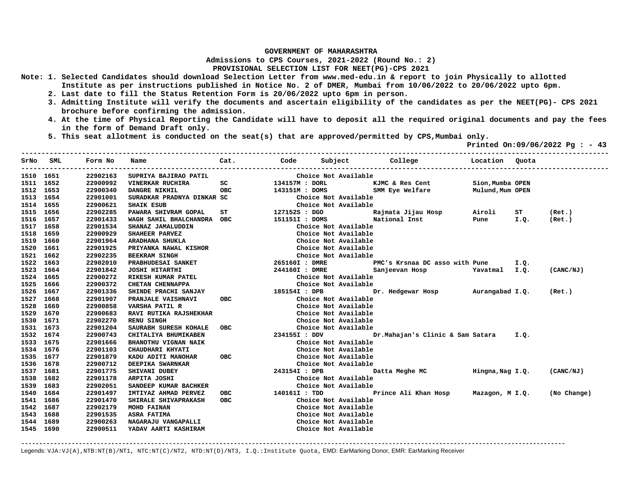**Admissions to CPS Courses, 2021-2022 (Round No.: 2)**

## **PROVISIONAL SELECTION LIST FOR NEET(PG)-CPS 2021**

- **Note: 1. Selected Candidates should download Selection Letter from www.med-edu.in & report to join Physically to allotted Institute as per instructions published in Notice No. 2 of DMER, Mumbai from 10/06/2022 to 20/06/2022 upto 6pm.** 
	- **2. Last date to fill the Status Retention Form is 20/06/2022 upto 6pm in person.**
	- **3. Admitting Institute will verify the documents and ascertain eligibility of the candidates as per the NEET(PG)- CPS 2021 brochure before confirming the admission.**
	- **4. At the time of Physical Reporting the Candidate will have to deposit all the required original documents and pay the fees in the form of Demand Draft only.**

**-------------------------------------------------------------------------------------------------------------------------------------------------** 

 **5. This seat allotment is conducted on the seat(s) that are approved/permitted by CPS,Mumbai only.** 

 **Printed On:09/06/2022 Pg : - 43** 

|           | SrNo SML | Form No  | Name                       | Cat.          | Code           | Subject College      |                                                               | Location Quota   |                                                                                                                                                                                                                                     |           |
|-----------|----------|----------|----------------------------|---------------|----------------|----------------------|---------------------------------------------------------------|------------------|-------------------------------------------------------------------------------------------------------------------------------------------------------------------------------------------------------------------------------------|-----------|
| 1510 1651 |          | 22902163 | SUPRIYA BAJIRAO PATIL      |               |                | Choice Not Available |                                                               |                  |                                                                                                                                                                                                                                     |           |
| 1511 1652 |          | 22900992 | VINERKAR RUCHIRA           | SC            | 134157M : DORL |                      | KJMC & Res Cent                                               | Sion, Mumba OPEN |                                                                                                                                                                                                                                     |           |
| 1512 1653 |          | 22900340 | DANGRE NIKHIL              | <b>OBC</b>    | 143151M : DOMS |                      | SMM Eye Welfare                                               | Mulund, Mum OPEN |                                                                                                                                                                                                                                     |           |
| 1513 1654 |          | 22901001 | SURADKAR PRADNYA DINKAR SC |               |                | Choice Not Available |                                                               |                  |                                                                                                                                                                                                                                     |           |
| 1514 1655 |          | 22900621 | <b>SHAIK ESUB</b>          |               |                | Choice Not Available |                                                               |                  |                                                                                                                                                                                                                                     |           |
| 1515 1656 |          | 22902285 | PAWARA SHIVRAM GOPAL       | $ST$ and $ST$ | 127152S : DGO  |                      | Rajmata Jijau Hosp           Airoli                           |                  | ST and the set of the set of the set of the set of the set of the set of the set of the set of the set of the<br>Set of the set of the set of the set of the set of the set of the set of the set of the set of the set of the<br>S | (Ret.)    |
| 1516      | 1657     | 22901433 | WAGH SAHIL BHALCHANDRA OBC |               | 151151I : DOMS |                      | National Inst <b>Pune</b> I.Q.                                |                  |                                                                                                                                                                                                                                     | (Ret.)    |
| 1517      | 1658     | 22901534 | SHANAZ JAMALUDDIN          |               |                | Choice Not Available |                                                               |                  |                                                                                                                                                                                                                                     |           |
| 1518      | 1659     | 22900929 | SHAHEER PARVEZ             |               |                | Choice Not Available |                                                               |                  |                                                                                                                                                                                                                                     |           |
| 1519      | 1660     | 22901964 | ARADHANA SHUKLA            |               |                | Choice Not Available |                                                               |                  |                                                                                                                                                                                                                                     |           |
| 1520      | 1661     | 22901925 | PRIYANKA NAWAL KISHOR      |               |                | Choice Not Available |                                                               |                  |                                                                                                                                                                                                                                     |           |
| 1521 1662 |          | 22902235 | <b>BEEKRAM SINGH</b>       |               |                | Choice Not Available |                                                               |                  |                                                                                                                                                                                                                                     |           |
| 1522 1663 |          | 22902010 | PRABHUDESAI SANKET         |               | 265160I : DMRE |                      | PMC's Krsnaa DC asso with Pune 1.Q.                           |                  |                                                                                                                                                                                                                                     |           |
| 1523 1664 |          | 22901842 | JOSHI HITARTHI             |               |                |                      | 244160I : DMRE Sanjeevan Hosp Yavatmal I.Q.                   |                  |                                                                                                                                                                                                                                     | (CANC/NJ) |
| 1524 1665 |          | 22900272 | RIKESH KUMAR PATEL         |               |                | Choice Not Available |                                                               |                  |                                                                                                                                                                                                                                     |           |
| 1525      | 1666     | 22900372 | CHETAN CHENNAPPA           |               |                | Choice Not Available |                                                               |                  |                                                                                                                                                                                                                                     |           |
| 1526 1667 |          | 22901336 | SHINDE PRACHI SANJAY       |               |                |                      | 185154I : DPB           Dr. Hedgewar Hosp     Aurangabad I.Q. |                  |                                                                                                                                                                                                                                     | (Ret.)    |
| 1527      | 1668     | 22901907 | <b>PRANJALE VAISHNAVI</b>  | OBC           |                | Choice Not Available |                                                               |                  |                                                                                                                                                                                                                                     |           |
| 1528      | 1669     | 22900858 | VARSHA PATIL R             |               |                | Choice Not Available |                                                               |                  |                                                                                                                                                                                                                                     |           |
| 1529      | 1670     | 22900683 | RAVI RUTIKA RAJSHEKHAR     |               |                | Choice Not Available |                                                               |                  |                                                                                                                                                                                                                                     |           |
| 1530 1671 |          | 22902270 | <b>RENU SINGH</b>          |               |                | Choice Not Available |                                                               |                  |                                                                                                                                                                                                                                     |           |
| 1531 1673 |          | 22901204 | SAURABH SURESH KOHALE      | <b>OBC</b>    |                | Choice Not Available |                                                               |                  |                                                                                                                                                                                                                                     |           |
| 1532 1674 |          | 22900743 | CHITALIYA BHUMIKABEN       |               | 234155I : DDV  |                      | Dr.Mahajan's Clinic & Sam Satara I.Q.                         |                  |                                                                                                                                                                                                                                     |           |
| 1533 1675 |          | 22901666 | BHANOTHU VIGNAN NAIK       |               |                | Choice Not Available |                                                               |                  |                                                                                                                                                                                                                                     |           |
| 1534 1676 |          | 22901103 | CHAUDHARI KHYATI           |               |                | Choice Not Available |                                                               |                  |                                                                                                                                                                                                                                     |           |
| 1535 1677 |          | 22901879 | KADU ADITI MANOHAR         | <b>OBC</b>    |                | Choice Not Available |                                                               |                  |                                                                                                                                                                                                                                     |           |
| 1536 1678 |          | 22900712 | DEEPIKA SWARNKAR           |               |                | Choice Not Available |                                                               |                  |                                                                                                                                                                                                                                     |           |
| 1537      | 1681     | 22901775 | SHIVANI DUBEY              |               | 243154I : DPB  |                      | Datta Meghe MC                                                | Hingna, Nag I.Q. |                                                                                                                                                                                                                                     | (CANC/NJ) |
| 1538      | 1682     | 22901178 | ARPITA JOSHI               |               |                | Choice Not Available |                                                               |                  |                                                                                                                                                                                                                                     |           |
| 1539      | 1683     | 22902051 | SANDEEP KUMAR BACHKER      |               |                | Choice Not Available |                                                               |                  |                                                                                                                                                                                                                                     |           |
| 1540      | 1684     | 22901497 | IMTIYAZ AHMAD PERVEZ       | <b>OBC</b>    | 140161I: TDD   |                      | Prince Ali Khan Hosp Mazagon, M I.Q. (No Change)              |                  |                                                                                                                                                                                                                                     |           |
| 1541      | 1686     | 22901470 | SHIRALE SHIVAPRAKASH       | <b>OBC</b>    |                | Choice Not Available |                                                               |                  |                                                                                                                                                                                                                                     |           |
| 1542      | 1687     | 22902179 | <b>MOHD FAINAN</b>         |               |                | Choice Not Available |                                                               |                  |                                                                                                                                                                                                                                     |           |
| 1543      | 1688     | 22901535 | ASRA FATIMA                |               |                | Choice Not Available |                                                               |                  |                                                                                                                                                                                                                                     |           |
| 1544 1689 |          | 22900263 | <b>NAGARAJU VANGAPALLI</b> |               |                | Choice Not Available |                                                               |                  |                                                                                                                                                                                                                                     |           |
| 1545 1690 |          | 22900511 | YADAV AARTI KASHIRAM       |               |                | Choice Not Available |                                                               |                  |                                                                                                                                                                                                                                     |           |
|           |          |          |                            |               |                |                      |                                                               |                  |                                                                                                                                                                                                                                     |           |

**-------------------------------------------------------------------------------------------------------------------------------------------------------**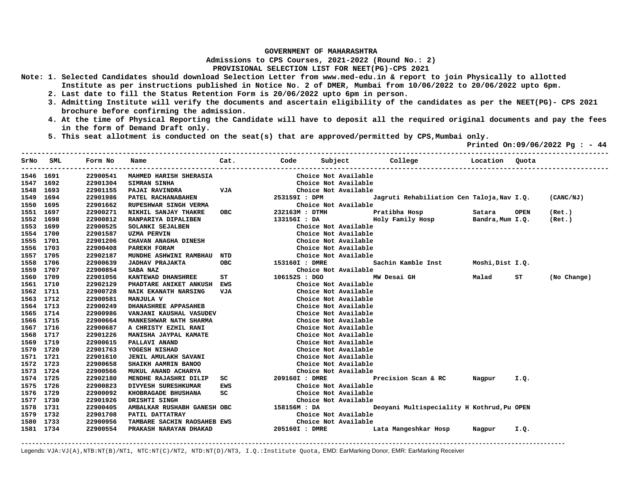**Admissions to CPS Courses, 2021-2022 (Round No.: 2)**

## **PROVISIONAL SELECTION LIST FOR NEET(PG)-CPS 2021**

- **Note: 1. Selected Candidates should download Selection Letter from www.med-edu.in & report to join Physically to allotted Institute as per instructions published in Notice No. 2 of DMER, Mumbai from 10/06/2022 to 20/06/2022 upto 6pm.** 
	- **2. Last date to fill the Status Retention Form is 20/06/2022 upto 6pm in person.**
	- **3. Admitting Institute will verify the documents and ascertain eligibility of the candidates as per the NEET(PG)- CPS 2021 brochure before confirming the admission.**
	- **4. At the time of Physical Reporting the Candidate will have to deposit all the required original documents and pay the fees in the form of Demand Draft only.**

**-------------------------------------------------------------------------------------------------------------------------------------------------** 

 **5. This seat allotment is conducted on the seat(s) that are approved/permitted by CPS,Mumbai only.** 

 **Printed On:09/06/2022 Pg : - 44** 

| SrNo      | SML  | Form No  | Name                        | Cat.       | Code           | Subject              | College                                    | Location         | Ouota       |             |
|-----------|------|----------|-----------------------------|------------|----------------|----------------------|--------------------------------------------|------------------|-------------|-------------|
| 1546 1691 |      | 22900541 | MAHMED HARISH SHERASIA      |            |                | Choice Not Available |                                            |                  |             |             |
| 1547      | 1692 | 22901304 | <b>SIMRAN SINHA</b>         |            |                | Choice Not Available |                                            |                  |             |             |
| 1548      | 1693 | 22901155 | PAJAI RAVINDRA              | VJA        |                | Choice Not Available |                                            |                  |             |             |
| 1549      | 1694 | 22901986 | PATEL RACHANABAHEN          |            | 253159I : DPM  |                      | Jagruti Rehabiliation Cen Taloja, Nav I.Q. |                  |             | (CANC/NJ)   |
| 1550      | 1695 | 22901662 | RUPESHWAR SINGH VERMA       |            |                | Choice Not Available |                                            |                  |             |             |
| 1551      | 1697 | 22900271 | NIKHIL SANJAY THAKRE        | OBC        | 232163M : DTMH |                      | Pratibha Hosp                              | Satara           | <b>OPEN</b> | (Ret.)      |
| 1552      | 1698 | 22900812 | RANPARIYA DIPALIBEN         |            | 133156I : DA   |                      | Holy Family Hosp                           | Bandra, Mum I.Q. |             | (Ret.)      |
| 1553      | 1699 | 22900525 | SOLANKI SEJALBEN            |            |                | Choice Not Available |                                            |                  |             |             |
| 1554 1700 |      | 22901587 | <b>UZMA PERVIN</b>          |            |                | Choice Not Available |                                            |                  |             |             |
| 1555 1701 |      | 22901206 | CHAVAN ANAGHA DINESH        |            |                | Choice Not Available |                                            |                  |             |             |
| 1556 1703 |      | 22900408 | PAREKH FORAM                |            |                | Choice Not Available |                                            |                  |             |             |
| 1557 1705 |      | 22902187 | MUNDHE ASHWINI RAMBHAU      | NTD        |                | Choice Not Available |                                            |                  |             |             |
| 1558      | 1706 | 22900639 | <b>JADHAV PRAJAKTA</b>      | <b>OBC</b> | 153160I : DMRE |                      | Sachin Kamble Inst                         | Moshi, Dist I.Q. |             |             |
| 1559      | 1707 | 22900854 | SABA NAZ                    |            |                | Choice Not Available |                                            |                  |             |             |
| 1560      | 1709 | 22901056 | KANTEWAD DHANSHREE          | SТ         | 106152S : DGO  |                      | MW Desai GH                                | Malad            | ST          | (No Change) |
| 1561 1710 |      | 22902129 | PHADTARE ANIKET ANKUSH      | EWS        |                | Choice Not Available |                                            |                  |             |             |
| 1562 1711 |      | 22900728 | NAIK EKANATH NARSING        | <b>VJA</b> |                | Choice Not Available |                                            |                  |             |             |
| 1563 1712 |      | 22900581 | MANJULA V                   |            |                | Choice Not Available |                                            |                  |             |             |
| 1564 1713 |      | 22900249 | DHANASHREE APPASAHEB        |            |                | Choice Not Available |                                            |                  |             |             |
| 1565 1714 |      | 22900986 | VANJANI KAUSHAL VASUDEV     |            |                | Choice Not Available |                                            |                  |             |             |
| 1566      | 1715 | 22900664 | MANKESHWAR NATH SHARMA      |            |                | Choice Not Available |                                            |                  |             |             |
| 1567 1716 |      | 22900687 | A CHRISTY EZHIL RANI        |            |                | Choice Not Available |                                            |                  |             |             |
| 1568 1717 |      | 22901226 | MANISHA JAYPAL KAMATE       |            |                | Choice Not Available |                                            |                  |             |             |
| 1569 1719 |      | 22900615 | PALLAVI ANAND               |            |                | Choice Not Available |                                            |                  |             |             |
| 1570 1720 |      | 22901763 | YOGESH NISHAD               |            |                | Choice Not Available |                                            |                  |             |             |
| 1571      | 1721 | 22901610 | JENIL AMULAKH SAVANI        |            |                | Choice Not Available |                                            |                  |             |             |
| 1572      | 1723 | 22900658 | SHAIKH AAMRIN BANOO         |            |                | Choice Not Available |                                            |                  |             |             |
| 1573      | 1724 | 22900566 | MUKUL ANAND ACHARYA         |            |                | Choice Not Available |                                            |                  |             |             |
| 1574 1725 |      | 22902180 | MENDHE RAJASHRI DILIP       | sc         | 209160I : DMRE |                      | Precision Scan & RC                        | Nagpur           | I.Q.        |             |
| 1575      | 1726 | 22900823 | DIVYESH SURESHKUMAR         | <b>EWS</b> |                | Choice Not Available |                                            |                  |             |             |
| 1576      | 1729 | 22900092 | KHOBRAGADE BHUSHANA         | sc         |                | Choice Not Available |                                            |                  |             |             |
| 1577 1730 |      | 22901926 | DRISHTI SINGH               |            |                | Choice Not Available |                                            |                  |             |             |
| 1578 1731 |      | 22900405 | AMBALKAR RUSHABH GANESH OBC |            | 158156M : DA   |                      | Deoyani Multispeciality H Kothrud, Pu OPEN |                  |             |             |
| 1579 1732 |      | 22901708 | PATIL DATTATRAY             |            |                | Choice Not Available |                                            |                  |             |             |
| 1580 1733 |      | 22900956 | TAMBARE SACHIN RAOSAHEB EWS |            |                | Choice Not Available |                                            |                  |             |             |
| 1581 1734 |      | 22900554 | PRAKASH NARAYAN DHAKAD      |            | 205160I : DMRE |                      | Lata Mangeshkar Hosp                       | Nagpur           | I.Q.        |             |

**-------------------------------------------------------------------------------------------------------------------------------------------------------**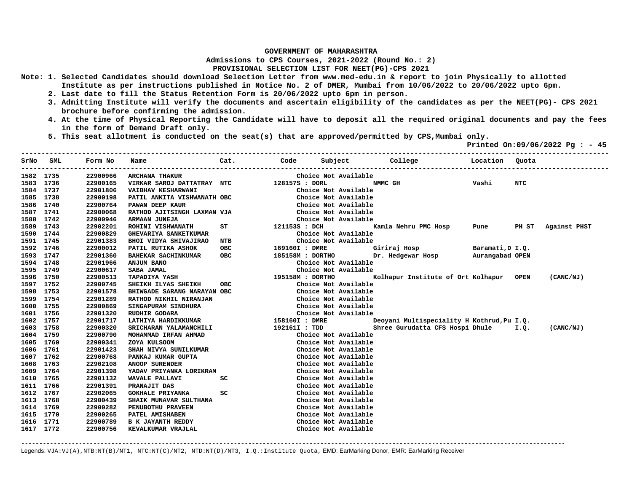**Admissions to CPS Courses, 2021-2022 (Round No.: 2)**

## **PROVISIONAL SELECTION LIST FOR NEET(PG)-CPS 2021**

- **Note: 1. Selected Candidates should download Selection Letter from www.med-edu.in & report to join Physically to allotted Institute as per instructions published in Notice No. 2 of DMER, Mumbai from 10/06/2022 to 20/06/2022 upto 6pm.** 
	- **2. Last date to fill the Status Retention Form is 20/06/2022 upto 6pm in person.**
	- **3. Admitting Institute will verify the documents and ascertain eligibility of the candidates as per the NEET(PG)- CPS 2021 brochure before confirming the admission.**
	- **4. At the time of Physical Reporting the Candidate will have to deposit all the required original documents and pay the fees in the form of Demand Draft only.**
	- **5. This seat allotment is conducted on the seat(s) that are approved/permitted by CPS,Mumbai only.**

 **Printed On:09/06/2022 Pg : - 45** 

|           | SrNo SML | Form No  | Name                         | Cat.       | Code             | Subject              | <b>College</b>                             | Location | Ouota      |              |
|-----------|----------|----------|------------------------------|------------|------------------|----------------------|--------------------------------------------|----------|------------|--------------|
| 1582 1735 |          | 22900966 | <b>ARCHANA THAKUR</b>        |            |                  | Choice Not Available |                                            |          |            |              |
| 1583 1736 |          | 22900165 | VIRKAR SAROJ DATTATRAY NTC   |            | 128157S : DORL   |                      | NMMC GH                                    | Vashi    | <b>NTC</b> |              |
| 1584 1737 |          | 22901806 | <b>VAIBHAV KESHARWANI</b>    |            |                  | Choice Not Available |                                            |          |            |              |
| 1585 1738 |          | 22900198 | PATIL ANKITA VISHWANATH OBC  |            |                  | Choice Not Available |                                            |          |            |              |
| 1586      | 1740     | 22900764 | PAWAN DEEP KAUR              |            |                  | Choice Not Available |                                            |          |            |              |
| 1587      | 1741     | 22900068 | RATHOD AJITSINGH LAXMAN VJA  |            |                  | Choice Not Available |                                            |          |            |              |
| 1588 1742 |          | 22900946 | ARMAAN JUNEJA                |            |                  | Choice Not Available |                                            |          |            |              |
| 1589 1743 |          | 22902201 | ROHINI VISHWANATH            | ST         | 121153S : DCH    |                      | Kamla Nehru PMC Hosp                       | Pune     | PH ST      | Against PHST |
| 1590 1744 |          | 22900829 | <b>GHEVARIYA SANKETKUMAR</b> |            |                  | Choice Not Available |                                            |          |            |              |
| 1591 1745 |          | 22901383 | BHOI VIDYA SHIVAJIRAO        | <b>NTB</b> |                  | Choice Not Available |                                            |          |            |              |
| 1592 1746 |          | 22900012 | PATIL RUTIKA ASHOK           | OBC        | 169160I : DMRE   |                      | Giriraj Hosp Baramati, D I.Q.              |          |            |              |
| 1593 1747 |          | 22901360 | BAHEKAR SACHINKUMAR          | <b>OBC</b> | 185158M : DORTHO |                      | Dr. Hedgewar Hosp Murangabad OPEN          |          |            |              |
| 1594 1748 |          | 22901966 | <b>ANJUM BANO</b>            |            |                  | Choice Not Available |                                            |          |            |              |
| 1595 1749 |          | 22900617 | SABA JAMAL                   |            |                  | Choice Not Available |                                            |          |            |              |
| 1596 1750 |          | 22900513 | <b>TAPADIYA YASH</b>         |            | 195158M : DORTHO |                      | Kolhapur Institute of Ort Kolhapur OPEN    |          |            | (CANC/NJ)    |
| 1597 1752 |          | 22900745 | SHEIKH ILYAS SHEIKH          | <b>OBC</b> |                  | Choice Not Available |                                            |          |            |              |
| 1598 1753 |          | 22901578 | BHIWGADE SARANG NARAYAN OBC  |            |                  | Choice Not Available |                                            |          |            |              |
| 1599 1754 |          | 22901289 | RATHOD NIKHIL NIRANJAN       |            |                  | Choice Not Available |                                            |          |            |              |
| 1600 1755 |          | 22900869 | SINGAPURAM SINDHURA          |            |                  | Choice Not Available |                                            |          |            |              |
| 1601 1756 |          | 22901320 | RUDHIR GODARA                |            |                  | Choice Not Available |                                            |          |            |              |
| 1602 1757 |          | 22901717 | LATHIYA HARDIKKUMAR          |            | 158160I : DMRE   |                      | Deoyani Multispeciality H Kothrud, Pu I.Q. |          |            |              |
| 1603 1758 |          | 22900320 | SRICHARAN YALAMANCHILI       |            | 192161I : TDD    |                      | Shree Gurudatta CFS Hospi Dhule 1.Q.       |          |            | (CANC/NJ)    |
| 1604 1759 |          | 22900790 | MOHAMMAD IRFAN AHMAD         |            |                  | Choice Not Available |                                            |          |            |              |
| 1605 1760 |          | 22900341 | ZOYA KULSOOM                 |            |                  | Choice Not Available |                                            |          |            |              |
| 1606 1761 |          | 22901423 | SHAH NIVYA SUNILKUMAR        |            |                  | Choice Not Available |                                            |          |            |              |
| 1607 1762 |          | 22900768 | PANKAJ KUMAR GUPTA           |            |                  | Choice Not Available |                                            |          |            |              |
| 1608 1763 |          | 22902108 | ANOOP SURENDER               |            |                  | Choice Not Available |                                            |          |            |              |
| 1609      | 1764     | 22901398 | YADAV PRIYANKA LORIKRAM      |            |                  | Choice Not Available |                                            |          |            |              |
| 1610      | 1765     | 22901132 | WAVALE PALLAVI               | SC         |                  | Choice Not Available |                                            |          |            |              |
| 1611 1766 |          | 22901391 | PRANAJIT DAS                 |            |                  | Choice Not Available |                                            |          |            |              |
| 1612 1767 |          | 22902065 | <b>GOKHALE PRIYANKA</b>      | sc         |                  | Choice Not Available |                                            |          |            |              |
| 1613 1768 |          | 22900439 | SHAIK MUNAVAR SULTHANA       |            |                  | Choice Not Available |                                            |          |            |              |
| 1614 1769 |          | 22900282 | PENUBOTHU PRAVEEN            |            |                  | Choice Not Available |                                            |          |            |              |
| 1615 1770 |          | 22900265 | PATEL AMISHABEN              |            |                  | Choice Not Available |                                            |          |            |              |
| 1616 1771 |          | 22900789 | <b>B K JAYANTH REDDY</b>     |            |                  | Choice Not Available |                                            |          |            |              |
| 1617 1772 |          | 22900756 | KEVALKUMAR VRAJLAL           |            |                  | Choice Not Available |                                            |          |            |              |
|           |          |          |                              |            |                  |                      |                                            |          |            |              |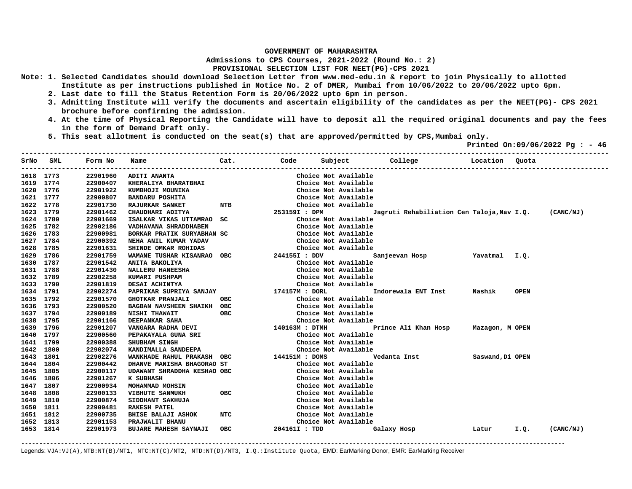**Admissions to CPS Courses, 2021-2022 (Round No.: 2)**

## **PROVISIONAL SELECTION LIST FOR NEET(PG)-CPS 2021**

- **Note: 1. Selected Candidates should download Selection Letter from www.med-edu.in & report to join Physically to allotted Institute as per instructions published in Notice No. 2 of DMER, Mumbai from 10/06/2022 to 20/06/2022 upto 6pm.** 
	- **2. Last date to fill the Status Retention Form is 20/06/2022 upto 6pm in person.**
	- **3. Admitting Institute will verify the documents and ascertain eligibility of the candidates as per the NEET(PG)- CPS 2021 brochure before confirming the admission.**
	- **4. At the time of Physical Reporting the Candidate will have to deposit all the required original documents and pay the fees in the form of Demand Draft only.**
	- **5. This seat allotment is conducted on the seat(s) that are approved/permitted by CPS,Mumbai only.**

 **Printed On:09/06/2022 Pg : - 46** 

| SrNo      | SML       | Form No  | Name                         | Cat.       | Code                 | Subject | College                                    | Location         | Quota       |           |
|-----------|-----------|----------|------------------------------|------------|----------------------|---------|--------------------------------------------|------------------|-------------|-----------|
| 1618 1773 |           | 22901960 | ADITI ANANTA                 |            | Choice Not Available |         |                                            |                  |             |           |
| 1619 1774 |           | 22900407 | KHERALIYA BHARATBHAI         |            | Choice Not Available |         |                                            |                  |             |           |
|           | 1620 1776 | 22901922 | KUMBHOJI MOUNIKA             |            | Choice Not Available |         |                                            |                  |             |           |
|           | 1621 1777 | 22900807 | <b>BANDARU POSHITA</b>       |            | Choice Not Available |         |                                            |                  |             |           |
|           | 1622 1778 | 22901730 | <b>RAJURKAR SANKET</b>       | NTB        | Choice Not Available |         |                                            |                  |             |           |
| 1623 1779 |           | 22901462 | CHAUDHARI ADITYA             |            | 253159I : DPM        |         | Jagruti Rehabiliation Cen Taloja, Nav I.Q. |                  |             | (CANC/NJ) |
| 1624 1780 |           | 22901669 | ISALKAR VIKAS UTTAMRAO       | sc         | Choice Not Available |         |                                            |                  |             |           |
|           | 1625 1782 | 22902186 | VADHAVANA SHRADDHABEN        |            | Choice Not Available |         |                                            |                  |             |           |
|           | 1626 1783 | 22900981 | BORKAR PRATIK SURYABHAN SC   |            | Choice Not Available |         |                                            |                  |             |           |
| 1627 1784 |           | 22900392 | NEHA ANIL KUMAR YADAV        |            | Choice Not Available |         |                                            |                  |             |           |
| 1628 1785 |           | 22901631 | SHINDE OMKAR ROHIDAS         |            | Choice Not Available |         |                                            |                  |             |           |
| 1629      | 1786      | 22901759 | WAMANE TUSHAR KISANRAO OBC   |            | 244155I : DDV        |         | Sanjeevan Hosp                             | Yavatmal I.Q.    |             |           |
| 1630      | 1787      | 22901542 | ANITA BAKOLIYA               |            | Choice Not Available |         |                                            |                  |             |           |
| 1631 1788 |           | 22901430 | NALLERU HANEESHA             |            | Choice Not Available |         |                                            |                  |             |           |
| 1632 1789 |           | 22902258 | KUMARI PUSHPAM               |            | Choice Not Available |         |                                            |                  |             |           |
| 1633 1790 |           | 22901819 | DESAI ACHINTYA               |            | Choice Not Available |         |                                            |                  |             |           |
| 1634 1791 |           | 22902274 | PAPRIKAR SUPRIYA SANJAY      |            | 174157M : DORL       |         | Indorewala ENT Inst                        | Nashik           | <b>OPEN</b> |           |
| 1635 1792 |           | 22901570 | <b>GHOTKAR PRANJALI</b>      | <b>OBC</b> | Choice Not Available |         |                                            |                  |             |           |
| 1636 1793 |           | 22900520 | BAGBAN NAVSHEEN SHAIKH OBC   |            | Choice Not Available |         |                                            |                  |             |           |
| 1637 1794 |           | 22900189 | NISHI THAWAIT                | <b>OBC</b> | Choice Not Available |         |                                            |                  |             |           |
| 1638 1795 |           | 22901166 | DEEPANKAR SAHA               |            | Choice Not Available |         |                                            |                  |             |           |
| 1639 1796 |           | 22901207 | VANGARA RADHA DEVI           |            | 140163M : DTMH       |         | Prince Ali Khan Hosp                       | Mazagon, M OPEN  |             |           |
| 1640 1797 |           | 22900560 | PEPAKAYALA GUNA SRI          |            | Choice Not Available |         |                                            |                  |             |           |
| 1641 1799 |           | 22900388 | SHUBHAM SINGH                |            | Choice Not Available |         |                                            |                  |             |           |
| 1642      | 1800      | 22902074 | KANDIMALLA SANDEEPA          |            | Choice Not Available |         |                                            |                  |             |           |
| 1643 1801 |           | 22902276 | WANKHADE RAHUL PRAKASH OBC   |            | 144151M : DOMS       |         | Vedanta Inst                               | Saswand, Di OPEN |             |           |
| 1644 1804 |           | 22900442 | DHANVE MANISHA BHAGORAO ST   |            | Choice Not Available |         |                                            |                  |             |           |
| 1645 1805 |           | 22900117 | UDAWANT SHRADDHA KESHAO OBC  |            | Choice Not Available |         |                                            |                  |             |           |
| 1646 1806 |           | 22901267 | K SUBHASH                    |            | Choice Not Available |         |                                            |                  |             |           |
| 1647 1807 |           | 22900934 | MOHAMMAD MOHSIN              |            | Choice Not Available |         |                                            |                  |             |           |
| 1648      | 1808      | 22900133 | <b>VIBHUTE SANMUKH</b>       | <b>OBC</b> | Choice Not Available |         |                                            |                  |             |           |
| 1649      | 1810      | 22900874 | SIDDHANT SAKHUJA             |            | Choice Not Available |         |                                            |                  |             |           |
| 1650      | 1811      | 22900481 | <b>RAKESH PATEL</b>          |            | Choice Not Available |         |                                            |                  |             |           |
| 1651      | 1812      | 22900735 | <b>BHISE BALAJI ASHOK</b>    | NTC        | Choice Not Available |         |                                            |                  |             |           |
| 1652      | 1813      | 22901153 | PRAJWALIT BHANU              |            | Choice Not Available |         |                                            |                  |             |           |
| 1653 1814 |           | 22901973 | <b>BUJARE MAHESH SAYNAJI</b> | <b>OBC</b> | 204161I : TDD        |         | Galaxy Hosp                                | Latur            | I.Q.        | (CANC/NJ) |

**-------------------------------------------------------------------------------------------------------------------------------------------------------**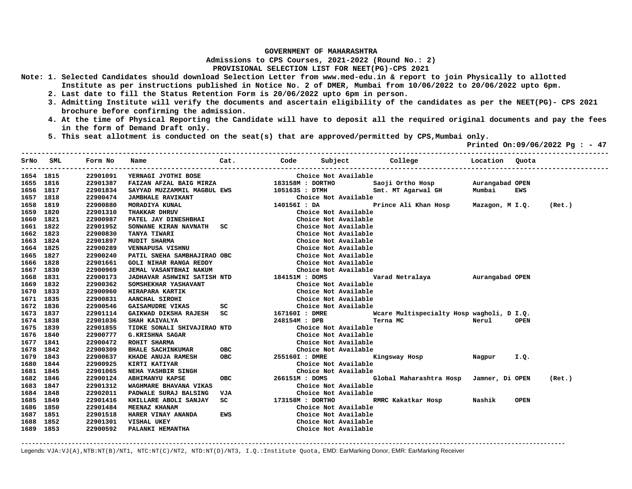**Admissions to CPS Courses, 2021-2022 (Round No.: 2)**

## **PROVISIONAL SELECTION LIST FOR NEET(PG)-CPS 2021**

- **Note: 1. Selected Candidates should download Selection Letter from www.med-edu.in & report to join Physically to allotted Institute as per instructions published in Notice No. 2 of DMER, Mumbai from 10/06/2022 to 20/06/2022 upto 6pm.** 
	- **2. Last date to fill the Status Retention Form is 20/06/2022 upto 6pm in person.**
	- **3. Admitting Institute will verify the documents and ascertain eligibility of the candidates as per the NEET(PG)- CPS 2021 brochure before confirming the admission.**
	- **4. At the time of Physical Reporting the Candidate will have to deposit all the required original documents and pay the fees in the form of Demand Draft only.**
	- **5. This seat allotment is conducted on the seat(s) that are approved/permitted by CPS,Mumbai only.**

 **Printed On:09/06/2022 Pg : - 47** 

|           | SrNo SML | Form No<br>. _ _ _ _ _ _ _ _ _ _ _ | Name                                                            | Cat.                                                                                                                                                                                                                               |                  |                      | Code Subject College to Location Quota                                            |       |             |        |
|-----------|----------|------------------------------------|-----------------------------------------------------------------|------------------------------------------------------------------------------------------------------------------------------------------------------------------------------------------------------------------------------------|------------------|----------------------|-----------------------------------------------------------------------------------|-------|-------------|--------|
| 1654 1815 |          | 22901091                           | YERNAGI JYOTHI BOSE                                             |                                                                                                                                                                                                                                    |                  | Choice Not Available |                                                                                   |       |             |        |
| 1655 1816 |          | 22901387                           |                                                                 |                                                                                                                                                                                                                                    |                  |                      | Saoji Ortho Hosp Murangabad OPEN                                                  |       |             |        |
| 1656 1817 |          | 22901834                           |                                                                 |                                                                                                                                                                                                                                    |                  |                      | Smt. MT Agarwal GH Mumbai                                                         |       | EWS         |        |
| 1657 1818 |          | 22900474                           | <b>JAMBHALE RAVIKANT</b>                                        |                                                                                                                                                                                                                                    |                  | Choice Not Available |                                                                                   |       |             |        |
| 1658      | 1819     | 22900880                           | MORADIYA KUNAL                                                  |                                                                                                                                                                                                                                    | 140156I : DA     |                      | Prince Ali Khan Hosp Mazagon, M I.Q. (Ret.)                                       |       |             |        |
| 1659      | 1820     | 22901310                           | <b>THAKKAR DHRUV<br/>PATEL JAY DINESHBHAI</b>                   |                                                                                                                                                                                                                                    |                  | Choice Not Available |                                                                                   |       |             |        |
| 1660 1821 |          | 22900987                           |                                                                 |                                                                                                                                                                                                                                    |                  | Choice Not Available |                                                                                   |       |             |        |
| 1661 1822 |          | 22901952                           | SONWANE KIRAN NAVNATH SC                                        |                                                                                                                                                                                                                                    |                  | Choice Not Available |                                                                                   |       |             |        |
| 1662 1823 |          | 22900830                           | <b>TANYA TIWARI</b>                                             |                                                                                                                                                                                                                                    |                  | Choice Not Available |                                                                                   |       |             |        |
| 1663 1824 |          | 22901897                           | <b>MUDIT SHARMA</b>                                             |                                                                                                                                                                                                                                    |                  | Choice Not Available |                                                                                   |       |             |        |
| 1664 1825 |          | 22900289                           | VENNAPUSA VISHNU                                                |                                                                                                                                                                                                                                    |                  | Choice Not Available |                                                                                   |       |             |        |
| 1665 1827 |          | 22900240                           | PATIL SNEHA SAMBHAJIRAO OBC                                     |                                                                                                                                                                                                                                    |                  | Choice Not Available |                                                                                   |       |             |        |
| 1666 1828 |          | 22901661                           | <b>GOLI NIHAR RANGA REDDY</b>                                   |                                                                                                                                                                                                                                    |                  | Choice Not Available |                                                                                   |       |             |        |
| 1667 1830 |          | 22900969                           | JEMAL VASANTBHAI NAKUM                                          |                                                                                                                                                                                                                                    |                  | Choice Not Available |                                                                                   |       |             |        |
| 1668 1831 |          | 22900173                           | JADHAVAR ASHWINI SATISH NTD 184151M : DOMS                      |                                                                                                                                                                                                                                    |                  |                      | Varad Netralaya Murangabad OPEN                                                   |       |             |        |
| 1669 1832 |          | 22900362                           | SOMSHEKHAR YASHAVANT                                            |                                                                                                                                                                                                                                    |                  | Choice Not Available |                                                                                   |       |             |        |
| 1670 1833 |          | 22900960                           | <b>HIRAPARA KARTIK</b>                                          |                                                                                                                                                                                                                                    |                  | Choice Not Available |                                                                                   |       |             |        |
| 1671 1835 |          | 22900831                           | AANCHAL SIROHI                                                  |                                                                                                                                                                                                                                    |                  | Choice Not Available |                                                                                   |       |             |        |
| 1672 1836 |          | 22900546                           | GAISAMUDRE VIKAS SC                                             |                                                                                                                                                                                                                                    |                  | Choice Not Available |                                                                                   |       |             |        |
| 1673 1837 |          | 22901114                           |                                                                 |                                                                                                                                                                                                                                    |                  |                      | GAIKWAD DIKSHA RAJESH SC 167160I : DMRE Waare Multispecialty Hosp wagholi, D I.Q. |       |             |        |
| 1674 1838 |          | 22901036                           | SHAH KAIVALYA                                                   |                                                                                                                                                                                                                                    | 248154M : DPB    | Terna MC             |                                                                                   | Nerul | <b>OPEN</b> |        |
| 1675 1839 |          | 22901855                           | TIDKE SONALI SHIVAJIRAO NTD                                     |                                                                                                                                                                                                                                    |                  | Choice Not Available |                                                                                   |       |             |        |
| 1676 1840 |          | 22900777                           |                                                                 |                                                                                                                                                                                                                                    |                  | Choice Not Available |                                                                                   |       |             |        |
| 1677 1841 |          | 22900472                           | G.KRISHNA SAGAR<br>ROHIT SHARMA<br>BHALE SACHINKUMAR        OBC |                                                                                                                                                                                                                                    |                  | Choice Not Available |                                                                                   |       |             |        |
| 1678 1842 |          | 22900309                           |                                                                 |                                                                                                                                                                                                                                    |                  | Choice Not Available |                                                                                   |       |             |        |
| 1679      | 1843     | 22900637                           | KHADE ANUJA RAMESH OBC                                          |                                                                                                                                                                                                                                    | 255160I : DMRE   |                      | Kingsway Hosp <b>Magpur</b>                                                       |       | I.Q.        |        |
| 1680      | 1844     | 22900925                           | KIRTI KATIYAR<br>NEHA YASHBIR SINGH                             |                                                                                                                                                                                                                                    |                  | Choice Not Available |                                                                                   |       |             |        |
| 1681      | 1845     | 22901065                           |                                                                 |                                                                                                                                                                                                                                    |                  | Choice Not Available |                                                                                   |       |             |        |
| 1682      | 1846     | 22900124                           | <b>ABHIMANYU KAPSE</b>                                          | <b>OBC</b>                                                                                                                                                                                                                         | 266151M : DOMS   |                      | Global Maharashtra Hosp Jamner, Di OPEN                                           |       |             | (Ret.) |
| 1683      | 1847     | 22901312                           | WAGHMARE BHAVANA VIKAS                                          |                                                                                                                                                                                                                                    |                  | Choice Not Available |                                                                                   |       |             |        |
| 1684 1848 |          | 22902011                           | PADWALE SURAJ BALSING                                           | VJA                                                                                                                                                                                                                                |                  | Choice Not Available |                                                                                   |       |             |        |
| 1685      | 1849     | 22901416                           | KHILLARE ABOLI SANJAY                                           | <b>SC</b> and the set of the set of the set of the set of the set of the set of the set of the set of the set of the set of the set of the set of the set of the set of the set of the set of the set of the set of the set of the | 173158M : DORTHO |                      | RMRC Kakatkar Hosp Nashik                                                         |       | <b>OPEN</b> |        |
| 1686      | 1850     | 22901484                           | MEENAZ KHANAM                                                   |                                                                                                                                                                                                                                    |                  | Choice Not Available |                                                                                   |       |             |        |
| 1687 1851 |          | 22901518                           | HARER VINAY ANANDA                                              | EWS                                                                                                                                                                                                                                |                  | Choice Not Available |                                                                                   |       |             |        |
| 1688 1852 |          | 22901301                           | VISHAL UKEY                                                     |                                                                                                                                                                                                                                    |                  | Choice Not Available |                                                                                   |       |             |        |
| 1689 1853 |          | 22900592                           | PALANKI HEMANTHA                                                |                                                                                                                                                                                                                                    |                  | Choice Not Available |                                                                                   |       |             |        |
|           |          |                                    |                                                                 |                                                                                                                                                                                                                                    |                  |                      |                                                                                   |       |             |        |

**-------------------------------------------------------------------------------------------------------------------------------------------------------**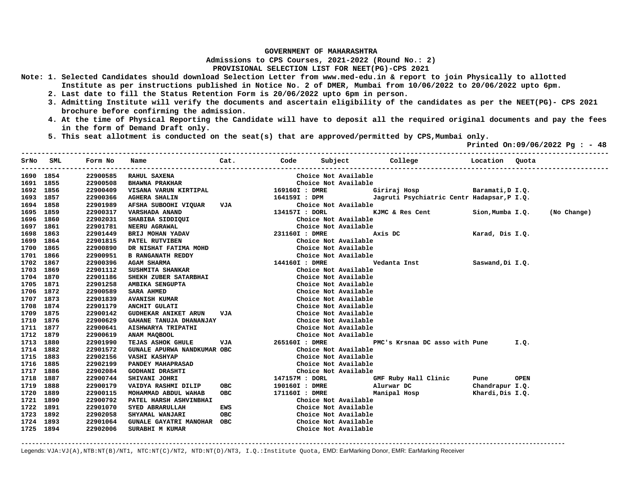**Admissions to CPS Courses, 2021-2022 (Round No.: 2)**

## **PROVISIONAL SELECTION LIST FOR NEET(PG)-CPS 2021**

- **Note: 1. Selected Candidates should download Selection Letter from www.med-edu.in & report to join Physically to allotted Institute as per instructions published in Notice No. 2 of DMER, Mumbai from 10/06/2022 to 20/06/2022 upto 6pm.** 
	- **2. Last date to fill the Status Retention Form is 20/06/2022 upto 6pm in person.**
	- **3. Admitting Institute will verify the documents and ascertain eligibility of the candidates as per the NEET(PG)- CPS 2021 brochure before confirming the admission.**
	- **4. At the time of Physical Reporting the Candidate will have to deposit all the required original documents and pay the fees in the form of Demand Draft only.**

**-------------------------------------------------------------------------------------------------------------------------------------------------** 

 **5. This seat allotment is conducted on the seat(s) that are approved/permitted by CPS,Mumbai only.** 

 **Printed On:09/06/2022 Pg : - 48** 

| SrNo      | SML  | Form No  | Name                        | Cat.       | Code           | Subject              | College<br><b>Example 1</b> Location       |                  | Ouota       |             |
|-----------|------|----------|-----------------------------|------------|----------------|----------------------|--------------------------------------------|------------------|-------------|-------------|
| 1690 1854 |      | 22900585 | RAHUL SAXENA                |            |                | Choice Not Available |                                            |                  |             |             |
| 1691 1855 |      | 22900508 | <b>BHAWNA PRAKHAR</b>       |            |                | Choice Not Available |                                            |                  |             |             |
| 1692 1856 |      | 22900409 | VISANA VARUN KIRTIPAL       |            | 169160I : DMRE |                      | Baramati, D I.Q.<br>Giriraj Hosp           |                  |             |             |
| 1693 1857 |      | 22900366 | <b>AGHERA SHALIN</b>        |            | 164159I : DPM  |                      | Jagruti Psychiatric Centr Hadapsar, P I.Q. |                  |             |             |
| 1694 1858 |      | 22901989 | AFSHA SUBOOHI VIQUAR        | VJA        |                | Choice Not Available |                                            |                  |             |             |
| 1695 1859 |      | 22900317 | VARSHADA ANAND              |            | 134157I : DORL |                      | KJMC & Res Cent                            | Sion, Mumba I.O. |             | (No Change) |
| 1696 1860 |      | 22902031 | SHABIBA SIDDIQUI            |            |                | Choice Not Available |                                            |                  |             |             |
| 1697 1861 |      | 22901781 | NEERU AGRAWAL               |            |                | Choice Not Available |                                            |                  |             |             |
| 1698      | 1863 | 22901449 | BRIJ MOHAN YADAV            |            | 231160I : DMRE |                      | Axis DC                                    | Karad, Dis I.Q.  |             |             |
| 1699 1864 |      | 22901815 | PATEL RUTVIBEN              |            |                | Choice Not Available |                                            |                  |             |             |
| 1700 1865 |      | 22900890 | DR NISHAT FATIMA MOHD       |            |                | Choice Not Available |                                            |                  |             |             |
| 1701 1866 |      | 22900951 | <b>B RANGANATH REDDY</b>    |            |                | Choice Not Available |                                            |                  |             |             |
| 1702 1867 |      | 22900396 | <b>AGAM SHARMA</b>          |            | 144160I : DMRE |                      | Vedanta Inst                               | Saswand, Di I.Q. |             |             |
| 1703 1869 |      | 22901112 | SUSHMITA SHANKAR            |            |                | Choice Not Available |                                            |                  |             |             |
| 1704 1870 |      | 22901186 | SHEKH ZUBER SATARBHAI       |            |                | Choice Not Available |                                            |                  |             |             |
| 1705 1871 |      | 22901258 | AMBIKA SENGUPTA             |            |                | Choice Not Available |                                            |                  |             |             |
| 1706 1872 |      | 22900589 | <b>SARA AHMED</b>           |            |                | Choice Not Available |                                            |                  |             |             |
| 1707 1873 |      | 22901839 | <b>AVANISH KUMAR</b>        |            |                | Choice Not Available |                                            |                  |             |             |
| 1708 1874 |      | 22901179 | ANCHIT GULATI               |            |                | Choice Not Available |                                            |                  |             |             |
| 1709 1875 |      | 22900142 | <b>GUDHEKAR ANIKET ARUN</b> | VJA        |                | Choice Not Available |                                            |                  |             |             |
| 1710 1876 |      | 22900629 | GAHANE TANUJA DHANANJAY     |            |                | Choice Not Available |                                            |                  |             |             |
| 1711 1877 |      | 22900641 | AISHWARYA TRIPATHI          |            |                | Choice Not Available |                                            |                  |             |             |
| 1712 1879 |      | 22900619 | ANAM MAQBOOL                |            |                | Choice Not Available |                                            |                  |             |             |
| 1713 1880 |      | 22901990 | TEJAS ASHOK GHULE           | VJA        | 265160I : DMRE |                      | PMC's Krsnaa DC asso with Pune             |                  | I.Q.        |             |
| 1714 1882 |      | 22901572 | GUNALE APURWA NANDKUMAR OBC |            |                | Choice Not Available |                                            |                  |             |             |
| 1715 1883 |      | 22902156 | <b>VASHI KASHYAP</b>        |            |                | Choice Not Available |                                            |                  |             |             |
| 1716 1885 |      | 22902199 | PANDEY MAHAPRASAD           |            |                | Choice Not Available |                                            |                  |             |             |
| 1717 1886 |      | 22902084 | <b>GODHANI DRASHTI</b>      |            |                | Choice Not Available |                                            |                  |             |             |
| 1718      | 1887 | 22900744 | SHIVANI JOHRI               |            | 147157M : DORL |                      | GMF Ruby Hall Clinic                       | Pune             | <b>OPEN</b> |             |
| 1719      | 1888 | 22900179 | VAIDYA RASHMI DILIP         | <b>OBC</b> | 190160I : DMRE |                      | Alurwar DC                                 | Chandrapur I.Q.  |             |             |
| 1720 1889 |      | 22900115 | MOHAMMAD ABDUL WAHAB        | <b>OBC</b> | 171160I : DMRE |                      | Manipal Hosp                               | Khardi, Dis I.Q. |             |             |
| 1721 1890 |      | 22900792 | PATEL HARSH ASHVINBHAI      |            |                | Choice Not Available |                                            |                  |             |             |
| 1722 1891 |      | 22901070 | SYED ABRARULLAH             | <b>EWS</b> |                | Choice Not Available |                                            |                  |             |             |
| 1723 1892 |      | 22902058 | SHYAMAL WANJARI             | <b>OBC</b> |                | Choice Not Available |                                            |                  |             |             |
| 1724 1893 |      | 22901064 | GUNALE GAYATRI MANOHAR OBC  |            |                | Choice Not Available |                                            |                  |             |             |
| 1725 1894 |      | 22902006 | SURABHI M KUMAR             |            |                | Choice Not Available |                                            |                  |             |             |
|           |      |          |                             |            |                |                      |                                            |                  |             |             |

Legends: VJA:VJ(A),NTB:NT(B)/NT1, NTC:NT(C)/NT2, NTD:NT(D)/NT3, I.Q.:Institute Quota, EMD: EarMarking Donor, EMR: EarMarking Receiver

**-------------------------------------------------------------------------------------------------------------------------------------------------------**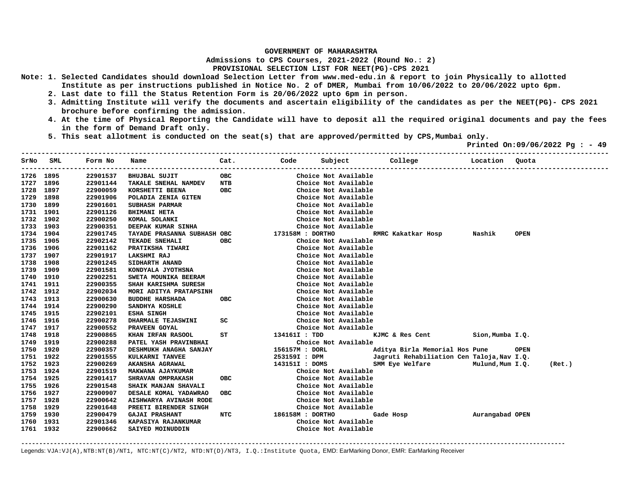**Admissions to CPS Courses, 2021-2022 (Round No.: 2)**

## **PROVISIONAL SELECTION LIST FOR NEET(PG)-CPS 2021**

- **Note: 1. Selected Candidates should download Selection Letter from www.med-edu.in & report to join Physically to allotted Institute as per instructions published in Notice No. 2 of DMER, Mumbai from 10/06/2022 to 20/06/2022 upto 6pm.** 
	- **2. Last date to fill the Status Retention Form is 20/06/2022 upto 6pm in person.**
	- **3. Admitting Institute will verify the documents and ascertain eligibility of the candidates as per the NEET(PG)- CPS 2021 brochure before confirming the admission.**
	- **4. At the time of Physical Reporting the Candidate will have to deposit all the required original documents and pay the fees in the form of Demand Draft only.**

**-------------------------------------------------------------------------------------------------------------------------------------------------** 

 **5. This seat allotment is conducted on the seat(s) that are approved/permitted by CPS,Mumbai only.** 

 **Printed On:09/06/2022 Pg : - 49** 

| SrNo      | SML  | Form No  | Name                        | Cat.       | Code             | Subject              | College                                    | Location         | Ouota       |  |
|-----------|------|----------|-----------------------------|------------|------------------|----------------------|--------------------------------------------|------------------|-------------|--|
| 1726 1895 |      | 22901537 | <b>BHUJBAL SUJIT</b>        | <b>OBC</b> |                  | Choice Not Available |                                            |                  |             |  |
| 1727      | 1896 | 22901144 | TAKALE SNEHAL NAMDEV        | NTB        |                  | Choice Not Available |                                            |                  |             |  |
| 1728      | 1897 | 22900059 | KORSHETTI BEENA             | <b>OBC</b> |                  | Choice Not Available |                                            |                  |             |  |
| 1729      | 1898 | 22901906 | POLADIA ZENIA GITEN         |            |                  | Choice Not Available |                                            |                  |             |  |
| 1730      | 1899 | 22901601 | SUBHASH PARMAR              |            |                  | Choice Not Available |                                            |                  |             |  |
| 1731      | 1901 | 22901126 | <b>BHIMANI HETA</b>         |            |                  | Choice Not Available |                                            |                  |             |  |
| 1732      | 1902 | 22900250 | KOMAL SOLANKI               |            |                  | Choice Not Available |                                            |                  |             |  |
| 1733      | 1903 | 22900351 | DEEPAK KUMAR SINHA          |            |                  | Choice Not Available |                                            |                  |             |  |
| 1734      | 1904 | 22901745 | TAYADE PRASANNA SUBHASH OBC |            | 173158M : DORTHO |                      | RMRC Kakatkar Hosp                         | Nashik           | <b>OPEN</b> |  |
| 1735      | 1905 | 22902142 | TEKADE SNEHALI              | <b>OBC</b> |                  | Choice Not Available |                                            |                  |             |  |
| 1736      | 1906 | 22901162 | PRATIKSHA TIWARI            |            |                  | Choice Not Available |                                            |                  |             |  |
| 1737      | 1907 | 22901917 | <b>LAKSHMI RAJ</b>          |            |                  | Choice Not Available |                                            |                  |             |  |
| 1738      | 1908 | 22901245 | SIDHARTH ANAND              |            |                  | Choice Not Available |                                            |                  |             |  |
| 1739      | 1909 | 22901581 | KONDYALA JYOTHSNA           |            |                  | Choice Not Available |                                            |                  |             |  |
| 1740      | 1910 | 22902251 | SWETA MOUNIKA BEERAM        |            |                  | Choice Not Available |                                            |                  |             |  |
| 1741      | 1911 | 22900355 | SHAH KARISHMA SURESH        |            |                  | Choice Not Available |                                            |                  |             |  |
| 1742      | 1912 | 22902034 | MORI ADITYA PRATAPSINH      |            |                  | Choice Not Available |                                            |                  |             |  |
| 1743      | 1913 | 22900630 | <b>BUDDHE HARSHADA</b>      | <b>OBC</b> |                  | Choice Not Available |                                            |                  |             |  |
| 1744      | 1914 | 22900290 | SANDHYA KOSHLE              |            |                  | Choice Not Available |                                            |                  |             |  |
| 1745      | 1915 | 22902101 | <b>ESHA SINGH</b>           |            |                  | Choice Not Available |                                            |                  |             |  |
| 1746      | 1916 | 22900278 | DHARMALE TEJASWINI          | sc         |                  | Choice Not Available |                                            |                  |             |  |
| 1747      | 1917 | 22900552 | PRAVEEN GOYAL               |            |                  | Choice Not Available |                                            |                  |             |  |
| 1748      | 1918 | 22900865 | KHAN IRFAN RASOOL           | ST         | 134161I : TDD    |                      | KJMC & Res Cent                            | Sion, Mumba I.Q. |             |  |
| 1749      | 1919 | 22900288 | PATEL YASH PRAVINBHAI       |            |                  | Choice Not Available |                                            |                  |             |  |
| 1750      | 1920 | 22900357 | DESHMUKH ANAGHA SANJAY      |            | 156157M : DORL   |                      | Aditya Birla Memorial Hos Pune             |                  | <b>OPEN</b> |  |
| 1751      | 1922 | 22901555 | KULKARNI TANVEE             |            | 253159I : DPM    |                      | Jagruti Rehabiliation Cen Taloja, Nav I.Q. |                  |             |  |
| 1752      | 1923 | 22900269 | AKANSHA AGRAWAL             |            | 143151I : DOMS   |                      | SMM Eye Welfare                            | Mulund,Mum I.Q.  | (Ret.)      |  |
| 1753      | 1924 | 22901519 | MAKWANA AJAYKUMAR           |            |                  | Choice Not Available |                                            |                  |             |  |
| 1754      | 1925 | 22901417 | SHRAVAN OMPRAKASH           | <b>OBC</b> |                  | Choice Not Available |                                            |                  |             |  |
| 1755      | 1926 | 22901548 | SHAIK MANJAN SHAVALI        |            |                  | Choice Not Available |                                            |                  |             |  |
| 1756      | 1927 | 22900907 | DESALE KOMAL YADAWRAO       | овс        |                  | Choice Not Available |                                            |                  |             |  |
| 1757      | 1928 | 22900642 | AISHWARYA AVINASH RODE      |            |                  | Choice Not Available |                                            |                  |             |  |
| 1758      | 1929 | 22901648 | PREETI BIRENDER SINGH       |            |                  | Choice Not Available |                                            |                  |             |  |
| 1759      | 1930 | 22900479 | <b>GAJAI PRASHANT</b>       | <b>NTC</b> | 186158M : DORTHO |                      | Gade Hosp                                  | Aurangabad OPEN  |             |  |
| 1760      | 1931 | 22901346 | KAPASIYA RAJANKUMAR         |            |                  | Choice Not Available |                                            |                  |             |  |
| 1761 1932 |      | 22900662 | SAIYED MOINUDDIN            |            |                  | Choice Not Available |                                            |                  |             |  |

**-------------------------------------------------------------------------------------------------------------------------------------------------------**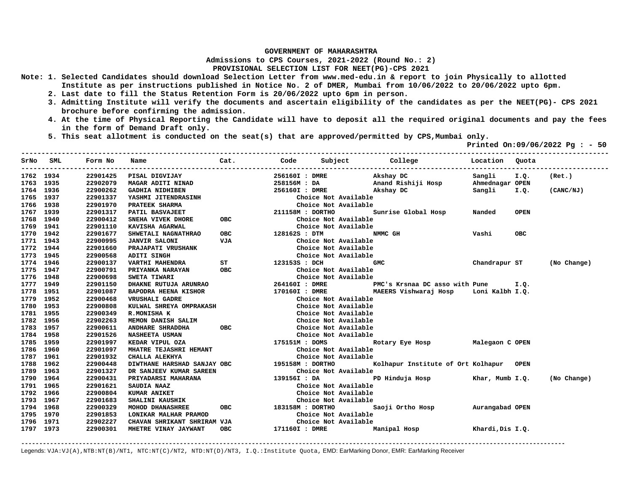**Admissions to CPS Courses, 2021-2022 (Round No.: 2)**

## **PROVISIONAL SELECTION LIST FOR NEET(PG)-CPS 2021**

- **Note: 1. Selected Candidates should download Selection Letter from www.med-edu.in & report to join Physically to allotted Institute as per instructions published in Notice No. 2 of DMER, Mumbai from 10/06/2022 to 20/06/2022 upto 6pm.** 
	- **2. Last date to fill the Status Retention Form is 20/06/2022 upto 6pm in person.**
	- **3. Admitting Institute will verify the documents and ascertain eligibility of the candidates as per the NEET(PG)- CPS 2021 brochure before confirming the admission.**
	- **4. At the time of Physical Reporting the Candidate will have to deposit all the required original documents and pay the fees in the form of Demand Draft only.**
	- **5. This seat allotment is conducted on the seat(s) that are approved/permitted by CPS,Mumbai only.**

 **Printed On:09/06/2022 Pg : - 50** 

|           | SrNo SML<br>-------------- | Form No  | Cat. Code<br>Name                                                                                                                                                                                                                      |                      |                  |                      | Subject College Colour College Contained December 2016 |                  |             |             |
|-----------|----------------------------|----------|----------------------------------------------------------------------------------------------------------------------------------------------------------------------------------------------------------------------------------------|----------------------|------------------|----------------------|--------------------------------------------------------|------------------|-------------|-------------|
| 1762 1934 |                            | 22901425 | PISAL DIGVIJAY                                                                                                                                                                                                                         |                      | 256160I : DMRE   |                      | Akshay DC                                              | Sangli           | I.Q.        | (Ret.)      |
| 1763 1935 |                            | 22902079 | MAGAR ADITI NINAD                                                                                                                                                                                                                      |                      | 258156M : DA     |                      | Anand Rishiji Hosp                                     | Ahmednagar OPEN  |             |             |
| 1764 1936 |                            | 22900262 | <b>GADHIA NIDHIBEN</b>                                                                                                                                                                                                                 |                      | 256160I : DMRE   |                      | Akshay DC                                              | Sangli           | I.Q.        | (CANC/NJ)   |
| 1765      | 1937                       | 22901337 | YASHMI JITENDRASINH                                                                                                                                                                                                                    |                      |                  | Choice Not Available |                                                        |                  |             |             |
| 1766 1938 |                            | 22901970 | PRATEEK SHARMA                                                                                                                                                                                                                         |                      |                  | Choice Not Available |                                                        |                  |             |             |
| 1767 1939 |                            | 22901317 | PATIL BASVAJEET                                                                                                                                                                                                                        |                      | 211158M : DORTHO |                      | Sunrise Global Hosp                                    | Nanded           | <b>OPEN</b> |             |
| 1768      | 1940                       | 22900412 | SNEHA VIVEK DHORE                                                                                                                                                                                                                      | OBC <sub>2</sub>     |                  | Choice Not Available |                                                        |                  |             |             |
| 1769      | 1941                       | 22901110 | KAVISHA AGARWAL                                                                                                                                                                                                                        |                      |                  | Choice Not Available |                                                        |                  |             |             |
| 1770      | 1942                       | 22901677 | SHWETALI NAGNATHRAO                                                                                                                                                                                                                    | OBC                  | 128162S : DTM    |                      | NMMC GH                                                | Vashi            | <b>OBC</b>  |             |
| 1771      | 1943                       | 22900995 | <b>JANVIR SALONI</b>                                                                                                                                                                                                                   | VJA                  |                  | Choice Not Available |                                                        |                  |             |             |
| 1772      | 1944                       | 22901660 |                                                                                                                                                                                                                                        |                      |                  | Choice Not Available |                                                        |                  |             |             |
| 1773      | 1945                       | 22900568 |                                                                                                                                                                                                                                        |                      |                  | Choice Not Available |                                                        |                  |             |             |
| 1774 1946 |                            | 22900137 |                                                                                                                                                                                                                                        |                      | 123153S : DCH    |                      | <b>GMC</b>                                             | Chandrapur ST    |             | (No Change) |
| 1775      | 1947                       | 22900791 | OBC<br>PRIYANKA NARAYAN                                                                                                                                                                                                                |                      |                  | Choice Not Available |                                                        |                  |             |             |
| 1776      | 1948                       | 22900698 | SWETA TIWARI                                                                                                                                                                                                                           |                      |                  | Choice Not Available |                                                        |                  |             |             |
| 1777      | 1949                       | 22901150 | DHAKNE RUTUJA ARUNRAO                                                                                                                                                                                                                  |                      | 264160I : DMRE   |                      | PMC's Krsnaa DC asso with Pune 1.0.                    |                  |             |             |
| 1778      | 1951                       | 22901087 | <b>BAPODRA HEENA KISHOR</b>                                                                                                                                                                                                            |                      | 170160I : DMRE   |                      | MAEERS Vishwaraj Hosp                                  | Loni Kalbh I.O.  |             |             |
| 1779      | 1952                       | 22900468 | <b>VRUSHALI GADRE</b>                                                                                                                                                                                                                  |                      |                  | Choice Not Available |                                                        |                  |             |             |
| 1780      | 1953                       | 22900808 | KULWAL SHREYA OMPRAKASH<br>R.MONISHA K                                                                                                                                                                                                 |                      |                  | Choice Not Available |                                                        |                  |             |             |
| 1781      | 1955                       | 22900349 |                                                                                                                                                                                                                                        |                      |                  | Choice Not Available |                                                        |                  |             |             |
| 1782      | 1956                       | 22902263 | MEMON DANISH SALIM                                                                                                                                                                                                                     |                      |                  | Choice Not Available |                                                        |                  |             |             |
| 1783 1957 |                            | 22900611 | ANDHARE SHRADDHA OBC                                                                                                                                                                                                                   |                      |                  | Choice Not Available |                                                        |                  |             |             |
| 1784      | 1958                       | 22901526 | <b>NASHEETA USMAN</b>                                                                                                                                                                                                                  |                      |                  | Choice Not Available |                                                        |                  |             |             |
| 1785      | 1959                       | 22901997 | KEDAR VIPUL OZA                                                                                                                                                                                                                        |                      |                  |                      | 175151M: DOMS Rotary Eye Hosp Malegaon C OPEN          |                  |             |             |
| 1786      | 1960                       | 22901097 |                                                                                                                                                                                                                                        |                      |                  | Choice Not Available |                                                        |                  |             |             |
| 1787      | 1961                       | 22901932 | EN MHATRE TEJASHRI HEMANT (CHALLA ALEKHYA (CHALLA ALEKHYA (CHALLA ALEKHYA )<br>CHALLA ALEKHYA (CHALLA ALEKHYA )<br>DIWTHANE HARSHAD SANJAY OBC 195158M : DORTHO<br>DR SANJEEV KUMAR SAREEN (Choice Not<br>PRIYADARSI MAHARANA 139156 : |                      |                  | Choice Not Available |                                                        |                  |             |             |
| 1788      | 1962                       | 22900448 |                                                                                                                                                                                                                                        |                      |                  |                      | Kolhapur Institute of Ort Kolhapur OPEN                |                  |             |             |
| 1789      | 1963                       | 22901327 |                                                                                                                                                                                                                                        |                      |                  | Choice Not Available |                                                        |                  |             |             |
| 1790      | 1964                       | 22900431 |                                                                                                                                                                                                                                        |                      |                  |                      | PD Hinduja Hosp Khar, Mumb I.Q.                        |                  |             | (No Change) |
| 1791      | 1965                       | 22901621 | SAUDIA NAAZ                                                                                                                                                                                                                            |                      |                  | Choice Not Available |                                                        |                  |             |             |
| 1792      | 1966                       | 22900804 | <b>KUMAR ANIKET</b>                                                                                                                                                                                                                    |                      |                  | Choice Not Available |                                                        |                  |             |             |
| 1793      | 1967                       | 22901683 | SHALINI KAUSHIK                                                                                                                                                                                                                        |                      |                  | Choice Not Available |                                                        |                  |             |             |
| 1794      | 1968                       | 22900329 | MOHOD DHANASHREE                                                                                                                                                                                                                       | OBC 183158M : DORTHO |                  |                      | Saoji Ortho Hosp                                       | Aurangabad OPEN  |             |             |
| 1795      | 1970                       | 22901853 | LONIKAR MALHAR PRAMOD                                                                                                                                                                                                                  |                      |                  | Choice Not Available |                                                        |                  |             |             |
| 1796      | 1971                       | 22902227 | CHAVAN SHRIKANT SHRIRAM VJA                                                                                                                                                                                                            |                      |                  | Choice Not Available |                                                        |                  |             |             |
| 1797 1973 |                            | 22900301 | MHETRE VINAY JAYWANT                                                                                                                                                                                                                   | OBC                  | 171160I : DMRE   |                      | Manipal Hosp                                           | Khardi, Dis I.O. |             |             |

**-------------------------------------------------------------------------------------------------------------------------------------------------------**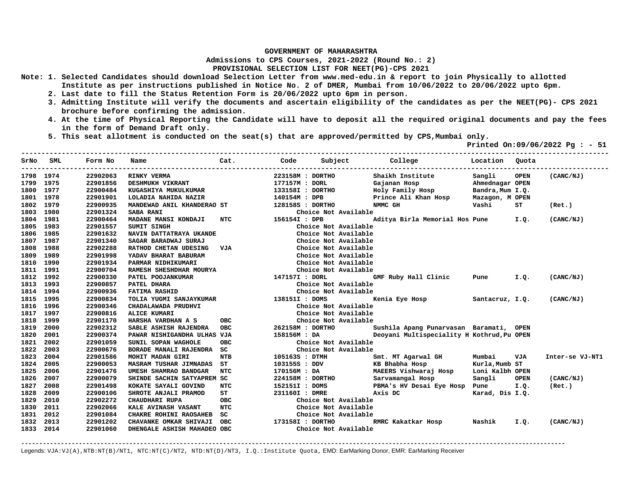**Admissions to CPS Courses, 2021-2022 (Round No.: 2)**

## **PROVISIONAL SELECTION LIST FOR NEET(PG)-CPS 2021**

- **Note: 1. Selected Candidates should download Selection Letter from www.med-edu.in & report to join Physically to allotted Institute as per instructions published in Notice No. 2 of DMER, Mumbai from 10/06/2022 to 20/06/2022 upto 6pm.** 
	- **2. Last date to fill the Status Retention Form is 20/06/2022 upto 6pm in person.**
	- **3. Admitting Institute will verify the documents and ascertain eligibility of the candidates as per the NEET(PG)- CPS 2021 brochure before confirming the admission.**
	- **4. At the time of Physical Reporting the Candidate will have to deposit all the required original documents and pay the fees in the form of Demand Draft only.**
	- **5. This seat allotment is conducted on the seat(s) that are approved/permitted by CPS,Mumbai only.**

 **Printed On:09/06/2022 Pg : - 51** 

| SrNo      | SML  | Form No  | Name                          | Cat.       | Code             | Subject              | College                                    | Location         | Ouota       |                 |
|-----------|------|----------|-------------------------------|------------|------------------|----------------------|--------------------------------------------|------------------|-------------|-----------------|
| 1798 1974 |      | 22902063 | RINKY VERMA                   |            | 223158M : DORTHO |                      | Shaikh Institute                           | Sangli           | <b>OPEN</b> | (CANC/NJ)       |
| 1799      | 1975 | 22901856 | DESHMUKH VIKRANT              |            | 177157M : DORL   |                      | Gajanan Hosp                               | Ahmednagar OPEN  |             |                 |
| 1800      | 1977 | 22900484 | KUGASHIYA MUKULKUMAR          |            | 133158I : DORTHO |                      | Holy Family Hosp                           | Bandra, Mum I.Q. |             |                 |
| 1801      | 1978 | 22901901 | LOLADIA NAHIDA NAZIR          |            | 140154M : DPB    |                      | Prince Ali Khan Hosp                       | Mazagon, M OPEN  |             |                 |
| 1802      | 1979 | 22900935 | MANDEWAD ANIL KHANDERAO ST    |            | 128158S : DORTHO |                      | NMMC GH                                    | Vashi            | ST          | (Ret.)          |
| 1803      | 1980 | 22901324 | <b>SABA RANI</b>              |            |                  | Choice Not Available |                                            |                  |             |                 |
| 1804      | 1981 | 22900464 | MADANE MANSI KONDAJI          | <b>NTC</b> | 156154I : DPB    |                      | Aditya Birla Memorial Hos Pune             |                  | I.Q.        | (CANC/NJ)       |
| 1805      | 1983 | 22901557 | <b>SUMIT SINGH</b>            |            |                  | Choice Not Available |                                            |                  |             |                 |
| 1806      | 1985 | 22901632 | NAVIN DATTATRAYA UKANDE       |            |                  | Choice Not Available |                                            |                  |             |                 |
| 1807      | 1987 | 22901340 | SAGAR BARADWAJ SURAJ          |            |                  | Choice Not Available |                                            |                  |             |                 |
| 1808      | 1988 | 22902288 | RATHOD CHETAN UDESING         | VJA        |                  | Choice Not Available |                                            |                  |             |                 |
| 1809      | 1989 | 22901998 | YADAV BHARAT BABURAM          |            |                  | Choice Not Available |                                            |                  |             |                 |
| 1810      | 1990 | 22901934 | PARMAR NIDHIKUMARI            |            |                  | Choice Not Available |                                            |                  |             |                 |
| 1811      | 1991 | 22900704 | RAMESH SHESHDHAR MOURYA       |            |                  | Choice Not Available |                                            |                  |             |                 |
| 1812      | 1992 | 22900330 | PATEL POOJANKUMAR             |            | 147157I : DORL   |                      | GMF Ruby Hall Clinic                       | Pune             | I.Q.        | (CANC/NJ)       |
| 1813      | 1993 | 22900857 | PATEL DHARA                   |            |                  | Choice Not Available |                                            |                  |             |                 |
| 1814      | 1994 | 22900936 | <b>FATIMA RASHID</b>          |            |                  | Choice Not Available |                                            |                  |             |                 |
| 1815      | 1995 | 22900834 | TOLIA YUGMI SANJAYKUMAR       |            | 138151I : DOMS   |                      | Kenia Eye Hosp                             | Santacruz, I.Q.  |             | (CANC/NJ)       |
| 1816      | 1996 | 22900346 | CHADALAWADA PRUDHVI           |            |                  | Choice Not Available |                                            |                  |             |                 |
| 1817      | 1997 | 22900816 | <b>ALICE KUMARI</b>           |            |                  | Choice Not Available |                                            |                  |             |                 |
| 1818      | 1999 | 22901170 | HARSHA VARDHAN A S            | <b>OBC</b> |                  | Choice Not Available |                                            |                  |             |                 |
| 1819      | 2000 | 22902312 | SABLE ASHISH RAJENDRA         | <b>OBC</b> | 262158M : DORTHO |                      | Sushila Apang Punarvasan Baramati, OPEN    |                  |             |                 |
| 1820      | 2001 | 22900374 | PAWAR NISHIGANDHA ULHAS VJA   |            | 158156M : DA     |                      | Deoyani Multispeciality H Kothrud, Pu OPEN |                  |             |                 |
| 1821      | 2002 | 22901059 | SUNIL SOPAN WAGHOLE           | OBC        |                  | Choice Not Available |                                            |                  |             |                 |
| 1822      | 2003 | 22900676 | BORADE MANALI RAJENDRA        | SC.        |                  | Choice Not Available |                                            |                  |             |                 |
| 1823      | 2004 | 22901586 | MOHIT MADAN GIRI              | <b>NTB</b> | 105163S : DTMH   |                      | Smt. MT Agarwal GH                         | Mumbai           | VJA         | Inter-se VJ-NT1 |
| 1824      | 2005 | 22900053 | <b>MASRAM TUSHAR JIMNADAS</b> | ST         | 103155S : DDV    |                      | KB Bhabha Hosp                             | Kurla, Mumb ST   |             |                 |
| 1825      | 2006 | 22901476 | UMESH SHAMRAO BANDGAR         | NTC        | 170156M: DA      |                      | MAEERS Vishwaraj Hosp                      | Loni Kalbh OPEN  |             |                 |
| 1826      | 2007 | 22900079 | SHINDE SACHIN SATYAPREM SC    |            | 224158M : DORTHO |                      | Sarvamangal Hosp                           | Sangli           | <b>OPEN</b> | (CANC/NJ)       |
| 1827      | 2008 | 22901498 | KOKATE SAYALI GOVIND          | NTC        | 152151I : DOMS   |                      | PBMA's HV Desai Eye Hosp Pune              |                  | I.Q.        | (Ret.)          |
| 1828      | 2009 | 22900106 | SHROTE ANJALI PRAMOD          | ST         | 231160I : DMRE   |                      | Axis DC                                    | Karad, Dis I.Q.  |             |                 |
| 1829      | 2010 | 22902272 | <b>CHAUDHARI RUPA</b>         | <b>OBC</b> |                  | Choice Not Available |                                            |                  |             |                 |
| 1830      | 2011 | 22902066 | KALE AVINASH VASANT           | <b>NTC</b> |                  | Choice Not Available |                                            |                  |             |                 |
| 1831      | 2012 | 22901084 | CHAKRE ROHINI RAOSAHEB        | SC         |                  | Choice Not Available |                                            |                  |             |                 |
| 1832      | 2013 | 22901202 | CHAVANKE OMKAR SHIVAJI        | OBC        | 173158I : DORTHO |                      | RMRC Kakatkar Hosp                         | Nashik           | I.Q.        | (CANC/NJ)       |
| 1833      | 2014 | 22901060 | DHENGALE ASHISH MAHADEO OBC   |            |                  | Choice Not Available |                                            |                  |             |                 |

**-------------------------------------------------------------------------------------------------------------------------------------------------------**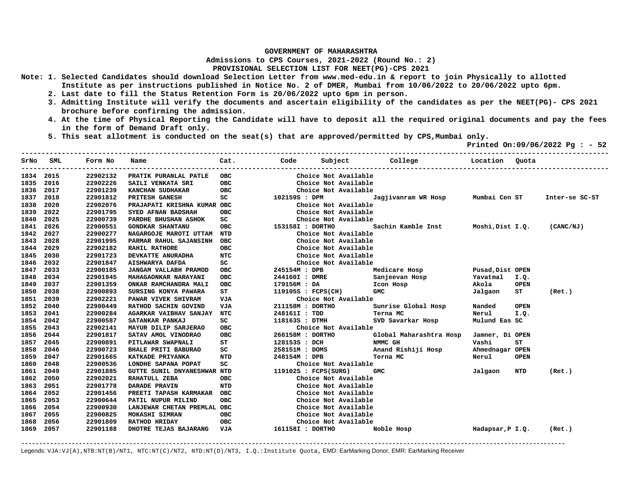**Admissions to CPS Courses, 2021-2022 (Round No.: 2)**

**PROVISIONAL SELECTION LIST FOR NEET(PG)-CPS 2021** 

- **Note: 1. Selected Candidates should download Selection Letter from www.med-edu.in & report to join Physically to allotted Institute as per instructions published in Notice No. 2 of DMER, Mumbai from 10/06/2022 to 20/06/2022 upto 6pm.** 
	- **2. Last date to fill the Status Retention Form is 20/06/2022 upto 6pm in person.**
	- **3. Admitting Institute will verify the documents and ascertain eligibility of the candidates as per the NEET(PG)- CPS 2021 brochure before confirming the admission.**
	- **4. At the time of Physical Reporting the Candidate will have to deposit all the required original documents and pay the fees in the form of Demand Draft only.**
	- **5. This seat allotment is conducted on the seat(s) that are approved/permitted by CPS,Mumbai only.**

 **Printed On:09/06/2022 Pg : - 52 -------------------------------------------------------------------------------------------------------------------------------------------------** 

| SrNo | SML  | Form No  | Name                        | Cat.       | Code                 | Subject              | College                 | Location         | Ouota       |                |
|------|------|----------|-----------------------------|------------|----------------------|----------------------|-------------------------|------------------|-------------|----------------|
| 1834 | 2015 | 22902132 | PRATIK PURANLAL PATLE       | OBC        |                      | Choice Not Available |                         |                  |             |                |
| 1835 | 2016 | 22902226 | SAILI VENKATA SRI           | <b>OBC</b> |                      | Choice Not Available |                         |                  |             |                |
| 1836 | 2017 | 22901239 | KANCHAN SUDHAKAR            | <b>OBC</b> |                      | Choice Not Available |                         |                  |             |                |
| 1837 | 2018 | 22901812 | PRITESH GANESH              | SC         | 102159S : DPM        |                      | Jagjivanram WR Hosp     | Mumbai Cen ST    |             | Inter-se SC-ST |
| 1838 | 2020 | 22902076 | PRAJAPATI KRISHNA KUMAR OBC |            |                      | Choice Not Available |                         |                  |             |                |
| 1839 | 2022 | 22901795 | SYED AFNAN BADSHAH          | <b>OBC</b> |                      | Choice Not Available |                         |                  |             |                |
| 1840 | 2025 | 22900739 | PARDHE BHUSHAN ASHOK        | SC         |                      | Choice Not Available |                         |                  |             |                |
| 1841 | 2026 | 22900551 | <b>GONDKAR SHANTANU</b>     | <b>OBC</b> | 153158I : DORTHO     |                      | Sachin Kamble Inst      | Moshi,Dist I.Q.  |             | (CANC/NJ)      |
| 1842 | 2027 | 22900277 | NAGARGOJE MAROTI UTTAM NTD  |            |                      | Choice Not Available |                         |                  |             |                |
| 1843 | 2028 | 22901995 | PARMAR RAHUL SAJANSINH      | OBC        |                      | Choice Not Available |                         |                  |             |                |
| 1844 | 2029 | 22902182 | <b>RAHIL RATHORE</b>        | ОВС        |                      | Choice Not Available |                         |                  |             |                |
| 1845 | 2030 | 22901723 | DEVKATTE ANURADHA           | <b>NTC</b> |                      | Choice Not Available |                         |                  |             |                |
| 1846 | 2032 | 22901847 | AISHWARYA DAFDA             | SC         |                      | Choice Not Available |                         |                  |             |                |
| 1847 | 2033 | 22900185 | JANGAM VALLABH PRAMOD       | OBC        | 245154M : DPB        |                      | Medicare Hosp           | Pusad, Dist OPEN |             |                |
| 1848 | 2034 | 22901945 | MAHAGAONKAR NARAYANI        | <b>OBC</b> | 244160I : DMRE       |                      | Sanjeevan Hosp          | Yavatmal I.Q.    |             |                |
| 1849 | 2037 | 22901359 | ONKAR RAMCHANDRA MALI       | ОВС        | 179156M : DA         |                      | Icon Hosp               | Akola            | <b>OPEN</b> |                |
| 1850 | 2038 | 22900893 | SURSING KONYA PAWARA        | ST         | $119105S$ : FCPS(CH) |                      | <b>GMC</b>              | Jalgaon          | ST          | (Ret.)         |
| 1851 | 2039 | 22902221 | PAWAR VIVEK SHIVRAM         | VJA        |                      | Choice Not Available |                         |                  |             |                |
| 1852 | 2040 | 22900449 | RATHOD SACHIN GOVIND        | VJA        | 211158M : DORTHO     |                      | Sunrise Global Hosp     | Nanded           | <b>OPEN</b> |                |
| 1853 | 2041 | 22900284 | AGARKAR VAIBHAV SANJAY      | <b>NTC</b> | 248161I: TDD         |                      | Terna MC                | Nerul            | I.Q.        |                |
| 1854 | 2042 | 22900587 | SATANKAR PANKAJ             | SC         | 118163S : DTMH       |                      | SVD Savarkar Hosp       | Mulund Eas SC    |             |                |
| 1855 | 2043 | 22902141 | MAYUR DILIP SARJERAO        | <b>OBC</b> |                      | Choice Not Available |                         |                  |             |                |
| 1856 | 2044 | 22901817 | SATAV AMOL VINODRAO         | <b>OBC</b> | 266158M : DORTHO     |                      | Global Maharashtra Hosp | Jamner, Di OPEN  |             |                |
| 1857 | 2045 | 22900891 | PITLAWAR SWAPNALI           | ST         | 128153S : DCH        |                      | NMMC GH                 | Vashi            | ST          |                |
| 1858 | 2046 | 22900723 | <b>BHALE PRITI BABURAO</b>  | SC         | 258151M : DOMS       |                      | Anand Rishiji Hosp      | Ahmednagar OPEN  |             |                |
| 1859 | 2047 | 22901665 | KATKADE PRIYANKA            | <b>NTD</b> | 248154M : DPB        |                      | Terna MC                | Nerul            | <b>OPEN</b> |                |
| 1860 | 2048 | 22900536 | LONDHE SAPANA POPAT         | SC         |                      | Choice Not Available |                         |                  |             |                |
| 1861 | 2049 | 22901885 | GUTTE SUNIL DNYANESHWAR NTD |            | 119102S : FCPS(SURG) |                      | <b>GMC</b>              | Jalgaon          | NTD         | (Ret.)         |
| 1862 | 2050 | 22902021 | RAHATULL ZEBA               | <b>OBC</b> |                      | Choice Not Available |                         |                  |             |                |
| 1863 | 2051 | 22901778 | DARADE PRAVIN               | <b>NTD</b> |                      | Choice Not Available |                         |                  |             |                |
| 1864 | 2052 | 22901456 | PREETI TAPASH KARMAKAR      | OBC        |                      | Choice Not Available |                         |                  |             |                |
| 1865 | 2053 | 22900644 | PATIL NUPUR MILIND          | <b>OBC</b> |                      | Choice Not Available |                         |                  |             |                |
| 1866 | 2054 | 22900930 | LANJEWAR CHETAN PREMLAL OBC |            |                      | Choice Not Available |                         |                  |             |                |
| 1867 | 2055 | 22900825 | MOKASHI SIMRAN              | <b>OBC</b> |                      | Choice Not Available |                         |                  |             |                |
| 1868 | 2056 | 22901809 | <b>RATHOD HRIDAY</b>        | ОВС        |                      | Choice Not Available |                         |                  |             |                |
| 1869 | 2057 | 22901188 | DHOTRE TEJAS BAJARANG       | VJA        | 161158I : DORTHO     |                      | Noble Hosp              | Hadapsar, P I.Q. |             | (Ret.)         |

**-------------------------------------------------------------------------------------------------------------------------------------------------------**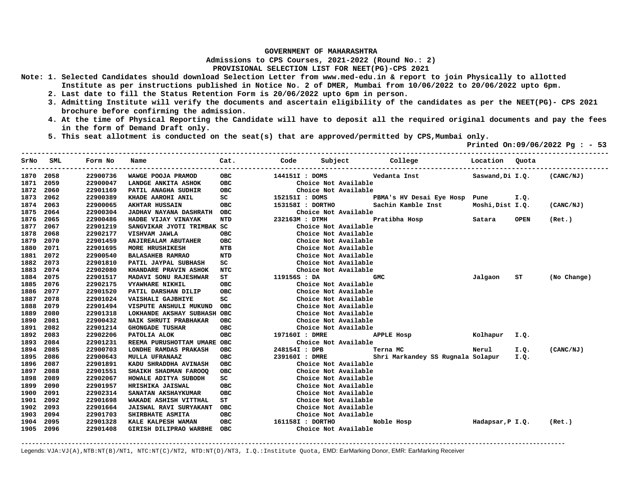**Admissions to CPS Courses, 2021-2022 (Round No.: 2)**

**PROVISIONAL SELECTION LIST FOR NEET(PG)-CPS 2021** 

- **Note: 1. Selected Candidates should download Selection Letter from www.med-edu.in & report to join Physically to allotted Institute as per instructions published in Notice No. 2 of DMER, Mumbai from 10/06/2022 to 20/06/2022 upto 6pm.** 
	- **2. Last date to fill the Status Retention Form is 20/06/2022 upto 6pm in person.**
	- **3. Admitting Institute will verify the documents and ascertain eligibility of the candidates as per the NEET(PG)- CPS 2021 brochure before confirming the admission.**
	- **4. At the time of Physical Reporting the Candidate will have to deposit all the required original documents and pay the fees in the form of Demand Draft only.**
	- **5. This seat allotment is conducted on the seat(s) that are approved/permitted by CPS,Mumbai only.**

 **Printed On:09/06/2022 Pg : - 53** 

| SrNo | SML  | Form No  | Name                          | Cat.<br>----- | Code             | Subject              | College                           | Location         | Quota       |             |
|------|------|----------|-------------------------------|---------------|------------------|----------------------|-----------------------------------|------------------|-------------|-------------|
| 1870 | 2058 | 22900736 | WAWGE POOJA PRAMOD            | <b>OBC</b>    | 144151I : DOMS   |                      | Vedanta Inst                      | Saswand, Di I.Q. |             | (CANC/NJ)   |
| 1871 | 2059 | 22900047 | LANDGE ANKITA ASHOK           | <b>OBC</b>    |                  | Choice Not Available |                                   |                  |             |             |
| 1872 | 2060 | 22901169 | PATIL ANAGHA SUDHIR           | <b>OBC</b>    |                  | Choice Not Available |                                   |                  |             |             |
| 1873 | 2062 | 22900389 | KHADE AAROHI ANIL             | SC            | 152151I : DOMS   |                      | PBMA's HV Desai Eye Hosp Pune     |                  | I.Q.        |             |
| 1874 | 2063 | 22900065 | <b>AKHTAR HUSSAIN</b>         | <b>OBC</b>    | 153158I : DORTHO |                      | Sachin Kamble Inst                | Moshi, Dist I.Q. |             | (CANC/NJ)   |
| 1875 | 2064 | 22900304 | <b>JADHAV NAYANA DASHRATH</b> | <b>OBC</b>    |                  | Choice Not Available |                                   |                  |             |             |
| 1876 | 2065 | 22900486 | HADBE VIJAY VINAYAK           | <b>NTD</b>    | 232163M : DTMH   |                      | Pratibha Hosp                     | Satara           | <b>OPEN</b> | (Ret.)      |
| 1877 | 2067 | 22901219 | SANGVIKAR JYOTI TRIMBAK SC    |               |                  | Choice Not Available |                                   |                  |             |             |
| 1878 | 2068 | 22902177 | VISHVAM JAWLA                 | <b>OBC</b>    |                  | Choice Not Available |                                   |                  |             |             |
| 1879 | 2070 | 22901459 | <b>ANJIREALAM ABUTAHER</b>    | <b>OBC</b>    |                  | Choice Not Available |                                   |                  |             |             |
| 1880 | 2071 | 22901695 | MORE HRUSHIKESH               | <b>NTB</b>    |                  | Choice Not Available |                                   |                  |             |             |
| 1881 | 2072 | 22900540 | <b>BALASAHEB RAMRAO</b>       | <b>NTD</b>    |                  | Choice Not Available |                                   |                  |             |             |
| 1882 | 2073 | 22901810 | PATIL JAYPAL SUBHASH          | SC            |                  | Choice Not Available |                                   |                  |             |             |
| 1883 | 2074 | 22902080 | KHANDARE PRAVIN ASHOK         | NTC           |                  | Choice Not Available |                                   |                  |             |             |
| 1884 | 2075 | 22901517 | MADAVI SONU RAJESHWAR         | ST.           | 119156S : DA     |                      | <b>GMC</b>                        | Jalgaon          | ST          | (No Change) |
| 1885 | 2076 | 22902175 | <b>VYAWHARE NIKHIL</b>        | <b>OBC</b>    |                  | Choice Not Available |                                   |                  |             |             |
| 1886 | 2077 | 22901520 | PATIL DARSHAN DILIP           | <b>OBC</b>    |                  | Choice Not Available |                                   |                  |             |             |
| 1887 | 2078 | 22901024 | VAISHALI GAJBHIYE             | SC            |                  | Choice Not Available |                                   |                  |             |             |
| 1888 | 2079 | 22901494 | VISPUTE ANSHULI MUKUND        | <b>OBC</b>    |                  | Choice Not Available |                                   |                  |             |             |
| 1889 | 2080 | 22901318 | LOKHANDE AKSHAY SUBHASH OBC   |               |                  | Choice Not Available |                                   |                  |             |             |
| 1890 | 2081 | 22900432 | NAIK SHRUTI PRABHAKAR         | <b>OBC</b>    |                  | Choice Not Available |                                   |                  |             |             |
| 1891 | 2082 | 22901214 | <b>GHONGADE TUSHAR</b>        | <b>OBC</b>    |                  | Choice Not Available |                                   |                  |             |             |
| 1892 | 2083 | 22902206 | PATOLIA ALOK                  | <b>OBC</b>    | 197160I : DMRE   |                      | <b>APPLE Hosp</b>                 | Kolhapur         | I.Q.        |             |
| 1893 | 2084 | 22901231 | REEMA PURUSHOTTAM UMARE OBC   |               |                  | Choice Not Available |                                   |                  |             |             |
| 1894 | 2085 | 22900703 | LONDHE RAMDAS PRAKASH         | <b>OBC</b>    | 248154I : DPB    |                      | Terna MC                          | Nerul            | I.Q.        | (CANC/NJ)   |
| 1895 | 2086 | 22900643 | MULLA UFRANAAZ                | <b>OBC</b>    | 239160I : DMRE   |                      | Shri Markandey SS Rugnala Solapur |                  | I.Q.        |             |
| 1896 | 2087 | 22901891 | KADU SHRADDHA AVINASH         | <b>OBC</b>    |                  | Choice Not Available |                                   |                  |             |             |
| 1897 | 2088 | 22901551 | SHAIKH SHADMAN FAROOQ         | <b>OBC</b>    |                  | Choice Not Available |                                   |                  |             |             |
| 1898 | 2089 | 22902067 | HOWALE ADITYA SUBODH          | SC            |                  | Choice Not Available |                                   |                  |             |             |
| 1899 | 2090 | 22901957 | HRISHIKA JAISWAL              | OBC           |                  | Choice Not Available |                                   |                  |             |             |
| 1900 | 2091 | 22902314 | SANATAN AKSHAYKUMAR           | <b>OBC</b>    |                  | Choice Not Available |                                   |                  |             |             |
| 1901 | 2092 | 22901698 | WAKADE ASHISH VITTHAL         | SТ            |                  | Choice Not Available |                                   |                  |             |             |
| 1902 | 2093 | 22901664 | JAISWAL RAVI SURYAKANT        | <b>OBC</b>    |                  | Choice Not Available |                                   |                  |             |             |
| 1903 | 2094 | 22901703 | SHIRBHATE ASMITA              | <b>OBC</b>    |                  | Choice Not Available |                                   |                  |             |             |
| 1904 | 2095 | 22901328 | KALE KALPESH WAMAN            | <b>OBC</b>    | 161158I : DORTHO |                      | Noble Hosp                        | Hadapsar, P I.Q. |             | (Ret.)      |
| 1905 | 2096 | 22901408 | GIRISH DILIPRAO WARBHE        | OBC           |                  | Choice Not Available |                                   |                  |             |             |

**-------------------------------------------------------------------------------------------------------------------------------------------------------**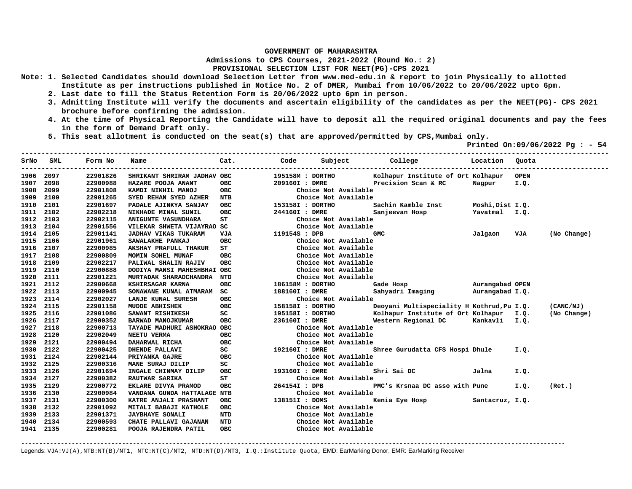**Admissions to CPS Courses, 2021-2022 (Round No.: 2)**

## **PROVISIONAL SELECTION LIST FOR NEET(PG)-CPS 2021**

- **Note: 1. Selected Candidates should download Selection Letter from www.med-edu.in & report to join Physically to allotted Institute as per instructions published in Notice No. 2 of DMER, Mumbai from 10/06/2022 to 20/06/2022 upto 6pm.** 
	- **2. Last date to fill the Status Retention Form is 20/06/2022 upto 6pm in person.**
	- **3. Admitting Institute will verify the documents and ascertain eligibility of the candidates as per the NEET(PG)- CPS 2021 brochure before confirming the admission.**
	- **4. At the time of Physical Reporting the Candidate will have to deposit all the required original documents and pay the fees in the form of Demand Draft only.**
	- **5. This seat allotment is conducted on the seat(s) that are approved/permitted by CPS,Mumbai only.**

 **Printed On:09/06/2022 Pg : - 54** 

| SrNo | SML  | Form No  | Name                        | Cat.       | Code             | Subject              | College                                    | Location        | Quota       |             |
|------|------|----------|-----------------------------|------------|------------------|----------------------|--------------------------------------------|-----------------|-------------|-------------|
| 1906 | 2097 | 22901826 | SHRIKANT SHRIRAM JADHAV OBC |            | 195158M : DORTHO |                      | Kolhapur Institute of Ort Kolhapur         |                 | <b>OPEN</b> |             |
| 1907 | 2098 | 22900988 | HAZARE POOJA ANANT          | <b>OBC</b> | 209160I : DMRE   |                      | Precision Scan & RC                        | Nagpur          | I.Q.        |             |
| 1908 | 2099 | 22901808 | KAMDI NIKHIL MANOJ          | <b>OBC</b> |                  | Choice Not Available |                                            |                 |             |             |
| 1909 | 2100 | 22901265 | SYED REHAN SYED AZHER       | NTB        |                  | Choice Not Available |                                            |                 |             |             |
| 1910 | 2101 | 22901697 | PADALE AJINKYA SANJAY       | OBC        | 153158I : DORTHO |                      | Sachin Kamble Inst                         | Moshi,Dist I.Q. |             |             |
| 1911 | 2102 | 22902218 | NIKHADE MINAL SUNIL         | <b>OBC</b> | 244160I : DMRE   |                      | Sanjeevan Hosp                             | Yavatmal I.Q.   |             |             |
| 1912 | 2103 | 22902115 | <b>ANIGUNTE VASUNDHARA</b>  | ST         |                  | Choice Not Available |                                            |                 |             |             |
| 1913 | 2104 | 22901556 | VILEKAR SHWETA VIJAYRAO SC  |            |                  | Choice Not Available |                                            |                 |             |             |
| 1914 | 2105 | 22901141 | <b>JADHAV VIKAS TUKARAM</b> | VJA        | 119154S : DPB    |                      | <b>GMC</b>                                 | Jalgaon         | VJA         | (No Change) |
| 1915 | 2106 | 22901961 | SAWALAKHE PANKAJ            | <b>OBC</b> |                  | Choice Not Available |                                            |                 |             |             |
| 1916 | 2107 | 22900985 | AKSHAY PRAFULL THAKUR       | ST         |                  | Choice Not Available |                                            |                 |             |             |
| 1917 | 2108 | 22900809 | MOMIN SOHEL MUNAF           | <b>OBC</b> |                  | Choice Not Available |                                            |                 |             |             |
| 1918 | 2109 | 22902217 | PALIWAL SHALIN RAJIV        | <b>OBC</b> |                  | Choice Not Available |                                            |                 |             |             |
| 1919 | 2110 | 22900888 | DODIYA MANSI MAHESHBHAI OBC |            |                  | Choice Not Available |                                            |                 |             |             |
| 1920 | 2111 | 22901221 | MURTADAK SHARADCHANDRA      | <b>NTD</b> |                  | Choice Not Available |                                            |                 |             |             |
| 1921 | 2112 | 22900668 | KSHIRSAGAR KARNA            | <b>OBC</b> | 186158M : DORTHO |                      | Gade Hosp                                  | Aurangabad OPEN |             |             |
| 1922 | 2113 | 22900945 | SONAWANE KUNAL ATMARAM      | SC.        | 188160I : DMRE   |                      | Sahyadri Imaging                           | Aurangabad I.Q. |             |             |
| 1923 | 2114 | 22902027 | LANJE KUNAL SURESH          | OBC        |                  | Choice Not Available |                                            |                 |             |             |
| 1924 | 2115 | 22901158 | <b>MUDDE ABHISHEK</b>       | <b>OBC</b> | 158158I : DORTHO |                      | Deoyani Multispeciality H Kothrud, Pu I.Q. |                 |             | (CANC/NJ)   |
| 1925 | 2116 | 22901086 | SAWANT RISHIKESH            | SC         | 195158I : DORTHO |                      | Kolhapur Institute of Ort Kolhapur I.Q.    |                 |             | (No Change) |
| 1926 | 2117 | 22900352 | BARWAD MANOJKUMAR           | <b>OBC</b> | 236160I : DMRE   |                      | Western Regional DC                        | Kankavli I.Q.   |             |             |
| 1927 | 2118 | 22900713 | TAYADE MADHURI ASHOKRAO OBC |            |                  | Choice Not Available |                                            |                 |             |             |
| 1928 | 2120 | 22902049 | NEETU VERMA                 | <b>OBC</b> |                  | Choice Not Available |                                            |                 |             |             |
| 1929 | 2121 | 22900494 | DAHARWAL RICHA              | <b>OBC</b> |                  | Choice Not Available |                                            |                 |             |             |
| 1930 | 2122 | 22900425 | DHENDE PALLAVI              | SC         | 192160I : DMRE   |                      | Shree Gurudatta CFS Hospi Dhule            |                 | I.Q.        |             |
| 1931 | 2124 | 22902144 | PRIYANKA GAJRE              | <b>OBC</b> |                  | Choice Not Available |                                            |                 |             |             |
| 1932 | 2125 | 22900316 | MANE SURAJ DILIP            | SC         |                  | Choice Not Available |                                            |                 |             |             |
| 1933 | 2126 | 22901694 | INGALE CHINMAY DILIP        | OBC        | 193160I : DMRE   |                      | Shri Sai DC                                | Jalna           | I.Q.        |             |
| 1934 | 2127 | 22900382 | RAUTWAR SARIKA              | ST         |                  | Choice Not Available |                                            |                 |             |             |
| 1935 | 2129 | 22900772 | EKLARE DIVYA PRAMOD         | <b>OBC</b> | 264154I : DPB    |                      | PMC's Krsnaa DC asso with Pune             |                 | I.Q.        | (Ret.)      |
| 1936 | 2130 | 22900984 | VANDANA GUNDA HATTALAGE NTB |            |                  | Choice Not Available |                                            |                 |             |             |
| 1937 | 2131 | 22900300 | KATRE ANJALI PRASHANT       | <b>OBC</b> | 138151I : DOMS   |                      | Kenia Eye Hosp Santacruz, I.Q.             |                 |             |             |
| 1938 | 2132 | 22901092 | MITALI BABAJI KATHOLE       | <b>OBC</b> |                  | Choice Not Available |                                            |                 |             |             |
| 1939 | 2133 | 22901371 | <b>JAYBHAYE SONALI</b>      | <b>NTD</b> |                  | Choice Not Available |                                            |                 |             |             |
| 1940 | 2134 | 22900593 | CHATE PALLAVI GAJANAN       | <b>NTD</b> |                  | Choice Not Available |                                            |                 |             |             |
| 1941 | 2135 | 22900281 | POOJA RAJENDRA PATIL        | <b>OBC</b> |                  | Choice Not Available |                                            |                 |             |             |

**-------------------------------------------------------------------------------------------------------------------------------------------------------**